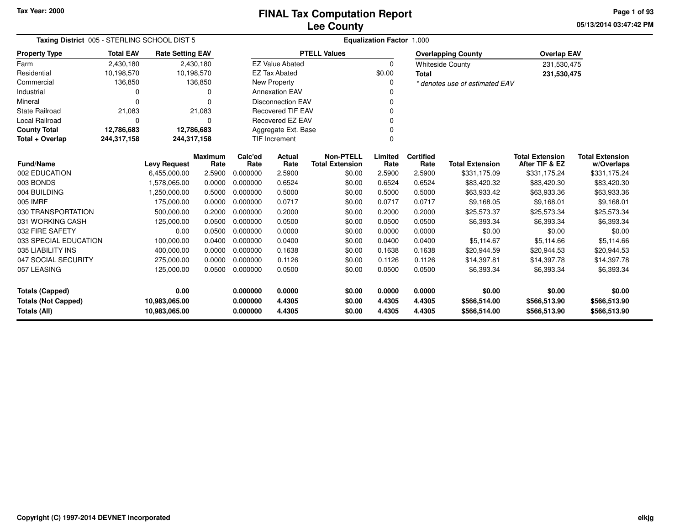# **Lee CountyFINAL Tax Computation Report**

**05/13/2014 03:47:42 PM Page 1 of 93**

| Taxing District 005 - STERLING SCHOOL DIST 5 |                  |                         |                        | <b>Equalization Factor 1.000</b> |                          |                                            |                 |                          |                                |                                          |                                      |  |
|----------------------------------------------|------------------|-------------------------|------------------------|----------------------------------|--------------------------|--------------------------------------------|-----------------|--------------------------|--------------------------------|------------------------------------------|--------------------------------------|--|
| <b>Property Type</b>                         | <b>Total EAV</b> | <b>Rate Setting EAV</b> |                        |                                  |                          | <b>PTELL Values</b>                        |                 |                          | <b>Overlapping County</b>      | <b>Overlap EAV</b>                       |                                      |  |
| Farm                                         | 2,430,180        |                         | 2,430,180              |                                  | <b>EZ Value Abated</b>   |                                            | $\mathbf 0$     |                          | <b>Whiteside County</b>        | 231,530,475                              |                                      |  |
| Residential                                  | 10,198,570       | 10,198,570              |                        |                                  | <b>EZ Tax Abated</b>     |                                            | \$0.00          | <b>Total</b>             |                                | 231,530,475                              |                                      |  |
| Commercial                                   | 136,850          |                         | 136,850                |                                  | New Property             |                                            | 0               |                          | * denotes use of estimated EAV |                                          |                                      |  |
| Industrial                                   | $\Omega$         |                         | 0                      |                                  | <b>Annexation EAV</b>    |                                            | n               |                          |                                |                                          |                                      |  |
| Mineral                                      | $\Omega$         |                         | $\Omega$               |                                  | <b>Disconnection EAV</b> |                                            |                 |                          |                                |                                          |                                      |  |
| <b>State Railroad</b>                        | 21,083           |                         | 21,083                 |                                  | <b>Recovered TIF EAV</b> |                                            | $\Omega$        |                          |                                |                                          |                                      |  |
| <b>Local Railroad</b>                        | $\Omega$         |                         | 0                      |                                  | <b>Recovered EZ EAV</b>  |                                            |                 |                          |                                |                                          |                                      |  |
| <b>County Total</b>                          | 12,786,683       | 12,786,683              |                        |                                  | Aggregate Ext. Base      |                                            |                 |                          |                                |                                          |                                      |  |
| Total + Overlap                              | 244,317,158      | 244,317,158             |                        |                                  | <b>TIF Increment</b>     |                                            | O               |                          |                                |                                          |                                      |  |
| <b>Fund/Name</b>                             |                  | <b>Levy Request</b>     | <b>Maximum</b><br>Rate | Calc'ed<br>Rate                  | Actual<br>Rate           | <b>Non-PTELL</b><br><b>Total Extension</b> | Limited<br>Rate | <b>Certified</b><br>Rate | <b>Total Extension</b>         | <b>Total Extension</b><br>After TIF & EZ | <b>Total Extension</b><br>w/Overlaps |  |
| 002 EDUCATION                                |                  | 6,455,000.00            | 2.5900                 | 0.000000                         | 2.5900                   | \$0.00                                     | 2.5900          | 2.5900                   | \$331,175.09                   | \$331,175.24                             | \$331,175.24                         |  |
| 003 BONDS                                    |                  | 1,578,065.00            | 0.0000                 | 0.000000                         | 0.6524                   | \$0.00                                     | 0.6524          | 0.6524                   | \$83,420.32                    | \$83,420.30                              | \$83,420.30                          |  |
| 004 BUILDING                                 |                  | 1,250,000.00            | 0.5000                 | 0.000000                         | 0.5000                   | \$0.00                                     | 0.5000          | 0.5000                   | \$63,933.42                    | \$63,933.36                              | \$63,933.36                          |  |
| 005 IMRF                                     |                  | 175,000.00              | 0.0000                 | 0.000000                         | 0.0717                   | \$0.00                                     | 0.0717          | 0.0717                   | \$9,168.05                     | \$9,168.01                               | \$9,168.01                           |  |
| 030 TRANSPORTATION                           |                  | 500,000.00              | 0.2000                 | 0.000000                         | 0.2000                   | \$0.00                                     | 0.2000          | 0.2000                   | \$25,573.37                    | \$25,573.34                              | \$25,573.34                          |  |
| 031 WORKING CASH                             |                  | 125,000.00              | 0.0500                 | 0.000000                         | 0.0500                   | \$0.00                                     | 0.0500          | 0.0500                   | \$6,393.34                     | \$6,393.34                               | \$6,393.34                           |  |
| 032 FIRE SAFETY                              |                  | 0.00                    | 0.0500                 | 0.000000                         | 0.0000                   | \$0.00                                     | 0.0000          | 0.0000                   | \$0.00                         | \$0.00                                   | \$0.00                               |  |
| 033 SPECIAL EDUCATION                        |                  | 100,000.00              | 0.0400                 | 0.000000                         | 0.0400                   | \$0.00                                     | 0.0400          | 0.0400                   | \$5,114.67                     | \$5.114.66                               | \$5,114.66                           |  |
| 035 LIABILITY INS                            |                  | 400,000.00              | 0.0000                 | 0.000000                         | 0.1638                   | \$0.00                                     | 0.1638          | 0.1638                   | \$20,944.59                    | \$20,944.53                              | \$20,944.53                          |  |
| 047 SOCIAL SECURITY                          |                  | 275,000.00              | 0.0000                 | 0.000000                         | 0.1126                   | \$0.00                                     | 0.1126          | 0.1126                   | \$14,397.81                    | \$14,397.78                              | \$14,397.78                          |  |
| 057 LEASING                                  |                  | 125,000.00              | 0.0500                 | 0.000000                         | 0.0500                   | \$0.00                                     | 0.0500          | 0.0500                   | \$6,393.34                     | \$6,393.34                               | \$6,393.34                           |  |
| <b>Totals (Capped)</b>                       |                  | 0.00                    |                        | 0.000000                         | 0.0000                   | \$0.00                                     | 0.0000          | 0.0000                   | \$0.00                         | \$0.00                                   | \$0.00                               |  |
| <b>Totals (Not Capped)</b>                   |                  | 10,983,065.00           |                        | 0.000000                         | 4.4305                   | \$0.00                                     | 4.4305          | 4.4305                   | \$566,514.00                   | \$566,513.90                             | \$566,513.90                         |  |
| <b>Totals (All)</b><br>10,983,065.00         |                  |                         | 0.000000               | 4.4305                           | \$0.00                   | 4.4305                                     | 4.4305          | \$566,514.00             | \$566,513.90                   | \$566,513.90                             |                                      |  |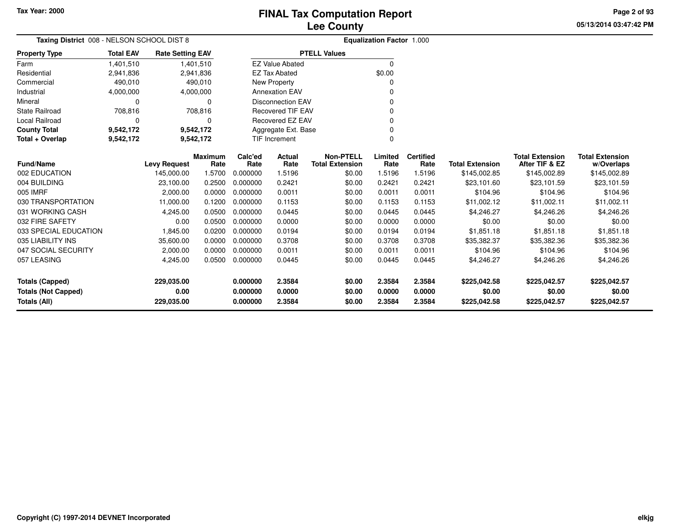**05/13/2014 03:47:42 PM Page 2 of 93**

| Taxing District 008 - NELSON SCHOOL DIST 8        |                  |                         |                        |                      |                          |                                            | <b>Equalization Factor 1.000</b> |                          |                        |                                          |                                      |
|---------------------------------------------------|------------------|-------------------------|------------------------|----------------------|--------------------------|--------------------------------------------|----------------------------------|--------------------------|------------------------|------------------------------------------|--------------------------------------|
| <b>Property Type</b>                              | <b>Total EAV</b> | <b>Rate Setting EAV</b> |                        |                      |                          | <b>PTELL Values</b>                        |                                  |                          |                        |                                          |                                      |
| Farm                                              | 1,401,510        |                         | 1,401,510              |                      | <b>EZ Value Abated</b>   |                                            | $\Omega$                         |                          |                        |                                          |                                      |
| Residential                                       | 2,941,836        |                         | 2,941,836              |                      | <b>EZ Tax Abated</b>     |                                            | \$0.00                           |                          |                        |                                          |                                      |
| Commercial                                        | 490,010          |                         | 490,010                |                      | New Property             |                                            |                                  |                          |                        |                                          |                                      |
| Industrial                                        | 4,000,000        |                         | 4,000,000              |                      | <b>Annexation EAV</b>    |                                            |                                  |                          |                        |                                          |                                      |
| Mineral                                           | 0                |                         | $\Omega$               |                      | <b>Disconnection EAV</b> |                                            |                                  |                          |                        |                                          |                                      |
| <b>State Railroad</b>                             | 708,816          |                         | 708,816                |                      | <b>Recovered TIF EAV</b> |                                            |                                  |                          |                        |                                          |                                      |
| <b>Local Railroad</b>                             | 0                |                         | $\Omega$               |                      | <b>Recovered EZ EAV</b>  |                                            |                                  |                          |                        |                                          |                                      |
| <b>County Total</b>                               | 9,542,172        |                         | 9,542,172              |                      | Aggregate Ext. Base      |                                            | O                                |                          |                        |                                          |                                      |
| Total + Overlap                                   | 9,542,172        |                         | 9,542,172              |                      | TIF Increment            |                                            | $\Omega$                         |                          |                        |                                          |                                      |
| <b>Fund/Name</b>                                  |                  | <b>Levy Request</b>     | <b>Maximum</b><br>Rate | Calc'ed<br>Rate      | Actual<br>Rate           | <b>Non-PTELL</b><br><b>Total Extension</b> | Limited<br>Rate                  | <b>Certified</b><br>Rate | <b>Total Extension</b> | <b>Total Extension</b><br>After TIF & EZ | <b>Total Extension</b><br>w/Overlaps |
| 002 EDUCATION                                     |                  | 145,000.00              | 1.5700                 | 0.000000             | 1.5196                   | \$0.00                                     | 1.5196                           | 1.5196                   | \$145,002.85           | \$145,002.89                             | \$145,002.89                         |
| 004 BUILDING                                      |                  | 23,100.00               | 0.2500                 | 0.000000             | 0.2421                   | \$0.00                                     | 0.2421                           | 0.2421                   | \$23,101.60            | \$23,101.59                              | \$23,101.59                          |
| 005 IMRF                                          |                  | 2,000.00                | 0.0000                 | 0.000000             | 0.0011                   | \$0.00                                     | 0.0011                           | 0.0011                   | \$104.96               | \$104.96                                 | \$104.96                             |
| 030 TRANSPORTATION                                |                  | 11,000.00               | 0.1200                 | 0.000000             | 0.1153                   | \$0.00                                     | 0.1153                           | 0.1153                   | \$11,002.12            | \$11,002.11                              | \$11,002.11                          |
| 031 WORKING CASH                                  |                  | 4,245.00                | 0.0500                 | 0.000000             | 0.0445                   | \$0.00                                     | 0.0445                           | 0.0445                   | \$4,246.27             | \$4,246.26                               | \$4,246.26                           |
| 032 FIRE SAFETY                                   |                  | 0.00                    | 0.0500                 | 0.000000             | 0.0000                   | \$0.00                                     | 0.0000                           | 0.0000                   | \$0.00                 | \$0.00                                   | \$0.00                               |
| 033 SPECIAL EDUCATION                             |                  | 1,845.00                | 0.0200                 | 0.000000             | 0.0194                   | \$0.00                                     | 0.0194                           | 0.0194                   | \$1,851.18             | \$1,851.18                               | \$1,851.18                           |
| 035 LIABILITY INS                                 |                  | 35,600.00               | 0.0000                 | 0.000000             | 0.3708                   | \$0.00                                     | 0.3708                           | 0.3708                   | \$35,382.37            | \$35,382.36                              | \$35,382.36                          |
| 047 SOCIAL SECURITY                               |                  | 2,000.00                | 0.0000                 | 0.000000             | 0.0011                   | \$0.00                                     | 0.0011                           | 0.0011                   | \$104.96               | \$104.96                                 | \$104.96                             |
| 057 LEASING                                       |                  | 4,245.00                | 0.0500                 | 0.000000             | 0.0445                   | \$0.00                                     | 0.0445                           | 0.0445                   | \$4,246.27             | \$4,246.26                               | \$4,246.26                           |
| <b>Totals (Capped)</b>                            |                  | 229,035.00<br>0.00      |                        | 0.000000<br>0.000000 | 2.3584<br>0.0000         | \$0.00<br>\$0.00                           | 2.3584<br>0.0000                 | 2.3584<br>0.0000         | \$225,042.58           | \$225,042.57                             | \$225,042.57<br>\$0.00               |
| <b>Totals (Not Capped)</b><br><b>Totals (All)</b> |                  | 229,035.00              |                        | 0.000000             | 2.3584                   | \$0.00                                     | 2.3584                           | 2.3584                   | \$0.00<br>\$225,042.58 | \$0.00<br>\$225,042.57                   | \$225,042.57                         |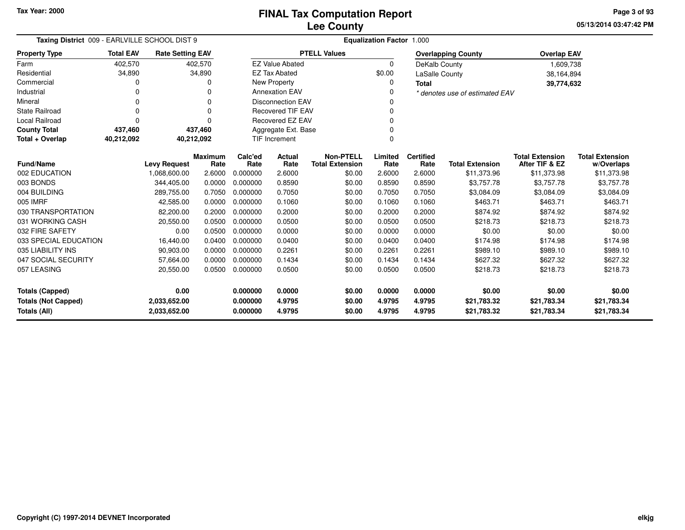**05/13/2014 03:47:42 PM Page 3 of 93**

| Taxing District 009 - EARLVILLE SCHOOL DIST 9 |                            |                         |                | Equalization Factor 1.000 |                          |                        |          |                  |                                |                        |                        |  |
|-----------------------------------------------|----------------------------|-------------------------|----------------|---------------------------|--------------------------|------------------------|----------|------------------|--------------------------------|------------------------|------------------------|--|
| <b>Property Type</b>                          | <b>Total EAV</b>           | <b>Rate Setting EAV</b> |                |                           |                          | <b>PTELL Values</b>    |          |                  | <b>Overlapping County</b>      | <b>Overlap EAV</b>     |                        |  |
| Farm                                          | 402,570                    |                         | 402,570        |                           | <b>EZ Value Abated</b>   |                        | $\Omega$ | DeKalb County    |                                | 1,609,738              |                        |  |
| Residential                                   | 34,890                     |                         | 34,890         |                           | <b>EZ Tax Abated</b>     |                        | \$0.00   | LaSalle County   |                                | 38,164,894             |                        |  |
| Commercial                                    | 0                          |                         | 0              |                           | New Property             |                        | $\Omega$ | <b>Total</b>     |                                | 39,774,632             |                        |  |
| Industrial                                    |                            |                         |                |                           | <b>Annexation EAV</b>    |                        |          |                  | * denotes use of estimated EAV |                        |                        |  |
| Mineral                                       | 0                          |                         | $\Omega$       |                           | <b>Disconnection EAV</b> |                        |          |                  |                                |                        |                        |  |
| <b>State Railroad</b>                         | 0                          |                         | $\Omega$       |                           | <b>Recovered TIF EAV</b> |                        |          |                  |                                |                        |                        |  |
| <b>Local Railroad</b>                         | $\Omega$                   |                         | $\Omega$       |                           | <b>Recovered EZ EAV</b>  |                        |          |                  |                                |                        |                        |  |
| <b>County Total</b>                           | 437,460                    |                         | 437,460        |                           | Aggregate Ext. Base      |                        |          |                  |                                |                        |                        |  |
| Total + Overlap                               | 40,212,092                 | 40,212,092              |                |                           | <b>TIF Increment</b>     |                        | $\Omega$ |                  |                                |                        |                        |  |
|                                               |                            |                         | <b>Maximum</b> | Calc'ed                   | Actual                   | <b>Non-PTELL</b>       | Limited  | <b>Certified</b> |                                | <b>Total Extension</b> | <b>Total Extension</b> |  |
| <b>Fund/Name</b>                              |                            | <b>Levy Request</b>     | Rate           | Rate                      | Rate                     | <b>Total Extension</b> | Rate     | Rate             | <b>Total Extension</b>         | After TIF & EZ         | w/Overlaps             |  |
| 002 EDUCATION                                 |                            | 1.068.600.00            | 2.6000         | 0.000000                  | 2.6000                   | \$0.00                 | 2.6000   | 2.6000           | \$11,373.96                    | \$11,373.98            | \$11,373.98            |  |
| 003 BONDS                                     |                            | 344,405.00              | 0.0000         | 0.000000                  | 0.8590                   | \$0.00                 | 0.8590   | 0.8590           | \$3,757.78                     | \$3,757.78             | \$3,757.78             |  |
| 004 BUILDING                                  |                            | 289,755.00              | 0.7050         | 0.000000                  | 0.7050                   | \$0.00                 | 0.7050   | 0.7050           | \$3,084.09                     | \$3,084.09             | \$3,084.09             |  |
| 005 IMRF                                      |                            | 42,585.00               | 0.0000         | 0.000000                  | 0.1060                   | \$0.00                 | 0.1060   | 0.1060           | \$463.71                       | \$463.71               | \$463.71               |  |
| 030 TRANSPORTATION                            |                            | 82,200.00               | 0.2000         | 0.000000                  | 0.2000                   | \$0.00                 | 0.2000   | 0.2000           | \$874.92                       | \$874.92               | \$874.92               |  |
| 031 WORKING CASH                              |                            | 20,550.00               | 0.0500         | 0.000000                  | 0.0500                   | \$0.00                 | 0.0500   | 0.0500           | \$218.73                       | \$218.73               | \$218.73               |  |
| 032 FIRE SAFETY                               |                            | 0.00                    | 0.0500         | 0.000000                  | 0.0000                   | \$0.00                 | 0.0000   | 0.0000           | \$0.00                         | \$0.00                 | \$0.00                 |  |
| 033 SPECIAL EDUCATION                         |                            | 16,440.00               | 0.0400         | 0.000000                  | 0.0400                   | \$0.00                 | 0.0400   | 0.0400           | \$174.98                       | \$174.98               | \$174.98               |  |
| 035 LIABILITY INS                             |                            | 90,903.00               | 0.0000         | 0.000000                  | 0.2261                   | \$0.00                 | 0.2261   | 0.2261           | \$989.10                       | \$989.10               | \$989.10               |  |
| 047 SOCIAL SECURITY                           |                            | 57,664.00               | 0.0000         | 0.000000                  | 0.1434                   | \$0.00                 | 0.1434   | 0.1434           | \$627.32                       | \$627.32               | \$627.32               |  |
| 057 LEASING                                   |                            | 20,550.00               | 0.0500         | 0.000000                  | 0.0500                   | \$0.00                 | 0.0500   | 0.0500           | \$218.73                       | \$218.73               | \$218.73               |  |
| <b>Totals (Capped)</b>                        | 0.00<br>0.000000<br>0.0000 |                         |                | \$0.00                    | 0.0000                   | 0.0000                 | \$0.00   | \$0.00           | \$0.00                         |                        |                        |  |
| <b>Totals (Not Capped)</b>                    |                            | 2,033,652.00            |                | 0.000000                  | 4.9795                   | \$0.00                 | 4.9795   | 4.9795           | \$21,783.32                    | \$21,783.34            | \$21,783.34            |  |
| Totals (All)<br>2,033,652.00                  |                            |                         |                | 0.000000                  | 4.9795                   | \$0.00                 | 4.9795   | 4.9795           | \$21,783.32                    | \$21,783.34            | \$21,783.34            |  |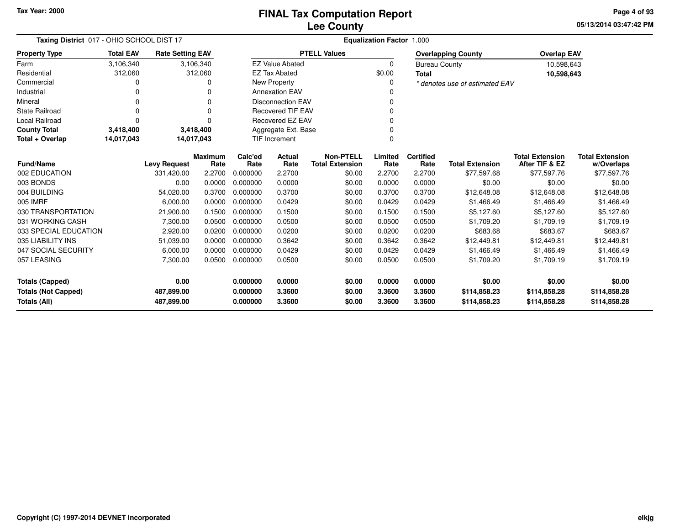**05/13/2014 03:47:42 PM Page 4 of 93**

| Taxing District 017 - OHIO SCHOOL DIST 17                              |                  |                         |                        | <b>Equalization Factor 1.000</b> |                          |                                            |                  |                              |                                |                                          |                                      |  |
|------------------------------------------------------------------------|------------------|-------------------------|------------------------|----------------------------------|--------------------------|--------------------------------------------|------------------|------------------------------|--------------------------------|------------------------------------------|--------------------------------------|--|
| <b>Property Type</b>                                                   | <b>Total EAV</b> | <b>Rate Setting EAV</b> |                        |                                  |                          | <b>PTELL Values</b>                        |                  |                              | <b>Overlapping County</b>      | <b>Overlap EAV</b>                       |                                      |  |
| Farm                                                                   | 3,106,340        |                         | 3,106,340              |                                  | <b>EZ Value Abated</b>   |                                            | $\Omega$         | <b>Bureau County</b>         |                                | 10,598,643                               |                                      |  |
| Residential                                                            | 312,060          |                         | 312,060                |                                  | <b>EZ Tax Abated</b>     |                                            | \$0.00           | <b>Total</b>                 |                                | 10,598,643                               |                                      |  |
| Commercial                                                             |                  |                         |                        |                                  | New Property             |                                            |                  |                              | * denotes use of estimated EAV |                                          |                                      |  |
| Industrial                                                             |                  |                         | O                      |                                  | <b>Annexation EAV</b>    |                                            |                  |                              |                                |                                          |                                      |  |
| Mineral                                                                |                  |                         | 0                      |                                  | <b>Disconnection EAV</b> |                                            |                  |                              |                                |                                          |                                      |  |
| <b>State Railroad</b>                                                  | ი                |                         | $\Omega$               |                                  | <b>Recovered TIF EAV</b> |                                            |                  |                              |                                |                                          |                                      |  |
| <b>Local Railroad</b>                                                  | ŋ                |                         |                        |                                  | <b>Recovered EZ EAV</b>  |                                            |                  |                              |                                |                                          |                                      |  |
| <b>County Total</b>                                                    | 3,418,400        |                         | 3,418,400              |                                  | Aggregate Ext. Base      |                                            |                  |                              |                                |                                          |                                      |  |
| Total + Overlap                                                        | 14,017,043       |                         | 14,017,043             | <b>TIF Increment</b>             |                          |                                            |                  |                              |                                |                                          |                                      |  |
| <b>Fund/Name</b>                                                       |                  | <b>Levy Request</b>     | <b>Maximum</b><br>Rate | Calc'ed<br>Rate                  | Actual<br>Rate           | <b>Non-PTELL</b><br><b>Total Extension</b> | Limited<br>Rate  | <b>Certified</b><br>Rate     | <b>Total Extension</b>         | <b>Total Extension</b><br>After TIF & EZ | <b>Total Extension</b><br>w/Overlaps |  |
| 002 EDUCATION                                                          |                  | 331,420.00              | 2.2700                 | 0.000000                         | 2.2700                   | \$0.00                                     | 2.2700           | 2.2700                       | \$77,597.68                    | \$77,597.76                              | \$77,597.76                          |  |
| 003 BONDS                                                              |                  | 0.00                    | 0.0000                 | 0.000000                         | 0.0000                   | \$0.00                                     | 0.0000           | 0.0000                       | \$0.00                         | \$0.00                                   | \$0.00                               |  |
| 004 BUILDING                                                           |                  | 54,020.00               | 0.3700                 | 0.000000                         | 0.3700                   | \$0.00                                     | 0.3700           | 0.3700                       | \$12,648.08                    | \$12,648.08                              | \$12,648.08                          |  |
| 005 IMRF                                                               |                  | 6,000.00                | 0.0000                 | 0.000000                         | 0.0429                   | \$0.00                                     | 0.0429           | 0.0429                       | \$1,466.49                     | \$1,466.49                               | \$1,466.49                           |  |
| 030 TRANSPORTATION                                                     |                  | 21,900.00               | 0.1500                 | 0.000000                         | 0.1500                   | \$0.00                                     | 0.1500           | 0.1500                       | \$5,127.60                     | \$5,127.60                               | \$5,127.60                           |  |
| 031 WORKING CASH                                                       |                  | 7,300.00                | 0.0500                 | 0.000000                         | 0.0500                   | \$0.00                                     | 0.0500           | 0.0500                       | \$1,709.20                     | \$1,709.19                               | \$1,709.19                           |  |
| 033 SPECIAL EDUCATION                                                  |                  | 2,920.00                | 0.0200                 | 0.000000                         | 0.0200                   | \$0.00                                     | 0.0200           | 0.0200                       | \$683.68                       | \$683.67                                 | \$683.67                             |  |
| 035 LIABILITY INS                                                      |                  | 51,039.00               | 0.0000                 | 0.000000                         | 0.3642                   | \$0.00                                     | 0.3642           | 0.3642                       | \$12,449.81                    | \$12,449.81                              | \$12,449.81                          |  |
| 047 SOCIAL SECURITY                                                    |                  | 6,000.00                | 0.0000                 | 0.000000                         | 0.0429                   | \$0.00                                     | 0.0429           | 0.0429                       | \$1,466.49                     | \$1,466.49                               | \$1,466.49                           |  |
| 057 LEASING                                                            |                  | 7,300.00                | 0.0500                 | 0.000000                         | 0.0500                   | \$0.00                                     | 0.0500           | 0.0500                       | \$1,709.20                     | \$1,709.19                               | \$1,709.19                           |  |
| <b>Totals (Capped)</b>                                                 |                  | 0.00                    |                        | 0.000000                         | 0.0000                   | \$0.00                                     | 0.0000           | 0.0000                       | \$0.00                         | \$0.00                                   | \$0.00                               |  |
| <b>Totals (Not Capped)</b><br>487,899.00<br>Totals (All)<br>487,899.00 |                  |                         | 0.000000<br>0.000000   | 3.3600<br>3.3600                 | \$0.00<br>\$0.00         | 3.3600<br>3.3600                           | 3.3600<br>3.3600 | \$114,858.23<br>\$114,858.23 | \$114,858.28<br>\$114,858.28   | \$114,858.28<br>\$114,858.28             |                                      |  |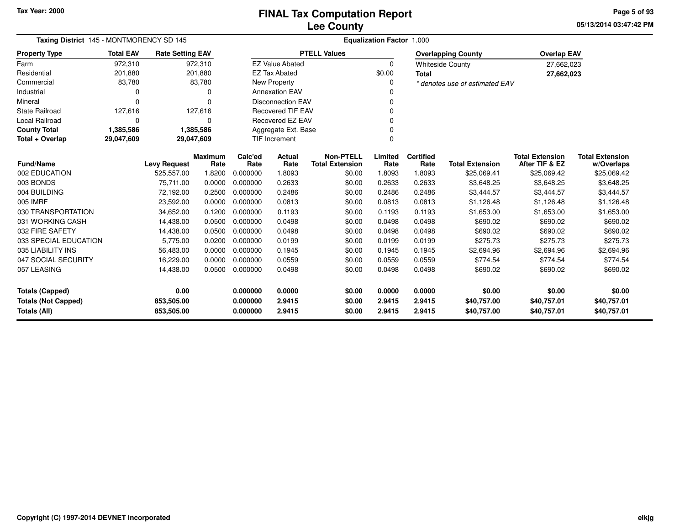**05/13/2014 03:47:42 PM Page 5 of 93**

| Taxing District 145 - MONTMORENCY SD 145   |                  |                          |                        | <b>Equalization Factor 1.000</b> |                          |                                            |                  |                          |                                |                                          |                                      |  |  |
|--------------------------------------------|------------------|--------------------------|------------------------|----------------------------------|--------------------------|--------------------------------------------|------------------|--------------------------|--------------------------------|------------------------------------------|--------------------------------------|--|--|
| <b>Property Type</b>                       | <b>Total EAV</b> | <b>Rate Setting EAV</b>  |                        |                                  |                          | <b>PTELL Values</b>                        |                  |                          | <b>Overlapping County</b>      | <b>Overlap EAV</b>                       |                                      |  |  |
| Farm                                       | 972.310          |                          | 972,310                |                                  | <b>EZ Value Abated</b>   |                                            | $\Omega$         |                          | <b>Whiteside County</b>        | 27,662,023                               |                                      |  |  |
| Residential                                | 201,880          |                          | 201,880                |                                  | <b>EZ Tax Abated</b>     |                                            | \$0.00           | <b>Total</b>             |                                | 27,662,023                               |                                      |  |  |
| Commercial                                 | 83,780           |                          | 83,780                 |                                  | New Property             |                                            |                  |                          | * denotes use of estimated EAV |                                          |                                      |  |  |
| Industrial                                 | 0                |                          | 0                      |                                  | <b>Annexation EAV</b>    |                                            |                  |                          |                                |                                          |                                      |  |  |
| Mineral                                    | $\Omega$         |                          | 0                      |                                  | <b>Disconnection EAV</b> |                                            |                  |                          |                                |                                          |                                      |  |  |
| <b>State Railroad</b>                      | 127,616          |                          | 127,616                |                                  | <b>Recovered TIF EAV</b> |                                            |                  |                          |                                |                                          |                                      |  |  |
| Local Railroad                             | $\Omega$         |                          | 0                      |                                  | Recovered EZ EAV         |                                            |                  |                          |                                |                                          |                                      |  |  |
| <b>County Total</b>                        | 1,385,586        |                          | 1,385,586              |                                  | Aggregate Ext. Base      |                                            |                  |                          |                                |                                          |                                      |  |  |
| Total + Overlap                            | 29,047,609       | 29,047,609               |                        | TIF Increment<br>$\Omega$        |                          |                                            |                  |                          |                                |                                          |                                      |  |  |
| <b>Fund/Name</b>                           |                  | <b>Levy Request</b>      | <b>Maximum</b><br>Rate | Calc'ed<br>Rate                  | Actual<br>Rate           | <b>Non-PTELL</b><br><b>Total Extension</b> | Limited<br>Rate  | <b>Certified</b><br>Rate | <b>Total Extension</b>         | <b>Total Extension</b><br>After TIF & EZ | <b>Total Extension</b><br>w/Overlaps |  |  |
| 002 EDUCATION                              |                  | 525,557.00               | 1.8200                 | 0.000000                         | 1.8093                   | \$0.00                                     | 1.8093           | 1.8093                   | \$25,069.41                    | \$25,069.42                              | \$25,069.42                          |  |  |
| 003 BONDS                                  |                  | 75.711.00                | 0.0000                 | 0.000000                         | 0.2633                   | \$0.00                                     | 0.2633           | 0.2633                   | \$3,648.25                     | \$3,648.25                               | \$3,648.25                           |  |  |
| 004 BUILDING                               |                  | 72,192.00                | 0.2500                 | 0.000000                         | 0.2486                   | \$0.00                                     | 0.2486           | 0.2486                   | \$3,444.57                     | \$3,444.57                               | \$3,444.57                           |  |  |
| 005 IMRF                                   |                  | 23,592.00                | 0.0000                 | 0.000000                         | 0.0813                   | \$0.00                                     | 0.0813           | 0.0813                   | \$1,126.48                     | \$1,126.48                               | \$1,126.48                           |  |  |
| 030 TRANSPORTATION                         |                  | 34,652.00                | 0.1200                 | 0.000000                         | 0.1193                   | \$0.00                                     | 0.1193           | 0.1193                   | \$1,653.00                     | \$1,653.00                               | \$1,653.00                           |  |  |
| 031 WORKING CASH                           |                  | 14,438.00                | 0.0500                 | 0.000000                         | 0.0498                   | \$0.00                                     | 0.0498           | 0.0498                   | \$690.02                       | \$690.02                                 | \$690.02                             |  |  |
| 032 FIRE SAFETY                            |                  | 14,438.00                | 0.0500                 | 0.000000                         | 0.0498                   | \$0.00                                     | 0.0498           | 0.0498                   | \$690.02                       | \$690.02                                 | \$690.02                             |  |  |
| 033 SPECIAL EDUCATION                      |                  | 5,775.00                 | 0.0200                 | 0.000000                         | 0.0199                   | \$0.00                                     | 0.0199           | 0.0199                   | \$275.73                       | \$275.73                                 | \$275.73                             |  |  |
| 035 LIABILITY INS                          |                  | 56,483.00                | 0.0000                 | 0.000000                         | 0.1945                   | \$0.00                                     | 0.1945           | 0.1945                   | \$2,694.96                     | \$2,694.96                               | \$2,694.96                           |  |  |
| 047 SOCIAL SECURITY                        |                  | 16,229.00                | 0.0000                 | 0.000000                         | 0.0559                   | \$0.00                                     | 0.0559           | 0.0559                   | \$774.54                       | \$774.54                                 | \$774.54                             |  |  |
| 057 LEASING                                |                  | 14,438.00                | 0.0500                 | 0.000000                         | 0.0498                   | \$0.00                                     | 0.0498           | 0.0498                   | \$690.02                       | \$690.02                                 | \$690.02                             |  |  |
| <b>Totals (Capped)</b>                     |                  | 0.00                     |                        | 0.000000                         | 0.0000                   | \$0.00                                     | 0.0000           | 0.0000                   | \$0.00                         | \$0.00                                   | \$0.00                               |  |  |
| <b>Totals (Not Capped)</b><br>Totals (All) |                  | 853,505.00<br>853,505.00 |                        | 0.000000<br>0.000000             | 2.9415<br>2.9415         | \$0.00<br>\$0.00                           | 2.9415<br>2.9415 | 2.9415<br>2.9415         | \$40,757.00<br>\$40,757.00     | \$40,757.01<br>\$40,757.01               | \$40,757.01<br>\$40,757.01           |  |  |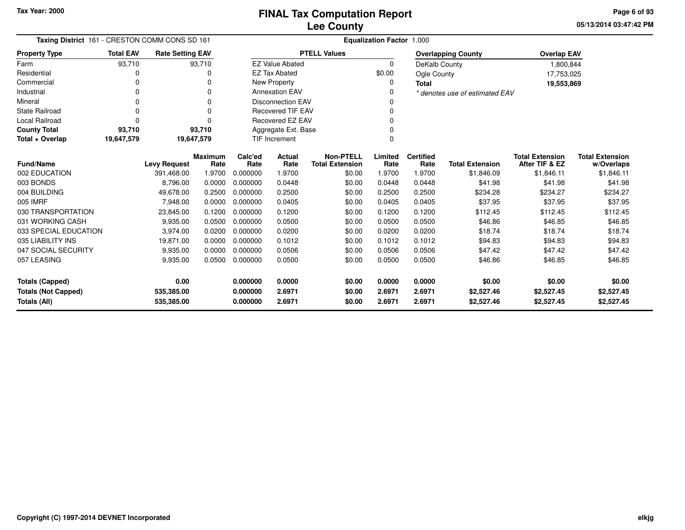**05/13/2014 03:47:42 PM Page 6 of 93**

| Taxing District 161 - CRESTON COMM CONS SD 161 |                  |                         |                        | <b>Equalization Factor 1.000</b> |                          |                                            |                 |                          |                                |                                          |                                      |  |
|------------------------------------------------|------------------|-------------------------|------------------------|----------------------------------|--------------------------|--------------------------------------------|-----------------|--------------------------|--------------------------------|------------------------------------------|--------------------------------------|--|
| <b>Property Type</b>                           | <b>Total EAV</b> | <b>Rate Setting EAV</b> |                        |                                  |                          | <b>PTELL Values</b>                        |                 |                          | <b>Overlapping County</b>      | <b>Overlap EAV</b>                       |                                      |  |
| Farm                                           | 93,710           |                         | 93,710                 |                                  | <b>EZ Value Abated</b>   |                                            | $\Omega$        | DeKalb County            |                                | 1,800,844                                |                                      |  |
| Residential                                    | 0                |                         | O                      |                                  | <b>EZ Tax Abated</b>     |                                            | \$0.00          | Ogle County              |                                | 17,753,025                               |                                      |  |
| Commercial                                     | O                |                         |                        |                                  | New Property             |                                            | 0               | <b>Total</b>             |                                | 19,553,869                               |                                      |  |
| Industrial                                     | $\Omega$         |                         | 0                      |                                  | <b>Annexation EAV</b>    |                                            | O               |                          | * denotes use of estimated EAV |                                          |                                      |  |
| Mineral                                        |                  |                         | 0                      |                                  | <b>Disconnection EAV</b> |                                            |                 |                          |                                |                                          |                                      |  |
| <b>State Railroad</b>                          | $\Omega$         |                         | ŋ                      |                                  | <b>Recovered TIF EAV</b> |                                            | O               |                          |                                |                                          |                                      |  |
| Local Railroad                                 | $\Omega$         |                         |                        |                                  | <b>Recovered EZ EAV</b>  |                                            |                 |                          |                                |                                          |                                      |  |
| <b>County Total</b>                            | 93,710           |                         | 93,710                 |                                  | Aggregate Ext. Base      |                                            |                 |                          |                                |                                          |                                      |  |
| Total + Overlap                                | 19,647,579       | 19,647,579              |                        |                                  | TIF Increment<br>0       |                                            |                 |                          |                                |                                          |                                      |  |
| <b>Fund/Name</b>                               |                  | <b>Levy Request</b>     | <b>Maximum</b><br>Rate | Calc'ed<br>Rate                  | Actual<br>Rate           | <b>Non-PTELL</b><br><b>Total Extension</b> | Limited<br>Rate | <b>Certified</b><br>Rate | <b>Total Extension</b>         | <b>Total Extension</b><br>After TIF & EZ | <b>Total Extension</b><br>w/Overlaps |  |
| 002 EDUCATION                                  |                  | 391,468.00              | 1.9700                 | 0.000000                         | 1.9700                   | \$0.00                                     | 1.9700          | 1.9700                   | \$1,846.09                     | \$1,846.11                               | \$1,846.11                           |  |
| 003 BONDS                                      |                  | 8,796.00                | 0.0000                 | 0.000000                         | 0.0448                   | \$0.00                                     | 0.0448          | 0.0448                   | \$41.98                        | \$41.98                                  | \$41.98                              |  |
| 004 BUILDING                                   |                  | 49,678.00               | 0.2500                 | 0.000000                         | 0.2500                   | \$0.00                                     | 0.2500          | 0.2500                   | \$234.28                       | \$234.27                                 | \$234.27                             |  |
| 005 IMRF                                       |                  | 7,948.00                | 0.0000                 | 0.000000                         | 0.0405                   | \$0.00                                     | 0.0405          | 0.0405                   | \$37.95                        | \$37.95                                  | \$37.95                              |  |
| 030 TRANSPORTATION                             |                  | 23,845.00               | 0.1200                 | 0.000000                         | 0.1200                   | \$0.00                                     | 0.1200          | 0.1200                   | \$112.45                       | \$112.45                                 | \$112.45                             |  |
| 031 WORKING CASH                               |                  | 9,935.00                | 0.0500                 | 0.000000                         | 0.0500                   | \$0.00                                     | 0.0500          | 0.0500                   | \$46.86                        | \$46.85                                  | \$46.85                              |  |
| 033 SPECIAL EDUCATION                          |                  | 3,974.00                | 0.0200                 | 0.000000                         | 0.0200                   | \$0.00                                     | 0.0200          | 0.0200                   | \$18.74                        | \$18.74                                  | \$18.74                              |  |
| 035 LIABILITY INS                              |                  | 19,871.00               | 0.0000                 | 0.000000                         | 0.1012                   | \$0.00                                     | 0.1012          | 0.1012                   | \$94.83                        | \$94.83                                  | \$94.83                              |  |
| 047 SOCIAL SECURITY                            |                  | 9,935.00                | 0.0000                 | 0.000000                         | 0.0506                   | \$0.00                                     | 0.0506          | 0.0506                   | \$47.42                        | \$47.42                                  | \$47.42                              |  |
| 057 LEASING                                    |                  | 9,935.00                | 0.0500                 | 0.000000                         | 0.0500                   | \$0.00                                     | 0.0500          | 0.0500                   | \$46.86                        | \$46.85                                  | \$46.85                              |  |
| <b>Totals (Capped)</b>                         |                  | 0.00                    |                        | 0.000000                         | 0.0000                   | \$0.00                                     | 0.0000          | 0.0000                   | \$0.00                         | \$0.00                                   | \$0.00                               |  |
| <b>Totals (Not Capped)</b>                     |                  | 535,385.00              |                        | 0.000000<br>2.6971<br>\$0.00     |                          |                                            | 2.6971          | 2.6971                   | \$2,527.46                     | \$2,527.45                               | \$2,527.45                           |  |
| <b>Totals (All)</b><br>0.000000<br>535,385.00  |                  |                         | 2.6971                 | \$0.00                           | 2.6971                   | 2.6971                                     | \$2,527.46      | \$2,527.45               | \$2,527.45                     |                                          |                                      |  |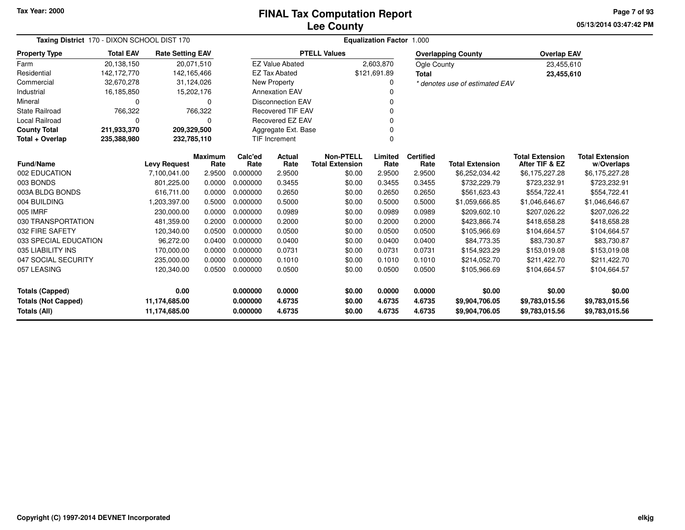# **Lee CountyFINAL Tax Computation Report**

**05/13/2014 03:47:42 PM Page 7 of 93**

| Taxing District 170 - DIXON SCHOOL DIST 170 |                  |                            |                        | <b>Equalization Factor 1.000</b> |                          |                                            |                 |                          |                                |                                          |                                      |  |
|---------------------------------------------|------------------|----------------------------|------------------------|----------------------------------|--------------------------|--------------------------------------------|-----------------|--------------------------|--------------------------------|------------------------------------------|--------------------------------------|--|
| <b>Property Type</b>                        | <b>Total EAV</b> | <b>Rate Setting EAV</b>    |                        |                                  |                          | <b>PTELL Values</b>                        |                 |                          | <b>Overlapping County</b>      | <b>Overlap EAV</b>                       |                                      |  |
| Farm                                        | 20,138,150       | 20,071,510                 |                        |                                  | <b>EZ Value Abated</b>   |                                            | 2,603,870       | Ogle County              |                                | 23,455,610                               |                                      |  |
| Residential                                 | 142,172,770      | 142,165,466                |                        |                                  | <b>EZ Tax Abated</b>     |                                            | \$121,691.89    | Total                    |                                | 23,455,610                               |                                      |  |
| Commercial                                  | 32,670,278       | 31,124,026                 |                        |                                  | New Property             |                                            | 0               |                          | * denotes use of estimated EAV |                                          |                                      |  |
| Industrial                                  | 16,185,850       | 15,202,176                 |                        |                                  | <b>Annexation EAV</b>    |                                            | $\Omega$        |                          |                                |                                          |                                      |  |
| Mineral                                     | 0                |                            | $\Omega$               |                                  | <b>Disconnection EAV</b> |                                            | 0               |                          |                                |                                          |                                      |  |
| <b>State Railroad</b>                       | 766,322          |                            | 766,322                |                                  | <b>Recovered TIF EAV</b> |                                            |                 |                          |                                |                                          |                                      |  |
| <b>Local Railroad</b>                       | 0                |                            | 0                      |                                  | Recovered EZ EAV         |                                            |                 |                          |                                |                                          |                                      |  |
| <b>County Total</b>                         | 211,933,370      | 209,329,500                |                        |                                  | Aggregate Ext. Base      |                                            | $\Omega$        |                          |                                |                                          |                                      |  |
| Total + Overlap                             | 235,388,980      | 232,785,110                |                        |                                  | <b>TIF Increment</b>     |                                            | $\Omega$        |                          |                                |                                          |                                      |  |
| <b>Fund/Name</b>                            |                  | <b>Levy Request</b>        | <b>Maximum</b><br>Rate | Calc'ed<br>Rate                  | Actual<br>Rate           | <b>Non-PTELL</b><br><b>Total Extension</b> | Limited<br>Rate | <b>Certified</b><br>Rate | <b>Total Extension</b>         | <b>Total Extension</b><br>After TIF & EZ | <b>Total Extension</b><br>w/Overlaps |  |
| 002 EDUCATION                               |                  | 7,100,041.00               | 2.9500                 | 0.000000                         | 2.9500                   | \$0.00                                     | 2.9500          | 2.9500                   | \$6,252,034.42                 | \$6,175,227.28                           | \$6,175,227.28                       |  |
| 003 BONDS                                   |                  | 801,225.00                 | 0.0000                 | 0.000000                         | 0.3455                   | \$0.00                                     | 0.3455          | 0.3455                   | \$732,229.79                   | \$723,232.91                             | \$723,232.91                         |  |
| 003A BLDG BONDS                             |                  | 616,711.00                 | 0.0000                 | 0.000000                         | 0.2650                   | \$0.00                                     | 0.2650          | 0.2650                   | \$561,623.43                   | \$554,722.41                             | \$554,722.41                         |  |
| 004 BUILDING                                |                  | 1,203,397.00               | 0.5000                 | 0.000000                         | 0.5000                   | \$0.00                                     | 0.5000          | 0.5000                   | \$1,059,666.85                 | \$1,046,646.67                           | \$1,046,646.67                       |  |
| 005 IMRF                                    |                  | 230,000.00                 | 0.0000                 | 0.000000                         | 0.0989                   | \$0.00                                     | 0.0989          | 0.0989                   | \$209,602.10                   | \$207,026.22                             | \$207,026.22                         |  |
| 030 TRANSPORTATION                          |                  | 481,359.00                 | 0.2000                 | 0.000000                         | 0.2000                   | \$0.00                                     | 0.2000          | 0.2000                   | \$423,866.74                   | \$418,658.28                             | \$418,658.28                         |  |
| 032 FIRE SAFETY                             |                  | 120,340.00                 | 0.0500                 | 0.000000                         | 0.0500                   | \$0.00                                     | 0.0500          | 0.0500                   | \$105,966.69                   | \$104,664.57                             | \$104,664.57                         |  |
| 033 SPECIAL EDUCATION                       |                  | 96,272.00                  | 0.0400                 | 0.000000                         | 0.0400                   | \$0.00                                     | 0.0400          | 0.0400                   | \$84,773.35                    | \$83,730.87                              | \$83,730.87                          |  |
| 035 LIABILITY INS                           |                  | 170,000.00                 | 0.0000                 | 0.000000                         | 0.0731                   | \$0.00                                     | 0.0731          | 0.0731                   | \$154,923.29                   | \$153,019.08                             | \$153,019.08                         |  |
| 047 SOCIAL SECURITY                         |                  | 235,000.00                 | 0.0000                 | 0.000000                         | 0.1010                   | \$0.00                                     | 0.1010          | 0.1010                   | \$214,052.70                   | \$211.422.70                             | \$211,422.70                         |  |
| 057 LEASING                                 |                  | 120,340.00                 | 0.0500                 | 0.000000                         | 0.0500                   | \$0.00                                     | 0.0500          | 0.0500                   | \$105,966.69                   | \$104,664.57                             | \$104,664.57                         |  |
| <b>Totals (Capped)</b>                      |                  | 0.00<br>0.000000<br>0.0000 |                        | \$0.00                           | 0.0000                   | 0.0000                                     | \$0.00          | \$0.00                   | \$0.00                         |                                          |                                      |  |
| <b>Totals (Not Capped)</b>                  |                  | 11,174,685.00              |                        | 0.000000                         | 4.6735                   | \$0.00                                     | 4.6735          | 4.6735                   | \$9,904,706.05                 | \$9,783,015.56                           | \$9,783,015.56                       |  |
| Totals (All)                                |                  | 11,174,685.00              |                        | 0.000000                         | 4.6735                   | \$0.00                                     | 4.6735          | 4.6735                   | \$9,904,706.05                 | \$9,783,015.56                           | \$9,783,015.56                       |  |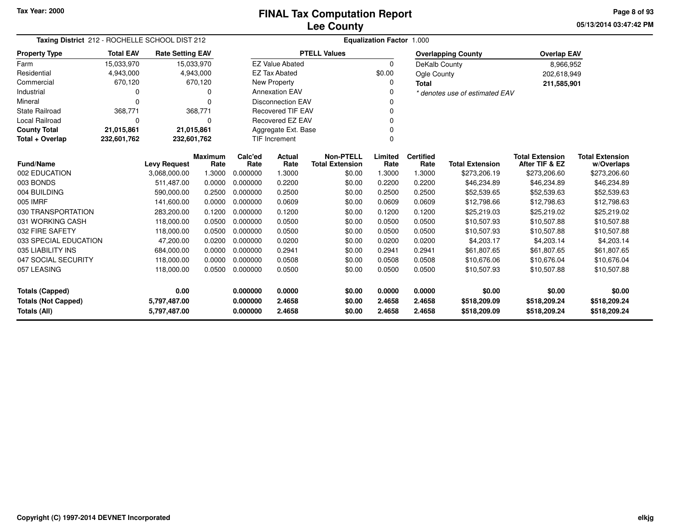**05/13/2014 03:47:42 PM Page 8 of 93**

| Taxing District 212 - ROCHELLE SCHOOL DIST 212       |                  |                         | <b>Equalization Factor 1.000</b> |                                        |                          |                                            |                 |                          |                                |                                          |                                      |
|------------------------------------------------------|------------------|-------------------------|----------------------------------|----------------------------------------|--------------------------|--------------------------------------------|-----------------|--------------------------|--------------------------------|------------------------------------------|--------------------------------------|
| <b>Property Type</b>                                 | <b>Total EAV</b> | <b>Rate Setting EAV</b> |                                  |                                        |                          | <b>PTELL Values</b>                        |                 |                          | <b>Overlapping County</b>      | <b>Overlap EAV</b>                       |                                      |
| Farm                                                 | 15,033,970       | 15,033,970              |                                  |                                        | <b>EZ Value Abated</b>   |                                            | $\Omega$        | DeKalb County            |                                | 8,966,952                                |                                      |
| Residential                                          | 4,943,000        |                         | 4,943,000                        |                                        | <b>EZ Tax Abated</b>     |                                            | \$0.00          | Ogle County              |                                | 202,618,949                              |                                      |
| Commercial                                           | 670,120          |                         | 670,120                          |                                        | <b>New Property</b>      |                                            | ŋ               | Total                    |                                | 211,585,901                              |                                      |
| Industrial                                           | ი                |                         | 0                                |                                        | <b>Annexation EAV</b>    |                                            |                 |                          | * denotes use of estimated EAV |                                          |                                      |
| Mineral                                              | $\Omega$         |                         | $\Omega$                         |                                        | <b>Disconnection EAV</b> |                                            |                 |                          |                                |                                          |                                      |
| <b>State Railroad</b>                                | 368,771          |                         | 368,771                          |                                        | <b>Recovered TIF EAV</b> |                                            |                 |                          |                                |                                          |                                      |
| Local Railroad                                       | 0                |                         | $\Omega$                         |                                        | <b>Recovered EZ EAV</b>  |                                            |                 |                          |                                |                                          |                                      |
| <b>County Total</b>                                  | 21,015,861       | 21,015,861              |                                  |                                        | Aggregate Ext. Base      |                                            |                 |                          |                                |                                          |                                      |
| Total + Overlap                                      | 232,601,762      | 232,601,762             |                                  |                                        | TIF Increment            |                                            |                 |                          |                                |                                          |                                      |
| <b>Fund/Name</b>                                     |                  | <b>Levy Request</b>     | Maximum<br>Rate                  | Calc'ed<br>Rate                        | Actual<br>Rate           | <b>Non-PTELL</b><br><b>Total Extension</b> | Limited<br>Rate | <b>Certified</b><br>Rate | <b>Total Extension</b>         | <b>Total Extension</b><br>After TIF & EZ | <b>Total Extension</b><br>w/Overlaps |
| 002 EDUCATION                                        |                  | 3,068,000.00            | 1.3000                           | 0.000000                               | 1.3000                   | \$0.00                                     | 1.3000          | 1.3000                   | \$273,206.19                   | \$273,206.60                             | \$273,206.60                         |
| 003 BONDS                                            |                  | 511,487.00              | 0.0000                           | 0.000000                               | 0.2200                   | \$0.00                                     | 0.2200          | 0.2200                   | \$46,234.89                    | \$46,234.89                              | \$46,234.89                          |
| 004 BUILDING                                         |                  | 590,000.00              | 0.2500                           | 0.000000                               | 0.2500                   | \$0.00                                     | 0.2500          | 0.2500                   | \$52,539.65                    | \$52,539.63                              | \$52,539.63                          |
| 005 IMRF                                             |                  | 141,600.00              | 0.0000                           | 0.000000                               | 0.0609                   | \$0.00                                     | 0.0609          | 0.0609                   | \$12,798.66                    | \$12,798.63                              | \$12,798.63                          |
| 030 TRANSPORTATION                                   |                  | 283,200.00              | 0.1200                           | 0.000000                               | 0.1200                   | \$0.00                                     | 0.1200          | 0.1200                   | \$25,219.03                    | \$25,219.02                              | \$25,219.02                          |
| 031 WORKING CASH                                     |                  | 118,000.00              | 0.0500                           | 0.000000                               | 0.0500                   | \$0.00                                     | 0.0500          | 0.0500                   | \$10,507.93                    | \$10,507.88                              | \$10,507.88                          |
| 032 FIRE SAFETY                                      |                  | 118,000.00              | 0.0500                           | 0.000000                               | 0.0500                   | \$0.00                                     | 0.0500          | 0.0500                   | \$10,507.93                    | \$10,507.88                              | \$10,507.88                          |
| 033 SPECIAL EDUCATION                                |                  | 47,200.00               | 0.0200                           | 0.000000                               | 0.0200                   | \$0.00                                     | 0.0200          | 0.0200                   | \$4,203.17                     | \$4,203.14                               | \$4,203.14                           |
| 035 LIABILITY INS                                    |                  | 684,000.00              | 0.0000                           | 0.000000                               | 0.2941                   | \$0.00                                     | 0.2941          | 0.2941                   | \$61,807.65                    | \$61,807.65                              | \$61,807.65                          |
| 047 SOCIAL SECURITY                                  |                  | 118,000.00              | 0.0000                           | 0.000000                               | 0.0508                   | \$0.00                                     | 0.0508          | 0.0508                   | \$10,676.06                    | \$10,676.04                              | \$10,676.04                          |
| 057 LEASING                                          |                  | 118,000.00              | 0.0500                           |                                        |                          |                                            |                 | 0.0500                   | \$10,507.93                    | \$10,507.88                              | \$10,507.88                          |
|                                                      |                  |                         |                                  | 0.000000<br>0.0500<br>\$0.00<br>0.0500 |                          |                                            |                 |                          |                                |                                          |                                      |
| 0.00<br><b>Totals (Capped)</b><br>0.000000<br>0.0000 |                  |                         |                                  | \$0.00                                 | 0.0000                   | 0.0000                                     | \$0.00          | \$0.00                   | \$0.00                         |                                          |                                      |
| <b>Totals (Not Capped)</b>                           |                  | 5,797,487.00            |                                  | 0.000000                               | 2.4658                   | \$0.00                                     | 2.4658          | 2.4658                   | \$518,209.09                   | \$518,209.24                             | \$518,209.24                         |
| Totals (All)<br>5,797,487.00                         |                  |                         |                                  | 0.000000                               | 2.4658                   | \$0.00                                     | 2.4658          | 2.4658                   | \$518,209.09                   | \$518,209.24                             | \$518,209.24                         |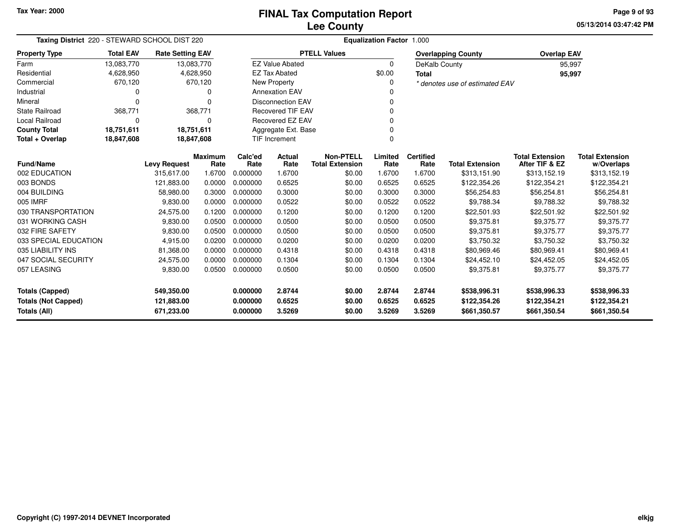**05/13/2014 03:47:42 PM Page 9 of 93**

| <b>Rate Setting EAV</b><br>13,083,770<br>4,628,950<br>670,120<br>0<br>$\Omega$<br>368,771<br>0<br>18,751,611<br>18,847,608 |                                                                                                                                                                               | <b>EZ Value Abated</b><br><b>EZ Tax Abated</b><br><b>New Property</b><br><b>Annexation EAV</b><br><b>Disconnection EAV</b><br><b>Recovered TIF EAV</b>                                                                                                         | <b>PTELL Values</b>                                                                                                                                    | 0<br>\$0.00<br>0<br>0<br>0                                                                                                           | DeKalb County<br><b>Total</b>                                                                                      | <b>Overlapping County</b><br>* denotes use of estimated EAV                                                        | <b>Overlap EAV</b><br>95,997<br>95,997                                                                                                                                                   |                                                                                                                                                                                  |
|----------------------------------------------------------------------------------------------------------------------------|-------------------------------------------------------------------------------------------------------------------------------------------------------------------------------|----------------------------------------------------------------------------------------------------------------------------------------------------------------------------------------------------------------------------------------------------------------|--------------------------------------------------------------------------------------------------------------------------------------------------------|--------------------------------------------------------------------------------------------------------------------------------------|--------------------------------------------------------------------------------------------------------------------|--------------------------------------------------------------------------------------------------------------------|------------------------------------------------------------------------------------------------------------------------------------------------------------------------------------------|----------------------------------------------------------------------------------------------------------------------------------------------------------------------------------|
|                                                                                                                            |                                                                                                                                                                               |                                                                                                                                                                                                                                                                |                                                                                                                                                        |                                                                                                                                      |                                                                                                                    |                                                                                                                    |                                                                                                                                                                                          |                                                                                                                                                                                  |
|                                                                                                                            |                                                                                                                                                                               |                                                                                                                                                                                                                                                                |                                                                                                                                                        |                                                                                                                                      |                                                                                                                    |                                                                                                                    |                                                                                                                                                                                          |                                                                                                                                                                                  |
|                                                                                                                            |                                                                                                                                                                               |                                                                                                                                                                                                                                                                |                                                                                                                                                        |                                                                                                                                      |                                                                                                                    |                                                                                                                    |                                                                                                                                                                                          |                                                                                                                                                                                  |
|                                                                                                                            |                                                                                                                                                                               |                                                                                                                                                                                                                                                                |                                                                                                                                                        |                                                                                                                                      |                                                                                                                    |                                                                                                                    |                                                                                                                                                                                          |                                                                                                                                                                                  |
|                                                                                                                            |                                                                                                                                                                               |                                                                                                                                                                                                                                                                |                                                                                                                                                        |                                                                                                                                      |                                                                                                                    |                                                                                                                    |                                                                                                                                                                                          |                                                                                                                                                                                  |
|                                                                                                                            |                                                                                                                                                                               |                                                                                                                                                                                                                                                                |                                                                                                                                                        |                                                                                                                                      |                                                                                                                    |                                                                                                                    |                                                                                                                                                                                          |                                                                                                                                                                                  |
|                                                                                                                            |                                                                                                                                                                               |                                                                                                                                                                                                                                                                |                                                                                                                                                        | Recovered EZ EAV<br>0                                                                                                                |                                                                                                                    |                                                                                                                    |                                                                                                                                                                                          |                                                                                                                                                                                  |
|                                                                                                                            |                                                                                                                                                                               |                                                                                                                                                                                                                                                                | Aggregate Ext. Base<br>0                                                                                                                               |                                                                                                                                      |                                                                                                                    |                                                                                                                    |                                                                                                                                                                                          |                                                                                                                                                                                  |
|                                                                                                                            |                                                                                                                                                                               | TIF Increment<br>0                                                                                                                                                                                                                                             |                                                                                                                                                        |                                                                                                                                      |                                                                                                                    |                                                                                                                    |                                                                                                                                                                                          |                                                                                                                                                                                  |
|                                                                                                                            |                                                                                                                                                                               |                                                                                                                                                                                                                                                                |                                                                                                                                                        |                                                                                                                                      |                                                                                                                    |                                                                                                                    |                                                                                                                                                                                          |                                                                                                                                                                                  |
| <b>Maximum</b>                                                                                                             | Calc'ed                                                                                                                                                                       | Actual                                                                                                                                                                                                                                                         | <b>Non-PTELL</b>                                                                                                                                       | Limited                                                                                                                              | <b>Certified</b>                                                                                                   |                                                                                                                    | <b>Total Extension</b>                                                                                                                                                                   | <b>Total Extension</b>                                                                                                                                                           |
|                                                                                                                            |                                                                                                                                                                               |                                                                                                                                                                                                                                                                |                                                                                                                                                        |                                                                                                                                      |                                                                                                                    |                                                                                                                    |                                                                                                                                                                                          | w/Overlaps                                                                                                                                                                       |
|                                                                                                                            |                                                                                                                                                                               |                                                                                                                                                                                                                                                                |                                                                                                                                                        |                                                                                                                                      |                                                                                                                    |                                                                                                                    |                                                                                                                                                                                          | \$313,152.19                                                                                                                                                                     |
|                                                                                                                            |                                                                                                                                                                               |                                                                                                                                                                                                                                                                |                                                                                                                                                        |                                                                                                                                      |                                                                                                                    |                                                                                                                    |                                                                                                                                                                                          | \$122,354.21                                                                                                                                                                     |
|                                                                                                                            |                                                                                                                                                                               |                                                                                                                                                                                                                                                                |                                                                                                                                                        |                                                                                                                                      |                                                                                                                    |                                                                                                                    |                                                                                                                                                                                          | \$56,254.81                                                                                                                                                                      |
|                                                                                                                            |                                                                                                                                                                               |                                                                                                                                                                                                                                                                |                                                                                                                                                        |                                                                                                                                      |                                                                                                                    |                                                                                                                    |                                                                                                                                                                                          | \$9,788.32                                                                                                                                                                       |
|                                                                                                                            |                                                                                                                                                                               |                                                                                                                                                                                                                                                                |                                                                                                                                                        |                                                                                                                                      |                                                                                                                    |                                                                                                                    |                                                                                                                                                                                          | \$22,501.92                                                                                                                                                                      |
|                                                                                                                            |                                                                                                                                                                               |                                                                                                                                                                                                                                                                |                                                                                                                                                        |                                                                                                                                      |                                                                                                                    |                                                                                                                    |                                                                                                                                                                                          | \$9,375.77                                                                                                                                                                       |
|                                                                                                                            |                                                                                                                                                                               |                                                                                                                                                                                                                                                                |                                                                                                                                                        |                                                                                                                                      |                                                                                                                    |                                                                                                                    |                                                                                                                                                                                          | \$9,375.77                                                                                                                                                                       |
|                                                                                                                            |                                                                                                                                                                               |                                                                                                                                                                                                                                                                |                                                                                                                                                        |                                                                                                                                      |                                                                                                                    |                                                                                                                    |                                                                                                                                                                                          | \$3,750.32                                                                                                                                                                       |
|                                                                                                                            |                                                                                                                                                                               |                                                                                                                                                                                                                                                                |                                                                                                                                                        |                                                                                                                                      |                                                                                                                    |                                                                                                                    |                                                                                                                                                                                          | \$80,969.41                                                                                                                                                                      |
|                                                                                                                            |                                                                                                                                                                               |                                                                                                                                                                                                                                                                |                                                                                                                                                        |                                                                                                                                      |                                                                                                                    |                                                                                                                    |                                                                                                                                                                                          | \$24,452.05                                                                                                                                                                      |
|                                                                                                                            |                                                                                                                                                                               |                                                                                                                                                                                                                                                                |                                                                                                                                                        |                                                                                                                                      |                                                                                                                    |                                                                                                                    |                                                                                                                                                                                          | \$9,375.77                                                                                                                                                                       |
| 549,350.00                                                                                                                 | 0.000000<br>0.000000                                                                                                                                                          | 2.8744<br>0.6525                                                                                                                                                                                                                                               | \$0.00<br>\$0.00<br>\$0.00                                                                                                                             | 2.8744<br>0.6525                                                                                                                     | 2.8744<br>0.6525                                                                                                   | \$538,996.31<br>\$122,354.26                                                                                       | \$538,996.33<br>\$122,354.21                                                                                                                                                             | \$538,996.33<br>\$122,354.21                                                                                                                                                     |
|                                                                                                                            | <b>Levy Request</b><br>315.617.00<br>121,883.00<br>58,980.00<br>9,830.00<br>24,575.00<br>9,830.00<br>9,830.00<br>4,915.00<br>81,368.00<br>24,575.00<br>9,830.00<br>121,883.00 | Rate<br>Rate<br>1.6700<br>0.000000<br>0.0000<br>0.000000<br>0.3000<br>0.000000<br>0.0000<br>0.000000<br>0.1200<br>0.000000<br>0.0500<br>0.000000<br>0.0500<br>0.000000<br>0.0200<br>0.000000<br>0.0000<br>0.000000<br>0.0000<br>0.000000<br>0.0500<br>0.000000 | Rate<br>1.6700<br>0.6525<br>0.3000<br>0.0522<br>0.1200<br>0.0500<br>0.0500<br>0.0200<br>0.4318<br>0.1304<br>0.0500<br>671,233.00<br>0.000000<br>3.5269 | <b>Total Extension</b><br>\$0.00<br>\$0.00<br>\$0.00<br>\$0.00<br>\$0.00<br>\$0.00<br>\$0.00<br>\$0.00<br>\$0.00<br>\$0.00<br>\$0.00 | Rate<br>1.6700<br>0.6525<br>0.3000<br>0.0522<br>0.1200<br>0.0500<br>0.0500<br>0.0200<br>0.4318<br>0.1304<br>0.0500 | Rate<br>1.6700<br>0.6525<br>0.3000<br>0.0522<br>0.1200<br>0.0500<br>0.0500<br>0.0200<br>0.4318<br>0.1304<br>0.0500 | <b>Total Extension</b><br>\$313,151.90<br>\$122,354.26<br>\$56,254.83<br>\$9,788.34<br>\$22,501.93<br>\$9,375.81<br>\$9,375.81<br>\$3,750.32<br>\$80,969.46<br>\$24,452.10<br>\$9,375.81 | After TIF & EZ<br>\$313,152.19<br>\$122,354.21<br>\$56,254.81<br>\$9,788.32<br>\$22,501.92<br>\$9,375.77<br>\$9,375.77<br>\$3,750.32<br>\$80,969.41<br>\$24,452.05<br>\$9,375.77 |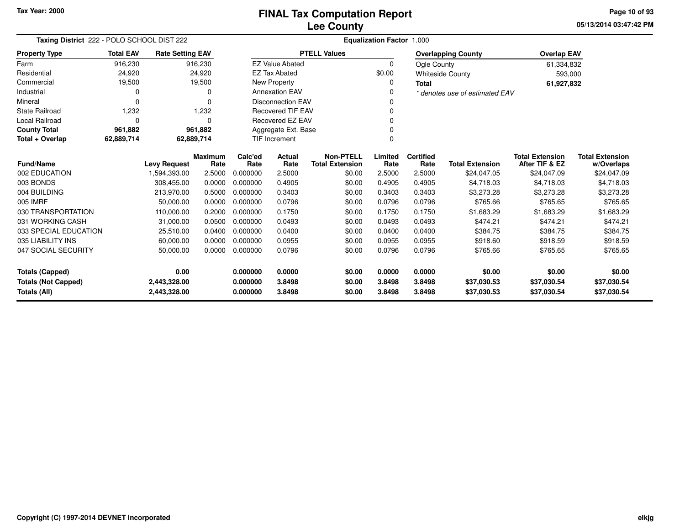**05/13/2014 03:47:42 PM Page 10 of 93**

| Taxing District 222 - POLO SCHOOL DIST 222 | Equalization Factor 1.000 |                              |                        |                      |                          |                                            |                  |                          |                                |                                          |                                      |
|--------------------------------------------|---------------------------|------------------------------|------------------------|----------------------|--------------------------|--------------------------------------------|------------------|--------------------------|--------------------------------|------------------------------------------|--------------------------------------|
| <b>Property Type</b>                       | <b>Total EAV</b>          | <b>Rate Setting EAV</b>      |                        |                      |                          | <b>PTELL Values</b>                        |                  |                          | <b>Overlapping County</b>      | <b>Overlap EAV</b>                       |                                      |
| Farm                                       | 916,230                   |                              | 916,230                |                      | <b>EZ Value Abated</b>   |                                            | 0                | Ogle County              |                                | 61,334,832                               |                                      |
| Residential                                | 24,920                    |                              | 24,920                 |                      | <b>EZ Tax Abated</b>     |                                            | \$0.00           |                          | <b>Whiteside County</b>        | 593,000                                  |                                      |
| Commercial                                 | 19,500                    |                              | 19,500                 |                      | New Property             |                                            | 0                | <b>Total</b>             |                                | 61,927,832                               |                                      |
| Industrial                                 | 0                         |                              | 0                      |                      | <b>Annexation EAV</b>    |                                            |                  |                          | * denotes use of estimated EAV |                                          |                                      |
| Mineral                                    | $\Omega$                  |                              | $\Omega$               |                      | <b>Disconnection EAV</b> |                                            |                  |                          |                                |                                          |                                      |
| <b>State Railroad</b>                      | 1,232                     |                              | 1,232                  |                      | <b>Recovered TIF EAV</b> |                                            | ∩                |                          |                                |                                          |                                      |
| <b>Local Railroad</b>                      | 0                         |                              | $\Omega$               |                      | Recovered EZ EAV         |                                            |                  |                          |                                |                                          |                                      |
| <b>County Total</b>                        | 961,882                   |                              | 961,882                |                      | Aggregate Ext. Base      |                                            |                  |                          |                                |                                          |                                      |
| Total + Overlap                            | 62,889,714<br>62,889,714  |                              |                        |                      | <b>TIF Increment</b>     |                                            |                  |                          |                                |                                          |                                      |
| <b>Fund/Name</b>                           |                           | <b>Levy Request</b>          | <b>Maximum</b><br>Rate | Calc'ed<br>Rate      | Actual<br>Rate           | <b>Non-PTELL</b><br><b>Total Extension</b> | Limited<br>Rate  | <b>Certified</b><br>Rate | <b>Total Extension</b>         | <b>Total Extension</b><br>After TIF & EZ | <b>Total Extension</b><br>w/Overlaps |
| 002 EDUCATION                              |                           | 1,594,393.00                 | 2.5000                 | 0.000000             | 2.5000                   | \$0.00                                     | 2.5000           | 2.5000                   | \$24,047.05                    | \$24,047.09                              | \$24,047.09                          |
| 003 BONDS                                  |                           | 308,455.00                   | 0.0000                 | 0.000000             | 0.4905                   | \$0.00                                     | 0.4905           | 0.4905                   | \$4,718.03                     | \$4,718.03                               | \$4,718.03                           |
| 004 BUILDING                               |                           | 213,970.00                   | 0.5000                 | 0.000000             | 0.3403                   | \$0.00                                     | 0.3403           | 0.3403                   | \$3,273.28                     | \$3,273.28                               | \$3,273.28                           |
| 005 IMRF                                   |                           | 50,000.00                    | 0.0000                 | 0.000000             | 0.0796                   | \$0.00                                     | 0.0796           | 0.0796                   | \$765.66                       | \$765.65                                 | \$765.65                             |
| 030 TRANSPORTATION                         |                           | 110,000.00                   | 0.2000                 | 0.000000             | 0.1750                   | \$0.00                                     | 0.1750           | 0.1750                   | \$1,683.29                     | \$1,683.29                               | \$1,683.29                           |
| 031 WORKING CASH                           |                           | 31,000.00                    | 0.0500                 | 0.000000             | 0.0493                   | \$0.00                                     | 0.0493           | 0.0493                   | \$474.21                       | \$474.21                                 | \$474.21                             |
| 033 SPECIAL EDUCATION                      |                           | 25,510.00                    | 0.0400                 | 0.000000             | 0.0400                   | \$0.00                                     | 0.0400           | 0.0400                   | \$384.75                       | \$384.75                                 | \$384.75                             |
| 035 LIABILITY INS                          |                           | 60,000.00                    | 0.0000                 | 0.000000             | 0.0955                   | \$0.00                                     | 0.0955           | 0.0955                   | \$918.60                       | \$918.59                                 | \$918.59                             |
| 047 SOCIAL SECURITY                        |                           | 50,000.00                    | 0.0000                 | 0.000000             | 0.0796                   | \$0.00                                     | 0.0796           | 0.0796                   | \$765.66                       | \$765.65                                 | \$765.65                             |
| <b>Totals (Capped)</b>                     |                           | 0.00                         |                        | 0.000000             | 0.0000                   | \$0.00                                     | 0.0000           | 0.0000                   | \$0.00                         | \$0.00                                   | \$0.00                               |
| <b>Totals (Not Capped)</b><br>Totals (All) |                           | 2,443,328.00<br>2,443,328.00 |                        | 0.000000<br>0.000000 | 3.8498<br>3.8498         | \$0.00<br>\$0.00                           | 3.8498<br>3.8498 | 3.8498<br>3.8498         | \$37,030.53<br>\$37,030.53     | \$37,030.54<br>\$37,030.54               | \$37,030.54<br>\$37,030.54           |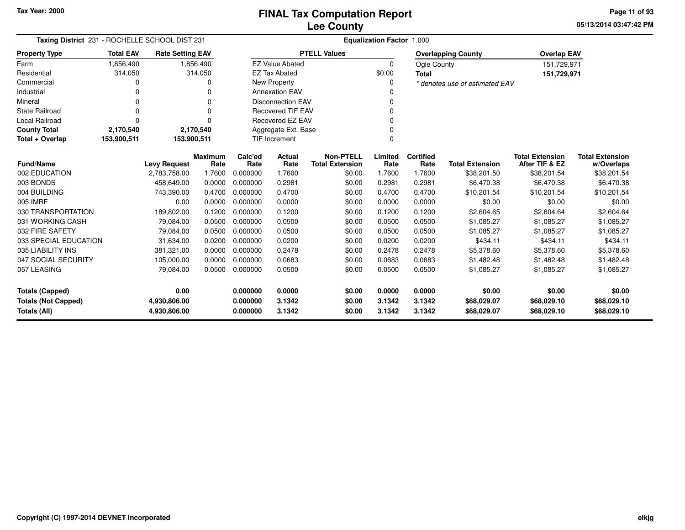**05/13/2014 03:47:42 PM Page 11 of 93**

| Taxing District 231 - ROCHELLE SCHOOL DIST 231 |                  |                         |                        | Equalization Factor 1.000 |                           |                                            |                 |                          |                                |                                          |                                      |
|------------------------------------------------|------------------|-------------------------|------------------------|---------------------------|---------------------------|--------------------------------------------|-----------------|--------------------------|--------------------------------|------------------------------------------|--------------------------------------|
| <b>Property Type</b>                           | <b>Total EAV</b> | <b>Rate Setting EAV</b> |                        |                           |                           | <b>PTELL Values</b>                        |                 |                          | <b>Overlapping County</b>      | <b>Overlap EAV</b>                       |                                      |
| Farm                                           | 1,856,490        |                         | 1,856,490              |                           | <b>EZ Value Abated</b>    |                                            | $\Omega$        | Ogle County              |                                | 151,729,971                              |                                      |
| Residential                                    | 314,050          |                         | 314,050                |                           | <b>EZ Tax Abated</b>      |                                            | \$0.00          | <b>Total</b>             |                                | 151,729,971                              |                                      |
| Commercial                                     | 0                |                         | 0                      |                           | <b>New Property</b>       |                                            | 0               |                          | * denotes use of estimated EAV |                                          |                                      |
| Industrial                                     | 0                |                         | $\Omega$               |                           | <b>Annexation EAV</b>     |                                            | 0               |                          |                                |                                          |                                      |
| Mineral                                        | 0                |                         | 0                      |                           | <b>Disconnection EAV</b>  |                                            | N               |                          |                                |                                          |                                      |
| State Railroad                                 | $\Omega$         |                         | $\Omega$               |                           | <b>Recovered TIF EAV</b>  |                                            | 0               |                          |                                |                                          |                                      |
| <b>Local Railroad</b>                          | $\Omega$         |                         | O                      |                           | Recovered EZ EAV          |                                            |                 |                          |                                |                                          |                                      |
| <b>County Total</b>                            | 2,170,540        |                         | 2,170,540              |                           | Aggregate Ext. Base       |                                            | 0               |                          |                                |                                          |                                      |
| Total + Overlap                                | 153,900,511      | 153,900,511             |                        |                           | <b>TIF Increment</b><br>0 |                                            |                 |                          |                                |                                          |                                      |
| <b>Fund/Name</b>                               |                  | <b>Levy Request</b>     | <b>Maximum</b><br>Rate | Calc'ed<br>Rate           | Actual<br>Rate            | <b>Non-PTELL</b><br><b>Total Extension</b> | Limited<br>Rate | <b>Certified</b><br>Rate | <b>Total Extension</b>         | <b>Total Extension</b><br>After TIF & EZ | <b>Total Extension</b><br>w/Overlaps |
| 002 EDUCATION                                  |                  | 2,783,758.00            | 1.7600                 | 0.000000                  | 1.7600                    | \$0.00                                     | 1.7600          | 1.7600                   | \$38,201.50                    | \$38,201.54                              | \$38,201.54                          |
| 003 BONDS                                      |                  | 458,649.00              | 0.0000                 | 0.000000                  | 0.2981                    | \$0.00                                     | 0.2981          | 0.2981                   | \$6,470.38                     | \$6,470.38                               | \$6,470.38                           |
| 004 BUILDING                                   |                  | 743,390.00              | 0.4700                 | 0.000000                  | 0.4700                    | \$0.00                                     | 0.4700          | 0.4700                   | \$10,201.54                    | \$10,201.54                              | \$10,201.54                          |
| 005 IMRF                                       |                  | 0.00                    | 0.0000                 | 0.000000                  | 0.0000                    | \$0.00                                     | 0.0000          | 0.0000                   | \$0.00                         | \$0.00                                   | \$0.00                               |
| 030 TRANSPORTATION                             |                  | 189,802.00              | 0.1200                 | 0.000000                  | 0.1200                    | \$0.00                                     | 0.1200          | 0.1200                   | \$2,604.65                     | \$2,604.64                               | \$2,604.64                           |
| 031 WORKING CASH                               |                  | 79,084.00               | 0.0500                 | 0.000000                  | 0.0500                    | \$0.00                                     | 0.0500          | 0.0500                   | \$1,085.27                     | \$1,085.27                               | \$1,085.27                           |
| 032 FIRE SAFETY                                |                  | 79,084.00               | 0.0500                 | 0.000000                  | 0.0500                    | \$0.00                                     | 0.0500          | 0.0500                   | \$1,085.27                     | \$1,085.27                               | \$1,085.27                           |
| 033 SPECIAL EDUCATION                          |                  | 31,634.00               | 0.0200                 | 0.000000                  | 0.0200                    | \$0.00                                     | 0.0200          | 0.0200                   | \$434.11                       | \$434.11                                 | \$434.11                             |
| 035 LIABILITY INS                              |                  | 381,321.00              | 0.0000                 | 0.000000                  | 0.2478                    | \$0.00                                     | 0.2478          | 0.2478                   | \$5,378.60                     | \$5,378.60                               | \$5,378.60                           |
| 047 SOCIAL SECURITY                            |                  | 105,000.00              | 0.0000                 | 0.000000                  | 0.0683                    | \$0.00                                     | 0.0683          | 0.0683                   | \$1,482.48                     | \$1,482.48                               | \$1,482.48                           |
| 057 LEASING                                    |                  | 79,084.00               | 0.0500                 | 0.000000                  | 0.0500                    | \$0.00                                     | 0.0500          | 0.0500                   | \$1,085.27                     | \$1,085.27                               | \$1,085.27                           |
| <b>Totals (Capped)</b>                         |                  | 0.00                    |                        | 0.000000                  | 0.0000                    | \$0.00                                     | 0.0000          | 0.0000                   | \$0.00                         | \$0.00                                   | \$0.00                               |
| <b>Totals (Not Capped)</b>                     |                  | 4,930,806.00            |                        | 0.000000                  | 3.1342                    | \$0.00                                     | 3.1342          | 3.1342                   | \$68,029.07                    | \$68,029.10                              | \$68,029.10                          |
| Totals (All)                                   |                  | 4,930,806.00            |                        | 0.000000                  | 3.1342                    | \$0.00                                     | 3.1342          | 3.1342                   | \$68,029.07                    | \$68,029.10                              | \$68,029.10                          |

-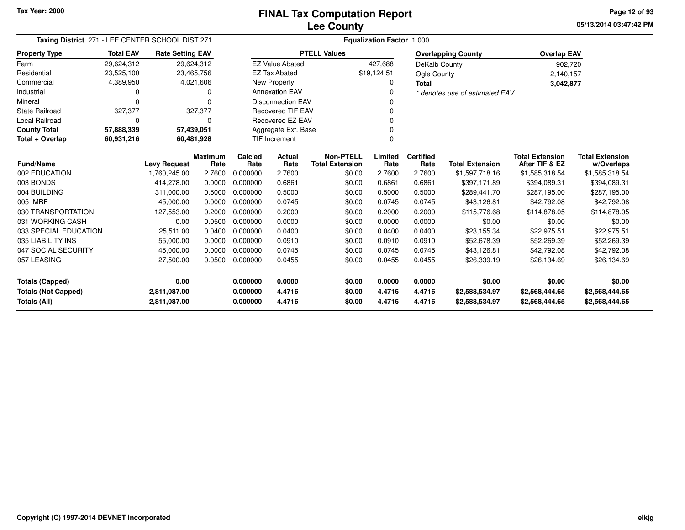**05/13/2014 03:47:42 PM Page 12 of 93**

| Taxing District 271 - LEE CENTER SCHOOL DIST 271 |                  |                              |                        | Equalization Factor 1.000 |                          |                                            |                  |                          |                                  |                                          |                                      |  |
|--------------------------------------------------|------------------|------------------------------|------------------------|---------------------------|--------------------------|--------------------------------------------|------------------|--------------------------|----------------------------------|------------------------------------------|--------------------------------------|--|
| <b>Property Type</b>                             | <b>Total EAV</b> | <b>Rate Setting EAV</b>      |                        |                           |                          | <b>PTELL Values</b>                        |                  |                          | <b>Overlapping County</b>        | <b>Overlap EAV</b>                       |                                      |  |
| Farm                                             | 29,624,312       | 29,624,312                   |                        |                           | <b>EZ Value Abated</b>   |                                            | 427,688          | DeKalb County            |                                  | 902,720                                  |                                      |  |
| Residential                                      | 23,525,100       | 23,465,756                   |                        |                           | <b>EZ Tax Abated</b>     |                                            | \$19,124.51      | Ogle County              |                                  | 2,140,157                                |                                      |  |
| Commercial                                       | 4,389,950        |                              | 4,021,606              |                           | New Property             |                                            | 0                | <b>Total</b>             |                                  | 3,042,877                                |                                      |  |
| Industrial                                       | 0                |                              | 0                      |                           | <b>Annexation EAV</b>    |                                            | $\Omega$         |                          | * denotes use of estimated EAV   |                                          |                                      |  |
| Mineral                                          | 0                |                              | $\Omega$               |                           | <b>Disconnection EAV</b> |                                            | 0                |                          |                                  |                                          |                                      |  |
| <b>State Railroad</b>                            | 327,377          |                              | 327,377                |                           | <b>Recovered TIF EAV</b> |                                            | $\Omega$         |                          |                                  |                                          |                                      |  |
| Local Railroad                                   | 0                |                              | 0                      |                           | Recovered EZ EAV         |                                            | 0                |                          |                                  |                                          |                                      |  |
| <b>County Total</b>                              | 57,888,339       | 57,439,051                   |                        |                           | Aggregate Ext. Base      |                                            | 0                |                          |                                  |                                          |                                      |  |
| Total + Overlap                                  | 60,931,216       | 60,481,928                   |                        |                           | <b>TIF Increment</b>     |                                            | 0                |                          |                                  |                                          |                                      |  |
| <b>Fund/Name</b>                                 |                  | <b>Levy Request</b>          | <b>Maximum</b><br>Rate | Calc'ed<br>Rate           | Actual<br>Rate           | <b>Non-PTELL</b><br><b>Total Extension</b> | Limited<br>Rate  | <b>Certified</b><br>Rate | <b>Total Extension</b>           | <b>Total Extension</b><br>After TIF & EZ | <b>Total Extension</b><br>w/Overlaps |  |
| 002 EDUCATION                                    |                  | 1,760,245.00                 | 2.7600                 | 0.000000                  | 2.7600                   | \$0.00                                     | 2.7600           | 2.7600                   | \$1,597,718.16                   | \$1,585,318.54                           | \$1,585,318.54                       |  |
| 003 BONDS                                        |                  | 414,278.00                   | 0.0000                 | 0.000000                  | 0.6861                   | \$0.00                                     | 0.6861           | 0.6861                   | \$397,171.89                     | \$394,089.31                             | \$394,089.31                         |  |
| 004 BUILDING                                     |                  | 311.000.00                   | 0.5000                 | 0.000000                  | 0.5000                   | \$0.00                                     | 0.5000           | 0.5000                   | \$289,441.70                     | \$287,195.00                             | \$287,195.00                         |  |
| 005 IMRF                                         |                  | 45,000.00                    | 0.0000                 | 0.000000                  | 0.0745                   | \$0.00                                     | 0.0745           | 0.0745                   | \$43,126.81                      | \$42,792.08                              | \$42,792.08                          |  |
| 030 TRANSPORTATION                               |                  | 127,553.00                   | 0.2000                 | 0.000000                  | 0.2000                   | \$0.00                                     | 0.2000           | 0.2000                   | \$115,776.68                     | \$114,878.05                             | \$114,878.05                         |  |
| 031 WORKING CASH                                 |                  | 0.00                         | 0.0500                 | 0.000000                  | 0.0000                   | \$0.00                                     | 0.0000           | 0.0000                   | \$0.00                           | \$0.00                                   | \$0.00                               |  |
| 033 SPECIAL EDUCATION                            |                  | 25,511.00                    | 0.0400                 | 0.000000                  | 0.0400                   | \$0.00                                     | 0.0400           | 0.0400                   | \$23,155.34                      | \$22,975.51                              | \$22,975.51                          |  |
| 035 LIABILITY INS                                |                  | 55,000.00                    | 0.0000                 | 0.000000                  | 0.0910                   | \$0.00                                     | 0.0910           | 0.0910                   | \$52,678.39                      | \$52,269.39                              | \$52,269.39                          |  |
| 047 SOCIAL SECURITY                              |                  | 45,000.00                    | 0.0000                 | 0.000000                  | 0.0745                   | \$0.00                                     | 0.0745           | 0.0745                   | \$43,126.81                      | \$42,792.08                              | \$42,792.08                          |  |
| 057 LEASING                                      |                  | 27,500.00                    | 0.0500                 | 0.000000                  | 0.0455                   | \$0.00                                     | 0.0455           | 0.0455                   | \$26,339.19                      | \$26,134.69                              | \$26,134.69                          |  |
| <b>Totals (Capped)</b>                           |                  | 0.00                         |                        | 0.000000                  | 0.0000                   | \$0.00                                     | 0.0000           | 0.0000                   | \$0.00                           | \$0.00                                   | \$0.00                               |  |
| <b>Totals (Not Capped)</b><br>Totals (All)       |                  | 2,811,087.00<br>2,811,087.00 |                        | 0.000000<br>0.000000      | 4.4716<br>4.4716         | \$0.00<br>\$0.00                           | 4.4716<br>4.4716 | 4.4716<br>4.4716         | \$2,588,534.97<br>\$2,588,534.97 | \$2,568,444.65<br>\$2,568,444.65         | \$2,568,444.65<br>\$2,568,444.65     |  |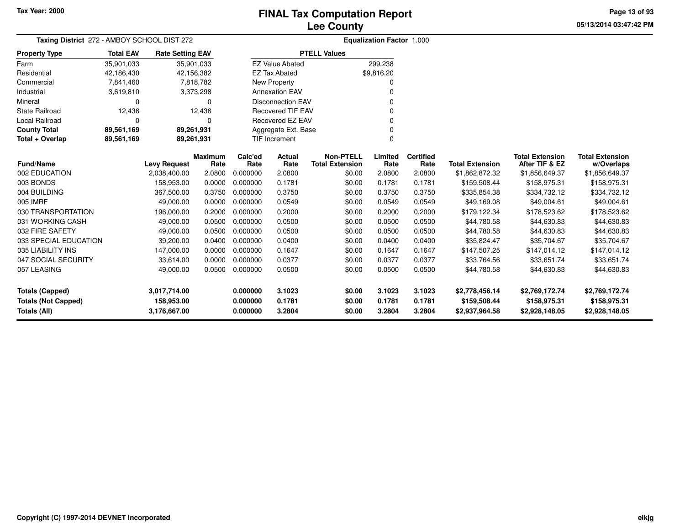# **Lee CountyFINAL Tax Computation Report**

**05/13/2014 03:47:42 PM Page 13 of 93**

| Taxing District 272 - AMBOY SCHOOL DIST 272 | <b>Equalization Factor 1.000</b> |                         |                        |                 |                           |                                            |                 |                          |                        |                                          |                                      |
|---------------------------------------------|----------------------------------|-------------------------|------------------------|-----------------|---------------------------|--------------------------------------------|-----------------|--------------------------|------------------------|------------------------------------------|--------------------------------------|
| <b>Property Type</b>                        | <b>Total EAV</b>                 | <b>Rate Setting EAV</b> |                        |                 |                           | <b>PTELL Values</b>                        |                 |                          |                        |                                          |                                      |
| Farm                                        | 35,901,033                       | 35,901,033              |                        |                 | <b>EZ Value Abated</b>    |                                            | 299,238         |                          |                        |                                          |                                      |
| Residential                                 | 42,186,430                       | 42,156,382              |                        |                 | <b>EZ Tax Abated</b>      |                                            | \$9,816.20      |                          |                        |                                          |                                      |
| Commercial                                  | 7,841,460                        |                         | 7,818,782              |                 | New Property              |                                            |                 |                          |                        |                                          |                                      |
| Industrial                                  | 3,619,810                        |                         | 3,373,298              |                 | <b>Annexation EAV</b>     |                                            |                 |                          |                        |                                          |                                      |
| Mineral                                     | 0                                |                         | $\mathbf 0$            |                 | <b>Disconnection EAV</b>  |                                            |                 |                          |                        |                                          |                                      |
| <b>State Railroad</b>                       | 12,436                           |                         | 12,436                 |                 | <b>Recovered TIF EAV</b>  |                                            |                 |                          |                        |                                          |                                      |
| Local Railroad                              | 0                                |                         | $\Omega$               |                 | <b>Recovered EZ EAV</b>   |                                            |                 |                          |                        |                                          |                                      |
| <b>County Total</b>                         | 89,561,169                       | 89,261,931              |                        |                 | Aggregate Ext. Base       |                                            |                 |                          |                        |                                          |                                      |
| Total + Overlap                             | 89,561,169                       | 89,261,931              |                        |                 | <b>TIF Increment</b><br>0 |                                            |                 |                          |                        |                                          |                                      |
| <b>Fund/Name</b>                            |                                  | <b>Levy Request</b>     | <b>Maximum</b><br>Rate | Calc'ed<br>Rate | Actual<br>Rate            | <b>Non-PTELL</b><br><b>Total Extension</b> | Limited<br>Rate | <b>Certified</b><br>Rate | <b>Total Extension</b> | <b>Total Extension</b><br>After TIF & EZ | <b>Total Extension</b><br>w/Overlaps |
| 002 EDUCATION                               |                                  | 2,038,400.00            | 2.0800                 | 0.000000        | 2.0800                    | \$0.00                                     | 2.0800          | 2.0800                   | \$1,862,872.32         | \$1,856,649.37                           | \$1,856,649.37                       |
| 003 BONDS                                   |                                  | 158,953.00              | 0.0000                 | 0.000000        | 0.1781                    | \$0.00                                     | 0.1781          | 0.1781                   | \$159,508.44           | \$158,975.31                             | \$158,975.31                         |
| 004 BUILDING                                |                                  | 367,500.00              | 0.3750                 | 0.000000        | 0.3750                    | \$0.00                                     | 0.3750          | 0.3750                   | \$335,854.38           | \$334,732.12                             | \$334,732.12                         |
| 005 IMRF                                    |                                  | 49.000.00               | 0.0000                 | 0.000000        | 0.0549                    | \$0.00                                     | 0.0549          | 0.0549                   | \$49,169.08            | \$49,004.61                              | \$49,004.61                          |
| 030 TRANSPORTATION                          |                                  | 196,000.00              | 0.2000                 | 0.000000        | 0.2000                    | \$0.00                                     | 0.2000          | 0.2000                   | \$179,122.34           | \$178,523.62                             | \$178,523.62                         |
| 031 WORKING CASH                            |                                  | 49,000.00               | 0.0500                 | 0.000000        | 0.0500                    | \$0.00                                     | 0.0500          | 0.0500                   | \$44,780.58            | \$44,630.83                              | \$44,630.83                          |
| 032 FIRE SAFETY                             |                                  | 49,000.00               | 0.0500                 | 0.000000        | 0.0500                    | \$0.00                                     | 0.0500          | 0.0500                   | \$44,780.58            | \$44,630.83                              | \$44,630.83                          |
| 033 SPECIAL EDUCATION                       |                                  | 39,200.00               | 0.0400                 | 0.000000        | 0.0400                    | \$0.00                                     | 0.0400          | 0.0400                   | \$35,824.47            | \$35,704.67                              | \$35,704.67                          |
| 035 LIABILITY INS                           |                                  | 147,000.00              | 0.0000                 | 0.000000        | 0.1647                    | \$0.00                                     | 0.1647          | 0.1647                   | \$147,507.25           | \$147,014.12                             | \$147,014.12                         |
| 047 SOCIAL SECURITY                         |                                  | 33,614.00               | 0.0000                 | 0.000000        | 0.0377                    | \$0.00                                     | 0.0377          | 0.0377                   | \$33,764.56            | \$33,651.74                              | \$33,651.74                          |
| 057 LEASING                                 |                                  | 49,000.00               | 0.0500                 | 0.000000        | 0.0500                    | \$0.00                                     | 0.0500          | 0.0500                   | \$44,780.58            | \$44,630.83                              | \$44,630.83                          |
| <b>Totals (Capped)</b>                      |                                  | 3,017,714.00            |                        | 0.000000        | 3.1023                    | \$0.00                                     | 3.1023          | 3.1023                   | \$2,778,456.14         | \$2,769,172.74                           | \$2,769,172.74                       |
| <b>Totals (Not Capped)</b>                  |                                  | 158,953.00              |                        | 0.000000        | 0.1781                    | \$0.00                                     | 0.1781          | 0.1781                   | \$159,508.44           | \$158,975.31                             | \$158,975.31                         |
| Totals (All)                                |                                  | 3,176,667.00            |                        | 0.000000        | 3.2804                    | \$0.00                                     | 3.2804          | 3.2804                   | \$2,937,964.58         | \$2,928,148.05                           | \$2,928,148.05                       |

 $\overline{\phantom{0}}$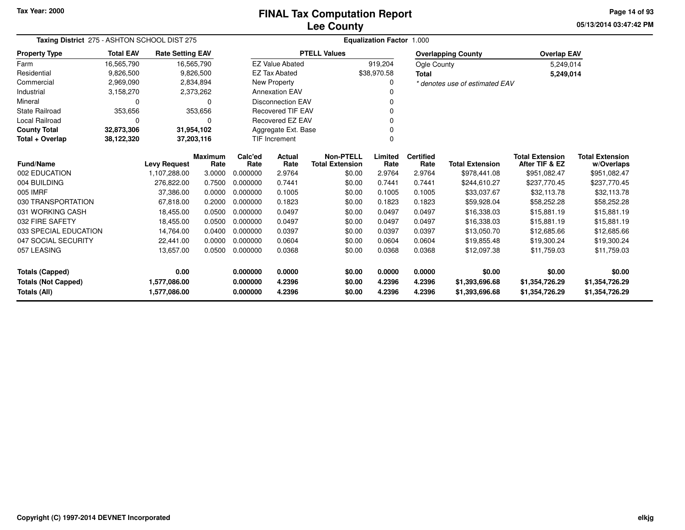# **Lee CountyFINAL Tax Computation Report**

**05/13/2014 03:47:42 PM Page 14 of 93**

|                                                                            | Taxing District 275 - ASHTON SCHOOL DIST 275 |                         |                        |                  |                          | <b>Equalization Factor 1.000</b> |                                            |                  |                                  |                                  |                                          |                                      |  |  |
|----------------------------------------------------------------------------|----------------------------------------------|-------------------------|------------------------|------------------|--------------------------|----------------------------------|--------------------------------------------|------------------|----------------------------------|----------------------------------|------------------------------------------|--------------------------------------|--|--|
| <b>Property Type</b>                                                       | <b>Total EAV</b>                             | <b>Rate Setting EAV</b> |                        |                  |                          | <b>PTELL Values</b>              |                                            |                  |                                  | <b>Overlapping County</b>        | <b>Overlap EAV</b>                       |                                      |  |  |
| Farm                                                                       | 16,565,790                                   |                         | 16,565,790             |                  | <b>EZ Value Abated</b>   |                                  |                                            | 919,204          | Ogle County                      |                                  | 5,249,014                                |                                      |  |  |
| Residential                                                                | 9,826,500                                    |                         | 9,826,500              |                  | <b>EZ Tax Abated</b>     |                                  |                                            | \$38,970.58      | <b>Total</b>                     |                                  | 5,249,014                                |                                      |  |  |
| Commercial                                                                 | 2,969,090                                    |                         | 2,834,894              |                  | New Property             |                                  |                                            | 0                |                                  | * denotes use of estimated EAV   |                                          |                                      |  |  |
| Industrial                                                                 | 3,158,270                                    |                         | 2,373,262              |                  | <b>Annexation EAV</b>    |                                  |                                            | 0                |                                  |                                  |                                          |                                      |  |  |
| Mineral                                                                    | $\Omega$                                     |                         | $\Omega$               |                  | <b>Disconnection EAV</b> |                                  |                                            | 0                |                                  |                                  |                                          |                                      |  |  |
| <b>State Railroad</b>                                                      | 353,656                                      |                         | 353,656                |                  | <b>Recovered TIF EAV</b> |                                  |                                            | 0                |                                  |                                  |                                          |                                      |  |  |
| <b>Local Railroad</b>                                                      | 0                                            |                         | 0                      |                  | <b>Recovered EZ EAV</b>  |                                  |                                            | 0                |                                  |                                  |                                          |                                      |  |  |
| <b>County Total</b>                                                        | 32,873,306                                   |                         | 31,954,102             |                  | Aggregate Ext. Base      |                                  |                                            |                  |                                  |                                  |                                          |                                      |  |  |
| Total + Overlap                                                            | 38,122,320                                   |                         | 37,203,116             |                  | TIF Increment<br>0       |                                  |                                            |                  |                                  |                                  |                                          |                                      |  |  |
| <b>Fund/Name</b>                                                           |                                              | <b>Levy Request</b>     | <b>Maximum</b><br>Rate | Calc'ed<br>Rate  | Actual<br>Rate           |                                  | <b>Non-PTELL</b><br><b>Total Extension</b> | Limited<br>Rate  | <b>Certified</b><br>Rate         | <b>Total Extension</b>           | <b>Total Extension</b><br>After TIF & EZ | <b>Total Extension</b><br>w/Overlaps |  |  |
| 002 EDUCATION                                                              |                                              | 1,107,288.00            | 3.0000                 | 0.000000         | 2.9764                   |                                  | \$0.00                                     | 2.9764           | 2.9764                           | \$978,441.08                     | \$951,082.47                             | \$951,082.47                         |  |  |
| 004 BUILDING                                                               |                                              | 276,822.00              | 0.7500                 | 0.000000         | 0.7441                   |                                  | \$0.00                                     | 0.7441           | 0.7441                           | \$244,610.27                     | \$237,770.45                             | \$237,770.45                         |  |  |
| 005 IMRF                                                                   |                                              | 37,386.00               | 0.0000                 | 0.000000         | 0.1005                   |                                  | \$0.00                                     | 0.1005           | 0.1005                           | \$33,037.67                      | \$32,113.78                              | \$32,113.78                          |  |  |
| 030 TRANSPORTATION                                                         |                                              | 67,818.00               | 0.2000                 | 0.000000         | 0.1823                   |                                  | \$0.00                                     | 0.1823           | 0.1823                           | \$59,928.04                      | \$58,252.28                              | \$58,252.28                          |  |  |
| 031 WORKING CASH                                                           |                                              | 18,455.00               | 0.0500                 | 0.000000         | 0.0497                   |                                  | \$0.00                                     | 0.0497           | 0.0497                           | \$16,338.03                      | \$15,881.19                              | \$15,881.19                          |  |  |
| 032 FIRE SAFETY                                                            |                                              | 18,455.00               | 0.0500                 | 0.000000         | 0.0497                   |                                  | \$0.00                                     | 0.0497           | 0.0497                           | \$16,338.03                      | \$15,881.19                              | \$15,881.19                          |  |  |
| 033 SPECIAL EDUCATION                                                      |                                              | 14,764.00               | 0.0400                 | 0.000000         | 0.0397                   |                                  | \$0.00                                     | 0.0397           | 0.0397                           | \$13,050.70                      | \$12,685.66                              | \$12,685.66                          |  |  |
| 047 SOCIAL SECURITY                                                        |                                              | 22,441.00               | 0.0000                 | 0.000000         | 0.0604                   |                                  | \$0.00                                     | 0.0604           | 0.0604                           | \$19,855.48                      | \$19,300.24                              | \$19,300.24                          |  |  |
| 057 LEASING                                                                |                                              | 13,657.00               | 0.0500                 | 0.000000         | 0.0368                   |                                  | \$0.00                                     | 0.0368           | 0.0368                           | \$12,097.38                      | \$11,759.03                              | \$11,759.03                          |  |  |
| <b>Totals (Capped)</b>                                                     |                                              | 0.00                    |                        | 0.000000         | 0.0000                   |                                  | \$0.00                                     | 0.0000           | 0.0000                           | \$0.00                           | \$0.00                                   | \$0.00                               |  |  |
| 1,577,086.00<br><b>Totals (Not Capped)</b><br>Totals (All)<br>1,577,086.00 |                                              |                         | 0.000000<br>0.000000   | 4.2396<br>4.2396 |                          | \$0.00<br>\$0.00                 | 4.2396<br>4.2396                           | 4.2396<br>4.2396 | \$1,393,696.68<br>\$1,393,696.68 | \$1,354,726.29<br>\$1,354,726.29 | \$1,354,726.29<br>\$1,354,726.29         |                                      |  |  |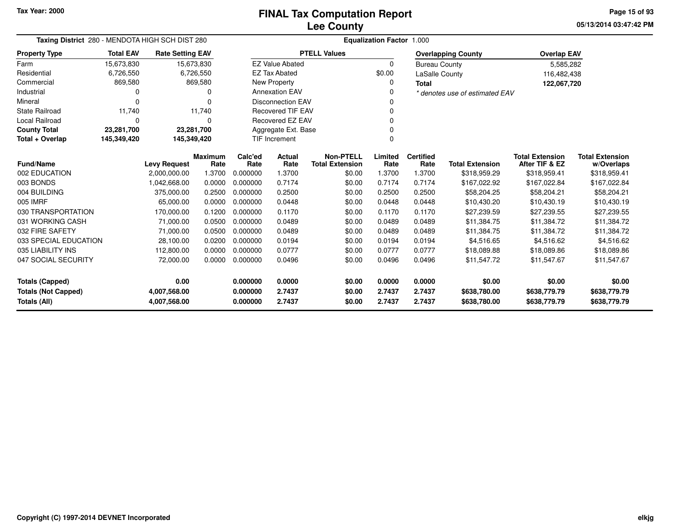**05/13/2014 03:47:42 PMPage 15 of 93**

| Taxing District 280 - MENDOTA HIGH SCH DIST 280   |                  |                              |                        | Equalization Factor 1.000        |                          |                                            |                  |                          |                                |                                          |                                      |  |  |
|---------------------------------------------------|------------------|------------------------------|------------------------|----------------------------------|--------------------------|--------------------------------------------|------------------|--------------------------|--------------------------------|------------------------------------------|--------------------------------------|--|--|
| <b>Property Type</b>                              | <b>Total EAV</b> | <b>Rate Setting EAV</b>      |                        |                                  |                          | <b>PTELL Values</b>                        |                  |                          | <b>Overlapping County</b>      | <b>Overlap EAV</b>                       |                                      |  |  |
| Farm                                              | 15,673,830       |                              | 15,673,830             |                                  | <b>EZ Value Abated</b>   |                                            | $\mathbf 0$      | <b>Bureau County</b>     |                                | 5,585,282                                |                                      |  |  |
| Residential                                       | 6,726,550        |                              | 6,726,550              |                                  | <b>EZ Tax Abated</b>     |                                            | \$0.00           | LaSalle County           |                                | 116,482,438                              |                                      |  |  |
| Commercial                                        | 869,580          |                              | 869,580                |                                  | <b>New Property</b>      |                                            | 0                | <b>Total</b>             |                                | 122,067,720                              |                                      |  |  |
| Industrial                                        | 0                |                              | o                      |                                  | <b>Annexation EAV</b>    |                                            | $\Omega$         |                          | * denotes use of estimated EAV |                                          |                                      |  |  |
| Mineral                                           | $\Omega$         |                              | O                      |                                  | <b>Disconnection EAV</b> |                                            | 0                |                          |                                |                                          |                                      |  |  |
| <b>State Railroad</b>                             | 11,740           |                              | 11.740                 |                                  | <b>Recovered TIF EAV</b> |                                            | $\Omega$         |                          |                                |                                          |                                      |  |  |
| Local Railroad                                    | 0                |                              | 0                      |                                  | Recovered EZ EAV         |                                            | $\Omega$         |                          |                                |                                          |                                      |  |  |
| <b>County Total</b>                               | 23,281,700       | 23,281,700                   |                        |                                  | Aggregate Ext. Base      |                                            | $\Omega$         |                          |                                |                                          |                                      |  |  |
| Total + Overlap                                   | 145,349,420      | 145,349,420                  |                        | <b>TIF Increment</b><br>$\Omega$ |                          |                                            |                  |                          |                                |                                          |                                      |  |  |
| <b>Fund/Name</b>                                  |                  | <b>Levy Request</b>          | <b>Maximum</b><br>Rate | Calc'ed<br>Rate                  | Actual<br>Rate           | <b>Non-PTELL</b><br><b>Total Extension</b> | Limited<br>Rate  | <b>Certified</b><br>Rate | <b>Total Extension</b>         | <b>Total Extension</b><br>After TIF & EZ | <b>Total Extension</b><br>w/Overlaps |  |  |
| 002 EDUCATION                                     |                  | 2,000,000.00                 | 1.3700                 | 0.000000                         | 1.3700                   | \$0.00                                     | 1.3700           | 1.3700                   | \$318,959.29                   | \$318,959.41                             | \$318,959.41                         |  |  |
| 003 BONDS                                         |                  | 1,042,668.00                 | 0.0000                 | 0.000000                         | 0.7174                   | \$0.00                                     | 0.7174           | 0.7174                   | \$167,022.92                   | \$167,022.84                             | \$167,022.84                         |  |  |
| 004 BUILDING                                      |                  | 375,000.00                   | 0.2500                 | 0.000000                         | 0.2500                   | \$0.00                                     | 0.2500           | 0.2500                   | \$58,204.25                    | \$58,204.21                              | \$58,204.21                          |  |  |
| 005 IMRF                                          |                  | 65,000.00                    | 0.0000                 | 0.000000                         | 0.0448                   | \$0.00                                     | 0.0448           | 0.0448                   | \$10,430.20                    | \$10,430.19                              | \$10,430.19                          |  |  |
| 030 TRANSPORTATION                                |                  | 170,000.00                   | 0.1200                 | 0.000000                         | 0.1170                   | \$0.00                                     | 0.1170           | 0.1170                   | \$27,239.59                    | \$27,239.55                              | \$27,239.55                          |  |  |
| 031 WORKING CASH                                  |                  | 71,000.00                    | 0.0500                 | 0.000000                         | 0.0489                   | \$0.00                                     | 0.0489           | 0.0489                   | \$11.384.75                    | \$11.384.72                              | \$11,384.72                          |  |  |
| 032 FIRE SAFETY                                   |                  | 71,000.00                    | 0.0500                 | 0.000000                         | 0.0489                   | \$0.00                                     | 0.0489           | 0.0489                   | \$11,384.75                    | \$11,384.72                              | \$11,384.72                          |  |  |
| 033 SPECIAL EDUCATION                             |                  | 28,100.00                    | 0.0200                 | 0.000000                         | 0.0194                   | \$0.00                                     | 0.0194           | 0.0194                   | \$4,516.65                     | \$4,516.62                               | \$4,516.62                           |  |  |
| 035 LIABILITY INS                                 |                  | 112,800.00                   | 0.0000                 | 0.000000                         | 0.0777                   | \$0.00                                     | 0.0777           | 0.0777                   | \$18,089.88                    | \$18,089.86                              | \$18,089.86                          |  |  |
| 047 SOCIAL SECURITY                               |                  | 72,000.00                    | 0.0000                 | 0.000000                         | 0.0496                   | \$0.00                                     | 0.0496           | 0.0496                   | \$11,547.72                    | \$11,547.67                              | \$11,547.67                          |  |  |
| 0.00<br><b>Totals (Capped)</b>                    |                  |                              |                        | 0.000000                         | 0.0000                   | \$0.00                                     | 0.0000           | 0.0000                   | \$0.00                         | \$0.00                                   | \$0.00                               |  |  |
| <b>Totals (Not Capped)</b><br><b>Totals (All)</b> |                  | 4,007,568.00<br>4,007,568.00 |                        | 0.000000<br>0.000000             | 2.7437<br>2.7437         | \$0.00<br>\$0.00                           | 2.7437<br>2.7437 | 2.7437<br>2.7437         | \$638,780.00<br>\$638,780.00   | \$638,779.79<br>\$638,779.79             | \$638,779.79<br>\$638,779.79         |  |  |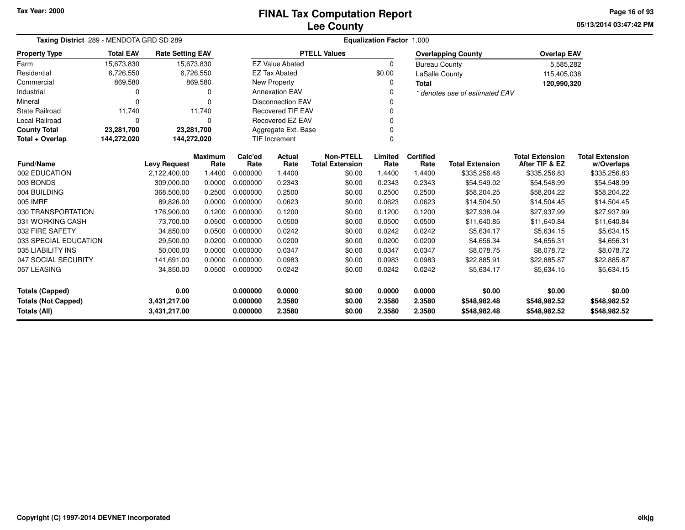### **Lee CountyFINAL Tax Computation Report**

**05/13/2014 03:47:42 PMPage 16 of 93**

| Taxing District 289 - MENDOTA GRD SD 289                   |                  |                         |                        | <b>Equalization Factor 1.000</b> |                          |                                            |                 |                          |                                |                                          |                                      |  |  |
|------------------------------------------------------------|------------------|-------------------------|------------------------|----------------------------------|--------------------------|--------------------------------------------|-----------------|--------------------------|--------------------------------|------------------------------------------|--------------------------------------|--|--|
| <b>Property Type</b>                                       | <b>Total EAV</b> | <b>Rate Setting EAV</b> |                        |                                  |                          | <b>PTELL Values</b>                        |                 |                          | <b>Overlapping County</b>      | <b>Overlap EAV</b>                       |                                      |  |  |
| Farm                                                       | 15,673,830       | 15,673,830              |                        |                                  | <b>EZ Value Abated</b>   |                                            | $\Omega$        | <b>Bureau County</b>     |                                | 5,585,282                                |                                      |  |  |
| Residential                                                | 6,726,550        |                         | 6,726,550              |                                  | <b>EZ Tax Abated</b>     |                                            | \$0.00          | <b>LaSalle County</b>    |                                | 115,405,038                              |                                      |  |  |
| Commercial                                                 | 869,580          |                         | 869,580                |                                  | New Property             |                                            | 0               | <b>Total</b>             |                                | 120,990,320                              |                                      |  |  |
| Industrial                                                 | 0                |                         | 0                      |                                  | <b>Annexation EAV</b>    |                                            |                 |                          | * denotes use of estimated EAV |                                          |                                      |  |  |
| Mineral                                                    | 0                |                         | $\Omega$               |                                  | <b>Disconnection EAV</b> |                                            |                 |                          |                                |                                          |                                      |  |  |
| <b>State Railroad</b>                                      | 11,740           |                         | 11,740                 |                                  | <b>Recovered TIF EAV</b> |                                            |                 |                          |                                |                                          |                                      |  |  |
| Local Railroad                                             | 0                |                         | $\Omega$               |                                  | <b>Recovered EZ EAV</b>  |                                            |                 |                          |                                |                                          |                                      |  |  |
| <b>County Total</b>                                        | 23,281,700       | 23,281,700              |                        | Aggregate Ext. Base              |                          |                                            |                 |                          |                                |                                          |                                      |  |  |
| Total + Overlap                                            | 144,272,020      | 144,272,020             |                        | <b>TIF Increment</b>             |                          |                                            |                 |                          |                                |                                          |                                      |  |  |
| <b>Fund/Name</b>                                           |                  | <b>Levy Request</b>     | <b>Maximum</b><br>Rate | Calc'ed<br>Rate                  | Actual<br>Rate           | <b>Non-PTELL</b><br><b>Total Extension</b> | Limited<br>Rate | <b>Certified</b><br>Rate | <b>Total Extension</b>         | <b>Total Extension</b><br>After TIF & EZ | <b>Total Extension</b><br>w/Overlaps |  |  |
| 002 EDUCATION                                              |                  | 2,122,400.00            | 1.4400                 | 0.000000                         | 1.4400                   | \$0.00                                     | 1.4400          | 1.4400                   | \$335,256.48                   | \$335,256.83                             | \$335,256.83                         |  |  |
| 003 BONDS                                                  |                  | 309,000.00              | 0.0000                 | 0.000000                         | 0.2343                   | \$0.00                                     | 0.2343          | 0.2343                   | \$54,549.02                    | \$54,548.99                              | \$54,548.99                          |  |  |
| 004 BUILDING                                               |                  | 368,500.00              | 0.2500                 | 0.000000                         | 0.2500                   | \$0.00                                     | 0.2500          | 0.2500                   | \$58,204.25                    | \$58,204.22                              | \$58,204.22                          |  |  |
| 005 IMRF                                                   |                  | 89.826.00               | 0.0000                 | 0.000000                         | 0.0623                   | \$0.00                                     | 0.0623          | 0.0623                   | \$14,504.50                    | \$14,504.45                              | \$14,504.45                          |  |  |
| 030 TRANSPORTATION                                         |                  | 176,900.00              | 0.1200                 | 0.000000                         | 0.1200                   | \$0.00                                     | 0.1200          | 0.1200                   | \$27,938.04                    | \$27,937.99                              | \$27,937.99                          |  |  |
| 031 WORKING CASH                                           |                  | 73,700.00               | 0.0500                 | 0.000000                         | 0.0500                   | \$0.00                                     | 0.0500          | 0.0500                   | \$11,640.85                    | \$11,640.84                              | \$11,640.84                          |  |  |
| 032 FIRE SAFETY                                            |                  | 34,850.00               | 0.0500                 | 0.000000                         | 0.0242                   | \$0.00                                     | 0.0242          | 0.0242                   | \$5,634.17                     | \$5,634.15                               | \$5,634.15                           |  |  |
| 033 SPECIAL EDUCATION                                      |                  | 29,500.00               | 0.0200                 | 0.000000                         | 0.0200                   | \$0.00                                     | 0.0200          | 0.0200                   | \$4,656.34                     | \$4,656.31                               | \$4,656.31                           |  |  |
| 035 LIABILITY INS                                          |                  | 50.000.00               | 0.0000                 | 0.000000                         | 0.0347                   | \$0.00                                     | 0.0347          | 0.0347                   | \$8,078.75                     | \$8,078.72                               | \$8,078.72                           |  |  |
| 047 SOCIAL SECURITY                                        |                  | 141,691.00              | 0.0000                 | 0.000000                         | 0.0983                   | \$0.00                                     | 0.0983          | 0.0983                   | \$22,885.91                    | \$22,885.87                              | \$22,885.87                          |  |  |
| 057 LEASING                                                |                  | 34,850.00               | 0.0500                 | 0.000000                         | 0.0242                   | \$0.00                                     | 0.0242          | 0.0242                   | \$5,634.17                     | \$5,634.15                               | \$5,634.15                           |  |  |
| 0.00<br><b>Totals (Capped)</b>                             |                  |                         | 0.000000               | 0.0000                           | \$0.00                   | 0.0000                                     | 0.0000          | \$0.00                   | \$0.00                         | \$0.00                                   |                                      |  |  |
|                                                            |                  |                         |                        | 0.000000                         | 2.3580                   | \$0.00                                     | 2.3580          | 2.3580                   | \$548,982.48                   | \$548,982.52                             | \$548,982.52                         |  |  |
| <b>Totals (Not Capped)</b><br>3,431,217.00<br>Totals (All) |                  | 3,431,217.00            |                        | 0.000000                         | 2.3580                   | \$0.00                                     | 2.3580          | 2.3580                   | \$548,982.48                   | \$548,982.52                             | \$548,982.52                         |  |  |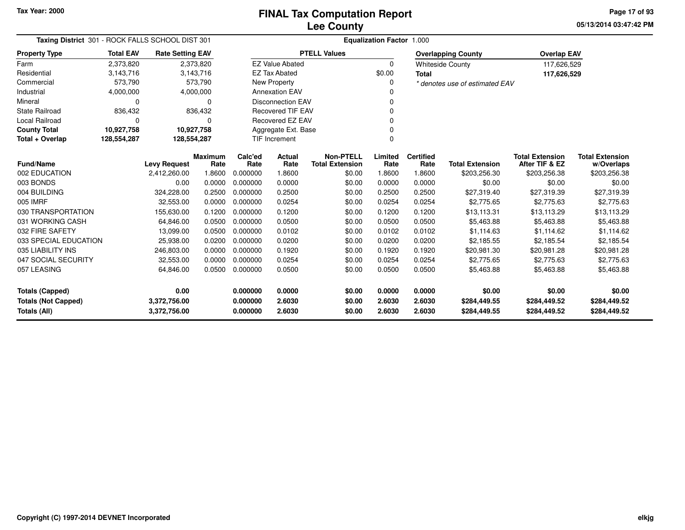**05/13/2014 03:47:42 PMPage 17 of 93**

| Taxing District 301 - ROCK FALLS SCHOOL DIST 301 |                  | <b>Equalization Factor 1.000</b> |                        |                                 |                          |                                            |                 |                          |                                |                                          |                                      |  |
|--------------------------------------------------|------------------|----------------------------------|------------------------|---------------------------------|--------------------------|--------------------------------------------|-----------------|--------------------------|--------------------------------|------------------------------------------|--------------------------------------|--|
| <b>Property Type</b>                             | <b>Total EAV</b> | <b>Rate Setting EAV</b>          |                        |                                 |                          | <b>PTELL Values</b>                        |                 |                          | <b>Overlapping County</b>      | <b>Overlap EAV</b>                       |                                      |  |
| Farm                                             | 2,373,820        |                                  | 2,373,820              |                                 | <b>EZ Value Abated</b>   |                                            | $\Omega$        |                          | <b>Whiteside County</b>        | 117,626,529                              |                                      |  |
| Residential                                      | 3,143,716        |                                  | 3,143,716              |                                 | <b>EZ Tax Abated</b>     |                                            | \$0.00          | <b>Total</b>             |                                | 117,626,529                              |                                      |  |
| Commercial                                       | 573,790          |                                  | 573,790                |                                 | <b>New Property</b>      |                                            | 0               |                          | * denotes use of estimated EAV |                                          |                                      |  |
| Industrial                                       | 4,000,000        |                                  | 4,000,000              |                                 | <b>Annexation EAV</b>    |                                            |                 |                          |                                |                                          |                                      |  |
| Mineral                                          | 0                |                                  | 0                      |                                 | <b>Disconnection EAV</b> |                                            | 0               |                          |                                |                                          |                                      |  |
| <b>State Railroad</b>                            | 836,432          |                                  | 836,432                |                                 | <b>Recovered TIF EAV</b> |                                            | $\Omega$        |                          |                                |                                          |                                      |  |
| <b>Local Railroad</b>                            | 0                |                                  | 0                      | Recovered EZ EAV<br>0           |                          |                                            |                 |                          |                                |                                          |                                      |  |
| <b>County Total</b>                              | 10,927,758       | 10,927,758                       |                        | Aggregate Ext. Base<br>$\Omega$ |                          |                                            |                 |                          |                                |                                          |                                      |  |
| Total + Overlap                                  | 128,554,287      | 128,554,287                      |                        | TIF Increment<br>$\Omega$       |                          |                                            |                 |                          |                                |                                          |                                      |  |
| <b>Fund/Name</b>                                 |                  | <b>Levy Request</b>              | <b>Maximum</b><br>Rate | Calc'ed<br>Rate                 | Actual<br>Rate           | <b>Non-PTELL</b><br><b>Total Extension</b> | Limited<br>Rate | <b>Certified</b><br>Rate | <b>Total Extension</b>         | <b>Total Extension</b><br>After TIF & EZ | <b>Total Extension</b><br>w/Overlaps |  |
| 002 EDUCATION                                    |                  | 2,412,260.00                     | 1.8600                 | 0.000000                        | 1.8600                   | \$0.00                                     | 1.8600          | 1.8600                   | \$203,256.30                   | \$203,256.38                             | \$203,256.38                         |  |
| 003 BONDS                                        |                  | 0.00                             | 0.0000                 | 0.000000                        | 0.0000                   | \$0.00                                     | 0.0000          | 0.0000                   | \$0.00                         | \$0.00                                   | \$0.00                               |  |
| 004 BUILDING                                     |                  | 324,228.00                       | 0.2500                 | 0.000000                        | 0.2500                   | \$0.00                                     | 0.2500          | 0.2500                   | \$27,319.40                    | \$27,319.39                              | \$27,319.39                          |  |
| 005 IMRF                                         |                  | 32,553.00                        | 0.0000                 | 0.000000                        | 0.0254                   | \$0.00                                     | 0.0254          | 0.0254                   | \$2,775.65                     | \$2,775.63                               | \$2,775.63                           |  |
| 030 TRANSPORTATION                               |                  | 155,630.00                       | 0.1200                 | 0.000000                        | 0.1200                   | \$0.00                                     | 0.1200          | 0.1200                   | \$13,113.31                    | \$13,113.29                              | \$13,113.29                          |  |
| 031 WORKING CASH                                 |                  | 64,846.00                        | 0.0500                 | 0.000000                        | 0.0500                   | \$0.00                                     | 0.0500          | 0.0500                   | \$5,463.88                     | \$5,463.88                               | \$5,463.88                           |  |
| 032 FIRE SAFETY                                  |                  | 13,099.00                        | 0.0500                 | 0.000000                        | 0.0102                   | \$0.00                                     | 0.0102          | 0.0102                   | \$1,114.63                     | \$1,114.62                               | \$1,114.62                           |  |
| 033 SPECIAL EDUCATION                            |                  | 25,938.00                        | 0.0200                 | 0.000000                        | 0.0200                   | \$0.00                                     | 0.0200          | 0.0200                   | \$2,185.55                     | \$2,185.54                               | \$2,185.54                           |  |
| 035 LIABILITY INS                                |                  | 246,803.00                       | 0.0000                 | 0.000000                        | 0.1920                   | \$0.00                                     | 0.1920          | 0.1920                   | \$20,981.30                    | \$20,981.28                              | \$20,981.28                          |  |
| 047 SOCIAL SECURITY                              |                  | 32,553.00                        | 0.0000                 | 0.000000                        | 0.0254                   | \$0.00                                     | 0.0254          | 0.0254                   | \$2,775.65                     | \$2,775.63                               | \$2,775.63                           |  |
| 057 LEASING                                      |                  | 64,846.00                        | 0.0500                 | 0.000000                        | 0.0500                   | \$0.00                                     | 0.0500          | 0.0500                   | \$5,463.88                     | \$5,463.88                               | \$5,463.88                           |  |
| <b>Totals (Capped)</b>                           |                  | 0.00                             |                        | 0.000000                        | 0.0000                   | \$0.00                                     | 0.0000          | 0.0000                   | \$0.00                         | \$0.00                                   | \$0.00                               |  |
| <b>Totals (Not Capped)</b>                       |                  | 3,372,756.00                     |                        | 0.000000                        | 2.6030                   | \$0.00                                     | 2.6030          | 2.6030                   | \$284,449.55                   | \$284,449.52                             | \$284,449.52                         |  |
| Totals (All)                                     |                  | 3,372,756.00                     |                        | 0.000000                        | 2.6030                   | \$0.00                                     | 2.6030          | 2.6030                   | \$284,449.55                   | \$284,449.52                             | \$284,449.52                         |  |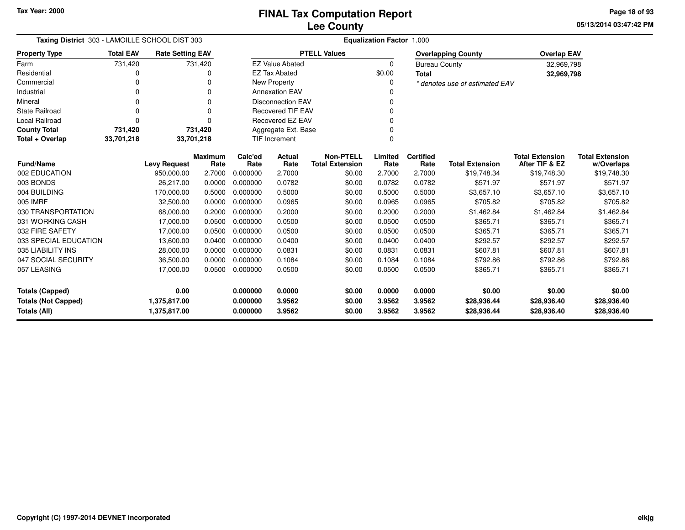**05/13/2014 03:47:42 PMPage 18 of 93**

| Taxing District 303 - LAMOILLE SCHOOL DIST 303 |                  |                              |                        |                      | Equalization Factor 1.000 |                                            |                  |                          |                                |                                          |                                      |  |  |  |
|------------------------------------------------|------------------|------------------------------|------------------------|----------------------|---------------------------|--------------------------------------------|------------------|--------------------------|--------------------------------|------------------------------------------|--------------------------------------|--|--|--|
| <b>Property Type</b>                           | <b>Total EAV</b> | <b>Rate Setting EAV</b>      |                        |                      |                           | <b>PTELL Values</b>                        |                  |                          | <b>Overlapping County</b>      | <b>Overlap EAV</b>                       |                                      |  |  |  |
| Farm                                           | 731,420          |                              | 731,420                |                      | <b>EZ Value Abated</b>    |                                            | $\Omega$         | <b>Bureau County</b>     |                                | 32,969,798                               |                                      |  |  |  |
| Residential                                    | 0                |                              |                        |                      | <b>EZ Tax Abated</b>      |                                            | \$0.00           | <b>Total</b>             |                                | 32,969,798                               |                                      |  |  |  |
| Commercial                                     | $\Omega$         |                              | ŋ                      |                      | New Property              |                                            | 0                |                          | * denotes use of estimated EAV |                                          |                                      |  |  |  |
| Industrial                                     | $\Omega$         |                              |                        |                      | <b>Annexation EAV</b>     |                                            |                  |                          |                                |                                          |                                      |  |  |  |
| Mineral                                        | $\Omega$         |                              |                        |                      | <b>Disconnection EAV</b>  |                                            |                  |                          |                                |                                          |                                      |  |  |  |
| State Railroad                                 | $\Omega$         |                              | $\Omega$               |                      | <b>Recovered TIF EAV</b>  |                                            |                  |                          |                                |                                          |                                      |  |  |  |
| Local Railroad                                 | $\Omega$         |                              | O                      |                      | Recovered EZ EAV<br>0     |                                            |                  |                          |                                |                                          |                                      |  |  |  |
| <b>County Total</b>                            | 731,420          |                              | 731,420                |                      | Aggregate Ext. Base       |                                            |                  |                          |                                |                                          |                                      |  |  |  |
| Total + Overlap                                | 33,701,218       | 33,701,218                   |                        |                      | <b>TIF Increment</b>      |                                            |                  |                          |                                |                                          |                                      |  |  |  |
| <b>Fund/Name</b>                               |                  | <b>Levy Request</b>          | <b>Maximum</b><br>Rate | Calc'ed<br>Rate      | Actual<br>Rate            | <b>Non-PTELL</b><br><b>Total Extension</b> | Limited<br>Rate  | <b>Certified</b><br>Rate | <b>Total Extension</b>         | <b>Total Extension</b><br>After TIF & EZ | <b>Total Extension</b><br>w/Overlaps |  |  |  |
| 002 EDUCATION                                  |                  | 950,000.00                   | 2.7000                 | 0.000000             | 2.7000                    | \$0.00                                     | 2.7000           | 2.7000                   | \$19,748.34                    | \$19,748.30                              | \$19,748.30                          |  |  |  |
| 003 BONDS                                      |                  | 26.217.00                    | 0.0000                 | 0.000000             | 0.0782                    | \$0.00                                     | 0.0782           | 0.0782                   | \$571.97                       | \$571.97                                 | \$571.97                             |  |  |  |
| 004 BUILDING                                   |                  | 170,000.00                   | 0.5000                 | 0.000000             | 0.5000                    | \$0.00                                     | 0.5000           | 0.5000                   | \$3,657.10                     | \$3,657.10                               | \$3,657.10                           |  |  |  |
| 005 IMRF                                       |                  | 32,500.00                    | 0.0000                 | 0.000000             | 0.0965                    | \$0.00                                     | 0.0965           | 0.0965                   | \$705.82                       | \$705.82                                 | \$705.82                             |  |  |  |
| 030 TRANSPORTATION                             |                  | 68,000.00                    | 0.2000                 | 0.000000             | 0.2000                    | \$0.00                                     | 0.2000           | 0.2000                   | \$1,462.84                     | \$1,462.84                               | \$1,462.84                           |  |  |  |
| 031 WORKING CASH                               |                  | 17,000.00                    | 0.0500                 | 0.000000             | 0.0500                    | \$0.00                                     | 0.0500           | 0.0500                   | \$365.71                       | \$365.71                                 | \$365.71                             |  |  |  |
| 032 FIRE SAFETY                                |                  | 17,000.00                    | 0.0500                 | 0.000000             | 0.0500                    | \$0.00                                     | 0.0500           | 0.0500                   | \$365.71                       | \$365.71                                 | \$365.71                             |  |  |  |
| 033 SPECIAL EDUCATION                          |                  | 13,600.00                    | 0.0400                 | 0.000000             | 0.0400                    | \$0.00                                     | 0.0400           | 0.0400                   | \$292.57                       | \$292.57                                 | \$292.57                             |  |  |  |
| 035 LIABILITY INS                              |                  | 28.000.00                    | 0.0000                 | 0.000000             | 0.0831                    | \$0.00                                     | 0.0831           | 0.0831                   | \$607.81                       | \$607.81                                 | \$607.81                             |  |  |  |
| 047 SOCIAL SECURITY                            |                  | 36,500.00                    | 0.0000                 | 0.000000             | 0.1084                    | \$0.00                                     | 0.1084           | 0.1084                   | \$792.86                       | \$792.86                                 | \$792.86                             |  |  |  |
| 057 LEASING                                    |                  | 17,000.00                    | 0.0500                 | 0.000000             | 0.0500                    | \$0.00                                     | 0.0500           | 0.0500                   | \$365.71                       | \$365.71                                 | \$365.71                             |  |  |  |
|                                                |                  |                              |                        |                      |                           |                                            |                  |                          |                                |                                          |                                      |  |  |  |
| <b>Totals (Capped)</b>                         |                  | 0.00                         |                        | 0.000000             | 0.0000                    | \$0.00                                     | 0.0000           | 0.0000                   | \$0.00                         | \$0.00                                   | \$0.00                               |  |  |  |
| <b>Totals (Not Capped)</b><br>Totals (All)     |                  | 1,375,817.00<br>1,375,817.00 |                        | 0.000000<br>0.000000 | 3.9562<br>3.9562          | \$0.00<br>\$0.00                           | 3.9562<br>3.9562 | 3.9562<br>3.9562         | \$28,936.44<br>\$28,936.44     | \$28,936.40<br>\$28,936.40               | \$28,936.40<br>\$28,936.40           |  |  |  |

-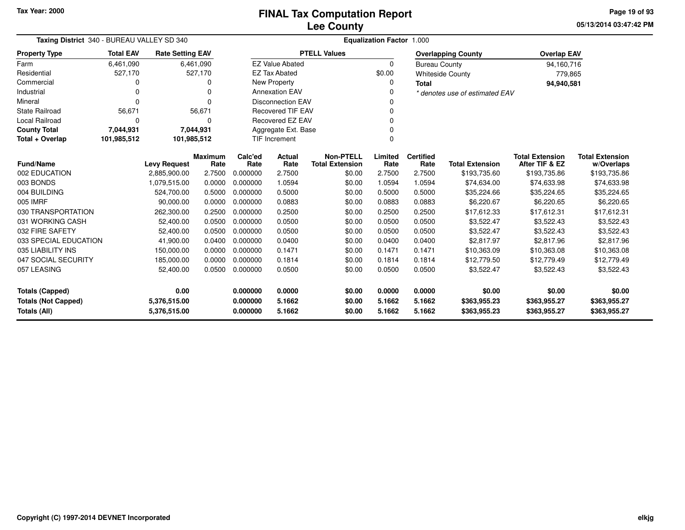**05/13/2014 03:47:42 PMPage 19 of 93**

| Taxing District 340 - BUREAU VALLEY SD 340                                 |                  |                         |                              | <b>Equalization Factor 1.000</b> |                          |                                            |                 |                          |                                |                                          |                                      |  |
|----------------------------------------------------------------------------|------------------|-------------------------|------------------------------|----------------------------------|--------------------------|--------------------------------------------|-----------------|--------------------------|--------------------------------|------------------------------------------|--------------------------------------|--|
| <b>Property Type</b>                                                       | <b>Total EAV</b> | <b>Rate Setting EAV</b> |                              |                                  |                          | <b>PTELL Values</b>                        |                 |                          | <b>Overlapping County</b>      | <b>Overlap EAV</b>                       |                                      |  |
| Farm                                                                       | 6,461,090        |                         | 6,461,090                    |                                  | <b>EZ Value Abated</b>   |                                            | $\Omega$        | <b>Bureau County</b>     |                                | 94,160,716                               |                                      |  |
| Residential                                                                | 527,170          |                         | 527,170                      |                                  | <b>EZ Tax Abated</b>     |                                            | \$0.00          |                          | <b>Whiteside County</b>        | 779,865                                  |                                      |  |
| Commercial                                                                 | 0                |                         | O                            |                                  | New Property             |                                            |                 | <b>Total</b>             |                                | 94,940,581                               |                                      |  |
| Industrial                                                                 | 0                |                         | $\Omega$                     |                                  | <b>Annexation EAV</b>    |                                            |                 |                          | * denotes use of estimated EAV |                                          |                                      |  |
| Mineral                                                                    | 0                |                         | $\Omega$                     |                                  | <b>Disconnection EAV</b> |                                            |                 |                          |                                |                                          |                                      |  |
| <b>State Railroad</b>                                                      | 56,671           |                         | 56,671                       |                                  | <b>Recovered TIF EAV</b> |                                            |                 |                          |                                |                                          |                                      |  |
| Local Railroad                                                             | 0                |                         | O                            |                                  | Recovered EZ EAV         |                                            |                 |                          |                                |                                          |                                      |  |
| <b>County Total</b>                                                        | 7,044,931        |                         | 7,044,931                    |                                  | Aggregate Ext. Base      |                                            |                 |                          |                                |                                          |                                      |  |
| Total + Overlap                                                            | 101,985,512      | 101,985,512             |                              |                                  | <b>TIF Increment</b>     |                                            | 0               |                          |                                |                                          |                                      |  |
| <b>Fund/Name</b>                                                           |                  | <b>Levy Request</b>     | <b>Maximum</b><br>Rate       | Calc'ed<br>Rate                  | Actual<br>Rate           | <b>Non-PTELL</b><br><b>Total Extension</b> | Limited<br>Rate | <b>Certified</b><br>Rate | <b>Total Extension</b>         | <b>Total Extension</b><br>After TIF & EZ | <b>Total Extension</b><br>w/Overlaps |  |
| 002 EDUCATION                                                              |                  | 2,885,900.00            | 2.7500                       | 0.000000                         | 2.7500                   | \$0.00                                     | 2.7500          | 2.7500                   | \$193,735.60                   | \$193,735.86                             | \$193,735.86                         |  |
| 003 BONDS                                                                  |                  | 1,079,515.00            | 0.0000                       | 0.000000                         | 1.0594                   | \$0.00                                     | 1.0594          | 1.0594                   | \$74,634.00                    | \$74,633.98                              | \$74,633.98                          |  |
| 004 BUILDING                                                               |                  | 524,700.00              | 0.5000                       | 0.000000                         | 0.5000                   | \$0.00                                     | 0.5000          | 0.5000                   | \$35,224.66                    | \$35,224.65                              | \$35,224.65                          |  |
| 005 IMRF                                                                   |                  | 90,000.00               | 0.0000                       | 0.000000                         | 0.0883                   | \$0.00                                     | 0.0883          | 0.0883                   | \$6,220.67                     | \$6,220.65                               | \$6,220.65                           |  |
| 030 TRANSPORTATION                                                         |                  | 262,300.00              | 0.2500                       | 0.000000                         | 0.2500                   | \$0.00                                     | 0.2500          | 0.2500                   | \$17,612.33                    | \$17,612.31                              | \$17,612.31                          |  |
| 031 WORKING CASH                                                           |                  | 52,400.00               | 0.0500                       | 0.000000                         | 0.0500                   | \$0.00                                     | 0.0500          | 0.0500                   | \$3,522.47                     | \$3,522.43                               | \$3,522.43                           |  |
| 032 FIRE SAFETY                                                            |                  | 52,400.00               | 0.0500                       | 0.000000                         | 0.0500                   | \$0.00                                     | 0.0500          | 0.0500                   | \$3,522.47                     | \$3,522.43                               | \$3,522.43                           |  |
| 033 SPECIAL EDUCATION                                                      |                  | 41,900.00               | 0.0400                       | 0.000000                         | 0.0400                   | \$0.00                                     | 0.0400          | 0.0400                   | \$2,817.97                     | \$2,817.96                               | \$2,817.96                           |  |
| 035 LIABILITY INS                                                          |                  | 150,000.00              | 0.0000                       | 0.000000                         | 0.1471                   | \$0.00                                     | 0.1471          | 0.1471                   | \$10,363.09                    | \$10,363.08                              | \$10,363.08                          |  |
| 047 SOCIAL SECURITY                                                        |                  | 185,000.00              | 0.0000                       | 0.000000                         | 0.1814                   | \$0.00                                     | 0.1814          | 0.1814                   | \$12,779.50                    | \$12,779.49                              | \$12,779.49                          |  |
| 057 LEASING                                                                |                  | 52,400.00               | 0.0500                       | 0.000000                         | 0.0500                   | \$0.00                                     | 0.0500          | 0.0500                   | \$3,522.47                     | \$3,522.43                               | \$3,522.43                           |  |
| <b>Totals (Capped)</b>                                                     |                  | 0.00                    | 0.000000<br>0.0000<br>\$0.00 |                                  |                          | 0.0000                                     | 0.0000          | \$0.00                   | \$0.00                         | \$0.00                                   |                                      |  |
| <b>Totals (Not Capped)</b><br>5.1662<br>\$0.00<br>5,376,515.00<br>0.000000 |                  |                         |                              | 5.1662                           | 5.1662                   | \$363,955.23                               | \$363,955.27    | \$363,955.27             |                                |                                          |                                      |  |
| Totals (All)<br>5,376,515.00                                               |                  |                         | 0.000000                     | 5.1662                           | \$0.00                   | 5.1662                                     | 5.1662          | \$363,955.23             | \$363,955.27                   | \$363,955.27                             |                                      |  |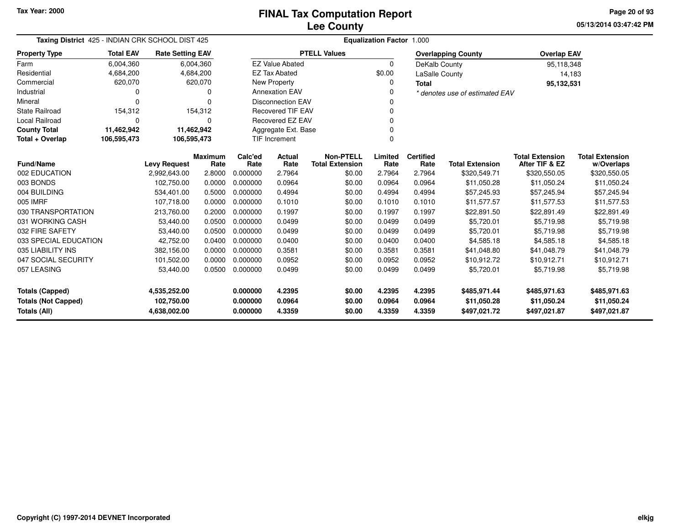**05/13/2014 03:47:42 PM Page 20 of 93**

| Taxing District 425 - INDIAN CRK SCHOOL DIST 425  |                  |                         |                 | <b>Equalization Factor 1.000</b> |                          |                                            |                 |                          |                                |                                          |                                      |  |  |
|---------------------------------------------------|------------------|-------------------------|-----------------|----------------------------------|--------------------------|--------------------------------------------|-----------------|--------------------------|--------------------------------|------------------------------------------|--------------------------------------|--|--|
| <b>Property Type</b>                              | <b>Total EAV</b> | <b>Rate Setting EAV</b> |                 |                                  |                          | <b>PTELL Values</b>                        |                 |                          | <b>Overlapping County</b>      | <b>Overlap EAV</b>                       |                                      |  |  |
| Farm                                              | 6,004,360        |                         | 6,004,360       |                                  | <b>EZ Value Abated</b>   |                                            | $\Omega$        | DeKalb County            |                                | 95,118,348                               |                                      |  |  |
| Residential                                       | 4,684,200        |                         | 4,684,200       |                                  | <b>EZ Tax Abated</b>     |                                            | \$0.00          | LaSalle County           |                                | 14,183                                   |                                      |  |  |
| Commercial                                        | 620,070          |                         | 620,070         |                                  | <b>New Property</b>      |                                            | 0               | <b>Total</b>             |                                | 95,132,531                               |                                      |  |  |
| Industrial                                        | 0                |                         |                 |                                  | <b>Annexation EAV</b>    |                                            | 0               |                          | * denotes use of estimated EAV |                                          |                                      |  |  |
| Mineral                                           | $\Omega$         |                         |                 |                                  | <b>Disconnection EAV</b> |                                            | ŋ               |                          |                                |                                          |                                      |  |  |
| <b>State Railroad</b>                             | 154,312          |                         | 154,312         | <b>Recovered TIF EAV</b><br>0    |                          |                                            |                 |                          |                                |                                          |                                      |  |  |
| Local Railroad                                    | $\Omega$         |                         | $\Omega$        |                                  | Recovered EZ EAV         |                                            | $\Omega$        |                          |                                |                                          |                                      |  |  |
| <b>County Total</b>                               | 11,462,942       | 11,462,942              |                 | Aggregate Ext. Base<br>$\Omega$  |                          |                                            |                 |                          |                                |                                          |                                      |  |  |
| Total + Overlap                                   | 106,595,473      | 106,595,473             |                 | <b>TIF Increment</b>             |                          |                                            |                 |                          |                                |                                          |                                      |  |  |
| <b>Fund/Name</b>                                  |                  | <b>Levy Request</b>     | Maximum<br>Rate | Calc'ed<br>Rate                  | Actual<br>Rate           | <b>Non-PTELL</b><br><b>Total Extension</b> | Limited<br>Rate | <b>Certified</b><br>Rate | <b>Total Extension</b>         | <b>Total Extension</b><br>After TIF & EZ | <b>Total Extension</b><br>w/Overlaps |  |  |
| 002 EDUCATION                                     |                  | 2,992,643.00            | 2.8000          | 0.000000                         | 2.7964                   | \$0.00                                     | 2.7964          | 2.7964                   | \$320,549.71                   | \$320,550.05                             | \$320,550.05                         |  |  |
| 003 BONDS                                         |                  | 102,750.00              | 0.0000          | 0.000000                         | 0.0964                   | \$0.00                                     | 0.0964          | 0.0964                   | \$11,050.28                    | \$11,050.24                              | \$11,050.24                          |  |  |
| 004 BUILDING                                      |                  | 534,401.00              | 0.5000          | 0.000000                         | 0.4994                   | \$0.00                                     | 0.4994          | 0.4994                   | \$57,245.93                    | \$57,245.94                              | \$57,245.94                          |  |  |
| 005 IMRF                                          |                  | 107,718.00              | 0.0000          | 0.000000                         | 0.1010                   | \$0.00                                     | 0.1010          | 0.1010                   | \$11,577.57                    | \$11,577.53                              | \$11,577.53                          |  |  |
| 030 TRANSPORTATION                                |                  | 213,760.00              | 0.2000          | 0.000000                         | 0.1997                   | \$0.00                                     | 0.1997          | 0.1997                   | \$22,891.50                    | \$22,891.49                              | \$22,891.49                          |  |  |
| 031 WORKING CASH                                  |                  | 53,440.00               | 0.0500          | 0.000000                         | 0.0499                   | \$0.00                                     | 0.0499          | 0.0499                   | \$5,720.01                     | \$5,719.98                               | \$5,719.98                           |  |  |
| 032 FIRE SAFETY                                   |                  | 53,440.00               | 0.0500          | 0.000000                         | 0.0499                   | \$0.00                                     | 0.0499          | 0.0499                   | \$5,720.01                     | \$5,719.98                               | \$5,719.98                           |  |  |
| 033 SPECIAL EDUCATION                             |                  | 42,752.00               | 0.0400          | 0.000000                         | 0.0400                   | \$0.00                                     | 0.0400          | 0.0400                   | \$4,585.18                     | \$4,585.18                               | \$4,585.18                           |  |  |
| 035 LIABILITY INS                                 |                  | 382,156.00              | 0.0000          | 0.000000                         | 0.3581                   | \$0.00                                     | 0.3581          | 0.3581                   | \$41,048.80                    | \$41,048.79                              | \$41,048.79                          |  |  |
| 047 SOCIAL SECURITY                               |                  | 101,502.00              | 0.0000          | 0.000000                         | 0.0952                   | \$0.00                                     | 0.0952          | 0.0952                   | \$10,912.72                    | \$10,912.71                              | \$10,912.71                          |  |  |
| 057 LEASING                                       |                  | 53,440.00               | 0.0500          | 0.000000                         | 0.0499                   | \$0.00                                     | 0.0499          | 0.0499                   | \$5,720.01                     | \$5,719.98                               | \$5,719.98                           |  |  |
| <b>Totals (Capped)</b><br>4,535,252.00            |                  |                         | 0.000000        | 4.2395                           | \$0.00                   | 4.2395                                     | 4.2395          | \$485,971.44             | \$485,971.63                   | \$485,971.63                             |                                      |  |  |
| 102,750.00                                        |                  |                         |                 | 0.000000                         | 0.0964                   | \$0.00                                     | 0.0964          | 0.0964                   | \$11,050.28                    | \$11,050.24                              | \$11,050.24                          |  |  |
| <b>Totals (Not Capped)</b><br><b>Totals (All)</b> |                  | 4,638,002.00            |                 | 0.000000                         | 4.3359                   | \$0.00                                     | 4.3359          | 4.3359                   | \$497,021.72                   | \$497,021.87                             | \$497,021.87                         |  |  |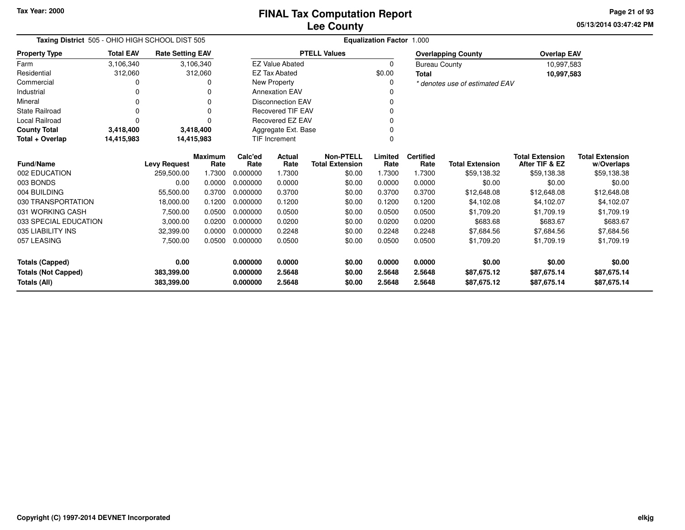**05/13/2014 03:47:42 PM Page 21 of 93**

| Taxing District 505 - OHIO HIGH SCHOOL DIST 505 |                  |                         |                        | <b>Equalization Factor 1.000</b> |                          |                                            |                 |                          |                                |                                          |                                      |  |  |
|-------------------------------------------------|------------------|-------------------------|------------------------|----------------------------------|--------------------------|--------------------------------------------|-----------------|--------------------------|--------------------------------|------------------------------------------|--------------------------------------|--|--|
| <b>Property Type</b>                            | <b>Total EAV</b> | <b>Rate Setting EAV</b> |                        |                                  |                          | <b>PTELL Values</b>                        |                 |                          | <b>Overlapping County</b>      | <b>Overlap EAV</b>                       |                                      |  |  |
| Farm                                            | 3,106,340        |                         | 3,106,340              |                                  | <b>EZ Value Abated</b>   |                                            | $\Omega$        | <b>Bureau County</b>     |                                | 10,997,583                               |                                      |  |  |
| Residential                                     | 312,060          |                         | 312,060                |                                  | <b>EZ Tax Abated</b>     |                                            | \$0.00          | <b>Total</b>             |                                | 10,997,583                               |                                      |  |  |
| Commercial                                      |                  |                         |                        |                                  | New Property             |                                            | 0               |                          | * denotes use of estimated EAV |                                          |                                      |  |  |
| Industrial                                      |                  |                         |                        |                                  | <b>Annexation EAV</b>    |                                            |                 |                          |                                |                                          |                                      |  |  |
| Mineral                                         | ∩                |                         |                        |                                  | <b>Disconnection EAV</b> |                                            |                 |                          |                                |                                          |                                      |  |  |
| State Railroad                                  | 0                |                         |                        |                                  | <b>Recovered TIF EAV</b> |                                            |                 |                          |                                |                                          |                                      |  |  |
| <b>Local Railroad</b>                           | ∩                |                         |                        | Recovered EZ EAV                 |                          |                                            |                 |                          |                                |                                          |                                      |  |  |
| <b>County Total</b>                             | 3,418,400        |                         | 3,418,400              | Aggregate Ext. Base              |                          |                                            |                 |                          |                                |                                          |                                      |  |  |
| Total + Overlap                                 | 14,415,983       |                         | 14,415,983             | <b>TIF Increment</b>             |                          |                                            |                 |                          |                                |                                          |                                      |  |  |
| <b>Fund/Name</b>                                |                  | <b>Levy Request</b>     | <b>Maximum</b><br>Rate | Calc'ed<br>Rate                  | Actual<br>Rate           | <b>Non-PTELL</b><br><b>Total Extension</b> | Limited<br>Rate | <b>Certified</b><br>Rate | <b>Total Extension</b>         | <b>Total Extension</b><br>After TIF & EZ | <b>Total Extension</b><br>w/Overlaps |  |  |
| 002 EDUCATION                                   |                  | 259,500.00              | 1.7300                 | 0.000000                         | 1.7300                   | \$0.00                                     | 1.7300          | 1.7300                   | \$59,138.32                    | \$59,138.38                              | \$59,138.38                          |  |  |
| 003 BONDS                                       |                  | 0.00                    | 0.0000                 | 0.000000                         | 0.0000                   | \$0.00                                     | 0.0000          | 0.0000                   | \$0.00                         | \$0.00                                   | \$0.00                               |  |  |
| 004 BUILDING                                    |                  | 55,500.00               | 0.3700                 | 0.000000                         | 0.3700                   | \$0.00                                     | 0.3700          | 0.3700                   | \$12,648.08                    | \$12,648.08                              | \$12,648.08                          |  |  |
| 030 TRANSPORTATION                              |                  | 18,000.00               | 0.1200                 | 0.000000                         | 0.1200                   | \$0.00                                     | 0.1200          | 0.1200                   | \$4,102.08                     | \$4,102.07                               | \$4,102.07                           |  |  |
| 031 WORKING CASH                                |                  | 7,500.00                | 0.0500                 | 0.000000                         | 0.0500                   | \$0.00                                     | 0.0500          | 0.0500                   | \$1,709.20                     | \$1,709.19                               | \$1,709.19                           |  |  |
| 033 SPECIAL EDUCATION                           |                  | 3,000.00                | 0.0200                 | 0.000000                         | 0.0200                   | \$0.00                                     | 0.0200          | 0.0200                   | \$683.68                       | \$683.67                                 | \$683.67                             |  |  |
| 035 LIABILITY INS                               |                  | 32,399.00               | 0.0000                 | 0.000000                         | 0.2248                   | \$0.00                                     | 0.2248          | 0.2248                   | \$7,684.56                     | \$7,684.56                               | \$7,684.56                           |  |  |
| 057 LEASING                                     |                  | 7,500.00                | 0.0500                 | 0.000000                         | 0.0500                   | \$0.00                                     | 0.0500          | 0.0500                   | \$1,709.20                     | \$1,709.19                               | \$1,709.19                           |  |  |
| <b>Totals (Capped)</b>                          |                  | 0.00                    |                        | 0.000000                         | 0.0000                   | \$0.00                                     | 0.0000          | 0.0000                   | \$0.00                         | \$0.00                                   | \$0.00                               |  |  |
| <b>Totals (Not Capped)</b>                      |                  | 383,399.00              |                        | 0.000000                         | 2.5648                   | \$0.00                                     | 2.5648          | 2.5648                   | \$87,675.12                    | \$87,675.14                              | \$87,675.14                          |  |  |
| <b>Totals (All)</b>                             |                  | 383,399.00              |                        | 0.000000                         | 2.5648                   | \$0.00                                     | 2.5648          | 2.5648                   | \$87,675.12                    | \$87,675.14                              | \$87,675.14                          |  |  |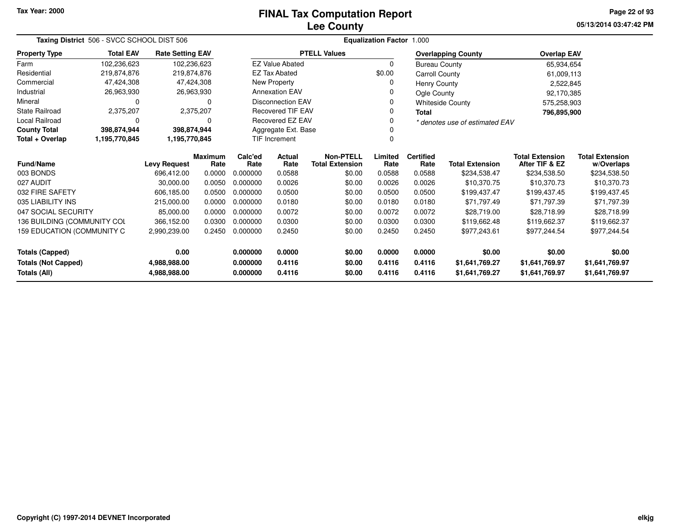# **Lee CountyFINAL Tax Computation Report**

**05/13/2014 03:47:42 PM Page 22 of 93**

| Taxing District 506 - SVCC SCHOOL DIST 506 |                  |                         |                |          |                                   |                        |          |                      |                                |                        |                        |
|--------------------------------------------|------------------|-------------------------|----------------|----------|-----------------------------------|------------------------|----------|----------------------|--------------------------------|------------------------|------------------------|
| <b>Property Type</b>                       | <b>Total EAV</b> | <b>Rate Setting EAV</b> |                |          |                                   | <b>PTELL Values</b>    |          |                      | <b>Overlapping County</b>      | <b>Overlap EAV</b>     |                        |
| Farm                                       | 102,236,623      | 102,236,623             |                |          | <b>EZ Value Abated</b>            |                        | $\Omega$ | <b>Bureau County</b> |                                | 65,934,654             |                        |
| Residential                                | 219,874,876      | 219,874,876             |                |          | <b>EZ Tax Abated</b>              |                        | \$0.00   | Carroll County       |                                | 61,009,113             |                        |
| Commercial                                 | 47,424,308       |                         | 47,424,308     |          | New Property                      |                        |          | Henry County         |                                | 2,522,845              |                        |
| Industrial                                 | 26,963,930       |                         | 26,963,930     |          | <b>Annexation EAV</b>             |                        |          | Ogle County          |                                | 92,170,385             |                        |
| Mineral                                    | 0                |                         | O              |          | <b>Disconnection EAV</b>          |                        |          |                      | <b>Whiteside County</b>        | 575,258,903            |                        |
| State Railroad                             | 2,375,207        |                         | 2,375,207      |          | Recovered TIF EAV                 |                        |          | <b>Total</b>         |                                | 796,895,900            |                        |
| <b>Local Railroad</b>                      | 0                |                         | 0              |          | <b>Recovered EZ EAV</b>           |                        |          |                      | * denotes use of estimated EAV |                        |                        |
| <b>County Total</b>                        | 398,874,944      | 398,874,944             |                |          | Aggregate Ext. Base               |                        |          |                      |                                |                        |                        |
| Total + Overlap                            | 1,195,770,845    | 1,195,770,845           |                |          | <b>TIF Increment</b>              |                        |          |                      |                                |                        |                        |
|                                            |                  |                         | <b>Maximum</b> | Calc'ed  | <b>Non-PTELL</b><br><b>Actual</b> |                        | Limited  | <b>Certified</b>     |                                | <b>Total Extension</b> | <b>Total Extension</b> |
| <b>Fund/Name</b>                           |                  | <b>Levy Request</b>     | Rate           | Rate     | Rate                              | <b>Total Extension</b> | Rate     | Rate                 | <b>Total Extension</b>         | After TIF & EZ         | w/Overlaps             |
| 003 BONDS                                  |                  | 696.412.00              | 0.0000         | 0.000000 | 0.0588                            | \$0.00                 | 0.0588   | 0.0588               | \$234,538.47                   | \$234,538.50           | \$234,538.50           |
| 027 AUDIT                                  |                  | 30,000.00               | 0.0050         | 0.000000 | 0.0026                            | \$0.00                 | 0.0026   | 0.0026               | \$10,370.75                    | \$10,370.73            | \$10,370.73            |
| 032 FIRE SAFETY                            |                  | 606,185.00              | 0.0500         | 0.000000 | 0.0500                            | \$0.00                 | 0.0500   | 0.0500               | \$199,437.47                   | \$199,437.45           | \$199,437.45           |
| 035 LIABILITY INS                          |                  | 215,000.00              | 0.0000         | 0.000000 | 0.0180                            | \$0.00                 | 0.0180   | 0.0180               | \$71.797.49                    | \$71,797.39            | \$71,797.39            |
| 047 SOCIAL SECURITY                        |                  | 85,000.00               | 0.0000         | 0.000000 | 0.0072                            | \$0.00                 | 0.0072   | 0.0072               | \$28,719.00                    | \$28,718.99            | \$28,718.99            |
| 136 BUILDING (COMMUNITY COL                |                  | 366,152.00              | 0.0300         | 0.000000 | 0.0300                            | \$0.00                 | 0.0300   | 0.0300               | \$119,662.48                   | \$119,662.37           | \$119,662.37           |
| 159 EDUCATION (COMMUNITY C                 |                  | 0.2450<br>2,990,239.00  |                | 0.000000 | 0.2450                            | \$0.00                 | 0.2450   | 0.2450               | \$977,243.61                   | \$977,244.54           | \$977,244.54           |
| 0.00<br>Totals (Capped)                    |                  |                         | 0.000000       | 0.0000   | \$0.00                            | 0.0000                 | 0.0000   | \$0.00               | \$0.00                         | \$0.00                 |                        |
| <b>Totals (Not Capped)</b>                 |                  | 4,988,988.00            |                | 0.000000 | 0.4116                            | \$0.00                 | 0.4116   | 0.4116               | \$1,641,769.27                 | \$1,641,769.97         | \$1,641,769.97         |
| <b>Totals (All)</b><br>4,988,988.00        |                  |                         |                | 0.000000 | 0.4116                            | \$0.00                 | 0.4116   | 0.4116               | \$1,641,769.27                 | \$1,641,769.97         | \$1,641,769.97         |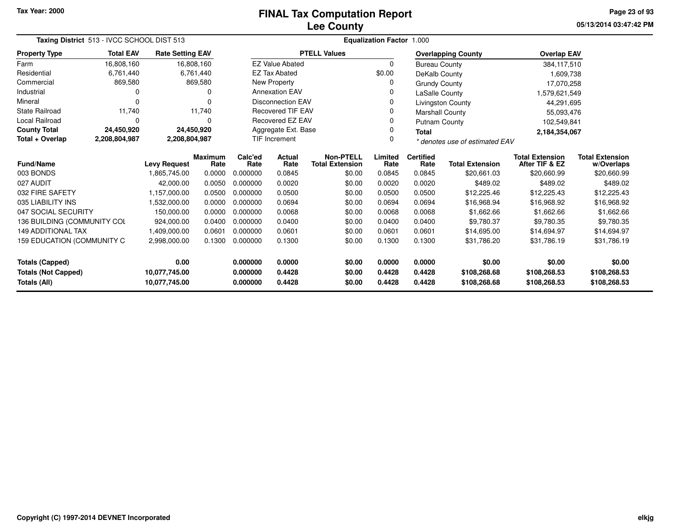# **Lee CountyFINAL Tax Computation Report**

**05/13/2014 03:47:42 PM Page 23 of 93**

| Taxing District 513 - IVCC SCHOOL DIST 513                                   |                                                      |                         |                 |                          | Equalization Factor 1.000                  |                     |                          |                                |                                          |                                      |                              |  |  |
|------------------------------------------------------------------------------|------------------------------------------------------|-------------------------|-----------------|--------------------------|--------------------------------------------|---------------------|--------------------------|--------------------------------|------------------------------------------|--------------------------------------|------------------------------|--|--|
| <b>Property Type</b>                                                         | <b>Total EAV</b>                                     | <b>Rate Setting EAV</b> |                 |                          |                                            | <b>PTELL Values</b> |                          |                                | <b>Overlapping County</b>                | <b>Overlap EAV</b>                   |                              |  |  |
| Farm                                                                         | 16,808,160                                           |                         | 16,808,160      |                          | <b>EZ Value Abated</b>                     |                     | 0                        | <b>Bureau County</b>           |                                          | 384,117,510                          |                              |  |  |
| Residential                                                                  | 6,761,440                                            |                         | 6,761,440       |                          | <b>EZ Tax Abated</b>                       |                     | \$0.00                   | DeKalb County                  |                                          | 1,609,738                            |                              |  |  |
| Commercial                                                                   | 869,580                                              |                         | 869,580         |                          | New Property                               |                     | 0                        | <b>Grundy County</b>           |                                          | 17,070,258                           |                              |  |  |
| Industrial                                                                   | 0                                                    |                         | 0               | <b>Annexation EAV</b>    |                                            |                     | 0                        | LaSalle County                 |                                          | 1,579,621,549                        |                              |  |  |
| Mineral                                                                      | 0                                                    |                         | $\Omega$        | <b>Disconnection EAV</b> |                                            |                     | 0                        |                                | Livingston County                        | 44,291,695                           |                              |  |  |
| <b>State Railroad</b>                                                        | 11,740                                               |                         | 11,740          | <b>Recovered TIF EAV</b> |                                            |                     | 0                        |                                | Marshall County                          | 55,093,476                           |                              |  |  |
| <b>Local Railroad</b>                                                        | 0                                                    |                         | $\Omega$        | Recovered EZ EAV         |                                            |                     | O                        | Putnam County                  |                                          | 102,549,841                          |                              |  |  |
| <b>County Total</b>                                                          | 24,450,920                                           |                         | 24,450,920      |                          | Aggregate Ext. Base<br>0<br><b>Total</b>   |                     |                          |                                |                                          | 2,184,354,067                        |                              |  |  |
| Total + Overlap                                                              | 2,208,804,987                                        | 2,208,804,987           |                 | <b>TIF Increment</b>     |                                            |                     | 0                        | * denotes use of estimated EAV |                                          |                                      |                              |  |  |
| <b>Fund/Name</b>                                                             | <b>Maximum</b><br><b>Levy Request</b><br>Rate        |                         | Calc'ed<br>Rate | <b>Actual</b><br>Rate    | <b>Non-PTELL</b><br><b>Total Extension</b> | Limited<br>Rate     | <b>Certified</b><br>Rate | <b>Total Extension</b>         | <b>Total Extension</b><br>After TIF & EZ | <b>Total Extension</b><br>w/Overlaps |                              |  |  |
| 003 BONDS                                                                    |                                                      | 1,865,745.00            | 0.0000          | 0.000000                 | 0.0845                                     | \$0.00              | 0.0845                   | 0.0845                         | \$20,661.03                              | \$20,660.99                          | \$20,660.99                  |  |  |
| 027 AUDIT                                                                    |                                                      | 42,000.00               | 0.0050          | 0.000000                 | 0.0020                                     | \$0.00              | 0.0020                   | 0.0020                         | \$489.02                                 | \$489.02                             | \$489.02                     |  |  |
| 032 FIRE SAFETY                                                              |                                                      | 1,157,000.00            | 0.0500          | 0.000000                 | 0.0500                                     | \$0.00              | 0.0500                   | 0.0500                         | \$12,225.46                              | \$12,225.43                          | \$12,225.43                  |  |  |
| 035 LIABILITY INS                                                            |                                                      | 1,532,000.00            | 0.0000          | 0.000000                 | 0.0694                                     | \$0.00              | 0.0694                   | 0.0694                         | \$16,968.94                              | \$16,968.92                          | \$16,968.92                  |  |  |
| 047 SOCIAL SECURITY                                                          |                                                      | 150,000.00              | 0.0000          | 0.000000                 | 0.0068                                     | \$0.00              | 0.0068                   | 0.0068                         | \$1,662.66                               | \$1,662.66                           | \$1,662.66                   |  |  |
| 136 BUILDING (COMMUNITY COL                                                  |                                                      | 924,000.00              | 0.0400          | 0.000000                 | 0.0400                                     | \$0.00              | 0.0400                   | 0.0400                         | \$9,780.37                               | \$9,780.35                           | \$9,780.35                   |  |  |
| <b>149 ADDITIONAL TAX</b>                                                    |                                                      | 1,409,000.00            | 0.0601          | 0.000000                 | 0.0601                                     | \$0.00              | 0.0601                   | 0.0601                         | \$14,695.00                              | \$14,694.97                          | \$14,694.97                  |  |  |
|                                                                              | 159 EDUCATION (COMMUNITY C<br>0.1300<br>2,998,000.00 |                         |                 | 0.000000                 | 0.1300                                     | \$0.00              | 0.1300                   | 0.1300                         | \$31,786.20                              | \$31,786.19                          | \$31,786.19                  |  |  |
| <b>Totals (Capped)</b><br>0.00                                               |                                                      |                         | 0.000000        | 0.0000                   | \$0.00                                     | 0.0000              | 0.0000                   | \$0.00                         | \$0.00                                   | \$0.00                               |                              |  |  |
| <b>Totals (Not Capped)</b><br>10,077,745.00<br>Totals (All)<br>10,077,745.00 |                                                      |                         |                 | 0.000000<br>0.000000     | 0.4428<br>0.4428                           | \$0.00<br>\$0.00    | 0.4428<br>0.4428         | 0.4428<br>0.4428               | \$108,268.68<br>\$108,268.68             | \$108,268.53<br>\$108,268.53         | \$108,268.53<br>\$108,268.53 |  |  |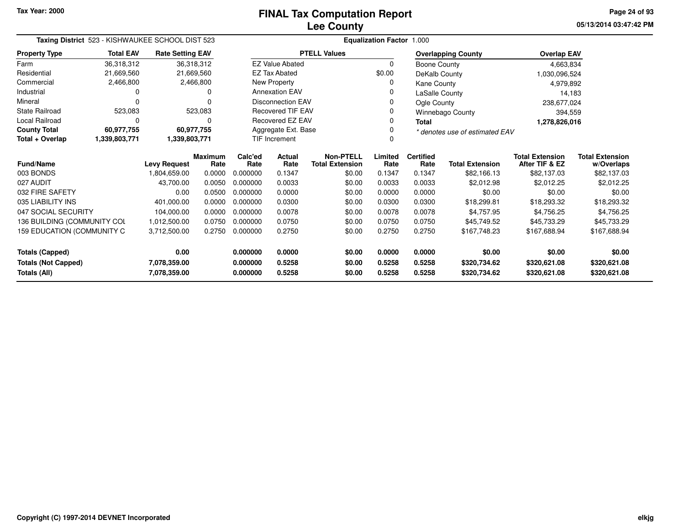**05/13/2014 03:47:42 PM Page 24 of 93**

| Taxing District 523 - KISHWAUKEE SCHOOL DIST 523 | <b>Equalization Factor 1.000</b> |                         |                        |                     |                          |                                            |                 |                                |                           |                                          |                                      |
|--------------------------------------------------|----------------------------------|-------------------------|------------------------|---------------------|--------------------------|--------------------------------------------|-----------------|--------------------------------|---------------------------|------------------------------------------|--------------------------------------|
| <b>Property Type</b>                             | <b>Total EAV</b>                 | <b>Rate Setting EAV</b> |                        |                     |                          | <b>PTELL Values</b>                        |                 |                                | <b>Overlapping County</b> | <b>Overlap EAV</b>                       |                                      |
| Farm                                             | 36,318,312                       |                         | 36,318,312             |                     | <b>EZ Value Abated</b>   |                                            | $\Omega$        | Boone County                   |                           | 4,663,834                                |                                      |
| Residential                                      | 21,669,560                       |                         | 21,669,560             |                     | <b>EZ Tax Abated</b>     |                                            | \$0.00          | DeKalb County                  |                           | 1,030,096,524                            |                                      |
| Commercial                                       | 2,466,800                        |                         | 2,466,800              |                     | New Property             |                                            |                 | <b>Kane County</b>             |                           | 4,979,892                                |                                      |
| Industrial                                       | 0                                |                         | 0                      |                     | <b>Annexation EAV</b>    |                                            | ი               | LaSalle County                 |                           | 14,183                                   |                                      |
| Mineral                                          | $\Omega$                         |                         | $\Omega$               |                     | <b>Disconnection EAV</b> |                                            | 0               | Ogle County                    |                           | 238,677,024                              |                                      |
| <b>State Railroad</b>                            | 523,083                          |                         | 523,083                |                     | <b>Recovered TIF EAV</b> |                                            |                 |                                | <b>Winnebago County</b>   | 394,559                                  |                                      |
| <b>Local Railroad</b>                            | 0                                |                         | 0                      | Recovered EZ EAV    |                          |                                            | 0               | <b>Total</b>                   |                           | 1,278,826,016                            |                                      |
| <b>County Total</b>                              | 60,977,755                       |                         | 60,977,755             | Aggregate Ext. Base |                          |                                            |                 | * denotes use of estimated EAV |                           |                                          |                                      |
| Total + Overlap                                  | 1,339,803,771                    | 1,339,803,771           |                        |                     | <b>TIF Increment</b>     |                                            |                 |                                |                           |                                          |                                      |
| <b>Fund/Name</b>                                 |                                  | <b>Levy Request</b>     | <b>Maximum</b><br>Rate | Calc'ed<br>Rate     | <b>Actual</b><br>Rate    | <b>Non-PTELL</b><br><b>Total Extension</b> | Limited<br>Rate | <b>Certified</b><br>Rate       | <b>Total Extension</b>    | <b>Total Extension</b><br>After TIF & EZ | <b>Total Extension</b><br>w/Overlaps |
| 003 BONDS                                        |                                  | 1,804,659.00            | 0.0000                 | 0.000000            | 0.1347                   | \$0.00                                     | 0.1347          | 0.1347                         | \$82,166.13               | \$82,137.03                              | \$82,137.03                          |
| 027 AUDIT                                        |                                  | 43,700.00               | 0.0050                 | 0.000000            | 0.0033                   | \$0.00                                     | 0.0033          | 0.0033                         | \$2,012.98                | \$2,012.25                               | \$2,012.25                           |
| 032 FIRE SAFETY                                  |                                  | 0.00                    | 0.0500                 | 0.000000            | 0.0000                   | \$0.00                                     | 0.0000          | 0.0000                         | \$0.00                    | \$0.00                                   | \$0.00                               |
| 035 LIABILITY INS                                |                                  | 401.000.00              | 0.0000                 | 0.000000            | 0.0300                   | \$0.00                                     | 0.0300          | 0.0300                         | \$18,299.81               | \$18,293.32                              | \$18,293.32                          |
| 047 SOCIAL SECURITY                              |                                  | 104,000.00              | 0.0000                 | 0.000000            | 0.0078                   | \$0.00                                     | 0.0078          | 0.0078                         | \$4,757.95                | \$4,756.25                               | \$4,756.25                           |
| 136 BUILDING (COMMUNITY COL                      |                                  | 1,012,500.00            | 0.0750                 | 0.000000            | 0.0750                   | \$0.00                                     | 0.0750          | 0.0750                         | \$45,749.52               | \$45,733.29                              | \$45,733.29                          |
| 159 EDUCATION (COMMUNITY C<br>3,712,500.00       |                                  |                         | 0.2750                 | 0.000000            | 0.2750                   | \$0.00                                     | 0.2750          | 0.2750                         | \$167,748.23              | \$167,688.94                             | \$167,688.94                         |
| <b>Totals (Capped)</b>                           |                                  | 0.00                    |                        | 0.000000            | 0.0000                   | \$0.00                                     | 0.0000          | 0.0000                         | \$0.00                    | \$0.00                                   | \$0.00                               |
| <b>Totals (Not Capped)</b>                       |                                  | 7,078,359.00            |                        | 0.000000            | 0.5258                   | \$0.00                                     | 0.5258          | 0.5258                         | \$320,734.62              | \$320,621.08                             | \$320,621.08                         |
| Totals (All)                                     |                                  | 7,078,359.00            |                        | 0.000000            | 0.5258                   | \$0.00                                     | 0.5258          | 0.5258                         | \$320,734.62              | \$320,621.08                             | \$320,621.08                         |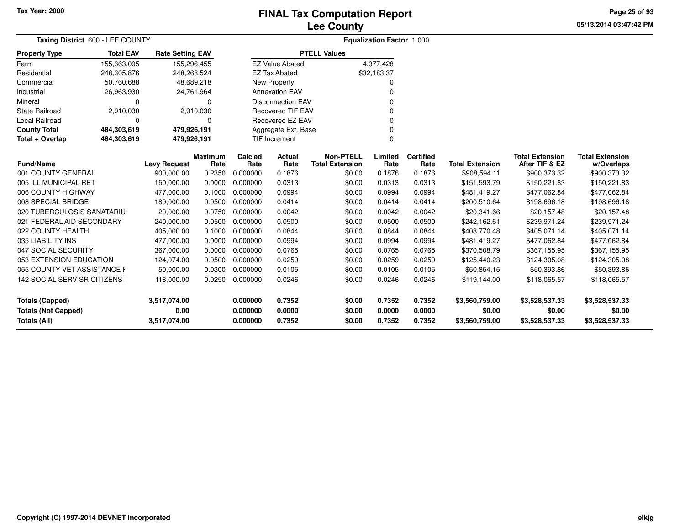## **Lee CountyFINAL Tax Computation Report**

**05/13/2014 03:47:42 PM Page 25 of 93**

| <b>Total EAV</b>            |                      |                                                                         |                                                                                                                                                |                       |                                                                                                   |                                                                                                                                         |                                    |                                            |                                          |                                      |                |
|-----------------------------|----------------------|-------------------------------------------------------------------------|------------------------------------------------------------------------------------------------------------------------------------------------|-----------------------|---------------------------------------------------------------------------------------------------|-----------------------------------------------------------------------------------------------------------------------------------------|------------------------------------|--------------------------------------------|------------------------------------------|--------------------------------------|----------------|
| 155,363,095                 |                      |                                                                         |                                                                                                                                                |                       |                                                                                                   |                                                                                                                                         |                                    |                                            |                                          |                                      |                |
| 248,305,876                 |                      |                                                                         |                                                                                                                                                | <b>EZ Tax Abated</b>  |                                                                                                   |                                                                                                                                         |                                    |                                            |                                          |                                      |                |
| 50,760,688                  |                      |                                                                         |                                                                                                                                                |                       |                                                                                                   | O                                                                                                                                       |                                    |                                            |                                          |                                      |                |
| 26,963,930                  |                      |                                                                         |                                                                                                                                                |                       |                                                                                                   | O                                                                                                                                       |                                    |                                            |                                          |                                      |                |
| 0                           |                      | $\Omega$                                                                |                                                                                                                                                |                       |                                                                                                   |                                                                                                                                         |                                    |                                            |                                          |                                      |                |
| 2,910,030                   |                      |                                                                         |                                                                                                                                                |                       |                                                                                                   | 0                                                                                                                                       |                                    |                                            |                                          |                                      |                |
| 0                           |                      |                                                                         |                                                                                                                                                |                       |                                                                                                   | O                                                                                                                                       |                                    |                                            |                                          |                                      |                |
| 484,303,619                 |                      |                                                                         |                                                                                                                                                |                       |                                                                                                   | $\Omega$                                                                                                                                |                                    |                                            |                                          |                                      |                |
| 484,303,619                 |                      |                                                                         |                                                                                                                                                |                       |                                                                                                   | $\mathbf{0}$                                                                                                                            |                                    |                                            |                                          |                                      |                |
|                             |                      | Rate                                                                    | Calc'ed<br>Rate                                                                                                                                | <b>Actual</b><br>Rate | <b>Non-PTELL</b><br><b>Total Extension</b>                                                        | Limited<br>Rate                                                                                                                         | <b>Certified</b><br>Rate           | <b>Total Extension</b>                     | <b>Total Extension</b><br>After TIF & EZ | <b>Total Extension</b><br>w/Overlaps |                |
| 001 COUNTY GENERAL          | 900,000.00           | 0.2350                                                                  | 0.000000                                                                                                                                       | 0.1876                | \$0.00                                                                                            | 0.1876                                                                                                                                  | 0.1876                             | \$908,594.11                               | \$900,373.32                             | \$900,373.32                         |                |
| 005 ILL MUNICIPAL RET       | 150,000.00           | 0.0000                                                                  | 0.000000                                                                                                                                       | 0.0313                | \$0.00                                                                                            | 0.0313                                                                                                                                  | 0.0313                             | \$151,593.79                               | \$150,221.83                             | \$150,221.83                         |                |
| 006 COUNTY HIGHWAY          | 477,000.00           | 0.1000                                                                  | 0.000000                                                                                                                                       | 0.0994                | \$0.00                                                                                            | 0.0994                                                                                                                                  | 0.0994                             | \$481,419.27                               | \$477,062.84                             | \$477,062.84                         |                |
|                             | 189,000.00           | 0.0500                                                                  | 0.000000                                                                                                                                       | 0.0414                | \$0.00                                                                                            | 0.0414                                                                                                                                  | 0.0414                             | \$200,510.64                               | \$198,696.18                             | \$198,696.18                         |                |
| 020 TUBERCULOSIS SANATARIU  | 20,000.00            | 0.0750                                                                  | 0.000000                                                                                                                                       | 0.0042                | \$0.00                                                                                            | 0.0042                                                                                                                                  | 0.0042                             | \$20,341.66                                | \$20,157.48                              | \$20,157.48                          |                |
| 021 FEDERAL AID SECONDARY   | 240,000.00           | 0.0500                                                                  | 0.000000                                                                                                                                       | 0.0500                | \$0.00                                                                                            | 0.0500                                                                                                                                  | 0.0500                             | \$242,162.61                               | \$239,971.24                             | \$239,971.24                         |                |
|                             | 405,000.00           | 0.1000                                                                  | 0.000000                                                                                                                                       | 0.0844                | \$0.00                                                                                            | 0.0844                                                                                                                                  | 0.0844                             | \$408,770.48                               | \$405,071.14                             | \$405,071.14                         |                |
|                             | 477,000.00           | 0.0000                                                                  | 0.000000                                                                                                                                       | 0.0994                | \$0.00                                                                                            | 0.0994                                                                                                                                  | 0.0994                             | \$481,419.27                               | \$477,062.84                             | \$477,062.84                         |                |
| 047 SOCIAL SECURITY         | 367,000.00           | 0.0000                                                                  | 0.000000                                                                                                                                       | 0.0765                | \$0.00                                                                                            | 0.0765                                                                                                                                  | 0.0765                             | \$370,508.79                               | \$367,155.95                             | \$367,155.95                         |                |
| 053 EXTENSION EDUCATION     | 124,074.00           | 0.0500                                                                  | 0.000000                                                                                                                                       | 0.0259                | \$0.00                                                                                            | 0.0259                                                                                                                                  | 0.0259                             | \$125,440.23                               | \$124,305.08                             | \$124,305.08                         |                |
| 055 COUNTY VET ASSISTANCE F | 50,000.00            | 0.0300                                                                  | 0.000000                                                                                                                                       | 0.0105                | \$0.00                                                                                            | 0.0105                                                                                                                                  | 0.0105                             | \$50,854.15                                | \$50,393.86                              | \$50,393.86                          |                |
| 142 SOCIAL SERV SR CITIZENS | 118,000.00           | 0.0250                                                                  | 0.000000                                                                                                                                       | 0.0246                | \$0.00                                                                                            | 0.0246                                                                                                                                  | 0.0246                             | \$119,144.00                               | \$118,065.57                             | \$118,065.57                         |                |
|                             | 3,517,074.00<br>0.00 |                                                                         | 0.000000<br>0.000000                                                                                                                           | 0.7352<br>0.0000      | \$0.00<br>\$0.00                                                                                  | 0.7352<br>0.0000                                                                                                                        | 0.7352<br>0.0000                   | \$3,560,759.00<br>\$0.00                   | \$3,528,537.33<br>\$0.00                 | \$3,528,537.33<br>\$0.00             |                |
|                             |                      | Taxing District 600 - LEE COUNTY<br><b>Levy Request</b><br>3,517,074.00 | <b>Rate Setting EAV</b><br>155,296,455<br>248,268,524<br>48,689,218<br>24,761,964<br>2,910,030<br>479,926,191<br>479,926,191<br><b>Maximum</b> | 0.000000              | <b>EZ Value Abated</b><br>New Property<br><b>Annexation EAV</b><br><b>TIF Increment</b><br>0.7352 | <b>PTELL Values</b><br><b>Disconnection EAV</b><br><b>Recovered TIF EAV</b><br><b>Recovered EZ EAV</b><br>Aggregate Ext. Base<br>\$0.00 | 4,377,428<br>\$32,183.37<br>0.7352 | <b>Equalization Factor 1.000</b><br>0.7352 | \$3,560,759.00                           | \$3,528,537.33                       | \$3,528,537.33 |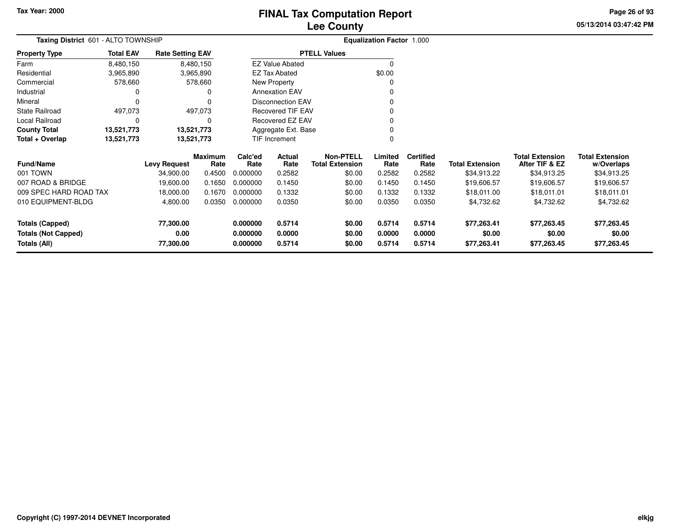Mineral

**County Total** 

**Total + Overlap**

# **Lee CountyFINAL Tax Computation Report**

**05/13/2014 03:47:42 PMPage 26 of 93**

|                      |                                     |                         | <b>Lee County</b>      |                                  |
|----------------------|-------------------------------------|-------------------------|------------------------|----------------------------------|
|                      | Taxing District 601 - ALTO TOWNSHIP |                         |                        | <b>Equalization Factor 1.000</b> |
| <b>Property Type</b> | <b>Total EAV</b>                    | <b>Rate Setting EAV</b> | <b>PTELL Values</b>    |                                  |
| Farm                 | 8,480,150                           | 8.480.150               | <b>EZ Value Abated</b> |                                  |
| Residential          | 3,965,890                           | 3,965,890               | EZ Tax Abated          | \$0.00                           |
| Commercial           | 578.660                             | 578.660                 | New Property           |                                  |
| Industrial           |                                     |                         | <b>Annexation EAV</b>  |                                  |
|                      |                                     |                         |                        |                                  |

 $\sim$  0

0 v

<sup>0</sup>

0

0 $\pmb{0}$ 

| <b>Fund/Name</b>           | <b>Levy Request</b> | <b>Maximum</b><br>Rate | Calc'ed<br>Rate | <b>Actual</b><br>Rate | Non-PTELL<br><b>Total Extension</b> | Limited<br>Rate | <b>Certified</b><br>Rate | Total Extension | <b>Total Extension</b><br>After TIF & EZ | <b>Total Extension</b><br>w/Overlaps |
|----------------------------|---------------------|------------------------|-----------------|-----------------------|-------------------------------------|-----------------|--------------------------|-----------------|------------------------------------------|--------------------------------------|
| 001 TOWN                   | 34,900.00           | 0.4500                 | 0.000000        | 0.2582                | \$0.00                              | 0.2582          | 0.2582                   | \$34,913.22     | \$34,913.25                              | \$34,913.25                          |
| 007 ROAD & BRIDGE          | 19.600.00           | 0.1650                 | 0.000000        | 0.1450                | \$0.00                              | 0.1450          | 0.1450                   | \$19,606.57     | \$19,606.57                              | \$19,606.57                          |
| 009 SPEC HARD ROAD TAX     | 18,000.00           | 0.1670                 | 0.000000        | 0.1332                | \$0.00                              | 0.1332          | 0.1332                   | \$18,011.00     | \$18,011.01                              | \$18,011.01                          |
| 010 EQUIPMENT-BLDG         | 4,800.00            | 0.0350                 | 0.000000        | 0.0350                | \$0.00                              | 0.0350          | 0.0350                   | \$4,732.62      | \$4,732.62                               | \$4,732.62                           |
| Totals (Capped)            | 77,300.00           |                        | 0.000000        | 0.5714                | \$0.00                              | 0.5714          | 0.5714                   | \$77,263.41     | \$77,263.45                              | \$77,263.45                          |
| <b>Totals (Not Capped)</b> | 0.00                |                        | 0.000000        | 0.0000                | \$0.00                              | 0.0000          | 0.0000                   | \$0.00          | \$0.00                                   | \$0.00                               |
| Totals (All)               | 77,300.00           |                        | 0.000000        | 0.5714                | \$0.00                              | 0.5714          | 0.5714                   | \$77,263.41     | \$77,263.45                              | \$77,263.45                          |

Disconnection EAV

Recovered TIF EAV

Recovered EZ EAV

Aggregate Ext. BaseTIF Increment

 $\mathbf 0$ 

 $\mathsf 0$ 

497,073

13,521,773

13,521,773

0 0

**13,521,773 13,521,773**

State Railroad 497,073

Local Railroad 0<br> **County Total** 13,521,773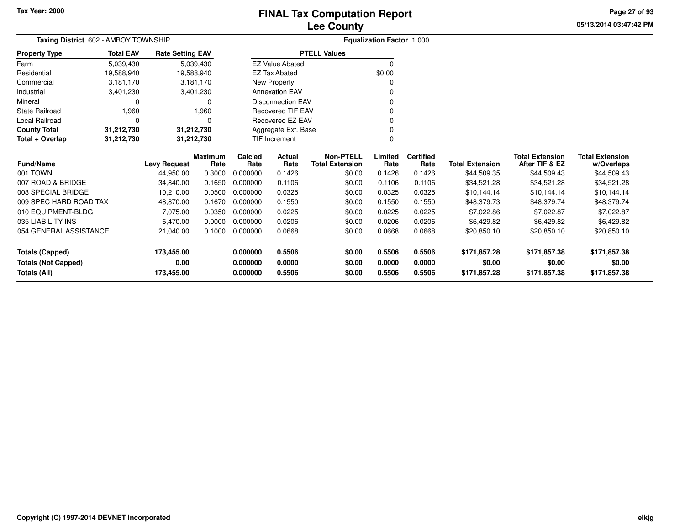# **Lee CountyFINAL Tax Computation Report**

**05/13/2014 03:47:42 PM Page 27 of 93**

| Taxing District 602 - AMBOY TOWNSHIP                    |                  |                         | <b>Equalization Factor 1.000</b> |                 |                          |                                            |                 |                          |                        |                                          |                                      |
|---------------------------------------------------------|------------------|-------------------------|----------------------------------|-----------------|--------------------------|--------------------------------------------|-----------------|--------------------------|------------------------|------------------------------------------|--------------------------------------|
| <b>Property Type</b>                                    | <b>Total EAV</b> | <b>Rate Setting EAV</b> |                                  |                 |                          | <b>PTELL Values</b>                        |                 |                          |                        |                                          |                                      |
| Farm                                                    | 5,039,430        |                         | 5,039,430                        |                 | <b>EZ Value Abated</b>   |                                            | $\Omega$        |                          |                        |                                          |                                      |
| Residential                                             | 19,588,940       |                         | 19,588,940                       |                 | <b>EZ Tax Abated</b>     |                                            | \$0.00          |                          |                        |                                          |                                      |
| Commercial                                              | 3,181,170        |                         | 3,181,170                        |                 | New Property             |                                            |                 |                          |                        |                                          |                                      |
| Industrial                                              | 3,401,230        |                         | 3,401,230                        |                 | <b>Annexation EAV</b>    |                                            |                 |                          |                        |                                          |                                      |
| Mineral                                                 | 0                |                         | 0                                |                 | <b>Disconnection EAV</b> |                                            |                 |                          |                        |                                          |                                      |
| State Railroad                                          | 1,960            |                         | 1,960                            |                 | <b>Recovered TIF EAV</b> |                                            |                 |                          |                        |                                          |                                      |
| Local Railroad                                          | $\Omega$         |                         | 0                                |                 | Recovered EZ EAV         |                                            | $\Omega$        |                          |                        |                                          |                                      |
| <b>County Total</b>                                     | 31,212,730       |                         | 31,212,730                       |                 | Aggregate Ext. Base      |                                            | $\Omega$        |                          |                        |                                          |                                      |
| Total + Overlap                                         | 31,212,730       |                         | 31,212,730                       |                 | TIF Increment            |                                            | $\Omega$        |                          |                        |                                          |                                      |
| Fund/Name                                               |                  | <b>Levy Request</b>     | <b>Maximum</b><br>Rate           | Calc'ed<br>Rate | Actual<br>Rate           | <b>Non-PTELL</b><br><b>Total Extension</b> | Limited<br>Rate | <b>Certified</b><br>Rate | <b>Total Extension</b> | <b>Total Extension</b><br>After TIF & EZ | <b>Total Extension</b><br>w/Overlaps |
| 001 TOWN                                                |                  | 44,950.00               | 0.3000                           | 0.000000        | 0.1426                   | \$0.00                                     | 0.1426          | 0.1426                   | \$44,509.35            | \$44,509.43                              | \$44,509.43                          |
| 007 ROAD & BRIDGE                                       |                  | 34,840.00               | 0.1650                           | 0.000000        | 0.1106                   | \$0.00                                     | 0.1106          | 0.1106                   | \$34,521.28            | \$34,521.28                              | \$34,521.28                          |
| 008 SPECIAL BRIDGE                                      |                  | 10,210.00               | 0.0500                           | 0.000000        | 0.0325                   | \$0.00                                     | 0.0325          | 0.0325                   | \$10,144.14            | \$10,144.14                              | \$10,144.14                          |
| 009 SPEC HARD ROAD TAX                                  |                  | 48,870.00               | 0.1670                           | 0.000000        | 0.1550                   | \$0.00                                     | 0.1550          | 0.1550                   | \$48,379.73            | \$48,379.74                              | \$48,379.74                          |
| 010 EQUIPMENT-BLDG                                      |                  | 7,075.00                | 0.0350                           | 0.000000        | 0.0225                   | \$0.00                                     | 0.0225          | 0.0225                   | \$7,022.86             | \$7,022.87                               | \$7,022.87                           |
| 035 LIABILITY INS                                       |                  | 6,470.00                | 0.0000                           | 0.000000        | 0.0206                   | \$0.00                                     | 0.0206          | 0.0206                   | \$6,429.82             | \$6,429.82                               | \$6,429.82                           |
| 054 GENERAL ASSISTANCE                                  |                  | 21,040.00               | 0.1000                           | 0.000000        | 0.0668                   | \$0.00                                     | 0.0668          | 0.0668                   | \$20,850.10            | \$20,850.10                              | \$20,850.10                          |
| <b>Totals (Capped)</b>                                  |                  | 173,455.00              |                                  | 0.000000        | 0.5506                   | \$0.00                                     | 0.5506          | 0.5506                   | \$171,857.28           | \$171,857.38                             | \$171,857.38                         |
| <b>Totals (Not Capped)</b>                              |                  | 0.00                    |                                  | 0.000000        | 0.0000                   | \$0.00                                     | 0.0000          | 0.0000                   | \$0.00                 | \$0.00                                   | \$0.00                               |
| <b>Totals (All)</b><br>0.5506<br>173,455.00<br>0.000000 |                  |                         | \$0.00                           | 0.5506          | 0.5506                   | \$171,857.28                               | \$171,857.38    | \$171,857.38             |                        |                                          |                                      |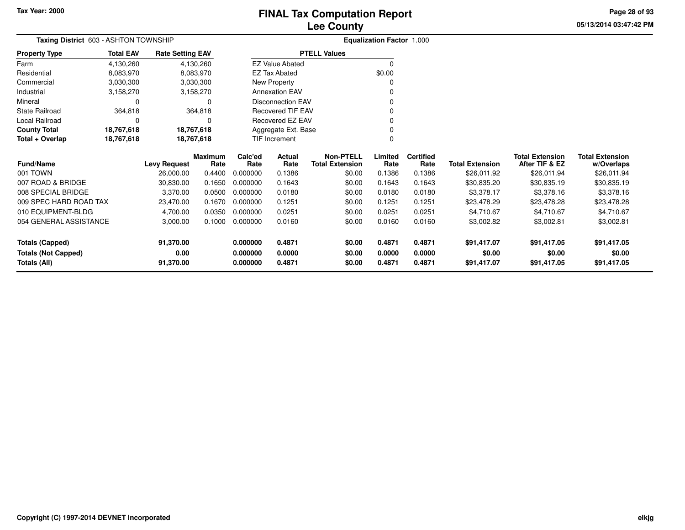# **Lee CountyFINAL Tax Computation Report**

**05/13/2014 03:47:42 PM Page 28 of 93**

| <b>FINAL TAX COMPUTATION REPORT</b> |  |
|-------------------------------------|--|
| <b>Lee County</b>                   |  |

| Taxing District 603 - ASHTON TOWNSHIP |                  |                         |                        |                     |                          |                                            | <b>Equalization Factor 1.000</b> |                          |                        |                                          |                                      |  |
|---------------------------------------|------------------|-------------------------|------------------------|---------------------|--------------------------|--------------------------------------------|----------------------------------|--------------------------|------------------------|------------------------------------------|--------------------------------------|--|
| <b>Property Type</b>                  | <b>Total EAV</b> | <b>Rate Setting EAV</b> |                        | <b>PTELL Values</b> |                          |                                            |                                  |                          |                        |                                          |                                      |  |
| Farm                                  | 4,130,260        |                         | 4,130,260              |                     | <b>EZ Value Abated</b>   |                                            | $\Omega$                         |                          |                        |                                          |                                      |  |
| Residential                           | 8,083,970        |                         | 8,083,970              |                     | <b>EZ Tax Abated</b>     |                                            | \$0.00                           |                          |                        |                                          |                                      |  |
| Commercial                            | 3,030,300        |                         | 3,030,300              |                     | New Property             |                                            |                                  |                          |                        |                                          |                                      |  |
| Industrial                            | 3,158,270        |                         | 3,158,270              |                     | <b>Annexation EAV</b>    |                                            | ŋ                                |                          |                        |                                          |                                      |  |
| Mineral                               | 0                |                         | $\Omega$               |                     | <b>Disconnection EAV</b> |                                            | O                                |                          |                        |                                          |                                      |  |
| <b>State Railroad</b>                 | 364,818          |                         | 364,818                |                     | <b>Recovered TIF EAV</b> |                                            | ŋ                                |                          |                        |                                          |                                      |  |
| Local Railroad                        | 0                |                         | $\Omega$               |                     | Recovered EZ EAV         |                                            | ŋ                                |                          |                        |                                          |                                      |  |
| <b>County Total</b>                   | 18,767,618       | 18,767,618              |                        |                     | Aggregate Ext. Base      |                                            |                                  |                          |                        |                                          |                                      |  |
| Total + Overlap                       | 18,767,618       | 18,767,618              |                        |                     | <b>TIF Increment</b>     |                                            | 0                                |                          |                        |                                          |                                      |  |
| Fund/Name                             |                  | <b>Levy Request</b>     | <b>Maximum</b><br>Rate | Calc'ed<br>Rate     | Actual<br>Rate           | <b>Non-PTELL</b><br><b>Total Extension</b> | Limited<br>Rate                  | <b>Certified</b><br>Rate | <b>Total Extension</b> | <b>Total Extension</b><br>After TIF & EZ | <b>Total Extension</b><br>w/Overlaps |  |
| 001 TOWN                              |                  | 26,000.00               | 0.4400                 | 0.000000            | 0.1386                   | \$0.00                                     | 0.1386                           | 0.1386                   | \$26,011.92            | \$26,011.94                              | \$26,011.94                          |  |
| 007 ROAD & BRIDGE                     |                  | 30,830.00               | 0.1650                 | 0.000000            | 0.1643                   | \$0.00                                     | 0.1643                           | 0.1643                   | \$30,835.20            | \$30,835.19                              | \$30,835.19                          |  |
| 008 SPECIAL BRIDGE                    |                  | 3,370.00                | 0.0500                 | 0.000000            | 0.0180                   | \$0.00                                     | 0.0180                           | 0.0180                   | \$3,378.17             | \$3,378.16                               | \$3,378.16                           |  |
| 009 SPEC HARD ROAD TAX                |                  | 23,470.00               | 0.1670                 | 0.000000            | 0.1251                   | \$0.00                                     | 0.1251                           | 0.1251                   | \$23,478.29            | \$23,478.28                              | \$23,478.28                          |  |
| 010 EQUIPMENT-BLDG                    |                  | 4,700.00                | 0.0350                 | 0.000000            | 0.0251                   | \$0.00                                     | 0.0251                           | 0.0251                   | \$4,710.67             | \$4,710.67                               | \$4,710.67                           |  |
| 054 GENERAL ASSISTANCE                |                  | 3,000.00                | 0.1000                 | 0.000000            | 0.0160                   | \$0.00                                     | 0.0160                           | 0.0160                   | \$3,002.82             | \$3,002.81                               | \$3,002.81                           |  |
| <b>Totals (Capped)</b>                |                  | 91,370.00               |                        | 0.000000            | 0.4871                   | \$0.00                                     | 0.4871                           | 0.4871                   | \$91,417.07            | \$91,417.05                              | \$91,417.05                          |  |
| <b>Totals (Not Capped)</b>            |                  | 0.00                    |                        | 0.000000            | 0.0000                   | \$0.00                                     | 0.0000                           | 0.0000                   | \$0.00                 | \$0.00                                   | \$0.00                               |  |
| Totals (All)                          |                  | 91,370.00               |                        | 0.000000            | 0.4871                   | \$0.00                                     | 0.4871                           | 0.4871                   | \$91,417.07            | \$91,417.05                              | \$91,417.05                          |  |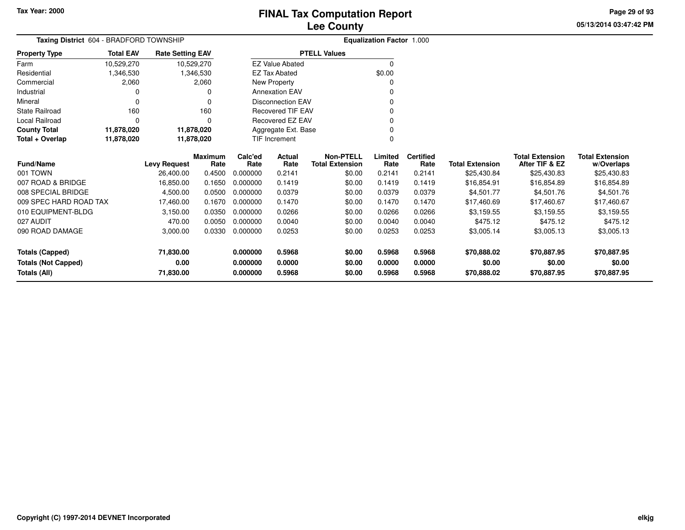**05/13/2014 03:47:42 PM Page 29 of 93**

| Taxing District 604 - BRADFORD TOWNSHIP | <b>Equalization Factor 1.000</b> |                         |                        |                 |                          |                                            |                 |                          |                        |                                          |                                      |
|-----------------------------------------|----------------------------------|-------------------------|------------------------|-----------------|--------------------------|--------------------------------------------|-----------------|--------------------------|------------------------|------------------------------------------|--------------------------------------|
| <b>Property Type</b>                    | <b>Total EAV</b>                 | <b>Rate Setting EAV</b> |                        |                 |                          | <b>PTELL Values</b>                        |                 |                          |                        |                                          |                                      |
| Farm                                    | 10,529,270                       |                         | 10,529,270             |                 | <b>EZ Value Abated</b>   |                                            | $\Omega$        |                          |                        |                                          |                                      |
| Residential                             | 1,346,530                        |                         | 1,346,530              |                 | <b>EZ Tax Abated</b>     |                                            | \$0.00          |                          |                        |                                          |                                      |
| Commercial                              | 2,060                            |                         | 2,060                  |                 | New Property             |                                            | 0               |                          |                        |                                          |                                      |
| Industrial                              | 0                                |                         |                        |                 | <b>Annexation EAV</b>    |                                            | 0               |                          |                        |                                          |                                      |
| Mineral                                 | $\Omega$                         |                         |                        |                 | <b>Disconnection EAV</b> |                                            | 0               |                          |                        |                                          |                                      |
| State Railroad                          | 160                              |                         | 160                    |                 | <b>Recovered TIF EAV</b> |                                            | 0               |                          |                        |                                          |                                      |
| <b>Local Railroad</b>                   | $\Omega$                         |                         | $\Omega$               |                 | Recovered EZ EAV         |                                            | 0               |                          |                        |                                          |                                      |
| <b>County Total</b>                     | 11,878,020                       |                         | 11,878,020             |                 | Aggregate Ext. Base      |                                            | 0               |                          |                        |                                          |                                      |
| Total + Overlap                         | 11,878,020                       |                         | 11,878,020             |                 | <b>TIF Increment</b>     |                                            | 0               |                          |                        |                                          |                                      |
| <b>Fund/Name</b>                        |                                  | <b>Levy Request</b>     | <b>Maximum</b><br>Rate | Calc'ed<br>Rate | <b>Actual</b><br>Rate    | <b>Non-PTELL</b><br><b>Total Extension</b> | Limited<br>Rate | <b>Certified</b><br>Rate | <b>Total Extension</b> | <b>Total Extension</b><br>After TIF & EZ | <b>Total Extension</b><br>w/Overlaps |
| 001 TOWN                                |                                  | 26,400.00               | 0.4500                 | 0.000000        | 0.2141                   | \$0.00                                     | 0.2141          | 0.2141                   | \$25,430.84            | \$25,430.83                              | \$25,430.83                          |
| 007 ROAD & BRIDGE                       |                                  | 16,850.00               | 0.1650                 | 0.000000        | 0.1419                   | \$0.00                                     | 0.1419          | 0.1419                   | \$16,854.91            | \$16,854.89                              | \$16,854.89                          |
| 008 SPECIAL BRIDGE                      |                                  | 4,500.00                | 0.0500                 | 0.000000        | 0.0379                   | \$0.00                                     | 0.0379          | 0.0379                   | \$4.501.77             | \$4,501.76                               | \$4,501.76                           |
| 009 SPEC HARD ROAD TAX                  |                                  | 17,460.00               | 0.1670                 | 0.000000        | 0.1470                   | \$0.00                                     | 0.1470          | 0.1470                   | \$17,460.69            | \$17,460.67                              | \$17,460.67                          |
| 010 EQUIPMENT-BLDG                      |                                  | 3,150.00                | 0.0350                 | 0.000000        | 0.0266                   | \$0.00                                     | 0.0266          | 0.0266                   | \$3,159.55             | \$3,159.55                               | \$3,159.55                           |
| 027 AUDIT                               |                                  | 470.00                  | 0.0050                 | 0.000000        | 0.0040                   | \$0.00                                     | 0.0040          | 0.0040                   | \$475.12               | \$475.12                                 | \$475.12                             |
| 090 ROAD DAMAGE                         |                                  | 3,000.00                | 0.0330                 | 0.000000        | 0.0253                   | \$0.00                                     | 0.0253          | 0.0253                   | \$3,005.14             | \$3,005.13                               | \$3,005.13                           |
| <b>Totals (Capped)</b>                  |                                  | 71,830.00               |                        | 0.000000        | 0.5968                   | \$0.00                                     | 0.5968          | 0.5968                   | \$70,888.02            | \$70,887.95                              | \$70,887.95                          |
| <b>Totals (Not Capped)</b>              |                                  | 0.00                    |                        | 0.000000        | 0.0000                   | \$0.00                                     | 0.0000          | 0.0000                   | \$0.00                 | \$0.00                                   | \$0.00                               |
| Totals (All)                            |                                  | 71,830.00               |                        | 0.000000        | 0.5968                   | \$0.00                                     | 0.5968          | 0.5968                   | \$70,888.02            | \$70,887.95                              | \$70,887.95                          |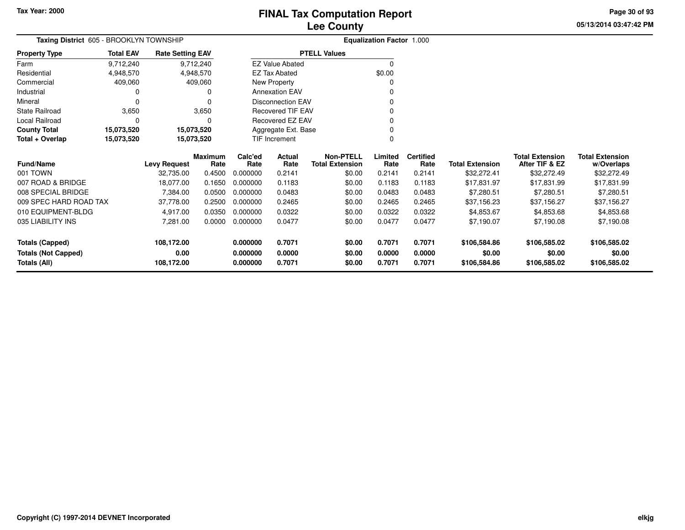**05/13/2014 03:47:42 PM Page 30 of 93**

| Taxing District 605 - BROOKLYN TOWNSHIP | <b>Equalization Factor 1.000</b> |                         |                |          |                          |                        |          |                  |                        |                        |                        |
|-----------------------------------------|----------------------------------|-------------------------|----------------|----------|--------------------------|------------------------|----------|------------------|------------------------|------------------------|------------------------|
| <b>Property Type</b>                    | <b>Total EAV</b>                 | <b>Rate Setting EAV</b> |                |          |                          | <b>PTELL Values</b>    |          |                  |                        |                        |                        |
| Farm                                    | 9,712,240                        |                         | 9,712,240      |          | <b>EZ Value Abated</b>   |                        | $\Omega$ |                  |                        |                        |                        |
| Residential                             | 4,948,570                        |                         | 4,948,570      |          | <b>EZ Tax Abated</b>     |                        | \$0.00   |                  |                        |                        |                        |
| Commercial                              | 409,060                          |                         | 409,060        |          | New Property             |                        | 0        |                  |                        |                        |                        |
| Industrial                              |                                  |                         | 0              |          | <b>Annexation EAV</b>    |                        | 0        |                  |                        |                        |                        |
| Mineral                                 |                                  |                         | $\Omega$       |          | <b>Disconnection EAV</b> |                        | 0        |                  |                        |                        |                        |
| <b>State Railroad</b>                   | 3,650                            |                         | 3,650          |          | <b>Recovered TIF EAV</b> |                        | 0        |                  |                        |                        |                        |
| Local Railroad                          |                                  |                         | 0              |          | Recovered EZ EAV         |                        | 0        |                  |                        |                        |                        |
| <b>County Total</b>                     | 15,073,520                       |                         | 15,073,520     |          | Aggregate Ext. Base      |                        | 0        |                  |                        |                        |                        |
| Total + Overlap                         | 15,073,520                       |                         | 15,073,520     |          | <b>TIF Increment</b>     |                        | 0        |                  |                        |                        |                        |
|                                         |                                  |                         | <b>Maximum</b> | Calc'ed  | Actual                   | <b>Non-PTELL</b>       | Limited  | <b>Certified</b> |                        | <b>Total Extension</b> | <b>Total Extension</b> |
| <b>Fund/Name</b>                        |                                  | <b>Levy Request</b>     | Rate           | Rate     | Rate                     | <b>Total Extension</b> | Rate     | Rate             | <b>Total Extension</b> | After TIF & EZ         | w/Overlaps             |
| 001 TOWN                                |                                  | 32,735.00               | 0.4500         | 0.000000 | 0.2141                   | \$0.00                 | 0.2141   | 0.2141           | \$32,272.41            | \$32,272.49            | \$32,272.49            |
| 007 ROAD & BRIDGE                       |                                  | 18,077.00               | 0.1650         | 0.000000 | 0.1183                   | \$0.00                 | 0.1183   | 0.1183           | \$17,831.97            | \$17,831.99            | \$17,831.99            |
| 008 SPECIAL BRIDGE                      |                                  | 7,384.00                | 0.0500         | 0.000000 | 0.0483                   | \$0.00                 | 0.0483   | 0.0483           | \$7,280.51             | \$7,280.51             | \$7,280.51             |
| 009 SPEC HARD ROAD TAX                  |                                  | 37,778.00               | 0.2500         | 0.000000 | 0.2465                   | \$0.00                 | 0.2465   | 0.2465           | \$37,156.23            | \$37,156.27            | \$37,156.27            |
| 010 EQUIPMENT-BLDG                      |                                  | 4,917.00                | 0.0350         | 0.000000 | 0.0322                   | \$0.00                 | 0.0322   | 0.0322           | \$4,853.67             | \$4,853.68             | \$4,853.68             |
| 035 LIABILITY INS                       |                                  | 7,281.00                | 0.0000         | 0.000000 | 0.0477                   | \$0.00                 | 0.0477   | 0.0477           | \$7,190.07             | \$7,190.08             | \$7,190.08             |
| <b>Totals (Capped)</b>                  |                                  | 108,172.00              |                | 0.000000 | 0.7071                   | \$0.00                 | 0.7071   | 0.7071           | \$106,584.86           | \$106,585.02           | \$106,585.02           |
| <b>Totals (Not Capped)</b>              |                                  | 0.00                    |                | 0.000000 | 0.0000                   | \$0.00                 | 0.0000   | 0.0000           | \$0.00                 | \$0.00                 | \$0.00                 |
| Totals (All)                            |                                  | 108,172.00              |                | 0.000000 | 0.7071                   | \$0.00                 | 0.7071   | 0.7071           | \$106,584.86           | \$106,585.02           | \$106,585.02           |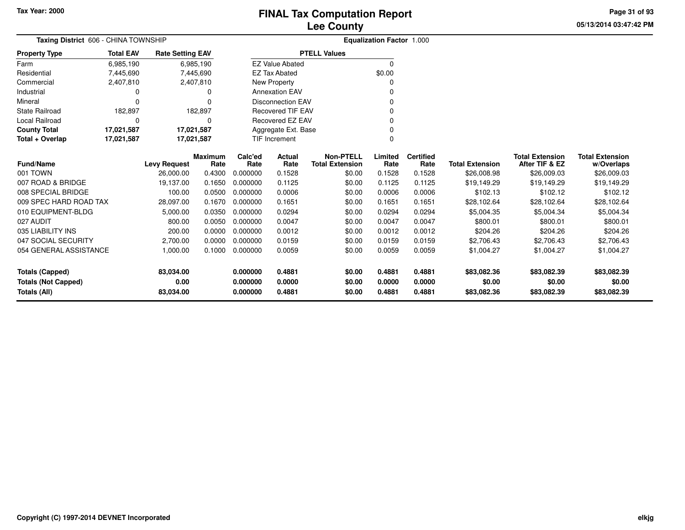# **Lee CountyFINAL Tax Computation Report**

**05/13/2014 03:47:42 PM Page 31 of 93**

| Taxing District 606 - CHINA TOWNSHIP |                  |                         |                        | Equalization Factor 1.000 |                          |                                            |                 |                          |                        |                                          |                                      |
|--------------------------------------|------------------|-------------------------|------------------------|---------------------------|--------------------------|--------------------------------------------|-----------------|--------------------------|------------------------|------------------------------------------|--------------------------------------|
| <b>Property Type</b>                 | <b>Total EAV</b> | <b>Rate Setting EAV</b> |                        |                           |                          | <b>PTELL Values</b>                        |                 |                          |                        |                                          |                                      |
| Farm                                 | 6,985,190        |                         | 6,985,190              |                           | <b>EZ Value Abated</b>   |                                            | $\Omega$        |                          |                        |                                          |                                      |
| Residential                          | 7,445,690        |                         | 7,445,690              |                           | <b>EZ Tax Abated</b>     |                                            | \$0.00          |                          |                        |                                          |                                      |
| Commercial                           | 2,407,810        |                         | 2,407,810              |                           | New Property             |                                            | $\Omega$        |                          |                        |                                          |                                      |
| Industrial                           | 0                |                         | 0                      |                           | <b>Annexation EAV</b>    |                                            | 0               |                          |                        |                                          |                                      |
| Mineral                              | 0                |                         | 0                      |                           | <b>Disconnection EAV</b> |                                            |                 |                          |                        |                                          |                                      |
| <b>State Railroad</b>                | 182,897          |                         | 182,897                |                           | <b>Recovered TIF EAV</b> |                                            | $\Omega$        |                          |                        |                                          |                                      |
| <b>Local Railroad</b>                | $\Omega$         |                         | 0                      |                           | <b>Recovered EZ EAV</b>  |                                            | 0               |                          |                        |                                          |                                      |
| <b>County Total</b>                  | 17,021,587       | 17,021,587              |                        |                           | Aggregate Ext. Base      |                                            |                 |                          |                        |                                          |                                      |
| Total + Overlap                      | 17,021,587       | 17,021,587              |                        |                           | <b>TIF Increment</b>     |                                            | $\Omega$        |                          |                        |                                          |                                      |
| <b>Fund/Name</b>                     |                  | <b>Levy Request</b>     | <b>Maximum</b><br>Rate | Calc'ed<br>Rate           | Actual<br>Rate           | <b>Non-PTELL</b><br><b>Total Extension</b> | Limited<br>Rate | <b>Certified</b><br>Rate | <b>Total Extension</b> | <b>Total Extension</b><br>After TIF & EZ | <b>Total Extension</b><br>w/Overlaps |
| 001 TOWN                             |                  | 26,000.00               | 0.4300                 | 0.000000                  | 0.1528                   | \$0.00                                     | 0.1528          | 0.1528                   | \$26,008.98            | \$26,009.03                              | \$26,009.03                          |
| 007 ROAD & BRIDGE                    |                  | 19,137.00               | 0.1650                 | 0.000000                  | 0.1125                   | \$0.00                                     | 0.1125          | 0.1125                   | \$19,149.29            | \$19,149.29                              | \$19,149.29                          |
| 008 SPECIAL BRIDGE                   |                  | 100.00                  | 0.0500                 | 0.000000                  | 0.0006                   | \$0.00                                     | 0.0006          | 0.0006                   | \$102.13               | \$102.12                                 | \$102.12                             |
| 009 SPEC HARD ROAD TAX               |                  | 28,097.00               | 0.1670                 | 0.000000                  | 0.1651                   | \$0.00                                     | 0.1651          | 0.1651                   | \$28,102.64            | \$28,102.64                              | \$28,102.64                          |
| 010 EQUIPMENT-BLDG                   |                  | 5,000.00                | 0.0350                 | 0.000000                  | 0.0294                   | \$0.00                                     | 0.0294          | 0.0294                   | \$5,004.35             | \$5,004.34                               | \$5,004.34                           |
| 027 AUDIT                            |                  | 800.00                  | 0.0050                 | 0.000000                  | 0.0047                   | \$0.00                                     | 0.0047          | 0.0047                   | \$800.01               | \$800.01                                 | \$800.01                             |
| 035 LIABILITY INS                    |                  | 200.00                  | 0.0000                 | 0.000000                  | 0.0012                   | \$0.00                                     | 0.0012          | 0.0012                   | \$204.26               | \$204.26                                 | \$204.26                             |
| 047 SOCIAL SECURITY                  |                  | 2,700.00                | 0.0000                 | 0.000000                  | 0.0159                   | \$0.00                                     | 0.0159          | 0.0159                   | \$2,706.43             | \$2,706.43                               | \$2,706.43                           |
| 054 GENERAL ASSISTANCE               |                  | 1,000.00                | 0.1000                 | 0.000000                  | 0.0059                   | \$0.00                                     | 0.0059          | 0.0059                   | \$1,004.27             | \$1,004.27                               | \$1,004.27                           |
| <b>Totals (Capped)</b>               |                  | 83,034.00               |                        | 0.000000                  | 0.4881                   | \$0.00                                     | 0.4881          | 0.4881                   | \$83,082.36            | \$83,082.39                              | \$83,082.39                          |
| <b>Totals (Not Capped)</b>           |                  | 0.00                    |                        | 0.000000                  | 0.0000                   | \$0.00                                     | 0.0000          | 0.0000                   | \$0.00                 | \$0.00                                   | \$0.00                               |
| 83,034.00<br>Totals (All)            |                  |                         |                        | 0.000000                  | 0.4881                   | \$0.00                                     | 0.4881          | 0.4881                   | \$83,082.36            | \$83,082.39                              | \$83,082.39                          |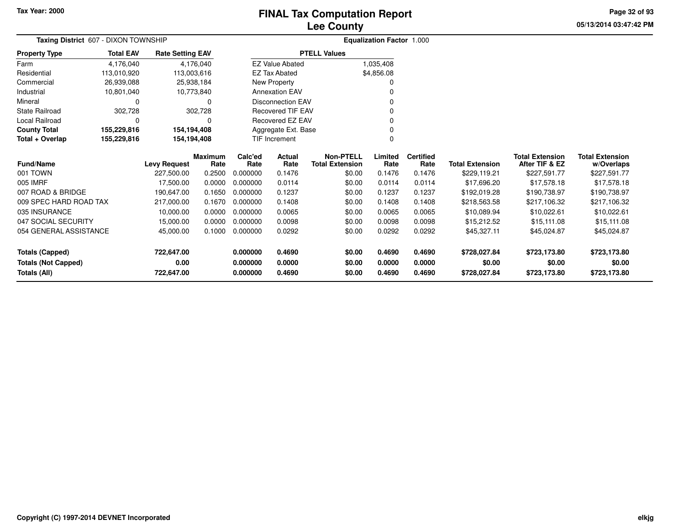# **Lee CountyFINAL Tax Computation Report**

**05/13/2014 03:47:42 PM Page 32 of 93**

|                            | Taxing District 607 - DIXON TOWNSHIP |                         |                        | <b>Equalization Factor 1.000</b> |                          |                                            |                 |                          |                        |                                          |                                      |
|----------------------------|--------------------------------------|-------------------------|------------------------|----------------------------------|--------------------------|--------------------------------------------|-----------------|--------------------------|------------------------|------------------------------------------|--------------------------------------|
| <b>Property Type</b>       | <b>Total EAV</b>                     | <b>Rate Setting EAV</b> |                        |                                  |                          | <b>PTELL Values</b>                        |                 |                          |                        |                                          |                                      |
| Farm                       | 4,176,040                            |                         | 4,176,040              |                                  | <b>EZ Value Abated</b>   |                                            | 1,035,408       |                          |                        |                                          |                                      |
| Residential                | 113,010,920                          |                         | 113,003,616            |                                  | <b>EZ Tax Abated</b>     |                                            | \$4,856.08      |                          |                        |                                          |                                      |
| Commercial                 | 26,939,088                           |                         | 25,938,184             |                                  | New Property             |                                            | <sup>0</sup>    |                          |                        |                                          |                                      |
| Industrial                 | 10,801,040                           |                         | 10,773,840             |                                  | <b>Annexation EAV</b>    |                                            |                 |                          |                        |                                          |                                      |
| Mineral                    | 0                                    |                         | 0                      |                                  | <b>Disconnection EAV</b> |                                            | ŋ               |                          |                        |                                          |                                      |
| <b>State Railroad</b>      | 302,728                              |                         | 302,728                |                                  | <b>Recovered TIF EAV</b> |                                            |                 |                          |                        |                                          |                                      |
| Local Railroad             | 0                                    |                         | 0                      |                                  | Recovered EZ EAV         |                                            |                 |                          |                        |                                          |                                      |
| <b>County Total</b>        | 155,229,816                          | 154,194,408             |                        |                                  | Aggregate Ext. Base      |                                            |                 |                          |                        |                                          |                                      |
| Total + Overlap            | 155,229,816                          | 154,194,408             |                        |                                  | TIF Increment            |                                            | $\Omega$        |                          |                        |                                          |                                      |
| <b>Fund/Name</b>           |                                      | <b>Levy Request</b>     | <b>Maximum</b><br>Rate | Calc'ed<br>Rate                  | Actual<br>Rate           | <b>Non-PTELL</b><br><b>Total Extension</b> | Limited<br>Rate | <b>Certified</b><br>Rate | <b>Total Extension</b> | <b>Total Extension</b><br>After TIF & EZ | <b>Total Extension</b><br>w/Overlaps |
| 001 TOWN                   |                                      | 227,500.00              | 0.2500                 | 0.000000                         | 0.1476                   | \$0.00                                     | 0.1476          | 0.1476                   | \$229,119.21           | \$227,591.77                             | \$227,591.77                         |
| 005 IMRF                   |                                      | 17,500.00               | 0.0000                 | 0.000000                         | 0.0114                   | \$0.00                                     | 0.0114          | 0.0114                   | \$17,696.20            | \$17,578.18                              | \$17,578.18                          |
| 007 ROAD & BRIDGE          |                                      | 190,647.00              | 0.1650                 | 0.000000                         | 0.1237                   | \$0.00                                     | 0.1237          | 0.1237                   | \$192,019.28           | \$190,738.97                             | \$190,738.97                         |
| 009 SPEC HARD ROAD TAX     |                                      | 217,000.00              | 0.1670                 | 0.000000                         | 0.1408                   | \$0.00                                     | 0.1408          | 0.1408                   | \$218,563.58           | \$217,106.32                             | \$217,106.32                         |
| 035 INSURANCE              |                                      | 10,000.00               | 0.0000                 | 0.000000                         | 0.0065                   | \$0.00                                     | 0.0065          | 0.0065                   | \$10,089.94            | \$10,022.61                              | \$10,022.61                          |
| 047 SOCIAL SECURITY        |                                      | 15,000.00               | 0.0000                 | 0.000000                         | 0.0098                   | \$0.00                                     | 0.0098          | 0.0098                   | \$15,212.52            | \$15,111.08                              | \$15,111.08                          |
| 054 GENERAL ASSISTANCE     |                                      | 45,000.00               | 0.1000                 | 0.000000                         | 0.0292                   | \$0.00                                     | 0.0292          | 0.0292                   | \$45,327.11            | \$45,024.87                              | \$45,024.87                          |
| <b>Totals (Capped)</b>     |                                      | 722,647.00              |                        | 0.000000                         | 0.4690                   | \$0.00                                     | 0.4690          | 0.4690                   | \$728,027.84           | \$723,173.80                             | \$723,173.80                         |
| <b>Totals (Not Capped)</b> |                                      | 0.00                    |                        | 0.000000                         | 0.0000                   | \$0.00                                     | 0.0000          | 0.0000                   | \$0.00                 | \$0.00                                   | \$0.00                               |
| Totals (All)               |                                      | 722,647.00              |                        | 0.000000                         | 0.4690                   | \$0.00                                     | 0.4690          | 0.4690                   | \$728,027.84           | \$723,173.80                             | \$723,173.80                         |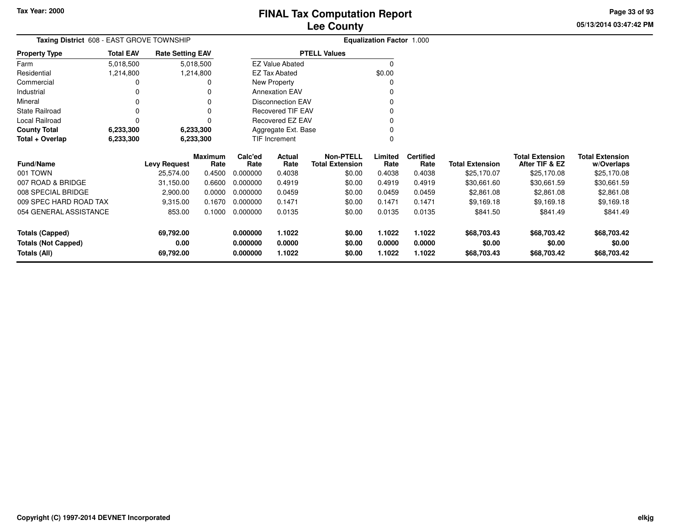**05/13/2014 03:47:42 PM Page 33 of 93**

| <b>Taxing District</b> 608 - EAST GROVE TOWNSHIP |                  |                         |                 |                 | <b>Equalization Factor 1.000</b> |                                            |                 |                          |                        |                                          |                                      |
|--------------------------------------------------|------------------|-------------------------|-----------------|-----------------|----------------------------------|--------------------------------------------|-----------------|--------------------------|------------------------|------------------------------------------|--------------------------------------|
| <b>Property Type</b>                             | <b>Total EAV</b> | <b>Rate Setting EAV</b> |                 |                 |                                  | <b>PTELL Values</b>                        |                 |                          |                        |                                          |                                      |
| Farm                                             | 5,018,500        |                         | 5,018,500       |                 | <b>EZ Value Abated</b>           |                                            |                 |                          |                        |                                          |                                      |
| Residential                                      | 1,214,800        |                         | 1,214,800       |                 | <b>EZ Tax Abated</b>             |                                            | \$0.00          |                          |                        |                                          |                                      |
| Commercial                                       |                  |                         |                 |                 | New Property                     |                                            |                 |                          |                        |                                          |                                      |
| Industrial                                       |                  |                         |                 |                 | <b>Annexation EAV</b>            |                                            |                 |                          |                        |                                          |                                      |
| Mineral                                          |                  |                         |                 |                 | <b>Disconnection EAV</b>         |                                            |                 |                          |                        |                                          |                                      |
| <b>State Railroad</b>                            |                  |                         | 0               |                 | <b>Recovered TIF EAV</b>         |                                            |                 |                          |                        |                                          |                                      |
| Local Railroad                                   |                  |                         |                 |                 | Recovered EZ EAV                 |                                            |                 |                          |                        |                                          |                                      |
| <b>County Total</b>                              | 6,233,300        |                         | 6,233,300       |                 | Aggregate Ext. Base              |                                            |                 |                          |                        |                                          |                                      |
| Total + Overlap                                  | 6,233,300        |                         | 6,233,300       |                 | TIF Increment                    |                                            |                 |                          |                        |                                          |                                      |
| <b>Fund/Name</b>                                 |                  | <b>Levy Request</b>     | Maximum<br>Rate | Calc'ed<br>Rate | Actual<br>Rate                   | <b>Non-PTELL</b><br><b>Total Extension</b> | Limited<br>Rate | <b>Certified</b><br>Rate | <b>Total Extension</b> | <b>Total Extension</b><br>After TIF & EZ | <b>Total Extension</b><br>w/Overlaps |
| 001 TOWN                                         |                  | 25,574.00               | 0.4500          | 0.000000        | 0.4038                           | \$0.00                                     | 0.4038          | 0.4038                   | \$25,170.07            | \$25,170.08                              | \$25,170.08                          |
| 007 ROAD & BRIDGE                                |                  | 31,150.00               | 0.6600          | 0.000000        | 0.4919                           | \$0.00                                     | 0.4919          | 0.4919                   | \$30,661.60            | \$30,661.59                              | \$30,661.59                          |
| 008 SPECIAL BRIDGE                               |                  | 2,900.00                | 0.0000          | 0.000000        | 0.0459                           | \$0.00                                     | 0.0459          | 0.0459                   | \$2,861.08             | \$2,861.08                               | \$2,861.08                           |
| 009 SPEC HARD ROAD TAX                           |                  | 9,315.00                | 0.1670          | 0.000000        | 0.1471                           | \$0.00                                     | 0.1471          | 0.1471                   | \$9,169.18             | \$9,169.18                               | \$9,169.18                           |
| 054 GENERAL ASSISTANCE                           |                  | 853.00                  | 0.1000          | 0.000000        | 0.0135                           | \$0.00                                     | 0.0135          | 0.0135                   | \$841.50               | \$841.49                                 | \$841.49                             |
| <b>Totals (Capped)</b>                           |                  | 69,792.00               |                 | 0.000000        | 1.1022                           | \$0.00                                     | 1.1022          | 1.1022                   | \$68,703.43            | \$68,703.42                              | \$68,703.42                          |
| <b>Totals (Not Capped)</b>                       |                  | 0.00                    |                 | 0.000000        | 0.0000                           | \$0.00                                     | 0.0000          | 0.0000                   | \$0.00                 | \$0.00                                   | \$0.00                               |
| Totals (All)                                     |                  | 69,792.00               |                 | 0.000000        | 1.1022                           | \$0.00                                     | 1.1022          | 1.1022                   | \$68,703.43            | \$68,703.42                              | \$68,703.42                          |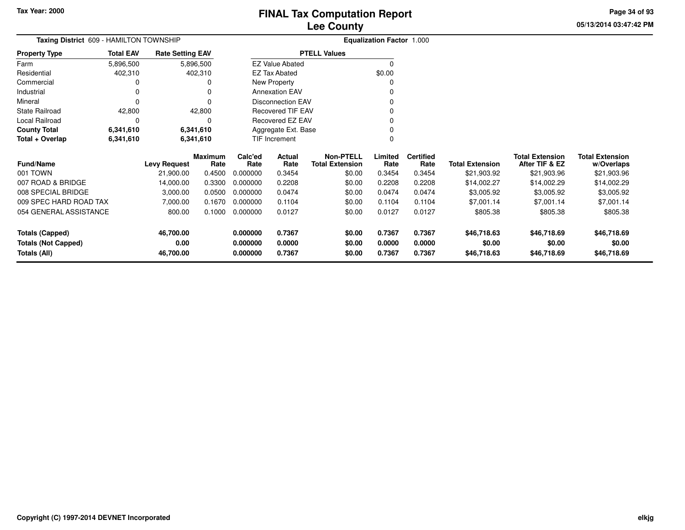**05/13/2014 03:47:42 PM Page 34 of 93**

| Taxing District 609 - HAMILTON TOWNSHIP |                  |                         |                 |                 | Equalization Factor 1.000 |                                            |                 |                          |                        |                                          |                                      |
|-----------------------------------------|------------------|-------------------------|-----------------|-----------------|---------------------------|--------------------------------------------|-----------------|--------------------------|------------------------|------------------------------------------|--------------------------------------|
| <b>Property Type</b>                    | <b>Total EAV</b> | <b>Rate Setting EAV</b> |                 |                 |                           | <b>PTELL Values</b>                        |                 |                          |                        |                                          |                                      |
| Farm                                    | 5,896,500        |                         | 5,896,500       |                 | <b>EZ Value Abated</b>    |                                            | 0               |                          |                        |                                          |                                      |
| Residential                             | 402,310          |                         | 402,310         |                 | EZ Tax Abated             |                                            | \$0.00          |                          |                        |                                          |                                      |
| Commercial                              |                  |                         | 0               |                 | New Property              |                                            |                 |                          |                        |                                          |                                      |
| Industrial                              | 0                |                         | $\Omega$        |                 | <b>Annexation EAV</b>     |                                            |                 |                          |                        |                                          |                                      |
| Mineral                                 | 0                |                         | 0               |                 | <b>Disconnection EAV</b>  |                                            |                 |                          |                        |                                          |                                      |
| State Railroad                          | 42,800           |                         | 42,800          |                 | Recovered TIF EAV         |                                            |                 |                          |                        |                                          |                                      |
| <b>Local Railroad</b>                   | 0                |                         | $\Omega$        |                 | Recovered EZ EAV          |                                            | O               |                          |                        |                                          |                                      |
| <b>County Total</b>                     | 6,341,610        |                         | 6,341,610       |                 | Aggregate Ext. Base       |                                            |                 |                          |                        |                                          |                                      |
| Total + Overlap                         | 6,341,610        |                         | 6,341,610       |                 | TIF Increment             |                                            | ი               |                          |                        |                                          |                                      |
| <b>Fund/Name</b>                        |                  | <b>Levy Request</b>     | Maximum<br>Rate | Calc'ed<br>Rate | Actual<br>Rate            | <b>Non-PTELL</b><br><b>Total Extension</b> | Limited<br>Rate | <b>Certified</b><br>Rate | <b>Total Extension</b> | <b>Total Extension</b><br>After TIF & EZ | <b>Total Extension</b><br>w/Overlaps |
| 001 TOWN                                |                  | 21,900.00               | 0.4500          | 0.000000        | 0.3454                    | \$0.00                                     | 0.3454          | 0.3454                   | \$21,903.92            | \$21,903.96                              | \$21,903.96                          |
| 007 ROAD & BRIDGE                       |                  | 14,000.00               | 0.3300          | 0.000000        | 0.2208                    | \$0.00                                     | 0.2208          | 0.2208                   | \$14,002.27            | \$14,002.29                              | \$14,002.29                          |
| 008 SPECIAL BRIDGE                      |                  | 3,000.00                | 0.0500          | 0.000000        | 0.0474                    | \$0.00                                     | 0.0474          | 0.0474                   | \$3,005.92             | \$3,005.92                               | \$3,005.92                           |
| 009 SPEC HARD ROAD TAX                  |                  | 7,000.00                | 0.1670          | 0.000000        | 0.1104                    | \$0.00                                     | 0.1104          | 0.1104                   | \$7,001.14             | \$7,001.14                               | \$7,001.14                           |
| 054 GENERAL ASSISTANCE                  |                  | 800.00                  | 0.1000          | 0.000000        | 0.0127                    | \$0.00                                     | 0.0127          | 0.0127                   | \$805.38               | \$805.38                                 | \$805.38                             |
| <b>Totals (Capped)</b>                  |                  | 46,700.00               |                 | 0.000000        | 0.7367                    | \$0.00                                     | 0.7367          | 0.7367                   | \$46,718.63            | \$46,718.69                              | \$46,718.69                          |
| <b>Totals (Not Capped)</b>              |                  | 0.00                    |                 | 0.000000        | 0.0000                    | \$0.00                                     | 0.0000          | 0.0000                   | \$0.00                 | \$0.00                                   | \$0.00                               |
| Totals (All)                            |                  | 46,700.00               |                 | 0.000000        | 0.7367                    | \$0.00                                     | 0.7367          | 0.7367                   | \$46,718.63            | \$46,718.69                              | \$46,718.69                          |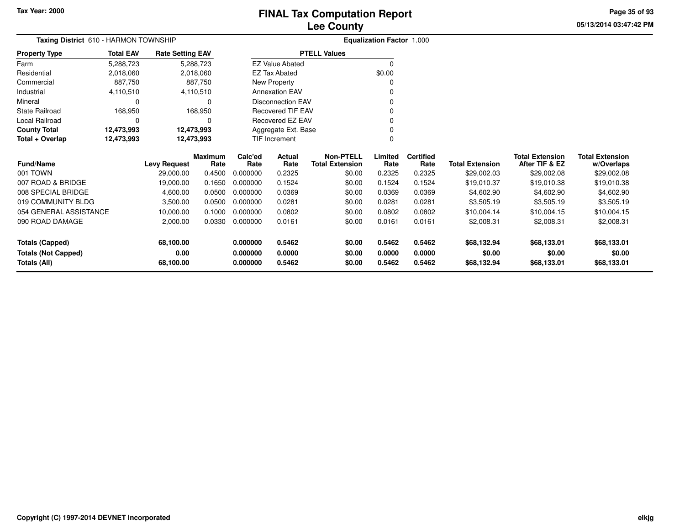# **Lee CountyFINAL Tax Computation Report**

**05/13/2014 03:47:42 PM Page 35 of 93**

| Taxing District 610 - HARMON TOWNSHIP |                  |                         |                        |                 | Equalization Factor 1.000 |                                            |                 |                          |                        |                                          |                                      |  |
|---------------------------------------|------------------|-------------------------|------------------------|-----------------|---------------------------|--------------------------------------------|-----------------|--------------------------|------------------------|------------------------------------------|--------------------------------------|--|
| <b>Property Type</b>                  | <b>Total EAV</b> | <b>Rate Setting EAV</b> |                        |                 |                           | <b>PTELL Values</b>                        |                 |                          |                        |                                          |                                      |  |
| Farm                                  | 5,288,723        |                         | 5,288,723              |                 | <b>EZ Value Abated</b>    |                                            | $\Omega$        |                          |                        |                                          |                                      |  |
| Residential                           | 2,018,060        |                         | 2,018,060              |                 | <b>EZ Tax Abated</b>      |                                            | \$0.00          |                          |                        |                                          |                                      |  |
| Commercial                            | 887,750          |                         | 887.750                |                 | New Property              |                                            | ი               |                          |                        |                                          |                                      |  |
| Industrial                            | 4,110,510        |                         | 4,110,510              |                 | <b>Annexation EAV</b>     |                                            |                 |                          |                        |                                          |                                      |  |
| Mineral                               |                  |                         | $\Omega$               |                 | <b>Disconnection EAV</b>  |                                            |                 |                          |                        |                                          |                                      |  |
| <b>State Railroad</b>                 | 168,950          |                         | 168,950                |                 | <b>Recovered TIF EAV</b>  |                                            | n               |                          |                        |                                          |                                      |  |
| <b>Local Railroad</b>                 |                  |                         | 0                      |                 | <b>Recovered EZ EAV</b>   |                                            | 0               |                          |                        |                                          |                                      |  |
| <b>County Total</b>                   | 12,473,993       | 12,473,993              |                        |                 | Aggregate Ext. Base       |                                            | 0               |                          |                        |                                          |                                      |  |
| Total + Overlap                       | 12,473,993       |                         | 12,473,993             |                 | TIF Increment             |                                            | $\Omega$        |                          |                        |                                          |                                      |  |
| <b>Fund/Name</b>                      |                  | <b>Levy Request</b>     | <b>Maximum</b><br>Rate | Calc'ed<br>Rate | <b>Actual</b><br>Rate     | <b>Non-PTELL</b><br><b>Total Extension</b> | Limited<br>Rate | <b>Certified</b><br>Rate | <b>Total Extension</b> | <b>Total Extension</b><br>After TIF & EZ | <b>Total Extension</b><br>w/Overlaps |  |
| 001 TOWN                              |                  | 29,000.00               | 0.4500                 | 0.000000        | 0.2325                    | \$0.00                                     | 0.2325          | 0.2325                   | \$29,002.03            | \$29,002.08                              | \$29,002.08                          |  |
| 007 ROAD & BRIDGE                     |                  | 19,000.00               | 0.1650                 | 0.000000        | 0.1524                    | \$0.00                                     | 0.1524          | 0.1524                   | \$19,010.37            | \$19,010.38                              | \$19,010.38                          |  |
| 008 SPECIAL BRIDGE                    |                  | 4,600.00                | 0.0500                 | 0.000000        | 0.0369                    | \$0.00                                     | 0.0369          | 0.0369                   | \$4,602.90             | \$4,602.90                               | \$4,602.90                           |  |
| 019 COMMUNITY BLDG                    |                  | 3,500.00                | 0.0500                 | 0.000000        | 0.0281                    | \$0.00                                     | 0.0281          | 0.0281                   | \$3,505.19             | \$3,505.19                               | \$3,505.19                           |  |
| 054 GENERAL ASSISTANCE                |                  | 10,000.00               | 0.1000                 | 0.000000        | 0.0802                    | \$0.00                                     | 0.0802          | 0.0802                   | \$10,004.14            | \$10,004.15                              | \$10,004.15                          |  |
| 090 ROAD DAMAGE                       |                  | 2,000.00                | 0.0330                 | 0.000000        | 0.0161                    | \$0.00                                     | 0.0161          | 0.0161                   | \$2,008.31             | \$2,008.31                               | \$2,008.31                           |  |
| <b>Totals (Capped)</b>                |                  | 68,100.00               |                        | 0.000000        | 0.5462                    | \$0.00                                     | 0.5462          | 0.5462                   | \$68,132.94            | \$68,133.01                              | \$68,133.01                          |  |
| <b>Totals (Not Capped)</b>            |                  | 0.00                    |                        | 0.000000        | 0.0000                    | \$0.00                                     | 0.0000          | 0.0000                   | \$0.00                 | \$0.00                                   | \$0.00                               |  |
| <b>Totals (All)</b>                   |                  | 68,100.00               |                        | 0.000000        | 0.5462                    | \$0.00                                     | 0.5462          | 0.5462                   | \$68,132.94            | \$68,133.01                              | \$68,133.01                          |  |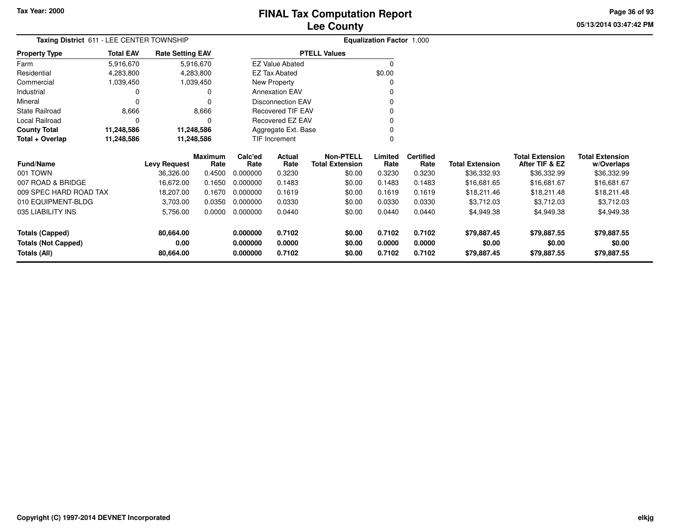# **Lee CountyFINAL Tax Computation Report**

**05/13/2014 03:47:42 PMPage 36 of 93**

| Taxing District 611 - LEE CENTER TOWNSHIP | <b>Equalization Factor 1.000</b> |                         |                 |                     |                          |                                            |                 |                          |                        |                                          |                                      |
|-------------------------------------------|----------------------------------|-------------------------|-----------------|---------------------|--------------------------|--------------------------------------------|-----------------|--------------------------|------------------------|------------------------------------------|--------------------------------------|
| <b>Property Type</b>                      | <b>Total EAV</b>                 | <b>Rate Setting EAV</b> |                 | <b>PTELL Values</b> |                          |                                            |                 |                          |                        |                                          |                                      |
| Farm                                      | 5,916,670                        |                         | 5,916,670       |                     | <b>EZ Value Abated</b>   |                                            |                 |                          |                        |                                          |                                      |
| Residential                               | 4,283,800                        |                         | 4,283,800       | EZ Tax Abated       |                          |                                            | \$0.00          |                          |                        |                                          |                                      |
| Commercial                                | 1,039,450                        |                         | 1,039,450       |                     | New Property             |                                            |                 |                          |                        |                                          |                                      |
| Industrial                                | 0                                | 0                       |                 |                     | <b>Annexation EAV</b>    |                                            |                 |                          |                        |                                          |                                      |
| Mineral                                   | $\Omega$                         |                         | 0               |                     | <b>Disconnection EAV</b> |                                            |                 |                          |                        |                                          |                                      |
| State Railroad                            | 8,666                            |                         | 8,666           |                     | <b>Recovered TIF EAV</b> |                                            |                 |                          |                        |                                          |                                      |
| Local Railroad                            | $\Omega$                         | O                       |                 | Recovered EZ EAV    |                          |                                            |                 |                          |                        |                                          |                                      |
| <b>County Total</b>                       | 11,248,586                       | 11,248,586              |                 |                     | Aggregate Ext. Base      |                                            |                 |                          |                        |                                          |                                      |
| Total + Overlap                           | 11,248,586                       | 11,248,586              |                 | TIF Increment       |                          |                                            | 0               |                          |                        |                                          |                                      |
| <b>Fund/Name</b>                          |                                  | <b>Levy Request</b>     | Maximum<br>Rate | Calc'ed<br>Rate     | Actual<br>Rate           | <b>Non-PTELL</b><br><b>Total Extension</b> | Limited<br>Rate | <b>Certified</b><br>Rate | <b>Total Extension</b> | <b>Total Extension</b><br>After TIF & EZ | <b>Total Extension</b><br>w/Overlaps |
| 001 TOWN                                  |                                  | 36,326.00               | 0.4500          | 0.000000            | 0.3230                   | \$0.00                                     | 0.3230          | 0.3230                   | \$36,332.93            | \$36,332.99                              | \$36,332.99                          |
| 007 ROAD & BRIDGE                         |                                  | 16,672.00               | 0.1650          | 0.000000            | 0.1483                   | \$0.00                                     | 0.1483          | 0.1483                   | \$16,681.65            | \$16,681.67                              | \$16,681.67                          |
| 009 SPEC HARD ROAD TAX                    |                                  | 18,207.00               | 0.1670          | 0.000000            | 0.1619                   | \$0.00                                     | 0.1619          | 0.1619                   | \$18,211.46            | \$18,211.48                              | \$18,211.48                          |
| 010 EQUIPMENT-BLDG                        |                                  | 3.703.00                | 0.0350          | 0.000000            | 0.0330                   | \$0.00                                     | 0.0330          | 0.0330                   | \$3.712.03             | \$3.712.03                               | \$3.712.03                           |

| Totals (Capped)<br><b>Totals (Not Capped)</b><br>Totals (All) | 80.664.00<br>0.00<br>80.664.00 |        | 0.000000<br>0.000000<br>0.000000 | 0.7102<br>0.0000<br>0.7102 | \$0.00<br>\$0.00<br>\$0.00 | 0.7102<br>0.0000<br>0.7102 | 0.7102<br>0.0000<br>0.7102 | \$79,887.45<br>\$0.00<br>\$79,887.45 | \$79.887.55<br>\$0.00<br>\$79,887.55 | \$79,887.55<br>\$0.00<br>\$79,887.55 |
|---------------------------------------------------------------|--------------------------------|--------|----------------------------------|----------------------------|----------------------------|----------------------------|----------------------------|--------------------------------------|--------------------------------------|--------------------------------------|
| 035 LIABILITY INS                                             | 5.756.00                       | 0.0000 | 0.000000                         | 0.0440                     | \$0.00                     | 0.0440                     | 0.0440                     | \$4.949.38                           | \$4.949.38                           | \$4,949.38                           |
| 010 EQUIPMENT-BLDG                                            | 3.703.00                       | 0.0350 | 0.000000                         | 0.0330                     | \$0.00                     | 0.0330                     | 0.0330                     | \$3,712.03                           | \$3,712.03                           | \$3,712.03                           |
| 009 SPEC HARD ROAD TAX                                        | 18.207.00                      | 0.1670 | 0.000000                         | 0.1619                     | \$0.00                     | 0.1619                     | 0.1619                     | \$18,211.46                          | \$18,211.48                          | \$18,211.48                          |
| 007 ROAD & BRIDGE                                             | 16.672.00                      | 0.1650 | 0.000000                         | 0.1483                     | \$0.00                     | 0.1483                     | 0.1483                     | \$16,681,65                          | \$16,681,67                          | \$16,681.67                          |
|                                                               |                                |        |                                  |                            |                            |                            |                            |                                      |                                      | .                                    |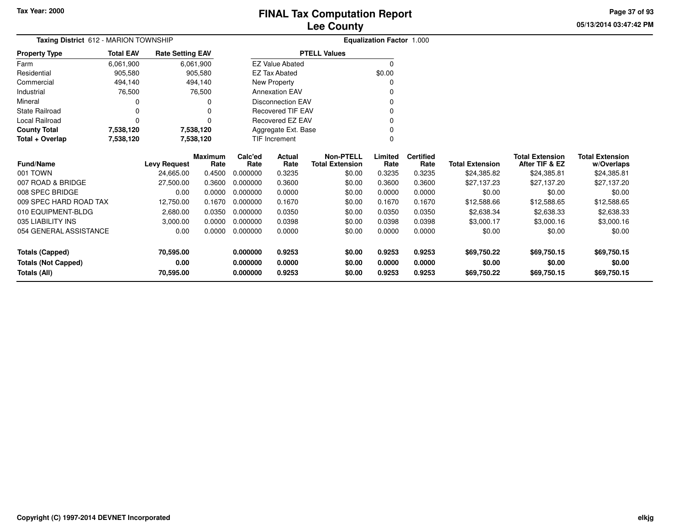# **Lee CountyFINAL Tax Computation Report**

**05/13/2014 03:47:42 PM Page 37 of 93**

| Taxing District 612 - MARION TOWNSHIP | <b>Equalization Factor 1.000</b> |                         |                        |                 |                          |                                            |                 |                          |                        |                                          |                                      |
|---------------------------------------|----------------------------------|-------------------------|------------------------|-----------------|--------------------------|--------------------------------------------|-----------------|--------------------------|------------------------|------------------------------------------|--------------------------------------|
| <b>Property Type</b>                  | <b>Total EAV</b>                 | <b>Rate Setting EAV</b> |                        |                 |                          | <b>PTELL Values</b>                        |                 |                          |                        |                                          |                                      |
| Farm                                  | 6,061,900                        |                         | 6,061,900              |                 | <b>EZ Value Abated</b>   |                                            | $\mathbf 0$     |                          |                        |                                          |                                      |
| Residential                           | 905,580                          |                         | 905,580                |                 | EZ Tax Abated            |                                            | \$0.00          |                          |                        |                                          |                                      |
| Commercial                            | 494,140                          |                         | 494,140                |                 | New Property             |                                            | O               |                          |                        |                                          |                                      |
| Industrial                            | 76,500                           |                         | 76,500                 |                 | <b>Annexation EAV</b>    |                                            | O               |                          |                        |                                          |                                      |
| Mineral                               |                                  |                         | 0                      |                 | <b>Disconnection EAV</b> |                                            | 0               |                          |                        |                                          |                                      |
| <b>State Railroad</b>                 |                                  |                         |                        |                 | <b>Recovered TIF EAV</b> |                                            |                 |                          |                        |                                          |                                      |
| Local Railroad                        | $\Omega$                         |                         | $\Omega$               |                 | Recovered EZ EAV         |                                            |                 |                          |                        |                                          |                                      |
| <b>County Total</b>                   | 7,538,120                        |                         | 7,538,120              |                 | Aggregate Ext. Base      |                                            | 0               |                          |                        |                                          |                                      |
| Total + Overlap                       | 7,538,120                        |                         | 7,538,120              |                 | TIF Increment            |                                            | 0               |                          |                        |                                          |                                      |
| <b>Fund/Name</b>                      |                                  | <b>Levy Request</b>     | <b>Maximum</b><br>Rate | Calc'ed<br>Rate | Actual<br>Rate           | <b>Non-PTELL</b><br><b>Total Extension</b> | Limited<br>Rate | <b>Certified</b><br>Rate | <b>Total Extension</b> | <b>Total Extension</b><br>After TIF & EZ | <b>Total Extension</b><br>w/Overlaps |
| 001 TOWN                              |                                  | 24,665.00               | 0.4500                 | 0.000000        | 0.3235                   | \$0.00                                     | 0.3235          | 0.3235                   | \$24,385.82            | \$24,385.81                              | \$24,385.81                          |
| 007 ROAD & BRIDGE                     |                                  | 27,500.00               | 0.3600                 | 0.000000        | 0.3600                   | \$0.00                                     | 0.3600          | 0.3600                   | \$27,137.23            | \$27,137.20                              | \$27,137.20                          |
| 008 SPEC BRIDGE                       |                                  | 0.00                    | 0.0000                 | 0.000000        | 0.0000                   | \$0.00                                     | 0.0000          | 0.0000                   | \$0.00                 | \$0.00                                   | \$0.00                               |
| 009 SPEC HARD ROAD TAX                |                                  | 12,750.00               | 0.1670                 | 0.000000        | 0.1670                   | \$0.00                                     | 0.1670          | 0.1670                   | \$12,588.66            | \$12,588.65                              | \$12,588.65                          |
| 010 EQUIPMENT-BLDG                    |                                  | 2,680.00                | 0.0350                 | 0.000000        | 0.0350                   | \$0.00                                     | 0.0350          | 0.0350                   | \$2,638.34             | \$2,638.33                               | \$2,638.33                           |
| 035 LIABILITY INS                     |                                  | 3,000.00                | 0.0000                 | 0.000000        | 0.0398                   | \$0.00                                     | 0.0398          | 0.0398                   | \$3,000.17             | \$3,000.16                               | \$3,000.16                           |
| 054 GENERAL ASSISTANCE                |                                  | 0.00                    | 0.0000                 | 0.000000        | 0.0000                   | \$0.00                                     | 0.0000          | 0.0000                   | \$0.00                 | \$0.00                                   | \$0.00                               |
| <b>Totals (Capped)</b>                |                                  | 70,595.00               |                        | 0.000000        | 0.9253                   | \$0.00                                     | 0.9253          | 0.9253                   | \$69,750.22            | \$69,750.15                              | \$69,750.15                          |
| <b>Totals (Not Capped)</b>            |                                  | 0.00                    |                        | 0.000000        | 0.0000                   | \$0.00                                     | 0.0000          | 0.0000                   | \$0.00                 | \$0.00                                   | \$0.00                               |
| Totals (All)                          |                                  | 70,595.00               |                        | 0.000000        | 0.9253                   | \$0.00                                     | 0.9253          | 0.9253                   | \$69,750.22            | \$69,750.15                              | \$69,750.15                          |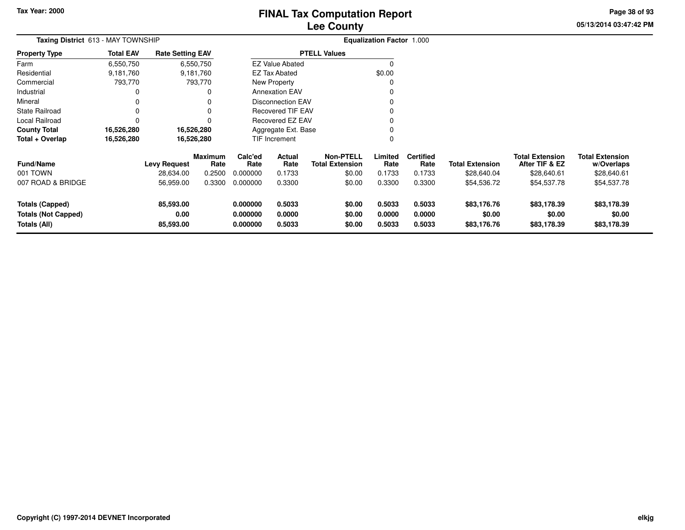# **Lee CountyFINAL Tax Computation Report**

**05/13/2014 03:47:42 PMPage 38 of 93**

|                       |                                           |                         | Lee County               |                                  |  |
|-----------------------|-------------------------------------------|-------------------------|--------------------------|----------------------------------|--|
|                       | <b>Taxing District 613 - MAY TOWNSHIP</b> |                         |                          | <b>Equalization Factor 1.000</b> |  |
| <b>Property Type</b>  | <b>Total EAV</b>                          | <b>Rate Setting EAV</b> | <b>PTELL Values</b>      |                                  |  |
| Farm                  | 6,550,750                                 | 6,550,750               | <b>EZ Value Abated</b>   |                                  |  |
| Residential           | 9,181,760                                 | 9,181,760               | EZ Tax Abated            | \$0.00                           |  |
| Commercial            | 793.770                                   | 793.770                 | New Property             |                                  |  |
| Industrial            |                                           |                         | <b>Annexation EAV</b>    |                                  |  |
| Mineral               |                                           |                         | Disconnection EAV        |                                  |  |
| <b>State Railroad</b> |                                           |                         | <b>Recovered TIF EAV</b> |                                  |  |
| Local Railroad        |                                           |                         | Recovered EZ EAV         |                                  |  |
| <b>County Total</b>   | 16,526,280                                | 16,526,280              | Aggregate Ext. Base      |                                  |  |
| Total + Overlap       | 16,526,280                                | 16,526,280              | <b>TIF Increment</b>     |                                  |  |

| <b>Fund/Name</b><br>001 TOWN<br>007 ROAD & BRIDGE | <b>Levy Request</b><br>28,634.00<br>56,959.00 | Maximum<br>Rate<br>0.2500<br>0.3300 | Calc'ed<br>Rate<br>0.000000<br>0.000000 | Actual<br>Rate<br>0.1733<br>0.3300 | <b>Non-PTELL</b><br><b>Total Extension</b><br>\$0.00<br>\$0.00 | .imited<br>Rate<br>0.1733<br>0.3300 | <b>Certified</b><br>Rate<br>0.1733<br>0.3300 | <b>Total Extension</b><br>\$28,640.04<br>\$54.536.72 | <b>Total Extension</b><br>After TIF & EZ<br>\$28,640.61<br>\$54.537.78 | <b>Total Extension</b><br>w/Overlaps<br>\$28,640.61<br>\$54,537.78 |
|---------------------------------------------------|-----------------------------------------------|-------------------------------------|-----------------------------------------|------------------------------------|----------------------------------------------------------------|-------------------------------------|----------------------------------------------|------------------------------------------------------|------------------------------------------------------------------------|--------------------------------------------------------------------|
| Totals (Capped)                                   | 85,593.00                                     |                                     | 0.000000                                | 0.5033                             | \$0.00                                                         | 0.5033                              | 0.5033                                       | \$83,176.76                                          | \$83,178.39                                                            | \$83,178.39                                                        |
| <b>Totals (Not Capped)</b>                        | 0.00                                          |                                     | 0.000000                                | 0.0000                             | \$0.00                                                         | 0.0000                              | 0.0000                                       | \$0.00                                               | \$0.00                                                                 | \$0.00                                                             |
| Totals (All)                                      | 85,593.00                                     |                                     | 0.000000                                | 0.5033                             | \$0.00                                                         | 0.5033                              | 0.5033                                       | \$83,176.76                                          | \$83,178.39                                                            | \$83,178.39                                                        |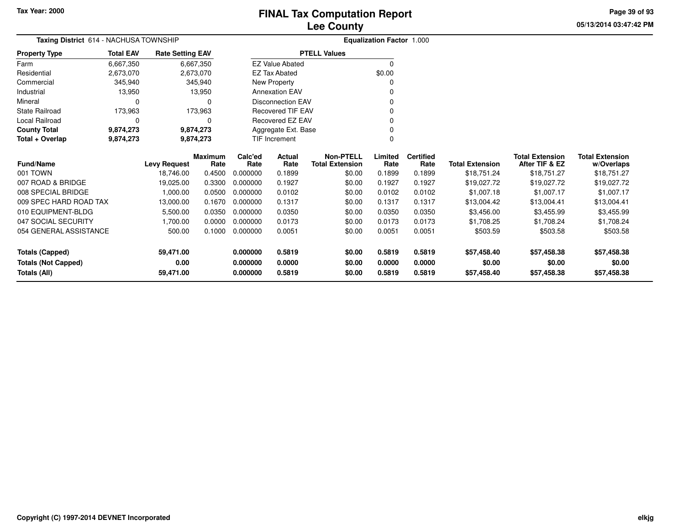**05/13/2014 03:47:42 PM Page 39 of 93**

| Taxing District 614 - NACHUSA TOWNSHIP       |                  |                                  |                |                      | <b>Equalization Factor 1.000</b> |                                  |                  |                  |                                       |                               |                           |
|----------------------------------------------|------------------|----------------------------------|----------------|----------------------|----------------------------------|----------------------------------|------------------|------------------|---------------------------------------|-------------------------------|---------------------------|
| <b>Property Type</b>                         | <b>Total EAV</b> | <b>Rate Setting EAV</b>          |                |                      |                                  | <b>PTELL Values</b>              |                  |                  |                                       |                               |                           |
| Farm                                         | 6,667,350        |                                  | 6,667,350      |                      | <b>EZ Value Abated</b>           |                                  | $\Omega$         |                  |                                       |                               |                           |
| Residential                                  | 2,673,070        |                                  | 2,673,070      |                      | <b>EZ Tax Abated</b>             |                                  | \$0.00           |                  |                                       |                               |                           |
| Commercial                                   | 345,940          |                                  | 345,940        |                      | New Property                     |                                  | 0                |                  |                                       |                               |                           |
| Industrial                                   | 13,950           |                                  | 13,950         |                      | <b>Annexation EAV</b>            |                                  | n                |                  |                                       |                               |                           |
| Mineral                                      | $\Omega$         |                                  | O              |                      | <b>Disconnection EAV</b>         |                                  | O                |                  |                                       |                               |                           |
| <b>State Railroad</b>                        | 173,963          |                                  | 173,963        |                      | <b>Recovered TIF EAV</b>         |                                  | 0                |                  |                                       |                               |                           |
| <b>Local Railroad</b>                        | $\Omega$         |                                  |                |                      | Recovered EZ EAV                 |                                  | 0                |                  |                                       |                               |                           |
| <b>County Total</b>                          | 9,874,273        |                                  | 9,874,273      |                      | Aggregate Ext. Base              |                                  | 0                |                  |                                       |                               |                           |
| Total + Overlap                              | 9,874,273        |                                  | 9,874,273      |                      | TIF Increment                    |                                  | 0                |                  |                                       |                               |                           |
|                                              |                  |                                  | <b>Maximum</b> | Calc'ed              | <b>Actual</b>                    | <b>Non-PTELL</b>                 | Limited          | <b>Certified</b> |                                       | <b>Total Extension</b>        | <b>Total Extension</b>    |
| <b>Fund/Name</b><br>001 TOWN                 |                  | <b>Levy Request</b><br>18.746.00 | Rate<br>0.4500 | Rate<br>0.000000     | Rate<br>0.1899                   | <b>Total Extension</b><br>\$0.00 | Rate<br>0.1899   | Rate<br>0.1899   | <b>Total Extension</b><br>\$18,751.24 | After TIF & EZ<br>\$18,751.27 | w/Overlaps<br>\$18,751.27 |
| 007 ROAD & BRIDGE                            |                  | 19,025.00                        | 0.3300         | 0.000000             | 0.1927                           | \$0.00                           | 0.1927           | 0.1927           | \$19,027.72                           | \$19,027.72                   |                           |
| 008 SPECIAL BRIDGE                           |                  | 1,000.00                         |                | 0.000000             | 0.0102                           | \$0.00                           |                  | 0.0102           | \$1,007.18                            | \$1,007.17                    | \$19,027.72<br>\$1,007.17 |
|                                              |                  |                                  | 0.0500         |                      |                                  |                                  | 0.0102           |                  |                                       |                               |                           |
| 009 SPEC HARD ROAD TAX<br>010 EQUIPMENT-BLDG |                  | 13,000.00                        | 0.1670         | 0.000000<br>0.000000 | 0.1317                           | \$0.00                           | 0.1317           | 0.1317           | \$13,004.42                           | \$13,004.41                   | \$13,004.41               |
| 047 SOCIAL SECURITY                          |                  | 5,500.00                         | 0.0350         | 0.000000             | 0.0350                           | \$0.00                           | 0.0350<br>0.0173 | 0.0350<br>0.0173 | \$3,456.00                            | \$3,455.99                    | \$3,455.99                |
|                                              |                  | 1,700.00                         | 0.0000         |                      | 0.0173                           | \$0.00                           |                  |                  | \$1,708.25                            | \$1,708.24                    | \$1,708.24                |
| 054 GENERAL ASSISTANCE                       |                  | 500.00                           | 0.1000         | 0.000000             | 0.0051                           | \$0.00                           | 0.0051           | 0.0051           | \$503.59                              | \$503.58                      | \$503.58                  |
| <b>Totals (Capped)</b>                       |                  | 59,471.00                        |                | 0.000000             | 0.5819                           | \$0.00                           | 0.5819           | 0.5819           | \$57,458.40                           | \$57,458.38                   | \$57,458.38               |
| <b>Totals (Not Capped)</b>                   |                  | 0.00                             |                | 0.000000             | 0.0000                           | \$0.00                           | 0.0000           | 0.0000           | \$0.00                                | \$0.00                        | \$0.00                    |
| Totals (All)<br>59,471.00                    |                  | 0.000000                         | 0.5819         | \$0.00               | 0.5819                           | 0.5819                           | \$57,458.40      | \$57,458.38      | \$57,458.38                           |                               |                           |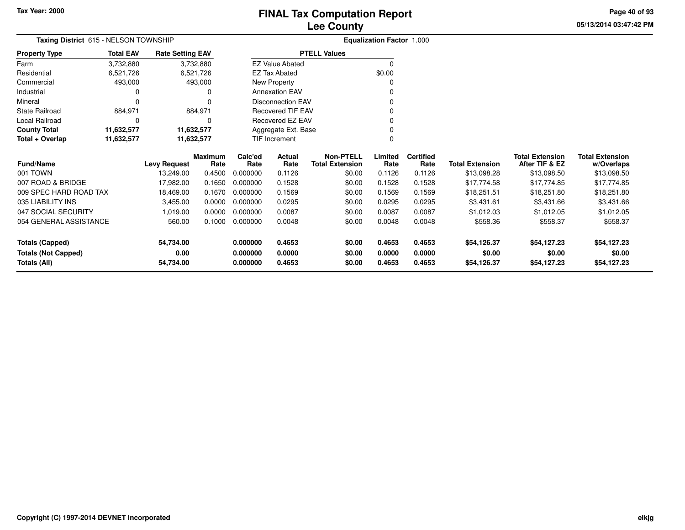**Total + Overlap**

**Fund/Name**

001 TOWN

007 ROAD & BRIDGE

047 SOCIAL SECURITY

035 LIABILITY INS

**Totals (Capped)**

**Totals (All)**

**Totals (Not Capped)**

009 SPEC HARD ROAD TAX

054 GENERAL ASSISTANCE

State Railroad 884,971

Local Railroad 0 0

**County Total 11,632,577 11,632,577**

Mineral

# **Lee CountyFINAL Tax Computation Report**

 $\mathbf 0$ 

 $\mathbf 0$ 

**Maximum**

**Levy Request Rate**

 **Calc'ed Rate**0.000000 **ActualRate**

Disconnection EAV

Recovered TIF EAV

Recovered EZ EAV

Aggregate Ext. BaseTIF Increment

**Rate**

884,971

11,632,577

**54,734.00**

**54,734.00**

**0.00**

0 0

**11,632,577 11,632,577**

**05/13/2014 03:47:42 PM**

**w/Overlaps** \$13,098.50

**Total Extension**

**After TIF & EZ** \$13,098.50

**Total Extension**

\$13,098.28

**Page 40 of 93**

|                      |                                       |                         | <b>Lee County</b>      |                                  | 05/13/2014 |
|----------------------|---------------------------------------|-------------------------|------------------------|----------------------------------|------------|
|                      | Taxing District 615 - NELSON TOWNSHIP |                         |                        | <b>Equalization Factor 1.000</b> |            |
| <b>Property Type</b> | <b>Total EAV</b>                      | <b>Rate Setting EAV</b> | <b>PTELL Values</b>    |                                  |            |
| Farm                 | 3,732,880                             | 3,732,880               | <b>EZ Value Abated</b> |                                  |            |
| Residential          | 6,521,726                             | 6.521.726               | EZ Tax Abated          | \$0.00                           |            |
| Commercial           | 493.000                               | 493,000                 | New Property           |                                  |            |
| Industrial           |                                       |                         | <b>Annexation EAV</b>  |                                  |            |
|                      |                                       |                         |                        |                                  |            |

**Limited**Rate

0 $\mathbf{0}$ 

**Certified**

**0.000000 0.4653 \$0.00 0.4653 0.4653 \$54,126.37 \$54,127.23 \$54,127.23**

**0.000000 0.0000 \$0.00 0.0000 0.0000 \$0.00 \$0.00 \$0.00**

**0.000000 0.4653 \$0.00 0.4653 0.4653 \$54,126.37 \$54,127.23 \$54,127.23**

**Total Extension Rate Total Extension**

18,469.00 0.1670 0.000000 0.1569 \$0.00 0.1569 0.1569 \$18,251.51 \$18,251.80 \$18,251.80

E 560.00 0.1000 0.000000 0.0048 \$0.00 0.0048 0.0048 \$558.36 \$558.37 \$558.37

\$0.00

 $\sim$  0

0 v

<sup>0</sup>

17,982.00 0.1650 0.000000 0.1528 \$0.00 0.1528 0.1528 \$17,774.58 \$17,774.85 \$17,774.85

1,019.00 0.0000 0.000000 0.0087 \$0.00 0.0087 0.0087 \$1,012.03 \$1,012.05 \$1,012.05

S 3,455.00 0.0000 0.000000 0.0295 \$0.00 0.0295 0.0295 \$3,431.61 \$3,431.66 \$3,431.66

**Non-PTELL**

0

13,249.00 0.4500 0.000000 0.1126 \$0.00 0.1126 0.1126 \$13,098.28 \$13,098.50 \$13,098.50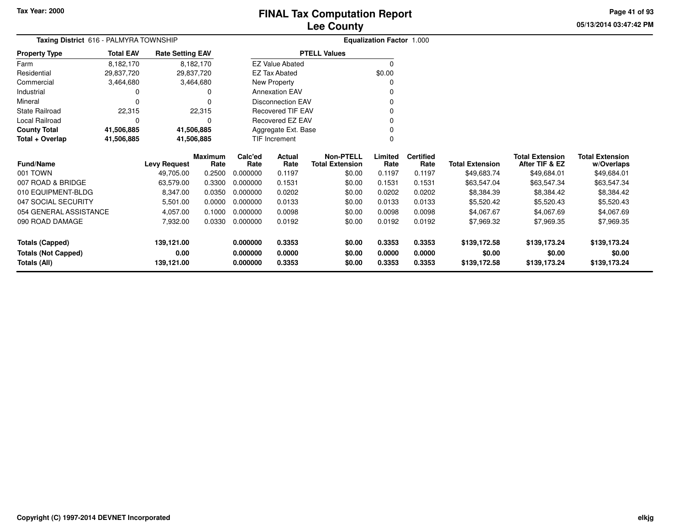# **Lee CountyFINAL Tax Computation Report**

**05/13/2014 03:47:42 PMPage 41 of 93**

| Taxing District 616 - PALMYRA TOWNSHIP | <b>Equalization Factor 1.000</b> |                         |                        |                 |                          |                                     |                 |                          |                        |                                          |                                      |
|----------------------------------------|----------------------------------|-------------------------|------------------------|-----------------|--------------------------|-------------------------------------|-----------------|--------------------------|------------------------|------------------------------------------|--------------------------------------|
| <b>Property Type</b>                   | <b>Total EAV</b>                 | <b>Rate Setting EAV</b> |                        |                 |                          | <b>PTELL Values</b>                 |                 |                          |                        |                                          |                                      |
| Farm                                   | 8,182,170                        |                         | 8,182,170              |                 | <b>EZ Value Abated</b>   |                                     | $\mathbf 0$     |                          |                        |                                          |                                      |
| Residential                            | 29,837,720                       |                         | 29,837,720             |                 | <b>EZ Tax Abated</b>     |                                     | \$0.00          |                          |                        |                                          |                                      |
| Commercial                             | 3,464,680                        |                         | 3,464,680              |                 | New Property             |                                     |                 |                          |                        |                                          |                                      |
| Industrial                             |                                  |                         | 0                      |                 | <b>Annexation EAV</b>    |                                     |                 |                          |                        |                                          |                                      |
| Mineral                                |                                  |                         |                        |                 | <b>Disconnection EAV</b> |                                     |                 |                          |                        |                                          |                                      |
| <b>State Railroad</b>                  | 22,315                           |                         | 22,315                 |                 | <b>Recovered TIF EAV</b> |                                     |                 |                          |                        |                                          |                                      |
| Local Railroad                         | $\Omega$                         |                         | 0                      |                 | Recovered EZ EAV         |                                     |                 |                          |                        |                                          |                                      |
| <b>County Total</b>                    | 41,506,885                       |                         | 41,506,885             |                 | Aggregate Ext. Base      |                                     |                 |                          |                        |                                          |                                      |
| Total + Overlap                        | 41,506,885                       |                         | 41,506,885             |                 | TIF Increment            |                                     | $\Omega$        |                          |                        |                                          |                                      |
| <b>Fund/Name</b>                       |                                  | <b>Levy Request</b>     | <b>Maximum</b><br>Rate | Calc'ed<br>Rate | Actual<br>Rate           | Non-PTELL<br><b>Total Extension</b> | Limited<br>Rate | <b>Certified</b><br>Rate | <b>Total Extension</b> | <b>Total Extension</b><br>After TIF & EZ | <b>Total Extension</b><br>w/Overlaps |
| 001 TOWN                               |                                  | 49,705.00               | 0.2500                 | 0.000000        | 0.1197                   | \$0.00                              | 0.1197          | 0.1197                   | \$49,683.74            | \$49,684.01                              | \$49,684.01                          |
| 007 ROAD & BRIDGE                      |                                  | 63,579.00               | 0.3300                 | 0.000000        | 0.1531                   | \$0.00                              | 0.1531          | 0.1531                   | \$63,547.04            | \$63,547.34                              | \$63,547.34                          |
| 010 EQUIPMENT-BLDG                     |                                  | 8,347.00                | 0.0350                 | 0.000000        | 0.0202                   | \$0.00                              | 0.0202          | 0.0202                   | \$8,384.39             | \$8,384.42                               | \$8,384.42                           |
| 047 SOCIAL SECURITY                    |                                  | 5,501.00                | 0.0000                 | 0.000000        | 0.0133                   | \$0.00                              | 0.0133          | 0.0133                   | \$5,520.42             | \$5,520.43                               | \$5,520.43                           |
| 054 GENERAL ASSISTANCE                 |                                  | 4,057.00                | 0.1000                 | 0.000000        | 0.0098                   | \$0.00                              | 0.0098          | 0.0098                   | \$4,067.67             | \$4,067.69                               | \$4,067.69                           |
| 090 ROAD DAMAGE                        |                                  | 7,932.00                | 0.0330                 | 0.000000        | 0.0192                   | \$0.00                              | 0.0192          | 0.0192                   | \$7,969.32             | \$7,969.35                               | \$7,969.35                           |
| <b>Totals (Capped)</b>                 |                                  | 139,121.00              |                        | 0.000000        | 0.3353                   | \$0.00                              | 0.3353          | 0.3353                   | \$139,172.58           | \$139,173.24                             | \$139,173.24                         |
| <b>Totals (Not Capped)</b>             |                                  | 0.00                    |                        | 0.000000        | 0.0000                   | \$0.00                              | 0.0000          | 0.0000                   | \$0.00                 | \$0.00                                   | \$0.00                               |
| Totals (All)                           |                                  | 139,121.00              |                        | 0.000000        | 0.3353                   | \$0.00                              | 0.3353          | 0.3353                   | \$139,172.58           | \$139,173.24                             | \$139,173.24                         |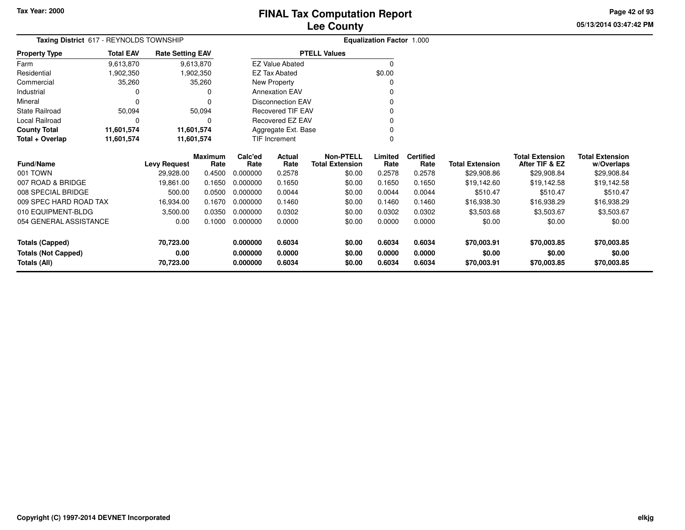**05/13/2014 03:47:42 PMPage 42 of 93**

| Taxing District 617 - REYNOLDS TOWNSHIP | <b>Equalization Factor 1.000</b> |                         |                |          |                          |                        |          |                  |                        |                        |                        |
|-----------------------------------------|----------------------------------|-------------------------|----------------|----------|--------------------------|------------------------|----------|------------------|------------------------|------------------------|------------------------|
| <b>Property Type</b>                    | <b>Total EAV</b>                 | <b>Rate Setting EAV</b> |                |          |                          | <b>PTELL Values</b>    |          |                  |                        |                        |                        |
| Farm                                    | 9,613,870                        |                         | 9,613,870      |          | <b>EZ Value Abated</b>   |                        | $\Omega$ |                  |                        |                        |                        |
| Residential                             | 1,902,350                        |                         | 1,902,350      |          | <b>EZ Tax Abated</b>     |                        | \$0.00   |                  |                        |                        |                        |
| Commercial                              | 35,260                           |                         | 35,260         |          | New Property             |                        |          |                  |                        |                        |                        |
| Industrial                              |                                  |                         | 0              |          | <b>Annexation EAV</b>    |                        |          |                  |                        |                        |                        |
| Mineral                                 |                                  |                         |                |          | <b>Disconnection EAV</b> |                        |          |                  |                        |                        |                        |
| <b>State Railroad</b>                   | 50,094                           |                         | 50,094         |          | <b>Recovered TIF EAV</b> |                        | 0        |                  |                        |                        |                        |
| Local Railroad                          |                                  |                         | 0              |          | Recovered EZ EAV         |                        | 0        |                  |                        |                        |                        |
| <b>County Total</b>                     | 11,601,574                       |                         | 11,601,574     |          | Aggregate Ext. Base      |                        | 0        |                  |                        |                        |                        |
| Total + Overlap                         | 11,601,574                       |                         | 11,601,574     |          | <b>TIF Increment</b>     |                        | 0        |                  |                        |                        |                        |
|                                         |                                  |                         | <b>Maximum</b> | Calc'ed  | Actual                   | <b>Non-PTELL</b>       | Limited  | <b>Certified</b> |                        | <b>Total Extension</b> | <b>Total Extension</b> |
| <b>Fund/Name</b>                        |                                  | <b>Levy Request</b>     | Rate           | Rate     | Rate                     | <b>Total Extension</b> | Rate     | Rate             | <b>Total Extension</b> | After TIF & EZ         | w/Overlaps             |
| 001 TOWN                                |                                  | 29,928.00               | 0.4500         | 0.000000 | 0.2578                   | \$0.00                 | 0.2578   | 0.2578           | \$29,908.86            | \$29,908.84            | \$29,908.84            |
| 007 ROAD & BRIDGE                       |                                  | 19,861.00               | 0.1650         | 0.000000 | 0.1650                   | \$0.00                 | 0.1650   | 0.1650           | \$19,142.60            | \$19,142.58            | \$19,142.58            |
| 008 SPECIAL BRIDGE                      |                                  | 500.00                  | 0.0500         | 0.000000 | 0.0044                   | \$0.00                 | 0.0044   | 0.0044           | \$510.47               | \$510.47               | \$510.47               |
| 009 SPEC HARD ROAD TAX                  |                                  | 16,934.00               | 0.1670         | 0.000000 | 0.1460                   | \$0.00                 | 0.1460   | 0.1460           | \$16,938.30            | \$16,938.29            | \$16,938.29            |
| 010 EQUIPMENT-BLDG                      |                                  | 3,500.00                | 0.0350         | 0.000000 | 0.0302                   | \$0.00                 | 0.0302   | 0.0302           | \$3,503.68             | \$3,503.67             | \$3,503.67             |
| 054 GENERAL ASSISTANCE                  |                                  | 0.00                    | 0.1000         | 0.000000 | 0.0000                   | \$0.00                 | 0.0000   | 0.0000           | \$0.00                 | \$0.00                 | \$0.00                 |
| <b>Totals (Capped)</b>                  |                                  | 70,723.00               |                | 0.000000 | 0.6034                   | \$0.00                 | 0.6034   | 0.6034           | \$70,003.91            | \$70,003.85            | \$70,003.85            |
| <b>Totals (Not Capped)</b>              |                                  | 0.00                    |                | 0.000000 | 0.0000                   | \$0.00                 | 0.0000   | 0.0000           | \$0.00                 | \$0.00                 | \$0.00                 |
| Totals (All)                            |                                  | 70,723.00               |                | 0.000000 | 0.6034                   | \$0.00                 | 0.6034   | 0.6034           | \$70,003.91            | \$70,003.85            | \$70,003.85            |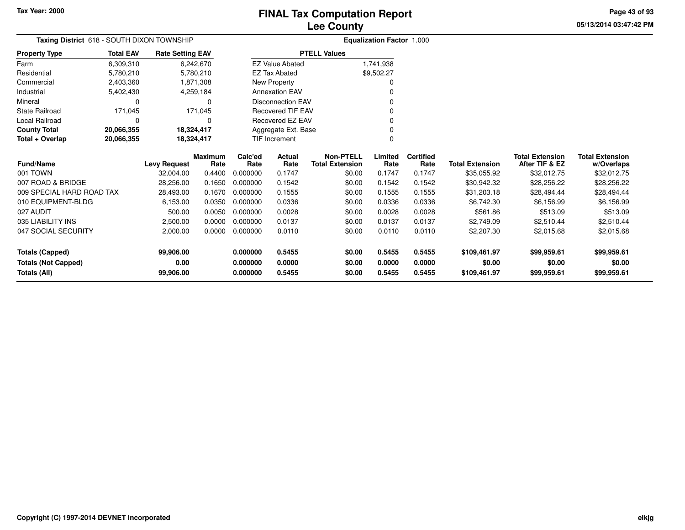# **Lee CountyFINAL Tax Computation Report**

**05/13/2014 03:47:42 PM Page 43 of 93**

| Taxing District 618 - SOUTH DIXON TOWNSHIP |                  |                         |                |          |                          |                        | <b>Equalization Factor 1.000</b> |                  |                        |                        |                        |
|--------------------------------------------|------------------|-------------------------|----------------|----------|--------------------------|------------------------|----------------------------------|------------------|------------------------|------------------------|------------------------|
| <b>Property Type</b>                       | <b>Total EAV</b> | <b>Rate Setting EAV</b> |                |          |                          | <b>PTELL Values</b>    |                                  |                  |                        |                        |                        |
| Farm                                       | 6,309,310        |                         | 6,242,670      |          | <b>EZ Value Abated</b>   |                        | 1,741,938                        |                  |                        |                        |                        |
| Residential                                | 5,780,210        |                         | 5,780,210      |          | <b>EZ Tax Abated</b>     |                        | \$9,502.27                       |                  |                        |                        |                        |
| Commercial                                 | 2,403,360        |                         | 1,871,308      |          | New Property             |                        |                                  |                  |                        |                        |                        |
| Industrial                                 | 5,402,430        |                         | 4,259,184      |          | <b>Annexation EAV</b>    |                        |                                  |                  |                        |                        |                        |
| Mineral                                    |                  |                         | 0              |          | <b>Disconnection EAV</b> |                        |                                  |                  |                        |                        |                        |
| State Railroad                             | 171,045          |                         | 171,045        |          | <b>Recovered TIF EAV</b> |                        |                                  |                  |                        |                        |                        |
| Local Railroad                             |                  |                         | 0              |          | Recovered EZ EAV         |                        |                                  |                  |                        |                        |                        |
| <b>County Total</b>                        | 20,066,355       |                         | 18,324,417     |          | Aggregate Ext. Base      |                        |                                  |                  |                        |                        |                        |
| Total + Overlap                            | 20,066,355       |                         | 18,324,417     |          | TIF Increment            |                        |                                  |                  |                        |                        |                        |
|                                            |                  |                         | <b>Maximum</b> | Calc'ed  | <b>Actual</b>            | <b>Non-PTELL</b>       | Limited                          | <b>Certified</b> |                        | <b>Total Extension</b> | <b>Total Extension</b> |
| <b>Fund/Name</b>                           |                  | <b>Levy Request</b>     | Rate           | Rate     | Rate                     | <b>Total Extension</b> | Rate                             | Rate             | <b>Total Extension</b> | After TIF & EZ         | w/Overlaps             |
| 001 TOWN                                   |                  | 32,004.00               | 0.4400         | 0.000000 | 0.1747                   | \$0.00                 | 0.1747                           | 0.1747           | \$35,055.92            | \$32,012.75            | \$32,012.75            |
| 007 ROAD & BRIDGE                          |                  | 28,256.00               | 0.1650         | 0.000000 | 0.1542                   | \$0.00                 | 0.1542                           | 0.1542           | \$30,942.32            | \$28,256.22            | \$28,256.22            |
| 009 SPECIAL HARD ROAD TAX                  |                  | 28,493.00               | 0.1670         | 0.000000 | 0.1555                   | \$0.00                 | 0.1555                           | 0.1555           | \$31,203.18            | \$28,494.44            | \$28,494.44            |
| 010 EQUIPMENT-BLDG                         |                  | 6,153.00                | 0.0350         | 0.000000 | 0.0336                   | \$0.00                 | 0.0336                           | 0.0336           | \$6,742.30             | \$6,156.99             | \$6,156.99             |
| 027 AUDIT                                  |                  | 500.00                  | 0.0050         | 0.000000 | 0.0028                   | \$0.00                 | 0.0028                           | 0.0028           | \$561.86               | \$513.09               | \$513.09               |
| 035 LIABILITY INS                          |                  | 2,500.00                | 0.0000         | 0.000000 | 0.0137                   | \$0.00                 | 0.0137                           | 0.0137           | \$2,749.09             | \$2,510.44             | \$2,510.44             |
| 047 SOCIAL SECURITY                        |                  | 2,000.00                | 0.0000         | 0.000000 | 0.0110                   | \$0.00                 | 0.0110                           | 0.0110           | \$2,207.30             | \$2,015.68             | \$2,015.68             |
|                                            |                  |                         |                |          |                          |                        |                                  |                  |                        |                        |                        |
| <b>Totals (Capped)</b>                     |                  | 99,906.00               |                | 0.000000 | 0.5455                   | \$0.00                 | 0.5455                           | 0.5455           | \$109,461.97           | \$99,959.61            | \$99,959.61            |
| <b>Totals (Not Capped)</b>                 |                  | 0.00                    |                | 0.000000 | 0.0000                   | \$0.00                 | 0.0000                           | 0.0000           | \$0.00                 | \$0.00                 | \$0.00                 |
| <b>Totals (All)</b>                        |                  | 99,906.00               |                | 0.000000 | 0.5455                   | \$0.00                 | 0.5455                           | 0.5455           | \$109,461.97           | \$99,959.61            | \$99,959.61            |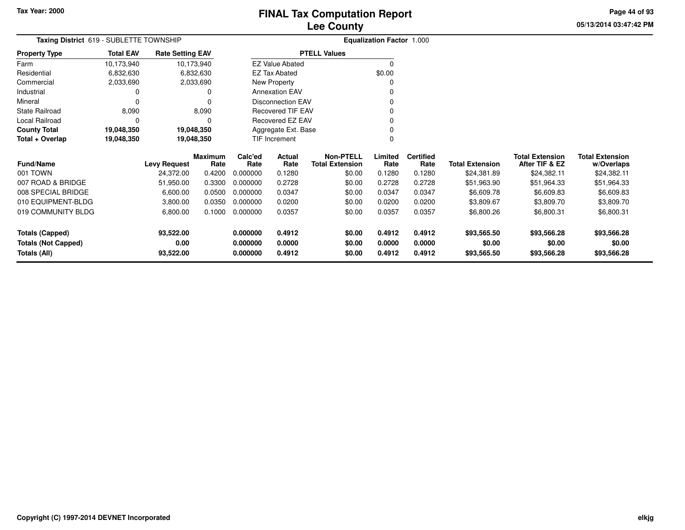**Total + Overlap**

State Railroad 8,090

Local Railroad 0 0

**County Total 19,048,350 19,048,350**

Mineral

# **Lee CountyFINAL Tax Computation Report**

**05/13/2014 03:47:42 PMPage 44 of 93**

|                      |                                         |                         | <b>Lee County</b>      |                                  | 05 |
|----------------------|-----------------------------------------|-------------------------|------------------------|----------------------------------|----|
|                      | Taxing District 619 - SUBLETTE TOWNSHIP |                         |                        | <b>Equalization Factor 1.000</b> |    |
| <b>Property Type</b> | <b>Total EAV</b>                        | <b>Rate Setting EAV</b> | <b>PTELL Values</b>    |                                  |    |
| Farm                 | 10,173,940                              | 10,173,940              | <b>EZ Value Abated</b> |                                  |    |
| Residential          | 6,832,630                               | 6,832,630               | <b>EZ Tax Abated</b>   | \$0.00                           |    |
| Commercial           | 2,033,690                               | 2,033,690               | New Property           |                                  |    |
| Industrial           |                                         |                         | <b>Annexation EAV</b>  |                                  |    |
|                      |                                         |                         |                        |                                  |    |

 $\sim$  0

0 v

<sup>0</sup>

0

0 $\pmb{0}$ 

| <b>Fund/Name</b>    | <b>Levy Request</b> | <b>Maximum</b><br>Rate | Calc'ed<br>Rate | <b>Actual</b><br>Rate | <b>Non-PTELL</b><br><b>Total Extension</b> | Limited<br>Rate | <b>Certified</b><br>Rate | <b>Total Extension</b> | <b>Total Extension</b><br>After TIF & EZ | <b>Total Extension</b><br>w/Overlaps |
|---------------------|---------------------|------------------------|-----------------|-----------------------|--------------------------------------------|-----------------|--------------------------|------------------------|------------------------------------------|--------------------------------------|
| 001 TOWN            | 24,372.00           | 0.4200                 | 0.000000        | 0.1280                | \$0.00                                     | 0.1280          | 0.1280                   | \$24,381.89            | \$24,382.11                              | \$24,382.11                          |
| 007 ROAD & BRIDGE   | 51.950.00           | 0.3300                 | 0.000000        | 0.2728                | \$0.00                                     | 0.2728          | 0.2728                   | \$51.963.90            | \$51,964.33                              | \$51,964.33                          |
| 008 SPECIAL BRIDGE  | 6,600.00            | 0.0500                 | 0.000000        | 0.0347                | \$0.00                                     | 0.0347          | 0.0347                   | \$6,609.78             | \$6,609.83                               | \$6,609.83                           |
| 010 EQUIPMENT-BLDG  | 3.800.00            | 0.0350                 | 0.000000        | 0.0200                | \$0.00                                     | 0.0200          | 0.0200                   | \$3.809.67             | \$3,809.70                               | \$3,809.70                           |
| 019 COMMUNITY BLDG  | 6,800.00            | 0.1000                 | 0.000000        | 0.0357                | \$0.00                                     | 0.0357          | 0.0357                   | \$6,800.26             | \$6,800.31                               | \$6,800.31                           |
| Totals (Capped)     | 93,522.00           |                        | 0.000000        | 0.4912                | \$0.00                                     | 0.4912          | 0.4912                   | \$93,565.50            | \$93,566.28                              | \$93,566.28                          |
| Totals (Not Capped) | 0.00                |                        | 0.000000        | 0.0000                | \$0.00                                     | 0.0000          | 0.0000                   | \$0.00                 | \$0.00                                   | \$0.00                               |
| Totals (All)        | 93,522.00           |                        | 0.000000        | 0.4912                | \$0.00                                     | 0.4912          | 0.4912                   | \$93,565.50            | \$93,566.28                              | \$93,566.28                          |

Disconnection EAV

Recovered TIF EAV

Recovered EZ EAV

Aggregate Ext. BaseTIF Increment

 $\mathbf 0$ 

 $\mathbf 0$ 

8,090

19,048,350

19,048,350

0 0

**19,048,350 19,048,350**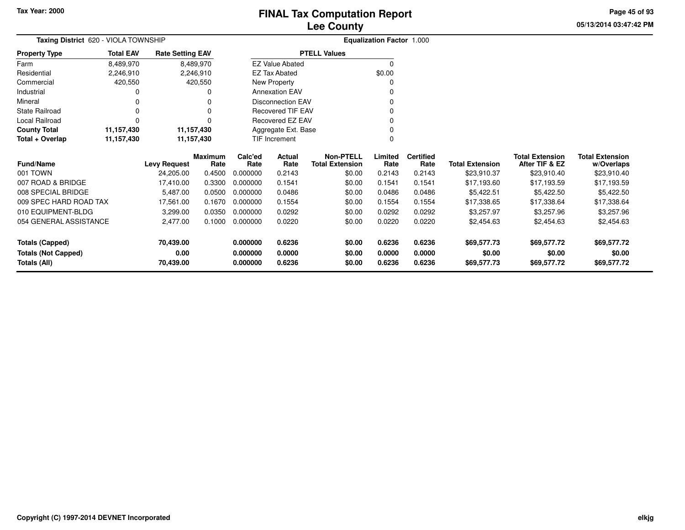**Totals (All)**

# **Lee CountyFINAL Tax Computation Report**

**05/13/2014 03:47:42 PMPage 45 of 93**

| Taxing District 620 - VIOLA TOWNSHIP |                  |                         |                        |                 |                          |                                            | <b>Equalization Factor 1.000</b> |                          |                        |                                          |                                      |
|--------------------------------------|------------------|-------------------------|------------------------|-----------------|--------------------------|--------------------------------------------|----------------------------------|--------------------------|------------------------|------------------------------------------|--------------------------------------|
| <b>Property Type</b>                 | <b>Total EAV</b> | <b>Rate Setting EAV</b> |                        |                 |                          | <b>PTELL Values</b>                        |                                  |                          |                        |                                          |                                      |
| Farm                                 | 8,489,970        |                         | 8,489,970              |                 | <b>EZ Value Abated</b>   |                                            | $\Omega$                         |                          |                        |                                          |                                      |
| Residential                          | 2,246,910        |                         | 2,246,910              |                 | <b>EZ Tax Abated</b>     |                                            | \$0.00                           |                          |                        |                                          |                                      |
| Commercial                           | 420,550          |                         | 420,550                |                 | New Property             |                                            | 0                                |                          |                        |                                          |                                      |
| Industrial                           |                  |                         |                        |                 | <b>Annexation EAV</b>    |                                            | 0                                |                          |                        |                                          |                                      |
| Mineral                              |                  |                         |                        |                 | <b>Disconnection EAV</b> |                                            | 0                                |                          |                        |                                          |                                      |
| <b>State Railroad</b>                |                  |                         | 0                      |                 | <b>Recovered TIF EAV</b> |                                            | 0                                |                          |                        |                                          |                                      |
| Local Railroad                       |                  |                         |                        |                 | <b>Recovered EZ EAV</b>  |                                            | 0                                |                          |                        |                                          |                                      |
| <b>County Total</b>                  | 11,157,430       | 11,157,430              |                        |                 | Aggregate Ext. Base      |                                            | 0                                |                          |                        |                                          |                                      |
| Total + Overlap                      | 11,157,430       | 11,157,430              |                        | TIF Increment   |                          |                                            | 0                                |                          |                        |                                          |                                      |
| <b>Fund/Name</b>                     |                  | <b>Levy Request</b>     | <b>Maximum</b><br>Rate | Calc'ed<br>Rate | Actual<br>Rate           | <b>Non-PTELL</b><br><b>Total Extension</b> | Limited<br>Rate                  | <b>Certified</b><br>Rate | <b>Total Extension</b> | <b>Total Extension</b><br>After TIF & EZ | <b>Total Extension</b><br>w/Overlaps |
| 001 TOWN                             |                  | 24,205.00               | 0.4500                 | 0.000000        | 0.2143                   | \$0.00                                     | 0.2143                           | 0.2143                   | \$23,910.37            | \$23,910.40                              | \$23,910.40                          |
| 007 ROAD & BRIDGE                    |                  | 17,410.00               | 0.3300                 | 0.000000        | 0.1541                   | \$0.00                                     | 0.1541                           | 0.1541                   | \$17,193.60            | \$17,193.59                              | \$17,193.59                          |
| 008 SPECIAL BRIDGE                   |                  | 5,487.00                | 0.0500                 | 0.000000        | 0.0486                   | \$0.00                                     | 0.0486                           | 0.0486                   | \$5,422.51             | \$5,422.50                               | \$5,422.50                           |
| 009 SPEC HARD ROAD TAX               |                  | 17,561.00               | 0.1670                 | 0.000000        | 0.1554                   | \$0.00                                     | 0.1554                           | 0.1554                   | \$17,338.65            | \$17,338.64                              | \$17,338.64                          |
| 010 EQUIPMENT-BLDG                   |                  | 3,299.00                | 0.0350                 | 0.000000        | 0.0292                   | \$0.00                                     | 0.0292                           | 0.0292                   | \$3,257.97             | \$3,257.96                               | \$3,257.96                           |
| 054 GENERAL ASSISTANCE               |                  | 2,477.00                | 0.1000                 | 0.000000        | 0.0220                   | \$0.00                                     | 0.0220                           | 0.0220                   | \$2,454.63             | \$2,454.63                               | \$2,454.63                           |
| <b>Totals (Capped)</b>               |                  | 70,439.00               |                        | 0.000000        | 0.6236                   | \$0.00                                     | 0.6236                           | 0.6236                   | \$69,577.73            | \$69,577.72                              | \$69,577.72                          |
| <b>Totals (Not Capped)</b>           |                  | 0.00                    |                        | 0.000000        | 0.0000                   | \$0.00                                     | 0.0000                           | 0.0000                   | \$0.00                 | \$0.00                                   | \$0.00                               |

**0.000000 0.6236 \$0.00 0.6236 0.6236 \$69,577.73 \$69,577.72 \$69,577.72**

**70,439.00**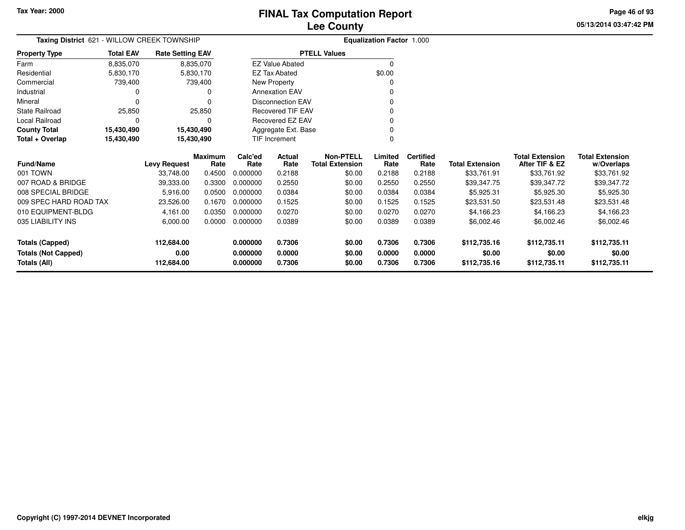**05/13/2014 03:47:42 PMPage 46 of 93**

| Taxing District 621 - WILLOW CREEK TOWNSHIP |                  |                         |                        |                 |                          |                                            | <b>Equalization Factor 1.000</b> |                          |                        |                                          |                                      |
|---------------------------------------------|------------------|-------------------------|------------------------|-----------------|--------------------------|--------------------------------------------|----------------------------------|--------------------------|------------------------|------------------------------------------|--------------------------------------|
| <b>Property Type</b>                        | <b>Total EAV</b> | <b>Rate Setting EAV</b> |                        |                 |                          | <b>PTELL Values</b>                        |                                  |                          |                        |                                          |                                      |
| Farm                                        | 8,835,070        |                         | 8,835,070              |                 | <b>EZ Value Abated</b>   |                                            | $\Omega$                         |                          |                        |                                          |                                      |
| Residential                                 | 5,830,170        |                         | 5,830,170              |                 | <b>EZ Tax Abated</b>     |                                            | \$0.00                           |                          |                        |                                          |                                      |
| Commercial                                  | 739,400          |                         | 739,400                |                 | New Property             |                                            |                                  |                          |                        |                                          |                                      |
| Industrial                                  |                  |                         | 0                      |                 | <b>Annexation EAV</b>    |                                            |                                  |                          |                        |                                          |                                      |
| Mineral                                     | $\Omega$         |                         | ი                      |                 | <b>Disconnection EAV</b> |                                            |                                  |                          |                        |                                          |                                      |
| <b>State Railroad</b>                       | 25,850           |                         | 25,850                 |                 | <b>Recovered TIF EAV</b> |                                            |                                  |                          |                        |                                          |                                      |
| Local Railroad                              | $\Omega$         |                         | 0                      |                 | Recovered EZ EAV         |                                            |                                  |                          |                        |                                          |                                      |
| <b>County Total</b>                         | 15,430,490       |                         | 15,430,490             |                 | Aggregate Ext. Base      |                                            |                                  |                          |                        |                                          |                                      |
| Total + Overlap                             | 15,430,490       |                         | 15,430,490             |                 | TIF Increment            |                                            |                                  |                          |                        |                                          |                                      |
| <b>Fund/Name</b>                            |                  | <b>Levy Request</b>     | <b>Maximum</b><br>Rate | Calc'ed<br>Rate | Actual<br>Rate           | <b>Non-PTELL</b><br><b>Total Extension</b> | Limited<br>Rate                  | <b>Certified</b><br>Rate | <b>Total Extension</b> | <b>Total Extension</b><br>After TIF & EZ | <b>Total Extension</b><br>w/Overlaps |
| 001 TOWN                                    |                  | 33,748.00               | 0.4500                 | 0.000000        | 0.2188                   | \$0.00                                     | 0.2188                           | 0.2188                   | \$33,761.91            | \$33,761.92                              | \$33,761.92                          |
| 007 ROAD & BRIDGE                           |                  | 39,333.00               | 0.3300                 | 0.000000        | 0.2550                   | \$0.00                                     | 0.2550                           | 0.2550                   | \$39,347.75            | \$39,347.72                              | \$39,347.72                          |
| 008 SPECIAL BRIDGE                          |                  | 5,916.00                | 0.0500                 | 0.000000        | 0.0384                   | \$0.00                                     | 0.0384                           | 0.0384                   | \$5,925.31             | \$5,925.30                               | \$5,925.30                           |
| 009 SPEC HARD ROAD TAX                      |                  | 23,526.00               | 0.1670                 | 0.000000        | 0.1525                   | \$0.00                                     | 0.1525                           | 0.1525                   | \$23,531.50            | \$23,531.48                              | \$23,531.48                          |
| 010 EQUIPMENT-BLDG                          |                  | 4,161.00                | 0.0350                 | 0.000000        | 0.0270                   | \$0.00                                     | 0.0270                           | 0.0270                   | \$4,166.23             | \$4,166.23                               | \$4,166.23                           |
| 035 LIABILITY INS                           |                  | 6,000.00                | 0.0000                 | 0.000000        | 0.0389                   | \$0.00                                     | 0.0389                           | 0.0389                   | \$6,002.46             | \$6,002.46                               | \$6,002.46                           |
| <b>Totals (Capped)</b>                      |                  | 112,684.00              |                        | 0.000000        | 0.7306                   | \$0.00                                     | 0.7306                           | 0.7306                   | \$112,735.16           | \$112,735.11                             | \$112,735.11                         |
| <b>Totals (Not Capped)</b>                  |                  | 0.00                    |                        | 0.000000        | 0.0000                   | \$0.00                                     | 0.0000                           | 0.0000                   | \$0.00                 | \$0.00                                   | \$0.00                               |
| Totals (All)                                |                  | 112,684.00              |                        | 0.000000        | 0.7306                   | \$0.00                                     | 0.7306                           | 0.7306                   | \$112,735.16           | \$112,735.11                             | \$112,735.11                         |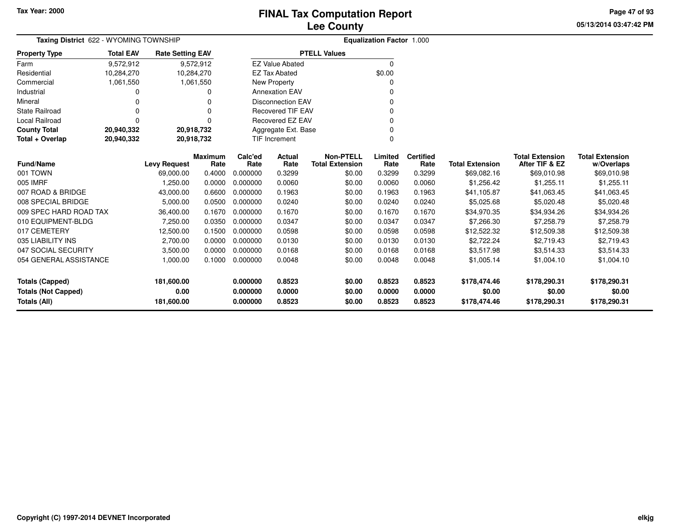**05/13/2014 03:47:42 PM Page 47 of 93**

| Taxing District 622 - WYOMING TOWNSHIP |                                                                                     |                     |                        |                 |                          |                                            | <b>Equalization Factor 1.000</b> |                          |                        |                                          |                                      |
|----------------------------------------|-------------------------------------------------------------------------------------|---------------------|------------------------|-----------------|--------------------------|--------------------------------------------|----------------------------------|--------------------------|------------------------|------------------------------------------|--------------------------------------|
| <b>Property Type</b>                   | <b>Total EAV</b><br><b>Rate Setting EAV</b><br>9,572,912<br>9,572,912<br>10,284,270 |                     |                        |                 |                          | <b>PTELL Values</b>                        |                                  |                          |                        |                                          |                                      |
| Farm                                   |                                                                                     |                     |                        |                 | <b>EZ Value Abated</b>   |                                            | $\Omega$                         |                          |                        |                                          |                                      |
| Residential                            | 10,284,270                                                                          |                     |                        |                 | <b>EZ Tax Abated</b>     |                                            | \$0.00                           |                          |                        |                                          |                                      |
| Commercial                             | 1,061,550                                                                           |                     | 1,061,550              |                 | New Property             |                                            | 0                                |                          |                        |                                          |                                      |
| Industrial                             |                                                                                     |                     |                        |                 | <b>Annexation EAV</b>    |                                            |                                  |                          |                        |                                          |                                      |
| Mineral                                |                                                                                     |                     |                        |                 | <b>Disconnection EAV</b> |                                            | 0                                |                          |                        |                                          |                                      |
| <b>State Railroad</b>                  | 0                                                                                   |                     | 0                      |                 | <b>Recovered TIF EAV</b> |                                            | $\Omega$                         |                          |                        |                                          |                                      |
| Local Railroad                         | $\Omega$                                                                            |                     | $\Omega$               |                 | <b>Recovered EZ EAV</b>  |                                            |                                  |                          |                        |                                          |                                      |
| <b>County Total</b>                    | 20,940,332                                                                          | 20,918,732          |                        |                 | Aggregate Ext. Base      |                                            | <sup>0</sup>                     |                          |                        |                                          |                                      |
| Total + Overlap                        | 20,940,332                                                                          | 20,918,732          |                        |                 | <b>TIF Increment</b>     |                                            | $\Omega$                         |                          |                        |                                          |                                      |
| <b>Fund/Name</b>                       |                                                                                     | <b>Levy Request</b> | <b>Maximum</b><br>Rate | Calc'ed<br>Rate | Actual<br>Rate           | <b>Non-PTELL</b><br><b>Total Extension</b> | Limited<br>Rate                  | <b>Certified</b><br>Rate | <b>Total Extension</b> | <b>Total Extension</b><br>After TIF & EZ | <b>Total Extension</b><br>w/Overlaps |
| 001 TOWN                               |                                                                                     | 69,000.00           | 0.4000                 | 0.000000        | 0.3299                   | \$0.00                                     | 0.3299                           | 0.3299                   | \$69,082.16            | \$69,010.98                              | \$69,010.98                          |
| 005 IMRF                               |                                                                                     | 1,250.00            | 0.0000                 | 0.000000        | 0.0060                   | \$0.00                                     | 0.0060                           | 0.0060                   | \$1,256.42             | \$1,255.11                               | \$1,255.11                           |
| 007 ROAD & BRIDGE                      |                                                                                     | 43,000.00           | 0.6600                 | 0.000000        | 0.1963                   | \$0.00                                     | 0.1963                           | 0.1963                   | \$41,105.87            | \$41,063.45                              | \$41,063.45                          |
| 008 SPECIAL BRIDGE                     |                                                                                     | 5,000.00            | 0.0500                 | 0.000000        | 0.0240                   | \$0.00                                     | 0.0240                           | 0.0240                   | \$5,025.68             | \$5,020.48                               | \$5,020.48                           |
| 009 SPEC HARD ROAD TAX                 |                                                                                     | 36,400.00           | 0.1670                 | 0.000000        | 0.1670                   | \$0.00                                     | 0.1670                           | 0.1670                   | \$34,970.35            | \$34,934.26                              | \$34,934.26                          |
| 010 EQUIPMENT-BLDG                     |                                                                                     | 7,250.00            | 0.0350                 | 0.000000        | 0.0347                   | \$0.00                                     | 0.0347                           | 0.0347                   | \$7,266.30             | \$7,258.79                               | \$7,258.79                           |
| 017 CEMETERY                           |                                                                                     | 12,500.00           | 0.1500                 | 0.000000        | 0.0598                   | \$0.00                                     | 0.0598                           | 0.0598                   | \$12,522.32            | \$12,509.38                              | \$12,509.38                          |
| 035 LIABILITY INS                      |                                                                                     | 2,700.00            | 0.0000                 | 0.000000        | 0.0130                   | \$0.00                                     | 0.0130                           | 0.0130                   | \$2,722.24             | \$2,719.43                               | \$2,719.43                           |
| 047 SOCIAL SECURITY                    |                                                                                     | 3,500.00            | 0.0000                 | 0.000000        | 0.0168                   | \$0.00                                     | 0.0168                           | 0.0168                   | \$3,517.98             | \$3,514.33                               | \$3,514.33                           |
| 054 GENERAL ASSISTANCE                 |                                                                                     | 1,000.00            | 0.1000                 | 0.000000        | 0.0048                   | \$0.00                                     | 0.0048                           | 0.0048                   | \$1,005.14             | \$1,004.10                               | \$1,004.10                           |
| <b>Totals (Capped)</b>                 |                                                                                     | 181,600.00          |                        | 0.000000        | 0.8523                   | \$0.00                                     | 0.8523                           | 0.8523                   | \$178,474.46           | \$178,290.31                             | \$178,290.31                         |
| <b>Totals (Not Capped)</b>             |                                                                                     | 0.00                |                        | 0.000000        | 0.0000                   | \$0.00                                     | 0.0000                           | 0.0000                   | \$0.00                 | \$0.00                                   | \$0.00                               |
| <b>Totals (All)</b>                    |                                                                                     | 181,600.00          |                        | 0.000000        | 0.8523                   | \$0.00                                     | 0.8523                           | 0.8523                   | \$178,474.46           | \$178,290.31                             | \$178,290.31                         |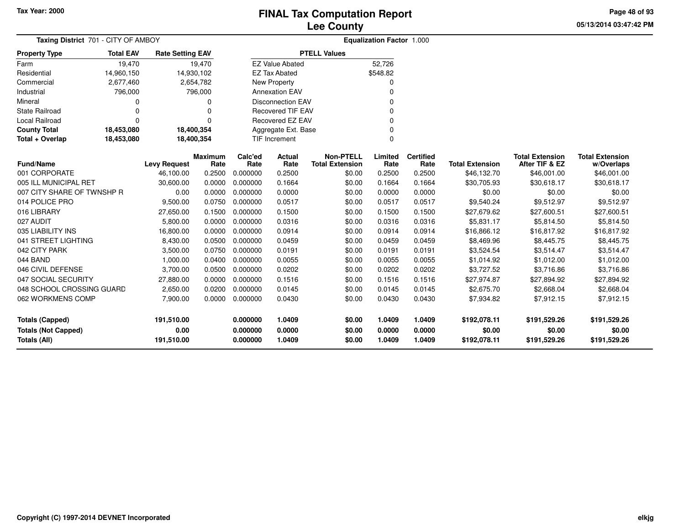**05/13/2014 03:47:42 PM Page 48 of 93**

| Taxing District 701 - CITY OF AMBOY                                  |                  |                                  |                        |                                  |                            |                                            | <b>Equalization Factor 1.000</b> |                            |                                        |                                          |                                        |
|----------------------------------------------------------------------|------------------|----------------------------------|------------------------|----------------------------------|----------------------------|--------------------------------------------|----------------------------------|----------------------------|----------------------------------------|------------------------------------------|----------------------------------------|
| <b>Property Type</b>                                                 | <b>Total EAV</b> | <b>Rate Setting EAV</b>          |                        |                                  |                            | <b>PTELL Values</b>                        |                                  |                            |                                        |                                          |                                        |
| Farm                                                                 | 19,470           |                                  | 19,470                 |                                  | <b>EZ Value Abated</b>     |                                            | 52,726                           |                            |                                        |                                          |                                        |
| Residential                                                          | 14,960,150       | 14,930,102                       |                        |                                  | <b>EZ Tax Abated</b>       |                                            | \$548.82                         |                            |                                        |                                          |                                        |
| Commercial                                                           | 2,677,460        |                                  | 2,654,782              |                                  | New Property               |                                            | <sup>0</sup>                     |                            |                                        |                                          |                                        |
| Industrial                                                           | 796,000          |                                  | 796,000                |                                  | <b>Annexation EAV</b>      |                                            | $\Omega$                         |                            |                                        |                                          |                                        |
| Mineral                                                              | 0                |                                  | 0                      |                                  | <b>Disconnection EAV</b>   |                                            |                                  |                            |                                        |                                          |                                        |
| <b>State Railroad</b>                                                | $\Omega$         |                                  |                        |                                  | <b>Recovered TIF EAV</b>   |                                            | 0                                |                            |                                        |                                          |                                        |
| Local Railroad                                                       | $\Omega$         |                                  | $\Omega$               |                                  | Recovered EZ EAV           |                                            | $\Omega$                         |                            |                                        |                                          |                                        |
| <b>County Total</b>                                                  | 18,453,080       | 18,400,354                       |                        |                                  | Aggregate Ext. Base        |                                            | $\Omega$                         |                            |                                        |                                          |                                        |
| Total + Overlap                                                      | 18,453,080       | 18,400,354                       |                        |                                  | <b>TIF Increment</b>       |                                            | $\Omega$                         |                            |                                        |                                          |                                        |
| <b>Fund/Name</b>                                                     |                  | <b>Levy Request</b>              | <b>Maximum</b><br>Rate | Calc'ed<br>Rate                  | Actual<br>Rate             | <b>Non-PTELL</b><br><b>Total Extension</b> | Limited<br>Rate                  | <b>Certified</b><br>Rate   | <b>Total Extension</b>                 | <b>Total Extension</b><br>After TIF & EZ | <b>Total Extension</b><br>w/Overlaps   |
| 001 CORPORATE                                                        |                  | 46,100.00                        | 0.2500                 | 0.000000                         | 0.2500                     | \$0.00                                     | 0.2500                           | 0.2500                     | \$46,132.70                            | \$46,001.00                              | \$46,001.00                            |
| 005 ILL MUNICIPAL RET                                                |                  | 30,600.00                        | 0.0000                 | 0.000000                         | 0.1664                     | \$0.00                                     | 0.1664                           | 0.1664                     | \$30,705.93                            | \$30,618.17                              | \$30,618.17                            |
| 007 CITY SHARE OF TWNSHP R                                           |                  | 0.00                             | 0.0000                 | 0.000000                         | 0.0000                     | \$0.00                                     | 0.0000                           | 0.0000                     | \$0.00                                 | \$0.00                                   | \$0.00                                 |
| 014 POLICE PRO                                                       |                  | 9,500.00                         | 0.0750                 | 0.000000                         | 0.0517                     | \$0.00                                     | 0.0517                           | 0.0517                     | \$9,540.24                             | \$9,512.97                               | \$9,512.97                             |
| 016 LIBRARY                                                          |                  | 27,650.00                        | 0.1500                 | 0.000000                         | 0.1500                     | \$0.00                                     | 0.1500                           | 0.1500                     | \$27,679.62                            | \$27,600.51                              | \$27,600.51                            |
| 027 AUDIT                                                            |                  | 5,800.00                         | 0.0000                 | 0.000000                         | 0.0316                     | \$0.00                                     | 0.0316                           | 0.0316                     | \$5,831.17                             | \$5,814.50                               | \$5,814.50                             |
| 035 LIABILITY INS                                                    |                  | 16,800.00                        | 0.0000                 | 0.000000                         | 0.0914                     | \$0.00                                     | 0.0914                           | 0.0914                     | \$16,866.12                            | \$16,817.92                              | \$16,817.92                            |
| 041 STREET LIGHTING                                                  |                  | 8,430.00                         | 0.0500                 | 0.000000                         | 0.0459                     | \$0.00                                     | 0.0459                           | 0.0459                     | \$8,469.96                             | \$8,445.75                               | \$8,445.75                             |
| 042 CITY PARK                                                        |                  | 3,500.00                         | 0.0750                 | 0.000000                         | 0.0191                     | \$0.00                                     | 0.0191                           | 0.0191                     | \$3,524.54                             | \$3,514.47                               | \$3,514.47                             |
| 044 BAND                                                             |                  | 1,000.00                         | 0.0400                 | 0.000000                         | 0.0055                     | \$0.00                                     | 0.0055                           | 0.0055                     | \$1,014.92                             | \$1,012.00                               | \$1,012.00                             |
| 046 CIVIL DEFENSE                                                    |                  | 3,700.00                         | 0.0500                 | 0.000000                         | 0.0202                     | \$0.00                                     | 0.0202                           | 0.0202                     | \$3,727.52                             | \$3,716.86                               | \$3,716.86                             |
| 047 SOCIAL SECURITY                                                  |                  | 27,880.00                        | 0.0000                 | 0.000000                         | 0.1516                     | \$0.00                                     | 0.1516                           | 0.1516                     | \$27,974.87                            | \$27,894.92                              | \$27,894.92                            |
| 048 SCHOOL CROSSING GUARD                                            |                  | 2,650.00                         | 0.0200                 | 0.000000                         | 0.0145                     | \$0.00                                     | 0.0145                           | 0.0145                     | \$2,675.70                             | \$2,668.04                               | \$2,668.04                             |
| 062 WORKMENS COMP                                                    |                  | 7,900.00                         |                        | 0.0000 0.000000                  | 0.0430                     | \$0.00                                     | 0.0430                           | 0.0430                     | \$7,934.82                             | \$7,912.15                               | \$7,912.15                             |
| Totals (Capped)<br><b>Totals (Not Capped)</b><br><b>Totals (All)</b> |                  | 191,510.00<br>0.00<br>191,510.00 |                        | 0.000000<br>0.000000<br>0.000000 | 1.0409<br>0.0000<br>1.0409 | \$0.00<br>\$0.00<br>\$0.00                 | 1.0409<br>0.0000<br>1.0409       | 1.0409<br>0.0000<br>1.0409 | \$192,078.11<br>\$0.00<br>\$192,078.11 | \$191,529.26<br>\$0.00<br>\$191,529.26   | \$191,529.26<br>\$0.00<br>\$191,529.26 |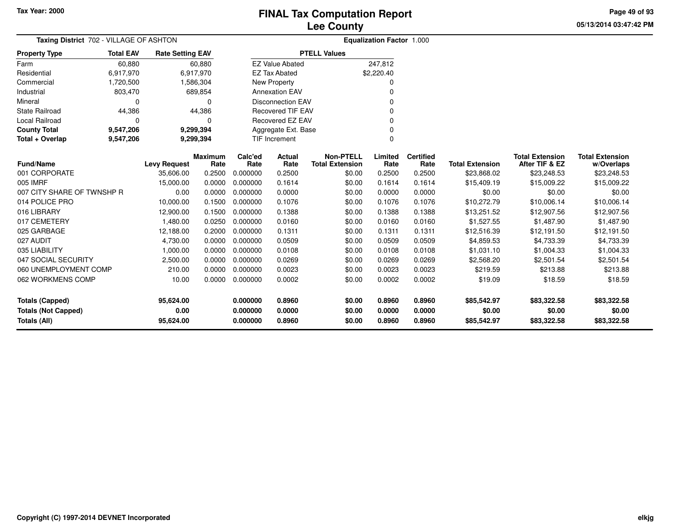**05/13/2014 03:47:42 PM Page 49 of 93**

| Taxing District 702 - VILLAGE OF ASHTON           |                                                                 |                     |                        |                      | <b>Equalization Factor 1.000</b> |                                            |                  |                          |                        |                                          |                                      |
|---------------------------------------------------|-----------------------------------------------------------------|---------------------|------------------------|----------------------|----------------------------------|--------------------------------------------|------------------|--------------------------|------------------------|------------------------------------------|--------------------------------------|
| <b>Property Type</b>                              | <b>Total EAV</b><br><b>Rate Setting EAV</b><br>60,880<br>60,880 |                     |                        |                      |                                  | <b>PTELL Values</b>                        |                  |                          |                        |                                          |                                      |
| Farm                                              |                                                                 |                     |                        |                      | <b>EZ Value Abated</b>           |                                            | 247,812          |                          |                        |                                          |                                      |
| Residential                                       | 6,917,970                                                       |                     | 6,917,970              |                      | <b>EZ Tax Abated</b>             |                                            | \$2,220.40       |                          |                        |                                          |                                      |
| Commercial                                        | 1,720,500                                                       |                     | 1,586,304              |                      | New Property                     |                                            | 0                |                          |                        |                                          |                                      |
| Industrial                                        | 803,470                                                         |                     | 689,854                |                      | <b>Annexation EAV</b>            |                                            | 0                |                          |                        |                                          |                                      |
| Mineral                                           | $\Omega$                                                        |                     | $\Omega$               |                      | <b>Disconnection EAV</b>         |                                            | 0                |                          |                        |                                          |                                      |
| <b>State Railroad</b>                             | 44,386                                                          |                     | 44,386                 |                      | <b>Recovered TIF EAV</b>         |                                            | O                |                          |                        |                                          |                                      |
| <b>Local Railroad</b>                             | $\Omega$                                                        |                     | $\Omega$               |                      | Recovered EZ EAV                 |                                            | 0                |                          |                        |                                          |                                      |
| <b>County Total</b>                               | 9,547,206                                                       |                     | 9,299,394              |                      | Aggregate Ext. Base              |                                            | 0                |                          |                        |                                          |                                      |
| Total + Overlap                                   | 9,547,206                                                       |                     | 9,299,394              |                      | <b>TIF Increment</b>             |                                            | 0                |                          |                        |                                          |                                      |
| <b>Fund/Name</b>                                  |                                                                 | <b>Levy Request</b> | <b>Maximum</b><br>Rate | Calc'ed<br>Rate      | Actual<br>Rate                   | <b>Non-PTELL</b><br><b>Total Extension</b> | Limited<br>Rate  | <b>Certified</b><br>Rate | <b>Total Extension</b> | <b>Total Extension</b><br>After TIF & EZ | <b>Total Extension</b><br>w/Overlaps |
| 001 CORPORATE                                     |                                                                 | 35,606.00           | 0.2500                 | 0.000000             | 0.2500                           | \$0.00                                     | 0.2500           | 0.2500                   | \$23,868.02            | \$23,248.53                              | \$23,248.53                          |
| 005 IMRF                                          |                                                                 | 15,000.00           | 0.0000                 | 0.000000             | 0.1614                           | \$0.00                                     | 0.1614           | 0.1614                   | \$15,409.19            | \$15,009.22                              | \$15,009.22                          |
| 007 CITY SHARE OF TWNSHP R                        |                                                                 | 0.00                | 0.0000                 | 0.000000             | 0.0000                           | \$0.00                                     | 0.0000           | 0.0000                   | \$0.00                 | \$0.00                                   | \$0.00                               |
| 014 POLICE PRO                                    |                                                                 | 10,000.00           | 0.1500                 | 0.000000             | 0.1076                           | \$0.00                                     | 0.1076           | 0.1076                   | \$10,272.79            | \$10,006.14                              | \$10,006.14                          |
| 016 LIBRARY                                       |                                                                 | 12,900.00           | 0.1500                 | 0.000000             | 0.1388                           | \$0.00                                     | 0.1388           | 0.1388                   | \$13,251.52            | \$12,907.56                              | \$12,907.56                          |
| 017 CEMETERY                                      |                                                                 | 1,480.00            | 0.0250                 | 0.000000             | 0.0160                           | \$0.00                                     | 0.0160           | 0.0160                   | \$1,527.55             | \$1,487.90                               | \$1,487.90                           |
| 025 GARBAGE                                       |                                                                 | 12,188.00           | 0.2000                 | 0.000000             | 0.1311                           | \$0.00                                     | 0.1311           | 0.1311                   | \$12,516.39            | \$12,191.50                              | \$12,191.50                          |
| 027 AUDIT                                         |                                                                 | 4,730.00            | 0.0000                 | 0.000000             | 0.0509                           | \$0.00                                     | 0.0509           | 0.0509                   | \$4,859.53             | \$4,733.39                               | \$4,733.39                           |
| 035 LIABILITY                                     |                                                                 | 1,000.00            | 0.0000                 | 0.000000             | 0.0108                           | \$0.00                                     | 0.0108           | 0.0108                   | \$1,031.10             | \$1,004.33                               | \$1,004.33                           |
| 047 SOCIAL SECURITY                               |                                                                 | 2,500.00            | 0.0000                 | 0.000000             | 0.0269                           | \$0.00                                     | 0.0269           | 0.0269                   | \$2,568.20             | \$2,501.54                               | \$2,501.54                           |
| 060 UNEMPLOYMENT COMP                             |                                                                 | 210.00              | 0.0000                 | 0.000000             | 0.0023                           | \$0.00                                     | 0.0023           | 0.0023                   | \$219.59               | \$213.88                                 | \$213.88                             |
| 062 WORKMENS COMP                                 |                                                                 | 10.00               | 0.0000                 | 0.000000             | 0.0002                           | \$0.00                                     | 0.0002           | 0.0002                   | \$19.09                | \$18.59                                  | \$18.59                              |
| <b>Totals (Capped)</b>                            |                                                                 | 95,624.00<br>0.00   |                        | 0.000000             | 0.8960                           | \$0.00                                     | 0.8960<br>0.0000 | 0.8960                   | \$85,542.97            | \$83,322.58                              | \$83,322.58<br>\$0.00                |
| <b>Totals (Not Capped)</b><br><b>Totals (All)</b> |                                                                 | 95,624.00           |                        | 0.000000<br>0.000000 | 0.0000<br>0.8960                 | \$0.00<br>\$0.00                           | 0.8960           | 0.0000<br>0.8960         | \$0.00<br>\$85,542.97  | \$0.00<br>\$83,322.58                    | \$83,322.58                          |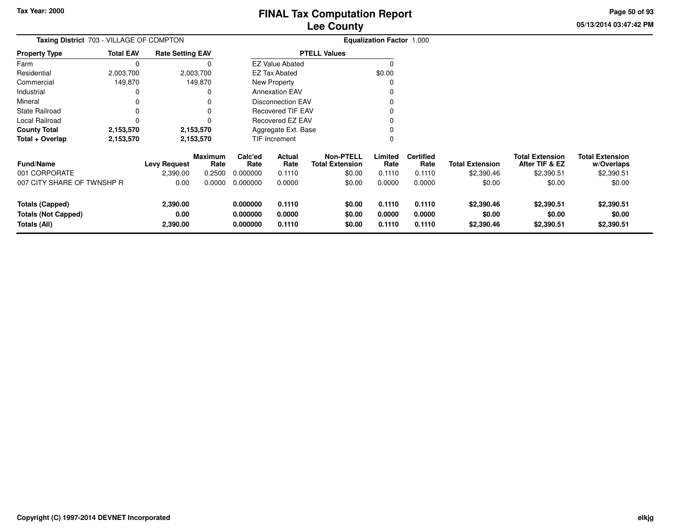**05/13/2014 03:47:42 PM Page 50 of 93**

| Taxing District 703 - VILLAGE OF COMPTON                             |                  | <b>Equalization Factor 1.000</b> |                 |                                  |                            |                                            |                            |                            |                                    |                                          |                                      |
|----------------------------------------------------------------------|------------------|----------------------------------|-----------------|----------------------------------|----------------------------|--------------------------------------------|----------------------------|----------------------------|------------------------------------|------------------------------------------|--------------------------------------|
| <b>Property Type</b>                                                 | <b>Total EAV</b> | <b>Rate Setting EAV</b>          |                 |                                  |                            | <b>PTELL Values</b>                        |                            |                            |                                    |                                          |                                      |
| Farm                                                                 |                  |                                  |                 |                                  | <b>EZ Value Abated</b>     |                                            |                            |                            |                                    |                                          |                                      |
| Residential                                                          | 2,003,700        |                                  | 2,003,700       |                                  | EZ Tax Abated              |                                            | \$0.00                     |                            |                                    |                                          |                                      |
| Commercial                                                           | 149,870          |                                  | 149,870         |                                  | New Property               |                                            |                            |                            |                                    |                                          |                                      |
| Industrial                                                           |                  |                                  |                 |                                  | <b>Annexation EAV</b>      |                                            |                            |                            |                                    |                                          |                                      |
| Mineral                                                              |                  |                                  |                 |                                  | <b>Disconnection EAV</b>   |                                            |                            |                            |                                    |                                          |                                      |
| <b>State Railroad</b>                                                |                  |                                  |                 |                                  | <b>Recovered TIF EAV</b>   |                                            |                            |                            |                                    |                                          |                                      |
| Local Railroad                                                       |                  |                                  |                 |                                  | <b>Recovered EZ EAV</b>    |                                            |                            |                            |                                    |                                          |                                      |
| <b>County Total</b>                                                  | 2,153,570        |                                  | 2,153,570       |                                  | Aggregate Ext. Base        |                                            |                            |                            |                                    |                                          |                                      |
| Total + Overlap                                                      | 2,153,570        |                                  | 2,153,570       | TIF Increment                    |                            |                                            |                            |                            |                                    |                                          |                                      |
| <b>Fund/Name</b>                                                     |                  | Levy Request                     | Maximum<br>Rate | Calc'ed<br>Rate                  | Actual<br>Rate             | <b>Non-PTELL</b><br><b>Total Extension</b> | Limited<br>Rate            | <b>Certified</b><br>Rate   | <b>Total Extension</b>             | <b>Total Extension</b><br>After TIF & EZ | <b>Total Extension</b><br>w/Overlaps |
| 001 CORPORATE                                                        |                  | 2,390.00                         | 0.2500          | 0.000000                         | 0.1110                     | \$0.00                                     | 0.1110                     | 0.1110                     | \$2,390.46                         | \$2,390.51                               | \$2,390.51                           |
| 007 CITY SHARE OF TWNSHP R                                           |                  | 0.00                             | 0.0000          | 0.000000                         | 0.0000                     | \$0.00                                     | 0.0000                     | 0.0000                     | \$0.00                             | \$0.00                                   | \$0.00                               |
| <b>Totals (Capped)</b><br><b>Totals (Not Capped)</b><br>Totals (All) |                  | 2,390.00<br>0.00<br>2,390.00     |                 | 0.000000<br>0.000000<br>0.000000 | 0.1110<br>0.0000<br>0.1110 | \$0.00<br>\$0.00<br>\$0.00                 | 0.1110<br>0.0000<br>0.1110 | 0.1110<br>0.0000<br>0.1110 | \$2,390.46<br>\$0.00<br>\$2,390.46 | \$2,390.51<br>\$0.00<br>\$2,390.51       | \$2,390.51<br>\$0.00<br>\$2,390.51   |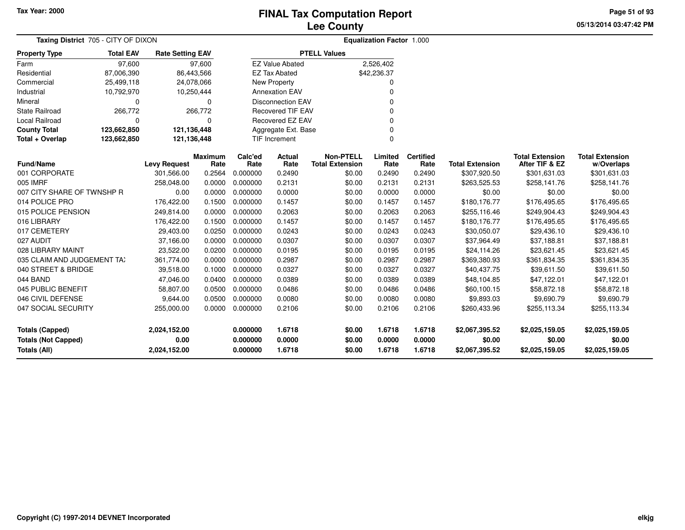**05/13/2014 03:47:42 PM Page 51 of 93**

| Taxing District 705 - CITY OF DIXON |                  |                         |                 | Equalization Factor 1.000 |                          |                                            |                 |                          |                        |                                          |                                      |
|-------------------------------------|------------------|-------------------------|-----------------|---------------------------|--------------------------|--------------------------------------------|-----------------|--------------------------|------------------------|------------------------------------------|--------------------------------------|
| <b>Property Type</b>                | <b>Total EAV</b> | <b>Rate Setting EAV</b> |                 |                           |                          | <b>PTELL Values</b>                        |                 |                          |                        |                                          |                                      |
| Farm                                | 97,600           |                         | 97,600          |                           | <b>EZ Value Abated</b>   |                                            | 2,526,402       |                          |                        |                                          |                                      |
| Residential                         | 87,006,390       |                         | 86,443,566      |                           | <b>EZ Tax Abated</b>     |                                            | \$42,236.37     |                          |                        |                                          |                                      |
| Commercial                          | 25,499,118       |                         | 24,078,066      |                           | New Property             |                                            | O               |                          |                        |                                          |                                      |
| Industrial                          | 10,792,970       |                         | 10,250,444      |                           | <b>Annexation EAV</b>    |                                            | 0               |                          |                        |                                          |                                      |
| Mineral                             | 0                |                         | $\Omega$        |                           | <b>Disconnection EAV</b> |                                            | 0               |                          |                        |                                          |                                      |
| <b>State Railroad</b>               | 266,772          |                         | 266,772         |                           | <b>Recovered TIF EAV</b> |                                            | $\Omega$        |                          |                        |                                          |                                      |
| Local Railroad                      | $\Omega$         |                         | $\Omega$        |                           | Recovered EZ EAV         |                                            | $\Omega$        |                          |                        |                                          |                                      |
| <b>County Total</b>                 | 123,662,850      | 121,136,448             |                 |                           | Aggregate Ext. Base      |                                            | $\Omega$        |                          |                        |                                          |                                      |
| Total + Overlap                     | 123,662,850      | 121,136,448             |                 |                           | <b>TIF Increment</b>     |                                            | $\Omega$        |                          |                        |                                          |                                      |
| <b>Fund/Name</b>                    |                  | <b>Levy Request</b>     | Maximum<br>Rate | Calc'ed<br>Rate           | Actual<br>Rate           | <b>Non-PTELL</b><br><b>Total Extension</b> | Limited<br>Rate | <b>Certified</b><br>Rate | <b>Total Extension</b> | <b>Total Extension</b><br>After TIF & EZ | <b>Total Extension</b><br>w/Overlaps |
| 001 CORPORATE                       |                  | 301,566.00              | 0.2564          | 0.000000                  | 0.2490                   | \$0.00                                     | 0.2490          | 0.2490                   | \$307,920.50           | \$301,631.03                             | \$301,631.03                         |
| 005 IMRF                            |                  | 258,048.00              | 0.0000          | 0.000000                  | 0.2131                   | \$0.00                                     | 0.2131          | 0.2131                   | \$263,525.53           | \$258,141.76                             | \$258,141.76                         |
| 007 CITY SHARE OF TWNSHP R          |                  | 0.00                    | 0.0000          | 0.000000                  | 0.0000                   | \$0.00                                     | 0.0000          | 0.0000                   | \$0.00                 | \$0.00                                   | \$0.00                               |
| 014 POLICE PRO                      |                  | 176,422.00              | 0.1500          | 0.000000                  | 0.1457                   | \$0.00                                     | 0.1457          | 0.1457                   | \$180,176.77           | \$176,495.65                             | \$176,495.65                         |
| 015 POLICE PENSION                  |                  | 249,814.00              | 0.0000          | 0.000000                  | 0.2063                   | \$0.00                                     | 0.2063          | 0.2063                   | \$255,116.46           | \$249,904.43                             | \$249,904.43                         |
| 016 LIBRARY                         |                  | 176,422.00              | 0.1500          | 0.000000                  | 0.1457                   | \$0.00                                     | 0.1457          | 0.1457                   | \$180,176.77           | \$176,495.65                             | \$176,495.65                         |
| 017 CEMETERY                        |                  | 29,403.00               | 0.0250          | 0.000000                  | 0.0243                   | \$0.00                                     | 0.0243          | 0.0243                   | \$30,050.07            | \$29,436.10                              | \$29,436.10                          |
| 027 AUDIT                           |                  | 37,166.00               | 0.0000          | 0.000000                  | 0.0307                   | \$0.00                                     | 0.0307          | 0.0307                   | \$37,964.49            | \$37,188.81                              | \$37,188.81                          |
| 028 LIBRARY MAINT                   |                  | 23,522.00               | 0.0200          | 0.000000                  | 0.0195                   | \$0.00                                     | 0.0195          | 0.0195                   | \$24,114.26            | \$23,621.45                              | \$23,621.45                          |
| 035 CLAIM AND JUDGEMENT TAX         |                  | 361,774.00              | 0.0000          | 0.000000                  | 0.2987                   | \$0.00                                     | 0.2987          | 0.2987                   | \$369,380.93           | \$361,834.35                             | \$361,834.35                         |
| 040 STREET & BRIDGE                 |                  | 39,518.00               | 0.1000          | 0.000000                  | 0.0327                   | \$0.00                                     | 0.0327          | 0.0327                   | \$40,437.75            | \$39,611.50                              | \$39,611.50                          |
| 044 BAND                            |                  | 47,046.00               | 0.0400          | 0.000000                  | 0.0389                   | \$0.00                                     | 0.0389          | 0.0389                   | \$48,104.85            | \$47,122.01                              | \$47,122.01                          |
| 045 PUBLIC BENEFIT                  |                  | 58,807.00               | 0.0500          | 0.000000                  | 0.0486                   | \$0.00                                     | 0.0486          | 0.0486                   | \$60,100.15            | \$58,872.18                              | \$58,872.18                          |
| 046 CIVIL DEFENSE                   |                  | 9,644.00                | 0.0500          | 0.000000                  | 0.0080                   | \$0.00                                     | 0.0080          | 0.0080                   | \$9,893.03             | \$9,690.79                               | \$9,690.79                           |
| 047 SOCIAL SECURITY                 |                  | 255,000.00              | 0.0000          | 0.000000                  | 0.2106                   | \$0.00                                     | 0.2106          | 0.2106                   | \$260,433.96           | \$255,113.34                             | \$255,113.34                         |
| <b>Totals (Capped)</b>              |                  | 2,024,152.00            |                 | 0.000000                  | 1.6718                   | \$0.00                                     | 1.6718          | 1.6718                   | \$2,067,395.52         | \$2,025,159.05                           | \$2,025,159.05                       |
| <b>Totals (Not Capped)</b>          |                  | 0.00                    |                 | 0.000000                  | 0.0000                   | \$0.00                                     | 0.0000          | 0.0000                   | \$0.00                 | \$0.00                                   | \$0.00                               |
| <b>Totals (All)</b>                 |                  | 2,024,152.00            |                 | 0.000000                  | 1.6718                   | \$0.00                                     | 1.6718          | 1.6718                   | \$2,067,395.52         | \$2,025,159.05                           | \$2,025,159.05                       |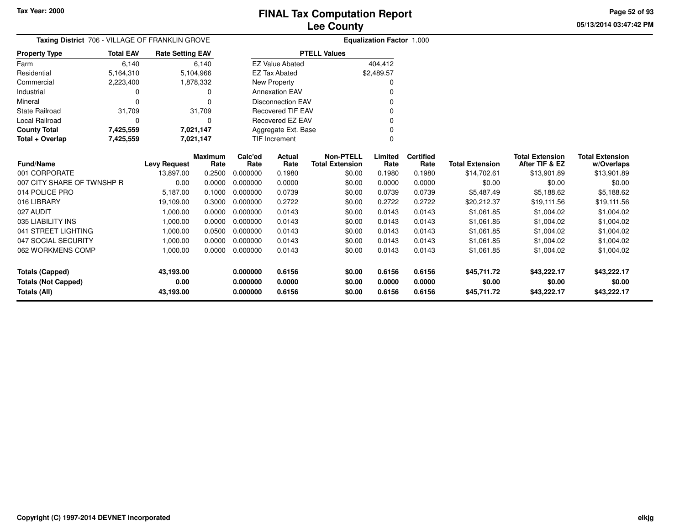**05/13/2014 03:47:42 PM Page 52 of 93**

| Taxing District 706 - VILLAGE OF FRANKLIN GROVE |                  | Equalization Factor 1.000 |                        |                 |                          |                                            |                 |                          |                        |                                          |                                      |
|-------------------------------------------------|------------------|---------------------------|------------------------|-----------------|--------------------------|--------------------------------------------|-----------------|--------------------------|------------------------|------------------------------------------|--------------------------------------|
| <b>Property Type</b>                            | <b>Total EAV</b> | <b>Rate Setting EAV</b>   |                        |                 |                          | <b>PTELL Values</b>                        |                 |                          |                        |                                          |                                      |
| Farm                                            | 6,140            |                           | 6,140                  |                 | <b>EZ Value Abated</b>   |                                            | 404,412         |                          |                        |                                          |                                      |
| Residential                                     | 5,164,310        |                           | 5,104,966              |                 | <b>EZ Tax Abated</b>     |                                            | \$2,489.57      |                          |                        |                                          |                                      |
| Commercial                                      | 2,223,400        |                           | 1,878,332              |                 | New Property             |                                            |                 |                          |                        |                                          |                                      |
| Industrial                                      |                  |                           | 0                      |                 | <b>Annexation EAV</b>    |                                            |                 |                          |                        |                                          |                                      |
| Mineral                                         |                  |                           | $\Omega$               |                 | <b>Disconnection EAV</b> |                                            |                 |                          |                        |                                          |                                      |
| <b>State Railroad</b>                           | 31,709           |                           | 31,709                 |                 | <b>Recovered TIF EAV</b> |                                            | ŋ               |                          |                        |                                          |                                      |
| Local Railroad                                  |                  |                           | 0                      |                 | <b>Recovered EZ EAV</b>  |                                            |                 |                          |                        |                                          |                                      |
| <b>County Total</b>                             | 7,425,559        |                           | 7,021,147              |                 | Aggregate Ext. Base      |                                            |                 |                          |                        |                                          |                                      |
| Total + Overlap                                 | 7,425,559        |                           | 7,021,147              |                 | <b>TIF Increment</b>     |                                            | 0               |                          |                        |                                          |                                      |
| <b>Fund/Name</b>                                |                  | <b>Levy Request</b>       | <b>Maximum</b><br>Rate | Calc'ed<br>Rate | Actual<br>Rate           | <b>Non-PTELL</b><br><b>Total Extension</b> | Limited<br>Rate | <b>Certified</b><br>Rate | <b>Total Extension</b> | <b>Total Extension</b><br>After TIF & EZ | <b>Total Extension</b><br>w/Overlaps |
| 001 CORPORATE                                   |                  | 13,897.00                 | 0.2500                 | 0.000000        | 0.1980                   | \$0.00                                     | 0.1980          | 0.1980                   | \$14,702.61            | \$13,901.89                              | \$13,901.89                          |
| 007 CITY SHARE OF TWNSHP R                      |                  | 0.00                      | 0.0000                 | 0.000000        | 0.0000                   | \$0.00                                     | 0.0000          | 0.0000                   | \$0.00                 | \$0.00                                   | \$0.00                               |
| 014 POLICE PRO                                  |                  | 5,187.00                  | 0.1000                 | 0.000000        | 0.0739                   | \$0.00                                     | 0.0739          | 0.0739                   | \$5,487.49             | \$5,188.62                               | \$5,188.62                           |
| 016 LIBRARY                                     |                  | 19,109.00                 | 0.3000                 | 0.000000        | 0.2722                   | \$0.00                                     | 0.2722          | 0.2722                   | \$20,212.37            | \$19,111.56                              | \$19,111.56                          |
| 027 AUDIT                                       |                  | 1,000.00                  | 0.0000                 | 0.000000        | 0.0143                   | \$0.00                                     | 0.0143          | 0.0143                   | \$1,061.85             | \$1,004.02                               | \$1,004.02                           |
| 035 LIABILITY INS                               |                  | 1,000.00                  | 0.0000                 | 0.000000        | 0.0143                   | \$0.00                                     | 0.0143          | 0.0143                   | \$1,061.85             | \$1,004.02                               | \$1,004.02                           |
| 041 STREET LIGHTING                             |                  | 1,000.00                  | 0.0500                 | 0.000000        | 0.0143                   | \$0.00                                     | 0.0143          | 0.0143                   | \$1,061.85             | \$1,004.02                               | \$1,004.02                           |
| 047 SOCIAL SECURITY                             |                  | 1,000.00                  | 0.0000                 | 0.000000        | 0.0143                   | \$0.00                                     | 0.0143          | 0.0143                   | \$1,061.85             | \$1,004.02                               | \$1,004.02                           |
| 062 WORKMENS COMP                               |                  | 1,000.00                  | 0.0000                 | 0.000000        | 0.0143                   | \$0.00                                     | 0.0143          | 0.0143                   | \$1,061.85             | \$1,004.02                               | \$1,004.02                           |
|                                                 |                  |                           |                        |                 |                          |                                            |                 |                          |                        |                                          |                                      |
| <b>Totals (Capped)</b>                          |                  | 43,193.00                 |                        | 0.000000        | 0.6156                   | \$0.00                                     | 0.6156          | 0.6156                   | \$45,711.72            | \$43,222.17                              | \$43,222.17                          |
| <b>Totals (Not Capped)</b>                      |                  | 0.00                      |                        | 0.000000        | 0.0000                   | \$0.00                                     | 0.0000          | 0.0000                   | \$0.00                 | \$0.00                                   | \$0.00                               |
| Totals (All)                                    |                  | 43,193.00                 |                        | 0.000000        | 0.6156                   | \$0.00                                     | 0.6156          | 0.6156                   | \$45,711.72            | \$43,222.17                              | \$43,222.17                          |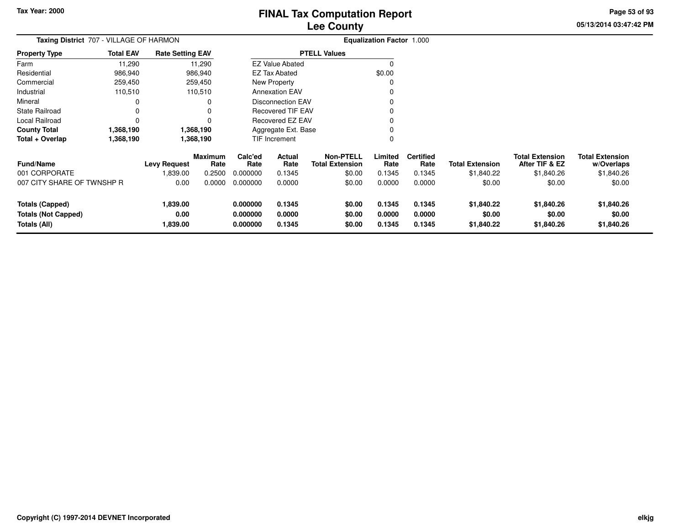**05/13/2014 03:47:42 PM Page 53 of 93**

| Taxing District 707 - VILLAGE OF HARMON                              |                  |                              |                        | <b>Equalization Factor 1.000</b> |                            |                                            |                            |                            |                                    |                                          |                                      |
|----------------------------------------------------------------------|------------------|------------------------------|------------------------|----------------------------------|----------------------------|--------------------------------------------|----------------------------|----------------------------|------------------------------------|------------------------------------------|--------------------------------------|
| <b>Property Type</b>                                                 | <b>Total EAV</b> | <b>Rate Setting EAV</b>      |                        |                                  |                            | <b>PTELL Values</b>                        |                            |                            |                                    |                                          |                                      |
| Farm                                                                 | 11,290           |                              | 11,290                 |                                  | <b>EZ Value Abated</b>     |                                            | $\Omega$                   |                            |                                    |                                          |                                      |
| Residential                                                          | 986,940          |                              | 986,940                |                                  | <b>EZ Tax Abated</b>       |                                            | \$0.00                     |                            |                                    |                                          |                                      |
| Commercial                                                           | 259,450          |                              | 259,450                |                                  | <b>New Property</b>        |                                            | C                          |                            |                                    |                                          |                                      |
| Industrial                                                           | 110,510          |                              | 110,510                |                                  | <b>Annexation EAV</b>      |                                            |                            |                            |                                    |                                          |                                      |
| Mineral                                                              |                  |                              | 0                      |                                  | <b>Disconnection EAV</b>   |                                            | 0                          |                            |                                    |                                          |                                      |
| <b>State Railroad</b>                                                |                  |                              | 0                      |                                  | <b>Recovered TIF EAV</b>   |                                            |                            |                            |                                    |                                          |                                      |
| Local Railroad                                                       |                  |                              | 0                      |                                  | <b>Recovered EZ EAV</b>    |                                            | $\Omega$                   |                            |                                    |                                          |                                      |
| <b>County Total</b>                                                  | 1,368,190        |                              | 1,368,190              |                                  | Aggregate Ext. Base        |                                            |                            |                            |                                    |                                          |                                      |
| Total + Overlap                                                      | 1,368,190        |                              | 1,368,190              | <b>TIF Increment</b>             |                            |                                            | 0                          |                            |                                    |                                          |                                      |
| <b>Fund/Name</b>                                                     |                  | <b>Levy Request</b>          | <b>Maximum</b><br>Rate | Calc'ed<br>Rate                  | Actual<br>Rate             | <b>Non-PTELL</b><br><b>Total Extension</b> | Limited<br>Rate            | <b>Certified</b><br>Rate   | <b>Total Extension</b>             | <b>Total Extension</b><br>After TIF & EZ | <b>Total Extension</b><br>w/Overlaps |
| 001 CORPORATE                                                        |                  | 1,839.00                     | 0.2500                 | 0.000000                         | 0.1345                     | \$0.00                                     | 0.1345                     | 0.1345                     | \$1,840.22                         | \$1,840.26                               | \$1,840.26                           |
| 007 CITY SHARE OF TWNSHP R                                           |                  | 0.00                         | 0.0000                 | 0.000000                         | 0.0000                     | \$0.00                                     | 0.0000                     | 0.0000                     | \$0.00                             | \$0.00                                   | \$0.00                               |
| <b>Totals (Capped)</b><br><b>Totals (Not Capped)</b><br>Totals (All) |                  | 1,839.00<br>0.00<br>1,839.00 |                        | 0.000000<br>0.000000<br>0.000000 | 0.1345<br>0.0000<br>0.1345 | \$0.00<br>\$0.00<br>\$0.00                 | 0.1345<br>0.0000<br>0.1345 | 0.1345<br>0.0000<br>0.1345 | \$1,840.22<br>\$0.00<br>\$1,840.22 | \$1,840.26<br>\$0.00<br>\$1,840.26       | \$1,840.26<br>\$0.00<br>\$1,840.26   |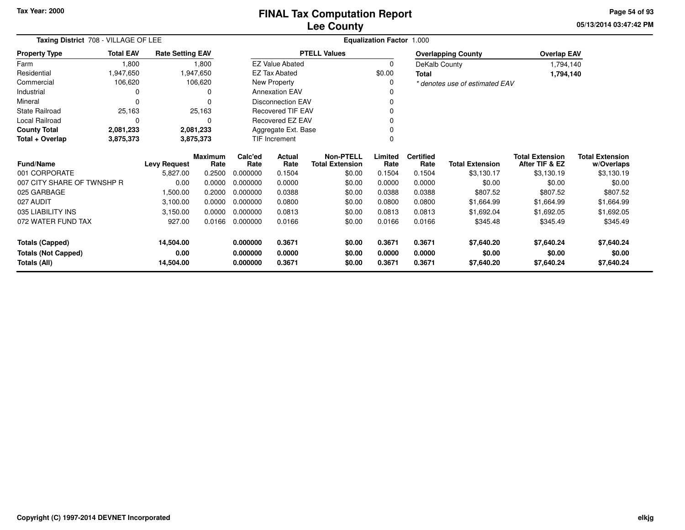**05/13/2014 03:47:42 PM Page 54 of 93**

| Taxing District 708 - VILLAGE OF LEE      |                  |                         |                        |                 |                          | <b>Equalization Factor 1.000</b>           |                 |                          |                                |                                          |                                      |
|-------------------------------------------|------------------|-------------------------|------------------------|-----------------|--------------------------|--------------------------------------------|-----------------|--------------------------|--------------------------------|------------------------------------------|--------------------------------------|
| <b>Property Type</b>                      | <b>Total EAV</b> | <b>Rate Setting EAV</b> |                        |                 |                          | <b>PTELL Values</b>                        |                 |                          | <b>Overlapping County</b>      | <b>Overlap EAV</b>                       |                                      |
| Farm                                      | 1,800            |                         | 1,800                  |                 | <b>EZ Value Abated</b>   |                                            | $\mathbf 0$     | DeKalb County            |                                | 1,794,140                                |                                      |
| Residential                               | 1,947,650        |                         | 1,947,650              |                 | <b>EZ Tax Abated</b>     |                                            | \$0.00          | <b>Total</b>             |                                | 1,794,140                                |                                      |
| Commercial                                | 106,620          |                         | 106,620                |                 | New Property             |                                            | 0               |                          | * denotes use of estimated EAV |                                          |                                      |
| Industrial                                | 0                |                         | 0                      |                 | <b>Annexation EAV</b>    |                                            | 0               |                          |                                |                                          |                                      |
| Mineral                                   | $\Omega$         |                         |                        |                 | <b>Disconnection EAV</b> |                                            | 0               |                          |                                |                                          |                                      |
| <b>State Railroad</b>                     | 25,163           |                         | 25,163                 |                 | <b>Recovered TIF EAV</b> |                                            | O               |                          |                                |                                          |                                      |
| Local Railroad                            | $\Omega$         |                         | 0                      |                 | Recovered EZ EAV         |                                            | O               |                          |                                |                                          |                                      |
| <b>County Total</b>                       | 2,081,233        |                         | 2,081,233              |                 | Aggregate Ext. Base      |                                            |                 |                          |                                |                                          |                                      |
| Total + Overlap<br>3,875,373<br>3,875,373 |                  |                         |                        |                 | <b>TIF Increment</b>     |                                            | 0               |                          |                                |                                          |                                      |
| <b>Fund/Name</b>                          |                  | <b>Levy Request</b>     | <b>Maximum</b><br>Rate | Calc'ed<br>Rate | Actual<br>Rate           | <b>Non-PTELL</b><br><b>Total Extension</b> | Limited<br>Rate | <b>Certified</b><br>Rate | <b>Total Extension</b>         | <b>Total Extension</b><br>After TIF & EZ | <b>Total Extension</b><br>w/Overlaps |
| 001 CORPORATE                             |                  | 5,827.00                | 0.2500                 | 0.000000        | 0.1504                   | \$0.00                                     | 0.1504          | 0.1504                   | \$3,130.17                     | \$3,130.19                               | \$3,130.19                           |
| 007 CITY SHARE OF TWNSHP R                |                  | 0.00                    | 0.0000                 | 0.000000        | 0.0000                   | \$0.00                                     | 0.0000          | 0.0000                   | \$0.00                         | \$0.00                                   | \$0.00                               |
| 025 GARBAGE                               |                  | 1,500.00                | 0.2000                 | 0.000000        | 0.0388                   | \$0.00                                     | 0.0388          | 0.0388                   | \$807.52                       | \$807.52                                 | \$807.52                             |
| 027 AUDIT                                 |                  | 3,100.00                | 0.0000                 | 0.000000        | 0.0800                   | \$0.00                                     | 0.0800          | 0.0800                   | \$1,664.99                     | \$1,664.99                               | \$1,664.99                           |
| 035 LIABILITY INS                         |                  | 3,150.00                | 0.0000                 | 0.000000        | 0.0813                   | \$0.00                                     | 0.0813          | 0.0813                   | \$1,692.04                     | \$1,692.05                               | \$1,692.05                           |
| 072 WATER FUND TAX                        |                  | 927.00                  | 0.0166                 | 0.000000        | 0.0166                   | \$0.00                                     | 0.0166          | 0.0166                   | \$345.48                       | \$345.49                                 | \$345.49                             |
| <b>Totals (Capped)</b>                    |                  | 14,504.00               |                        | 0.000000        | 0.3671                   | \$0.00                                     | 0.3671          | 0.3671                   | \$7,640.20                     | \$7,640.24                               | \$7,640.24                           |
| <b>Totals (Not Capped)</b>                |                  | 0.00                    |                        | 0.000000        | 0.0000                   | \$0.00                                     | 0.0000          | 0.0000                   | \$0.00                         | \$0.00                                   | \$0.00                               |
| <b>Totals (All)</b><br>14,504.00          |                  | 0.000000                | 0.3671                 | \$0.00          | 0.3671                   | 0.3671                                     | \$7,640.20      | \$7,640.24               | \$7,640.24                     |                                          |                                      |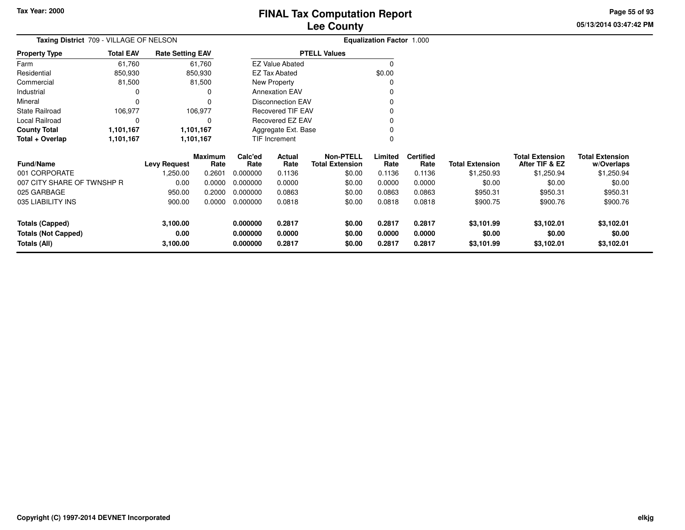**05/13/2014 03:47:42 PM Page 55 of 93**

| <b>Taxing District</b> 709 - VILLAGE OF NELSON | <b>Equalization Factor 1.000</b> |                         |                 |                 |                          |                                            |                 |                          |                        |                                          |                                      |
|------------------------------------------------|----------------------------------|-------------------------|-----------------|-----------------|--------------------------|--------------------------------------------|-----------------|--------------------------|------------------------|------------------------------------------|--------------------------------------|
| <b>Property Type</b>                           | <b>Total EAV</b>                 | <b>Rate Setting EAV</b> |                 |                 |                          | <b>PTELL Values</b>                        |                 |                          |                        |                                          |                                      |
| Farm                                           | 61,760                           |                         | 61,760          |                 | <b>EZ Value Abated</b>   |                                            | $\Omega$        |                          |                        |                                          |                                      |
| Residential                                    | 850,930                          |                         | 850,930         |                 | EZ Tax Abated            |                                            | \$0.00          |                          |                        |                                          |                                      |
| Commercial                                     | 81,500                           |                         | 81,500          |                 | New Property             |                                            |                 |                          |                        |                                          |                                      |
| Industrial                                     |                                  |                         |                 |                 | <b>Annexation EAV</b>    |                                            |                 |                          |                        |                                          |                                      |
| Mineral                                        |                                  |                         |                 |                 | <b>Disconnection EAV</b> |                                            |                 |                          |                        |                                          |                                      |
| <b>State Railroad</b>                          | 106,977                          |                         | 106,977         |                 | Recovered TIF EAV        |                                            |                 |                          |                        |                                          |                                      |
| Local Railroad                                 |                                  |                         |                 |                 | Recovered EZ EAV         |                                            | ŋ               |                          |                        |                                          |                                      |
| <b>County Total</b>                            | 1,101,167                        |                         | 1,101,167       |                 | Aggregate Ext. Base      |                                            |                 |                          |                        |                                          |                                      |
| Total + Overlap                                | 1,101,167                        | 1,101,167               |                 | TIF Increment   |                          |                                            |                 |                          |                        |                                          |                                      |
| <b>Fund/Name</b>                               |                                  | Levy Request            | Maximum<br>Rate | Calc'ed<br>Rate | Actual<br>Rate           | <b>Non-PTELL</b><br><b>Total Extension</b> | Limited<br>Rate | <b>Certified</b><br>Rate | <b>Total Extension</b> | <b>Total Extension</b><br>After TIF & EZ | <b>Total Extension</b><br>w/Overlaps |
| 001 CORPORATE                                  |                                  | 1,250.00                | 0.2601          | 0.000000        | 0.1136                   | \$0.00                                     | 0.1136          | 0.1136                   | \$1,250.93             | \$1,250.94                               | \$1,250.94                           |
| 007 CITY SHARE OF TWNSHP R                     |                                  | 0.00                    | 0.0000          | 0.000000        | 0.0000                   | \$0.00                                     | 0.0000          | 0.0000                   | \$0.00                 | \$0.00                                   | \$0.00                               |
| 025 GARBAGE                                    |                                  | 950.00                  | 0.2000          | 0.000000        | 0.0863                   | \$0.00                                     | 0.0863          | 0.0863                   | \$950.31               | \$950.31                                 | \$950.31                             |
| 035 LIABILITY INS                              |                                  | 900.00                  | 0.0000          | 0.000000        | 0.0818                   | \$0.00                                     | 0.0818          | 0.0818                   | \$900.75               | \$900.76                                 | \$900.76                             |
| <b>Totals (Capped)</b>                         |                                  | 3,100.00                |                 | 0.000000        | 0.2817                   | \$0.00                                     | 0.2817          | 0.2817                   | \$3,101.99             | \$3,102.01                               | \$3,102.01                           |
| <b>Totals (Not Capped)</b>                     |                                  | 0.00                    |                 | 0.000000        | 0.0000                   | \$0.00                                     | 0.0000          | 0.0000                   | \$0.00                 | \$0.00                                   | \$0.00                               |
| Totals (All)                                   |                                  | 3,100.00                |                 | 0.000000        | 0.2817                   | \$0.00                                     | 0.2817          | 0.2817                   | \$3,101.99             | \$3,102.01                               | \$3,102.01                           |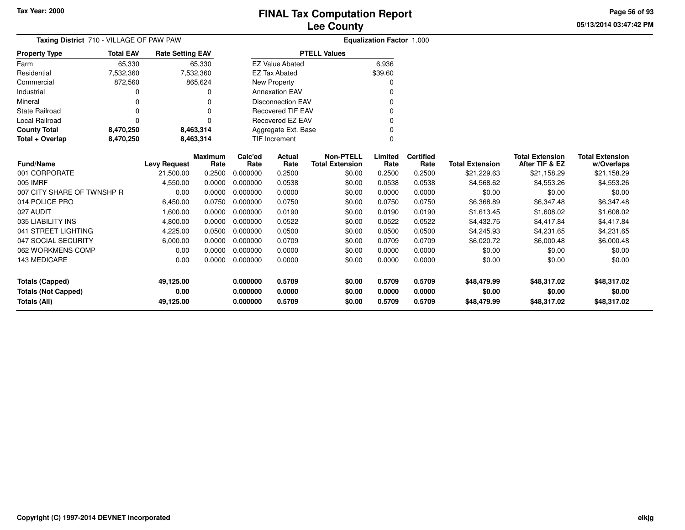**05/13/2014 03:47:42 PM Page 56 of 93**

| Taxing District 710 - VILLAGE OF PAW PAW   |                  |                         |                        |                      |                          |                                            | Equalization Factor 1.000 |                          |                        |                                          |                                      |
|--------------------------------------------|------------------|-------------------------|------------------------|----------------------|--------------------------|--------------------------------------------|---------------------------|--------------------------|------------------------|------------------------------------------|--------------------------------------|
| <b>Property Type</b>                       | <b>Total EAV</b> | <b>Rate Setting EAV</b> |                        |                      |                          | <b>PTELL Values</b>                        |                           |                          |                        |                                          |                                      |
| Farm                                       | 65,330           |                         | 65,330                 |                      | <b>EZ Value Abated</b>   |                                            | 6,936                     |                          |                        |                                          |                                      |
| Residential                                | 7,532,360        |                         | 7,532,360              |                      | <b>EZ Tax Abated</b>     |                                            | \$39.60                   |                          |                        |                                          |                                      |
| Commercial                                 | 872,560          |                         | 865,624                |                      | New Property             |                                            |                           |                          |                        |                                          |                                      |
| Industrial                                 |                  |                         | 0                      |                      | <b>Annexation EAV</b>    |                                            |                           |                          |                        |                                          |                                      |
| Mineral                                    |                  |                         | 0                      |                      | <b>Disconnection EAV</b> |                                            |                           |                          |                        |                                          |                                      |
| <b>State Railroad</b>                      |                  |                         | $\Omega$               |                      | <b>Recovered TIF EAV</b> |                                            |                           |                          |                        |                                          |                                      |
| Local Railroad                             | $\Omega$         |                         | $\Omega$               |                      | Recovered EZ EAV         |                                            |                           |                          |                        |                                          |                                      |
| <b>County Total</b>                        | 8,470,250        |                         | 8,463,314              |                      | Aggregate Ext. Base      |                                            |                           |                          |                        |                                          |                                      |
| Total + Overlap                            | 8,470,250        |                         | 8,463,314              |                      | <b>TIF Increment</b>     |                                            | $\Omega$                  |                          |                        |                                          |                                      |
| <b>Fund/Name</b>                           |                  | <b>Levy Request</b>     | <b>Maximum</b><br>Rate | Calc'ed<br>Rate      | Actual<br>Rate           | <b>Non-PTELL</b><br><b>Total Extension</b> | Limited<br>Rate           | <b>Certified</b><br>Rate | <b>Total Extension</b> | <b>Total Extension</b><br>After TIF & EZ | <b>Total Extension</b><br>w/Overlaps |
| 001 CORPORATE                              |                  | 21,500.00               | 0.2500                 | 0.000000             | 0.2500                   | \$0.00                                     | 0.2500                    | 0.2500                   | \$21,229.63            | \$21,158.29                              | \$21,158.29                          |
| 005 IMRF                                   |                  | 4,550.00                | 0.0000                 | 0.000000             | 0.0538                   | \$0.00                                     | 0.0538                    | 0.0538                   | \$4,568.62             | \$4,553.26                               | \$4,553.26                           |
| 007 CITY SHARE OF TWNSHP R                 |                  | 0.00                    | 0.0000                 | 0.000000             | 0.0000                   | \$0.00                                     | 0.0000                    | 0.0000                   | \$0.00                 | \$0.00                                   | \$0.00                               |
| 014 POLICE PRO                             |                  | 6,450.00                | 0.0750                 | 0.000000             | 0.0750                   | \$0.00                                     | 0.0750                    | 0.0750                   | \$6,368.89             | \$6,347.48                               | \$6,347.48                           |
| 027 AUDIT                                  |                  | 1,600.00                | 0.0000                 | 0.000000             | 0.0190                   | \$0.00                                     | 0.0190                    | 0.0190                   | \$1,613.45             | \$1,608.02                               | \$1,608.02                           |
| 035 LIABILITY INS                          |                  | 4,800.00                | 0.0000                 | 0.000000             | 0.0522                   | \$0.00                                     | 0.0522                    | 0.0522                   | \$4,432.75             | \$4,417.84                               | \$4,417.84                           |
| 041 STREET LIGHTING                        |                  | 4,225.00                | 0.0500                 | 0.000000             | 0.0500                   | \$0.00                                     | 0.0500                    | 0.0500                   | \$4,245.93             | \$4,231.65                               | \$4,231.65                           |
| 047 SOCIAL SECURITY                        |                  | 6,000.00                | 0.0000                 | 0.000000             | 0.0709                   | \$0.00                                     | 0.0709                    | 0.0709                   | \$6,020.72             | \$6,000.48                               | \$6,000.48                           |
| 062 WORKMENS COMP                          |                  | 0.00                    | 0.0000                 | 0.000000             | 0.0000                   | \$0.00                                     | 0.0000                    | 0.0000                   | \$0.00                 | \$0.00                                   | \$0.00                               |
| 143 MEDICARE                               |                  | 0.00                    | 0.0000                 | 0.000000             | 0.0000                   | \$0.00                                     | 0.0000                    | 0.0000                   | \$0.00                 | \$0.00                                   | \$0.00                               |
| <b>Totals (Capped)</b>                     |                  | 49,125.00               |                        | 0.000000             | 0.5709                   | \$0.00                                     | 0.5709                    | 0.5709                   | \$48,479.99            | \$48,317.02                              | \$48,317.02                          |
| <b>Totals (Not Capped)</b><br>Totals (All) |                  | 0.00<br>49,125.00       |                        | 0.000000<br>0.000000 | 0.0000<br>0.5709         | \$0.00<br>\$0.00                           | 0.0000<br>0.5709          | 0.0000<br>0.5709         | \$0.00<br>\$48,479.99  | \$0.00<br>\$48,317.02                    | \$0.00<br>\$48,317.02                |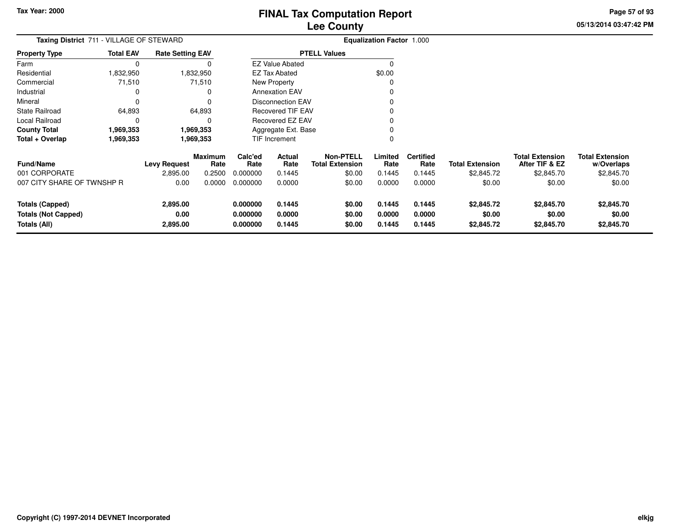**05/13/2014 03:47:42 PM Page 57 of 93**

| Taxing District 711 - VILLAGE OF STEWARD |                  |                         |                        | <b>Equalization Factor 1.000</b> |                          |                                            |                 |                          |                        |                                          |                                      |
|------------------------------------------|------------------|-------------------------|------------------------|----------------------------------|--------------------------|--------------------------------------------|-----------------|--------------------------|------------------------|------------------------------------------|--------------------------------------|
| <b>Property Type</b>                     | <b>Total EAV</b> | <b>Rate Setting EAV</b> |                        |                                  |                          | <b>PTELL Values</b>                        |                 |                          |                        |                                          |                                      |
| Farm                                     | 0                |                         | 0                      |                                  | <b>EZ Value Abated</b>   |                                            |                 |                          |                        |                                          |                                      |
| Residential                              | ,832,950         |                         | ,832,950               |                                  | EZ Tax Abated            |                                            | \$0.00          |                          |                        |                                          |                                      |
| Commercial                               | 71,510           |                         | 71,510                 |                                  | New Property             |                                            |                 |                          |                        |                                          |                                      |
| Industrial                               | 0                |                         | 0                      |                                  | <b>Annexation EAV</b>    |                                            |                 |                          |                        |                                          |                                      |
| Mineral                                  | $\Omega$         |                         | O                      |                                  | <b>Disconnection EAV</b> |                                            |                 |                          |                        |                                          |                                      |
| <b>State Railroad</b>                    | 64,893           |                         | 64,893                 |                                  | <b>Recovered TIF EAV</b> |                                            |                 |                          |                        |                                          |                                      |
| Local Railroad                           | 0                |                         | 0                      |                                  | <b>Recovered EZ EAV</b>  |                                            |                 |                          |                        |                                          |                                      |
| <b>County Total</b>                      | 1,969,353        |                         | 1,969,353              |                                  | Aggregate Ext. Base      |                                            | 0               |                          |                        |                                          |                                      |
| Total + Overlap                          | 1,969,353        |                         | 1,969,353              |                                  | TIF Increment            |                                            | 0               |                          |                        |                                          |                                      |
| <b>Fund/Name</b>                         |                  | <b>Levy Request</b>     | <b>Maximum</b><br>Rate | Calc'ed<br>Rate                  | Actual<br>Rate           | <b>Non-PTELL</b><br><b>Total Extension</b> | Limited<br>Rate | <b>Certified</b><br>Rate | <b>Total Extension</b> | <b>Total Extension</b><br>After TIF & EZ | <b>Total Extension</b><br>w/Overlaps |
| 001 CORPORATE                            |                  | 2,895.00                | 0.2500                 | 0.000000                         | 0.1445                   | \$0.00                                     | 0.1445          | 0.1445                   | \$2,845.72             | \$2,845.70                               | \$2,845.70                           |
| 007 CITY SHARE OF TWNSHP R               |                  | 0.00                    | 0.0000                 | 0.000000                         | 0.0000                   | \$0.00                                     | 0.0000          | 0.0000                   | \$0.00                 | \$0.00                                   | \$0.00                               |
| <b>Totals (Capped)</b>                   |                  | 2,895.00                |                        | 0.000000                         | 0.1445                   | \$0.00                                     | 0.1445          | 0.1445                   | \$2,845.72             | \$2,845.70                               | \$2,845.70                           |
| <b>Totals (Not Capped)</b>               |                  | 0.00                    |                        | 0.000000                         | 0.0000                   | \$0.00                                     | 0.0000          | 0.0000                   | \$0.00                 | \$0.00                                   | \$0.00                               |
| Totals (All)                             |                  | 2,895.00                |                        | 0.000000                         | 0.1445                   | \$0.00                                     | 0.1445          | 0.1445                   | \$2,845.72             | \$2,845.70                               | \$2,845.70                           |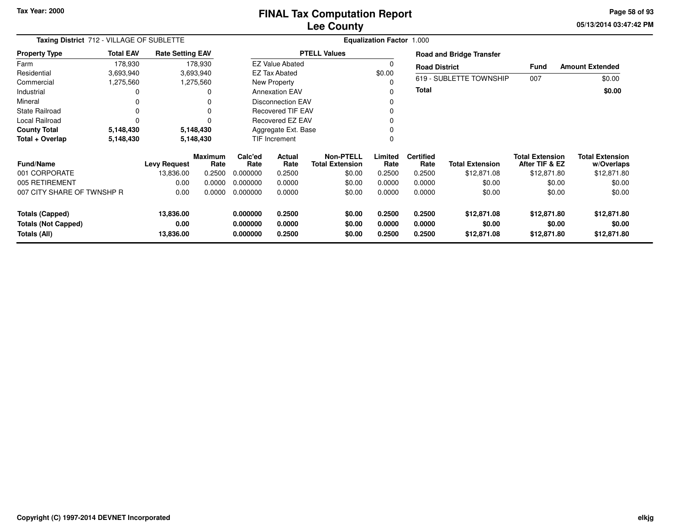# **Lee CountyFINAL Tax Computation Report**

**05/13/2014 03:47:42 PM Page 58 of 93**

| Taxing District 712 - VILLAGE OF SUBLETTE<br><b>Property Type</b> |                   |                                  |                                                                                                                  | <b>Equalization Factor 1.000</b> |                                                                                                  |                                                                                                                                                                                                |                  |                       |                                                                                                                             |                                                                    |  |  |
|-------------------------------------------------------------------|-------------------|----------------------------------|------------------------------------------------------------------------------------------------------------------|----------------------------------|--------------------------------------------------------------------------------------------------|------------------------------------------------------------------------------------------------------------------------------------------------------------------------------------------------|------------------|-----------------------|-----------------------------------------------------------------------------------------------------------------------------|--------------------------------------------------------------------|--|--|
| <b>Total EAV</b>                                                  |                   |                                  |                                                                                                                  |                                  |                                                                                                  |                                                                                                                                                                                                |                  |                       |                                                                                                                             |                                                                    |  |  |
| 178,930                                                           |                   |                                  |                                                                                                                  |                                  |                                                                                                  |                                                                                                                                                                                                |                  |                       |                                                                                                                             | <b>Amount Extended</b>                                             |  |  |
| 3,693,940                                                         |                   |                                  |                                                                                                                  |                                  |                                                                                                  | \$0.00                                                                                                                                                                                         |                  |                       |                                                                                                                             |                                                                    |  |  |
| 1,275,560                                                         |                   |                                  |                                                                                                                  |                                  |                                                                                                  |                                                                                                                                                                                                |                  |                       |                                                                                                                             | \$0.00                                                             |  |  |
|                                                                   |                   | 0                                |                                                                                                                  |                                  |                                                                                                  | O                                                                                                                                                                                              | <b>Total</b>     |                       |                                                                                                                             | \$0.00                                                             |  |  |
|                                                                   |                   | $\Omega$                         |                                                                                                                  |                                  |                                                                                                  |                                                                                                                                                                                                |                  |                       |                                                                                                                             |                                                                    |  |  |
|                                                                   |                   | 0                                |                                                                                                                  |                                  |                                                                                                  |                                                                                                                                                                                                |                  |                       |                                                                                                                             |                                                                    |  |  |
|                                                                   |                   | ŋ                                |                                                                                                                  |                                  |                                                                                                  |                                                                                                                                                                                                |                  |                       |                                                                                                                             |                                                                    |  |  |
| 5,148,430                                                         |                   |                                  |                                                                                                                  |                                  |                                                                                                  |                                                                                                                                                                                                |                  |                       |                                                                                                                             |                                                                    |  |  |
| 5,148,430                                                         |                   |                                  |                                                                                                                  |                                  |                                                                                                  |                                                                                                                                                                                                |                  |                       |                                                                                                                             |                                                                    |  |  |
|                                                                   |                   |                                  | Calc'ed                                                                                                          | Actual                           | Non-PTELL                                                                                        | Limited                                                                                                                                                                                        | <b>Certified</b> |                       | <b>Total Extension</b>                                                                                                      | <b>Total Extension</b><br>w/Overlaps                               |  |  |
|                                                                   | 13,836.00         | 0.2500                           | 0.000000                                                                                                         | 0.2500                           |                                                                                                  | 0.2500                                                                                                                                                                                         | 0.2500           | \$12,871.08           |                                                                                                                             | \$12,871.80                                                        |  |  |
|                                                                   | 0.00              | 0.0000                           | 0.000000                                                                                                         | 0.0000                           | \$0.00                                                                                           | 0.0000                                                                                                                                                                                         | 0.0000           | \$0.00                | \$0.00                                                                                                                      | \$0.00                                                             |  |  |
| 007 CITY SHARE OF TWNSHP R                                        | 0.00              | 0.0000                           | 0.000000                                                                                                         | 0.0000                           | \$0.00                                                                                           | 0.0000                                                                                                                                                                                         | 0.0000           | \$0.00                | \$0.00                                                                                                                      | \$0.00                                                             |  |  |
|                                                                   | 13,836.00<br>0.00 |                                  | 0.000000<br>0.000000                                                                                             | 0.2500<br>0.0000                 | \$0.00<br>\$0.00                                                                                 | 0.2500<br>0.0000                                                                                                                                                                               | 0.2500<br>0.0000 | \$12,871.08<br>\$0.00 | \$12,871.80<br>\$0.00                                                                                                       | \$12,871.80<br>\$0.00<br>\$12,871.80                               |  |  |
|                                                                   |                   | <b>Levy Request</b><br>13,836.00 | <b>Rate Setting EAV</b><br>178,930<br>3,693,940<br>1,275,560<br>5,148,430<br>5,148,430<br><b>Maximum</b><br>Rate | Rate<br>0.000000                 | <b>EZ Tax Abated</b><br>New Property<br><b>Annexation EAV</b><br>TIF Increment<br>Rate<br>0.2500 | <b>PTELL Values</b><br><b>EZ Value Abated</b><br><b>Disconnection EAV</b><br><b>Recovered TIF EAV</b><br>Recovered EZ EAV<br>Aggregate Ext. Base<br><b>Total Extension</b><br>\$0.00<br>\$0.00 | Rate<br>0.2500   | Rate<br>0.2500        | <b>Road and Bridge Transfer</b><br><b>Road District</b><br>619 - SUBLETTE TOWNSHIP<br><b>Total Extension</b><br>\$12,871.08 | <b>Fund</b><br>007<br>After TIF & EZ<br>\$12,871.80<br>\$12,871.80 |  |  |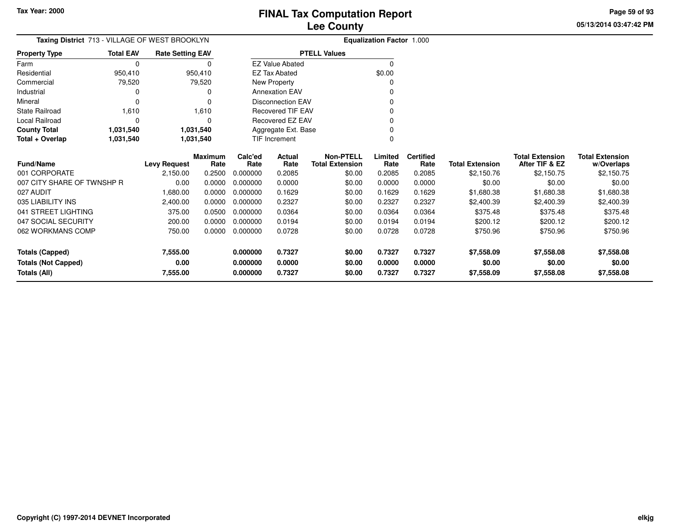**05/13/2014 03:47:42 PM Page 59 of 93**

| Taxing District 713 - VILLAGE OF WEST BROOKLYN<br><b>Total EAV</b><br><b>Rate Setting EAV</b><br><b>Property Type</b> |             |                     |                        |                 |                          |                                            | Equalization Factor 1.000 |                          |                        |                                          |                                      |
|-----------------------------------------------------------------------------------------------------------------------|-------------|---------------------|------------------------|-----------------|--------------------------|--------------------------------------------|---------------------------|--------------------------|------------------------|------------------------------------------|--------------------------------------|
|                                                                                                                       |             |                     |                        |                 |                          | <b>PTELL Values</b>                        |                           |                          |                        |                                          |                                      |
| Farm                                                                                                                  | $\mathbf 0$ |                     | 0                      |                 | <b>EZ Value Abated</b>   |                                            | $\Omega$                  |                          |                        |                                          |                                      |
| Residential                                                                                                           | 950,410     |                     | 950,410                |                 | <b>EZ Tax Abated</b>     |                                            | \$0.00                    |                          |                        |                                          |                                      |
| Commercial                                                                                                            | 79,520      |                     | 79,520                 |                 | New Property             |                                            | 0                         |                          |                        |                                          |                                      |
| Industrial                                                                                                            | 0           |                     |                        |                 | <b>Annexation EAV</b>    |                                            |                           |                          |                        |                                          |                                      |
| Mineral                                                                                                               | 0           |                     | 0                      |                 | <b>Disconnection EAV</b> |                                            |                           |                          |                        |                                          |                                      |
| <b>State Railroad</b>                                                                                                 | 1,610       |                     | 1,610                  |                 | <b>Recovered TIF EAV</b> |                                            |                           |                          |                        |                                          |                                      |
| Local Railroad                                                                                                        | 0           |                     | $\Omega$               |                 | Recovered EZ EAV         |                                            |                           |                          |                        |                                          |                                      |
| <b>County Total</b>                                                                                                   | 1,031,540   |                     | 1,031,540              |                 | Aggregate Ext. Base      |                                            | 0                         |                          |                        |                                          |                                      |
| Total + Overlap                                                                                                       | 1,031,540   |                     | 1,031,540              |                 | <b>TIF Increment</b>     |                                            | 0                         |                          |                        |                                          |                                      |
| Fund/Name                                                                                                             |             | <b>Levy Request</b> | <b>Maximum</b><br>Rate | Calc'ed<br>Rate | Actual<br>Rate           | <b>Non-PTELL</b><br><b>Total Extension</b> | Limited<br>Rate           | <b>Certified</b><br>Rate | <b>Total Extension</b> | <b>Total Extension</b><br>After TIF & EZ | <b>Total Extension</b><br>w/Overlaps |
| 001 CORPORATE                                                                                                         |             | 2,150.00            | 0.2500                 | 0.000000        | 0.2085                   | \$0.00                                     | 0.2085                    | 0.2085                   | \$2,150.76             | \$2,150.75                               | \$2,150.75                           |
| 007 CITY SHARE OF TWNSHP R                                                                                            |             | 0.00                | 0.0000                 | 0.000000        | 0.0000                   | \$0.00                                     | 0.0000                    | 0.0000                   | \$0.00                 | \$0.00                                   | \$0.00                               |
| 027 AUDIT                                                                                                             |             | 1,680.00            | 0.0000                 | 0.000000        | 0.1629                   | \$0.00                                     | 0.1629                    | 0.1629                   | \$1,680.38             | \$1,680.38                               | \$1,680.38                           |
| 035 LIABILITY INS                                                                                                     |             | 2,400.00            | 0.0000                 | 0.000000        | 0.2327                   | \$0.00                                     | 0.2327                    | 0.2327                   | \$2,400.39             | \$2,400.39                               | \$2,400.39                           |
| 041 STREET LIGHTING                                                                                                   |             | 375.00              | 0.0500                 | 0.000000        | 0.0364                   | \$0.00                                     | 0.0364                    | 0.0364                   | \$375.48               | \$375.48                                 | \$375.48                             |
| 047 SOCIAL SECURITY                                                                                                   |             | 200.00              | 0.0000                 | 0.000000        | 0.0194                   | \$0.00                                     | 0.0194                    | 0.0194                   | \$200.12               | \$200.12                                 | \$200.12                             |
| 062 WORKMANS COMP                                                                                                     |             | 750.00              | 0.0000                 | 0.000000        | 0.0728                   | \$0.00                                     | 0.0728                    | 0.0728                   | \$750.96               | \$750.96                                 | \$750.96                             |
| <b>Totals (Capped)</b>                                                                                                |             | 7,555.00            |                        | 0.000000        | 0.7327                   | \$0.00                                     | 0.7327                    | 0.7327                   | \$7,558.09             | \$7,558.08                               | \$7,558.08                           |
| <b>Totals (Not Capped)</b>                                                                                            |             | 0.00                |                        | 0.000000        | 0.0000                   | \$0.00                                     | 0.0000                    | 0.0000                   | \$0.00                 | \$0.00                                   | \$0.00                               |
| <b>Totals (All)</b>                                                                                                   |             | 7,555.00            |                        | 0.000000        | 0.7327                   | \$0.00                                     | 0.7327                    | 0.7327                   | \$7,558.09             | \$7,558.08                               | \$7,558.08                           |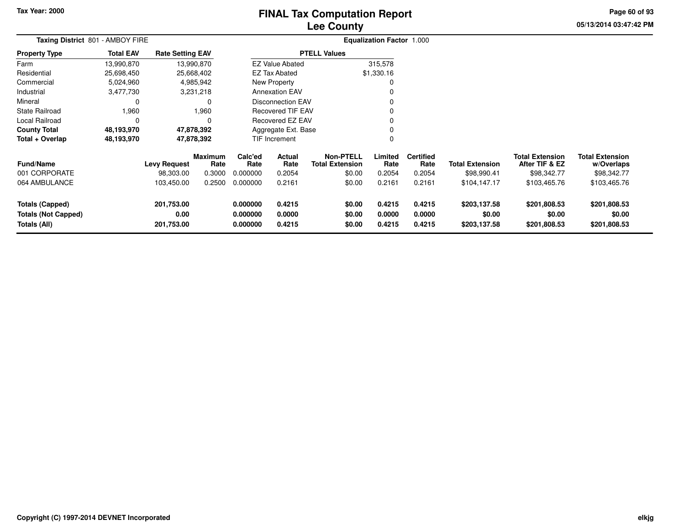# **Lee CountyFINAL Tax Computation Report**

**05/13/2014 03:47:42 PM**

**Page 60 of 93**

| Taxing District 801 - AMBOY FIRE                                     |                  |                                  |                           |                                  |                            |                                                      | <b>Equalization Factor 1.000</b> |                                    |                                        |                                                         |                                                     |  |
|----------------------------------------------------------------------|------------------|----------------------------------|---------------------------|----------------------------------|----------------------------|------------------------------------------------------|----------------------------------|------------------------------------|----------------------------------------|---------------------------------------------------------|-----------------------------------------------------|--|
| <b>Property Type</b>                                                 | <b>Total EAV</b> | <b>Rate Setting EAV</b>          |                           |                                  |                            | <b>PTELL Values</b>                                  |                                  |                                    |                                        |                                                         |                                                     |  |
| Farm                                                                 | 13,990,870       |                                  | 13,990,870                |                                  | <b>EZ Value Abated</b>     |                                                      | 315,578                          |                                    |                                        |                                                         |                                                     |  |
| Residential                                                          | 25,698,450       |                                  | 25,668,402                |                                  | EZ Tax Abated              |                                                      | \$1,330.16                       |                                    |                                        |                                                         |                                                     |  |
| Commercial                                                           | 5,024,960        |                                  | 4,985,942                 |                                  | New Property               |                                                      |                                  |                                    |                                        |                                                         |                                                     |  |
| Industrial                                                           | 3,477,730        |                                  | 3,231,218                 |                                  | <b>Annexation EAV</b>      |                                                      |                                  |                                    |                                        |                                                         |                                                     |  |
| Mineral                                                              | 0                |                                  | 0                         |                                  | <b>Disconnection EAV</b>   |                                                      |                                  |                                    |                                        |                                                         |                                                     |  |
| <b>State Railroad</b>                                                | 1,960            |                                  | 1,960                     |                                  | <b>Recovered TIF EAV</b>   |                                                      |                                  |                                    |                                        |                                                         |                                                     |  |
| Local Railroad                                                       | $\Omega$         |                                  |                           |                                  | Recovered EZ EAV           |                                                      |                                  |                                    |                                        |                                                         |                                                     |  |
| <b>County Total</b>                                                  | 48,193,970       | 47,878,392                       |                           |                                  | Aggregate Ext. Base        |                                                      |                                  |                                    |                                        |                                                         |                                                     |  |
| Total + Overlap                                                      | 48,193,970       |                                  | 47,878,392                |                                  | TIF Increment              |                                                      | 0                                |                                    |                                        |                                                         |                                                     |  |
| <b>Fund/Name</b><br>001 CORPORATE                                    |                  | <b>Levy Request</b><br>98,303.00 | Maximum<br>Rate<br>0.3000 | Calc'ed<br>Rate<br>0.000000      | Actual<br>Rate<br>0.2054   | <b>Non-PTELL</b><br><b>Total Extension</b><br>\$0.00 | Limited<br>Rate<br>0.2054        | <b>Certified</b><br>Rate<br>0.2054 | <b>Total Extension</b><br>\$98,990.41  | <b>Total Extension</b><br>After TIF & EZ<br>\$98,342.77 | <b>Total Extension</b><br>w/Overlaps<br>\$98,342.77 |  |
| 064 AMBULANCE                                                        |                  | 103,450.00                       | 0.2500                    | 0.000000                         | 0.2161                     | \$0.00                                               | 0.2161                           | 0.2161                             | \$104,147.17                           | \$103,465.76                                            | \$103,465.76                                        |  |
| <b>Totals (Capped)</b><br><b>Totals (Not Capped)</b><br>Totals (All) |                  | 201,753.00<br>0.00<br>201,753.00 |                           | 0.000000<br>0.000000<br>0.000000 | 0.4215<br>0.0000<br>0.4215 | \$0.00<br>\$0.00<br>\$0.00                           | 0.4215<br>0.0000<br>0.4215       | 0.4215<br>0.0000<br>0.4215         | \$203,137.58<br>\$0.00<br>\$203,137.58 | \$201,808.53<br>\$0.00<br>\$201,808.53                  | \$201,808.53<br>\$0.00<br>\$201,808.53              |  |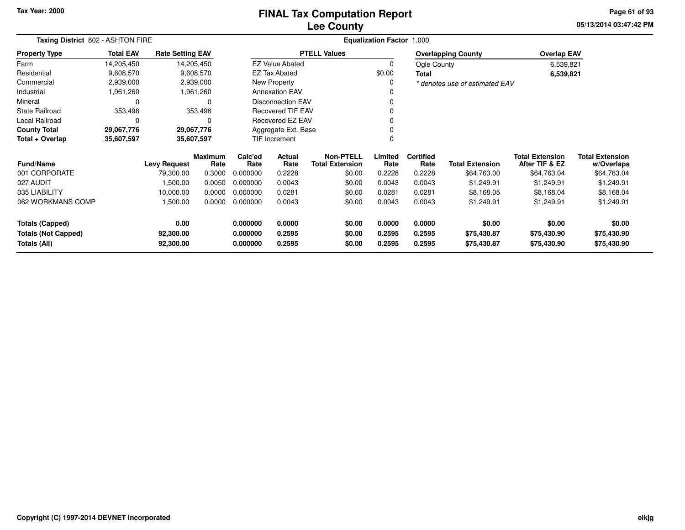# **Lee CountyFINAL Tax Computation Report**

**05/13/2014 03:47:42 PM Page 61 of 93**

|                                                   | Taxing District 802 - ASHTON FIRE<br>Equalization Factor 1.000<br><b>PTELL Values</b><br><b>Total EAV</b><br><b>Rate Setting EAV</b><br><b>Overlapping County</b><br><b>EZ Value Abated</b><br>14,205,450<br>Ogle County |                        |                        |                      |                          |                                            |                  |                          |                                |                                          |                                      |
|---------------------------------------------------|--------------------------------------------------------------------------------------------------------------------------------------------------------------------------------------------------------------------------|------------------------|------------------------|----------------------|--------------------------|--------------------------------------------|------------------|--------------------------|--------------------------------|------------------------------------------|--------------------------------------|
| <b>Property Type</b>                              |                                                                                                                                                                                                                          |                        |                        |                      |                          |                                            |                  |                          |                                | <b>Overlap EAV</b>                       |                                      |
| Farm                                              | 14,205,450                                                                                                                                                                                                               |                        |                        |                      |                          |                                            | 0                |                          |                                | 6,539,821                                |                                      |
| Residential                                       | 9,608,570                                                                                                                                                                                                                |                        | 9,608,570              |                      | <b>EZ Tax Abated</b>     |                                            | \$0.00           | <b>Total</b>             |                                | 6,539,821                                |                                      |
| Commercial                                        | 2,939,000                                                                                                                                                                                                                |                        | 2,939,000              |                      | New Property             |                                            | 0                |                          | * denotes use of estimated EAV |                                          |                                      |
| Industrial                                        | 1,961,260                                                                                                                                                                                                                |                        | 1,961,260              |                      | <b>Annexation EAV</b>    |                                            |                  |                          |                                |                                          |                                      |
| Mineral                                           | 0                                                                                                                                                                                                                        |                        | 0                      |                      | <b>Disconnection EAV</b> |                                            | 0                |                          |                                |                                          |                                      |
| <b>State Railroad</b>                             | 353,496                                                                                                                                                                                                                  |                        | 353,496                |                      | <b>Recovered TIF EAV</b> |                                            | 0                |                          |                                |                                          |                                      |
| Local Railroad                                    | 0                                                                                                                                                                                                                        |                        | 0                      |                      | <b>Recovered EZ EAV</b>  |                                            | 0                |                          |                                |                                          |                                      |
| <b>County Total</b>                               | 29,067,776                                                                                                                                                                                                               | 29,067,776             |                        |                      | Aggregate Ext. Base      |                                            |                  |                          |                                |                                          |                                      |
| Total + Overlap                                   | 35,607,597                                                                                                                                                                                                               | 35,607,597             |                        |                      | <b>TIF Increment</b>     |                                            | 0                |                          |                                |                                          |                                      |
| <b>Fund/Name</b>                                  |                                                                                                                                                                                                                          | <b>Levy Request</b>    | <b>Maximum</b><br>Rate | Calc'ed<br>Rate      | Actual<br>Rate           | <b>Non-PTELL</b><br><b>Total Extension</b> | Limited<br>Rate  | <b>Certified</b><br>Rate | <b>Total Extension</b>         | <b>Total Extension</b><br>After TIF & EZ | <b>Total Extension</b><br>w/Overlaps |
| 001 CORPORATE                                     |                                                                                                                                                                                                                          | 79,300.00              | 0.3000                 | 0.000000             | 0.2228                   | \$0.00                                     | 0.2228           | 0.2228                   | \$64,763.00                    | \$64,763.04                              | \$64,763.04                          |
| 027 AUDIT                                         |                                                                                                                                                                                                                          | 1,500.00               | 0.0050                 | 0.000000             | 0.0043                   | \$0.00                                     | 0.0043           | 0.0043                   | \$1,249.91                     | \$1,249.91                               | \$1,249.91                           |
| 035 LIABILITY                                     |                                                                                                                                                                                                                          | 10,000.00              | 0.0000                 | 0.000000             | 0.0281                   | \$0.00                                     | 0.0281           | 0.0281                   | \$8,168.05                     | \$8,168.04                               | \$8,168.04                           |
| 062 WORKMANS COMP                                 |                                                                                                                                                                                                                          | 1,500.00               | 0.0000                 | 0.000000             | 0.0043                   | \$0.00                                     | 0.0043           | 0.0043                   | \$1,249.91                     | \$1,249.91                               | \$1,249.91                           |
| <b>Totals (Capped)</b>                            |                                                                                                                                                                                                                          | 0.00                   |                        | 0.000000             | 0.0000                   | \$0.00                                     | 0.0000           | 0.0000                   | \$0.00                         | \$0.00                                   | \$0.00                               |
| <b>Totals (Not Capped)</b><br><b>Totals (All)</b> |                                                                                                                                                                                                                          | 92,300.00<br>92,300.00 |                        | 0.000000<br>0.000000 | 0.2595<br>0.2595         | \$0.00<br>\$0.00                           | 0.2595<br>0.2595 | 0.2595<br>0.2595         | \$75,430.87<br>\$75,430.87     | \$75,430.90<br>\$75,430.90               | \$75,430.90<br>\$75,430.90           |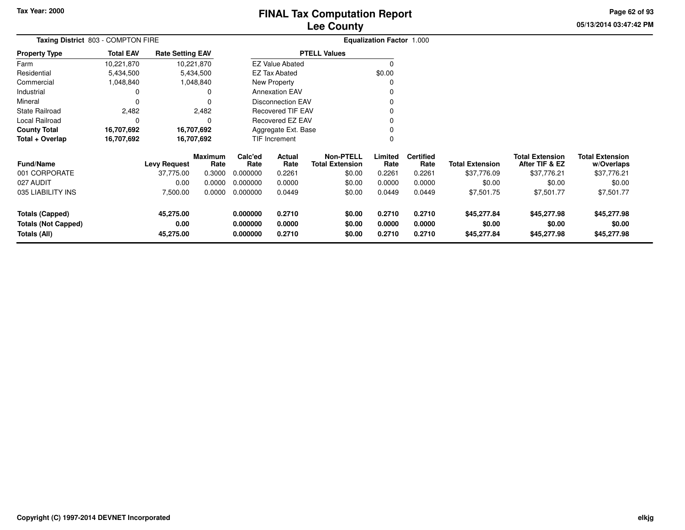**Property Type**

Industrial 0

State Railroad 2,482

Local Railroad 0 0

0 0

FarmResidential

Mineral

# **Lee CountyFINAL Tax Computation Report**

**05/13/2014 03:47:42 PMPage 62 of 93**

|               |                                    |                         | <b>Lee County</b>      |                                  |
|---------------|------------------------------------|-------------------------|------------------------|----------------------------------|
|               | Taxing District 803 - COMPTON FIRE |                         |                        | <b>Equalization Factor 1.000</b> |
| Property Type | <b>Total EAV</b>                   | <b>Rate Setting EAV</b> | <b>PTELL Values</b>    |                                  |
| Farm          | 10,221,870                         | 10,221,870              | <b>EZ Value Abated</b> |                                  |
| Residential   | 5,434,500                          | 5.434.500               | EZ Tax Abated          | \$0.00                           |
| Commercial    | .048,840                           | 1,048,840               | New Property           |                                  |

v o

 $\sim$  0

0 v

<sup>0</sup>

 $\,0\,$ 

| <b>County Total</b>                        | 16.707.692 |                     | 16.707.692             |                      | Aggregate Ext. Base |                              |                  |                          |                        |                                          |                                      |
|--------------------------------------------|------------|---------------------|------------------------|----------------------|---------------------|------------------------------|------------------|--------------------------|------------------------|------------------------------------------|--------------------------------------|
| Total + Overlap                            | 16,707,692 |                     | 16,707,692             | <b>TIF Increment</b> |                     |                              |                  |                          |                        |                                          |                                      |
| <b>Fund/Name</b>                           |            | <b>Levy Request</b> | <b>Maximum</b><br>Rate | Calc'ed<br>Rate      | Actual<br>Rate      | Non-PTELL<br>Total Extension | Limited<br>Rate  | <b>Certified</b><br>Rate | <b>Total Extension</b> | <b>Total Extension</b><br>After TIF & EZ | <b>Total Extension</b><br>w/Overlaps |
| 001 CORPORATE                              |            | 37.775.00           | 0.3000                 | 0.000000             | 0.2261              | \$0.00                       | 0.2261           | 0.2261                   | \$37,776.09            | \$37,776.21                              | \$37,776.21                          |
| 027 AUDIT                                  |            | 0.00                | 0.0000                 | 0.000000             | 0.0000              | \$0.00                       | 0.0000           | 0.0000                   | \$0.00                 | \$0.00                                   | \$0.00                               |
| 035 LIABILITY INS                          |            | 7,500.00            | 0.0000                 | 0.000000             | 0.0449              | \$0.00                       | 0.0449           | 0.0449                   | \$7,501.75             | \$7,501.77                               | \$7,501.77                           |
| <b>Totals (Capped)</b>                     |            | 45,275.00           |                        | 0.000000             | 0.2710              | \$0.00                       | 0.2710           | 0.2710                   | \$45,277.84            | \$45,277.98                              | \$45,277.98                          |
| <b>Totals (Not Capped)</b><br>Totals (All) |            | 0.00<br>45,275.00   |                        | 0.000000<br>0.000000 | 0.0000<br>0.2710    | \$0.00<br>\$0.00             | 0.0000<br>0.2710 | 0.0000<br>0.2710         | \$0.00<br>\$45,277.84  | \$0.00<br>\$45,277.98                    | \$0.00<br>\$45,277.98                |

 $\mathbf 0$ 

Annexation EAV

Disconnection EAV

Recovered TIF EAV

Recovered EZ EAV

 $\mathbf 0$ 

 $\mathsf 0$ 

2,482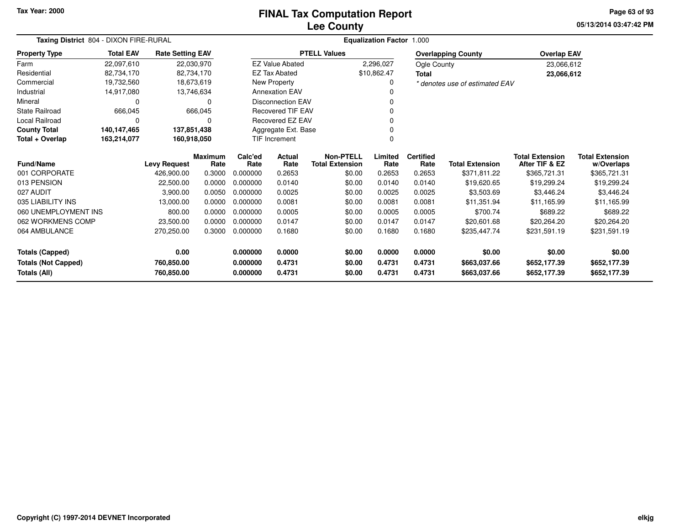# **Lee CountyFINAL Tax Computation Report**

**05/13/2014 03:47:42 PM Page 63 of 93**

| Taxing District 804 - DIXON FIRE-RURAL |                            |                         |                        |                 |                          |                                            | <b>Equalization Factor 1.000</b> |                          |                                |                                          |                                      |
|----------------------------------------|----------------------------|-------------------------|------------------------|-----------------|--------------------------|--------------------------------------------|----------------------------------|--------------------------|--------------------------------|------------------------------------------|--------------------------------------|
| <b>Property Type</b>                   | <b>Total EAV</b>           | <b>Rate Setting EAV</b> |                        |                 |                          | <b>PTELL Values</b>                        |                                  |                          | <b>Overlapping County</b>      | <b>Overlap EAV</b>                       |                                      |
| Farm                                   | 22,097,610                 |                         | 22,030,970             |                 | <b>EZ Value Abated</b>   |                                            | 2,296,027                        | Ogle County              |                                | 23,066,612                               |                                      |
| Residential                            | 82,734,170                 |                         | 82,734,170             |                 | <b>EZ Tax Abated</b>     |                                            | \$10,862.47                      | <b>Total</b>             |                                | 23,066,612                               |                                      |
| Commercial                             | 19,732,560                 |                         | 18,673,619             |                 | <b>New Property</b>      |                                            | 0                                |                          | * denotes use of estimated EAV |                                          |                                      |
| Industrial                             | 14,917,080                 |                         | 13,746,634             |                 | <b>Annexation EAV</b>    |                                            |                                  |                          |                                |                                          |                                      |
| Mineral                                | 0                          |                         | $\Omega$               |                 | <b>Disconnection EAV</b> |                                            | 0                                |                          |                                |                                          |                                      |
| State Railroad                         | 666,045                    |                         | 666,045                |                 | <b>Recovered TIF EAV</b> |                                            | 0                                |                          |                                |                                          |                                      |
| Local Railroad                         | 0                          |                         | $\Omega$               |                 | Recovered EZ EAV         |                                            | $\Omega$                         |                          |                                |                                          |                                      |
| <b>County Total</b>                    | 140,147,465<br>137,851,438 |                         |                        |                 | Aggregate Ext. Base      |                                            | 0                                |                          |                                |                                          |                                      |
| Total + Overlap                        | 163,214,077                |                         | 160,918,050            |                 | <b>TIF Increment</b>     |                                            | 0                                |                          |                                |                                          |                                      |
| <b>Fund/Name</b>                       |                            | <b>Levy Request</b>     | <b>Maximum</b><br>Rate | Calc'ed<br>Rate | Actual<br>Rate           | <b>Non-PTELL</b><br><b>Total Extension</b> | Limited<br>Rate                  | <b>Certified</b><br>Rate | <b>Total Extension</b>         | <b>Total Extension</b><br>After TIF & EZ | <b>Total Extension</b><br>w/Overlaps |
| 001 CORPORATE                          |                            | 426,900.00              | 0.3000                 | 0.000000        | 0.2653                   | \$0.00                                     | 0.2653                           | 0.2653                   | \$371,811.22                   | \$365,721.31                             | \$365,721.31                         |
| 013 PENSION                            |                            | 22,500.00               | 0.0000                 | 0.000000        | 0.0140                   | \$0.00                                     | 0.0140                           | 0.0140                   | \$19,620.65                    | \$19,299.24                              | \$19,299.24                          |
| 027 AUDIT                              |                            | 3,900.00                | 0.0050                 | 0.000000        | 0.0025                   | \$0.00                                     | 0.0025                           | 0.0025                   | \$3,503.69                     | \$3.446.24                               | \$3,446.24                           |
| 035 LIABILITY INS                      |                            | 13,000.00               | 0.0000                 | 0.000000        | 0.0081                   | \$0.00                                     | 0.0081                           | 0.0081                   | \$11,351.94                    | \$11.165.99                              | \$11,165.99                          |
| 060 UNEMPLOYMENT INS                   |                            | 800.00                  | 0.0000                 | 0.000000        | 0.0005                   | \$0.00                                     | 0.0005                           | 0.0005                   | \$700.74                       | \$689.22                                 | \$689.22                             |
| 062 WORKMENS COMP                      |                            | 23,500.00               | 0.0000                 | 0.000000        | 0.0147                   | \$0.00                                     | 0.0147                           | 0.0147                   | \$20,601.68                    | \$20,264.20                              | \$20,264.20                          |
| 064 AMBULANCE                          |                            | 270,250.00              | 0.3000                 | 0.000000        | 0.1680                   | \$0.00                                     | 0.1680                           | 0.1680                   | \$235,447.74                   | \$231,591.19                             | \$231,591.19                         |
| <b>Totals (Capped)</b>                 |                            | 0.00                    |                        | 0.000000        | 0.0000                   | \$0.00                                     | 0.0000                           | 0.0000                   | \$0.00                         | \$0.00                                   | \$0.00                               |
| <b>Totals (Not Capped)</b>             |                            | 760,850.00              |                        | 0.000000        | 0.4731                   | \$0.00                                     | 0.4731                           | 0.4731                   | \$663,037.66                   | \$652,177.39                             | \$652,177.39                         |
| <b>Totals (All)</b>                    |                            | 760,850.00              |                        | 0.000000        | 0.4731                   | \$0.00                                     | 0.4731                           | 0.4731                   | \$663,037.66                   | \$652,177.39                             | \$652,177.39                         |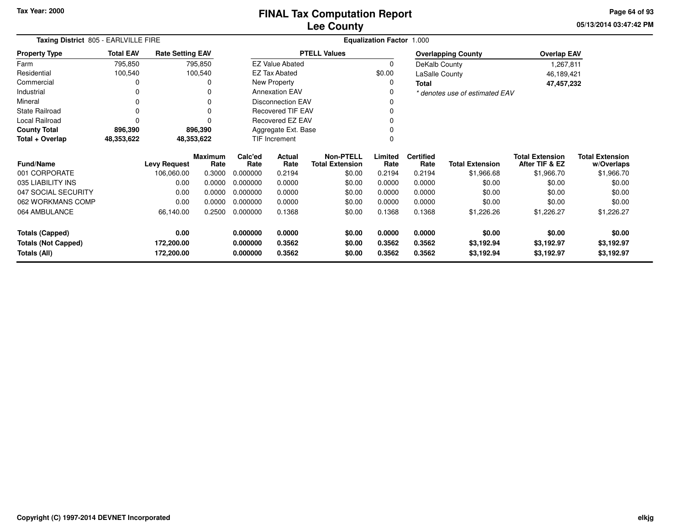**05/13/2014 03:47:42 PM Page 64 of 93**

| Taxing District 805 - EARLVILLE FIRE<br><b>Total EAV</b><br><b>Rate Setting EAV</b><br><b>Property Type</b> |                    |                                   |                                                                       |                  |                                                                                                                            |                                                                                                                                                            | <b>Equalization Factor 1.000</b> |                      |                                                                                                      |                                                                                                                               |
|-------------------------------------------------------------------------------------------------------------|--------------------|-----------------------------------|-----------------------------------------------------------------------|------------------|----------------------------------------------------------------------------------------------------------------------------|------------------------------------------------------------------------------------------------------------------------------------------------------------|----------------------------------|----------------------|------------------------------------------------------------------------------------------------------|-------------------------------------------------------------------------------------------------------------------------------|
|                                                                                                             |                    |                                   |                                                                       |                  |                                                                                                                            |                                                                                                                                                            |                                  |                      |                                                                                                      |                                                                                                                               |
| 795,850                                                                                                     |                    |                                   |                                                                       |                  |                                                                                                                            | 0                                                                                                                                                          |                                  |                      |                                                                                                      |                                                                                                                               |
| 100,540                                                                                                     |                    |                                   |                                                                       |                  |                                                                                                                            | \$0.00                                                                                                                                                     |                                  |                      |                                                                                                      |                                                                                                                               |
| 0                                                                                                           |                    | 0                                 |                                                                       |                  |                                                                                                                            | 0                                                                                                                                                          | Total                            |                      |                                                                                                      |                                                                                                                               |
| 0                                                                                                           |                    | 0                                 |                                                                       |                  |                                                                                                                            | 0                                                                                                                                                          |                                  |                      |                                                                                                      |                                                                                                                               |
| 0                                                                                                           |                    | 0                                 |                                                                       |                  |                                                                                                                            | 0                                                                                                                                                          |                                  |                      |                                                                                                      |                                                                                                                               |
| $\Omega$                                                                                                    |                    | $\Omega$                          |                                                                       |                  |                                                                                                                            | 0                                                                                                                                                          |                                  |                      |                                                                                                      |                                                                                                                               |
| $\Omega$                                                                                                    |                    | $\Omega$                          |                                                                       |                  |                                                                                                                            | 0                                                                                                                                                          |                                  |                      |                                                                                                      |                                                                                                                               |
| 896,390                                                                                                     |                    |                                   |                                                                       |                  |                                                                                                                            |                                                                                                                                                            |                                  |                      |                                                                                                      |                                                                                                                               |
| 48,353,622                                                                                                  |                    |                                   |                                                                       |                  |                                                                                                                            | 0                                                                                                                                                          |                                  |                      |                                                                                                      |                                                                                                                               |
|                                                                                                             |                    |                                   | Calc'ed                                                               | <b>Actual</b>    | <b>Non-PTELL</b>                                                                                                           | Limited                                                                                                                                                    | <b>Certified</b>                 |                      | <b>Total Extension</b>                                                                               | <b>Total Extension</b><br>w/Overlaps                                                                                          |
|                                                                                                             | 106,060.00         | 0.3000                            | 0.000000                                                              | 0.2194           | \$0.00                                                                                                                     | 0.2194                                                                                                                                                     | 0.2194                           | \$1,966.68           | \$1,966.70                                                                                           | \$1,966.70                                                                                                                    |
|                                                                                                             | 0.00               | 0.0000                            | 0.000000                                                              | 0.0000           | \$0.00                                                                                                                     | 0.0000                                                                                                                                                     | 0.0000                           | \$0.00               | \$0.00                                                                                               | \$0.00                                                                                                                        |
|                                                                                                             | 0.00               | 0.0000                            | 0.000000                                                              | 0.0000           | \$0.00                                                                                                                     | 0.0000                                                                                                                                                     | 0.0000                           | \$0.00               | \$0.00                                                                                               | \$0.00                                                                                                                        |
|                                                                                                             | 0.00               | 0.0000                            | 0.000000                                                              | 0.0000           | \$0.00                                                                                                                     | 0.0000                                                                                                                                                     | 0.0000                           | \$0.00               | \$0.00                                                                                               | \$0.00                                                                                                                        |
|                                                                                                             | 66,140.00          | 0.2500                            | 0.000000                                                              | 0.1368           | \$0.00                                                                                                                     | 0.1368                                                                                                                                                     | 0.1368                           | \$1,226.26           | \$1,226.27                                                                                           | \$1,226.27                                                                                                                    |
|                                                                                                             | 0.00<br>172,200.00 |                                   | 0.000000<br>0.000000                                                  | 0.0000<br>0.3562 | \$0.00<br>\$0.00                                                                                                           | 0.0000<br>0.3562                                                                                                                                           | 0.0000<br>0.3562                 | \$0.00<br>\$3,192.94 | \$0.00<br>\$3,192.97                                                                                 | \$0.00<br>\$3,192.97<br>\$3,192.97                                                                                            |
|                                                                                                             |                    | <b>Levy Request</b><br>172,200.00 | 795,850<br>100,540<br>896,390<br>48,353,622<br><b>Maximum</b><br>Rate | Rate<br>0.000000 | <b>EZ Value Abated</b><br><b>EZ Tax Abated</b><br>New Property<br><b>Annexation EAV</b><br>TIF Increment<br>Rate<br>0.3562 | <b>PTELL Values</b><br><b>Disconnection EAV</b><br><b>Recovered TIF EAV</b><br>Recovered EZ EAV<br>Aggregate Ext. Base<br><b>Total Extension</b><br>\$0.00 | Rate<br>0.3562                   | Rate<br>0.3562       | <b>Overlapping County</b><br>DeKalb County<br>LaSalle County<br><b>Total Extension</b><br>\$3,192.94 | <b>Overlap EAV</b><br>1,267,811<br>46,189,421<br>47,457,232<br>* denotes use of estimated EAV<br>After TIF & EZ<br>\$3,192.97 |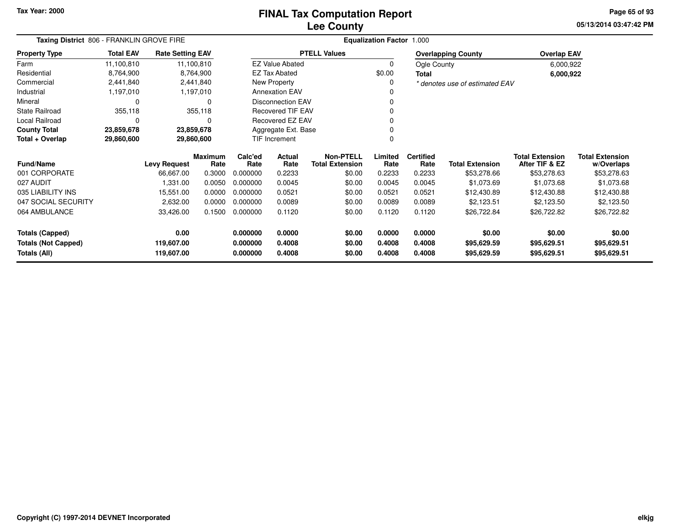### **Lee CountyFINAL Tax Computation Report**

**05/13/2014 03:47:42 PM Page 65 of 93**

|                                                      | Taxing District 806 - FRANKLIN GROVE FIRE<br><b>Total EAV</b><br><b>Rate Setting EAV</b> |                     |                 |                      |                          |                                            | Equalization Factor 1.000 |                          |                                |                                          |                                      |
|------------------------------------------------------|------------------------------------------------------------------------------------------|---------------------|-----------------|----------------------|--------------------------|--------------------------------------------|---------------------------|--------------------------|--------------------------------|------------------------------------------|--------------------------------------|
| <b>Property Type</b>                                 |                                                                                          |                     |                 |                      |                          | <b>PTELL Values</b>                        |                           |                          | <b>Overlapping County</b>      | <b>Overlap EAV</b>                       |                                      |
| Farm                                                 | 11,100,810                                                                               | 11,100,810          |                 |                      | <b>EZ Value Abated</b>   |                                            | 0                         | Ogle County              |                                | 6,000,922                                |                                      |
| Residential                                          | 8,764,900                                                                                |                     | 8,764,900       |                      | <b>EZ Tax Abated</b>     |                                            | \$0.00                    | <b>Total</b>             |                                | 6,000,922                                |                                      |
| Commercial                                           | 2,441,840                                                                                |                     | 2,441,840       |                      | New Property             |                                            | 0                         |                          | * denotes use of estimated EAV |                                          |                                      |
| Industrial                                           | 1,197,010                                                                                |                     | 1,197,010       |                      | <b>Annexation EAV</b>    |                                            |                           |                          |                                |                                          |                                      |
| Mineral                                              | 0                                                                                        |                     | $\Omega$        |                      | <b>Disconnection EAV</b> |                                            | 0                         |                          |                                |                                          |                                      |
| <b>State Railroad</b>                                | 355,118                                                                                  |                     | 355,118         |                      | <b>Recovered TIF EAV</b> |                                            |                           |                          |                                |                                          |                                      |
| Local Railroad                                       | 0                                                                                        |                     | $\Omega$        |                      | Recovered EZ EAV         |                                            |                           |                          |                                |                                          |                                      |
| <b>County Total</b>                                  | 23,859,678                                                                               | 23,859,678          |                 |                      | Aggregate Ext. Base      |                                            |                           |                          |                                |                                          |                                      |
| Total + Overlap                                      | 29,860,600                                                                               | 29,860,600          |                 |                      | TIF Increment            |                                            |                           |                          |                                |                                          |                                      |
| <b>Fund/Name</b>                                     |                                                                                          | <b>Levy Request</b> | Maximum<br>Rate | Calc'ed<br>Rate      | Actual<br>Rate           | <b>Non-PTELL</b><br><b>Total Extension</b> | Limited<br>Rate           | <b>Certified</b><br>Rate | <b>Total Extension</b>         | <b>Total Extension</b><br>After TIF & EZ | <b>Total Extension</b><br>w/Overlaps |
| 001 CORPORATE                                        |                                                                                          | 66,667.00           | 0.3000          | 0.000000             | 0.2233                   | \$0.00                                     | 0.2233                    | 0.2233                   | \$53,278.66                    | \$53,278.63                              | \$53,278.63                          |
| 027 AUDIT                                            |                                                                                          | 1,331.00            | 0.0050          | 0.000000             | 0.0045                   | \$0.00                                     | 0.0045                    | 0.0045                   | \$1.073.69                     | \$1,073.68                               | \$1,073.68                           |
| 035 LIABILITY INS                                    |                                                                                          | 15,551.00           | 0.0000          | 0.000000             | 0.0521                   | \$0.00                                     | 0.0521                    | 0.0521                   | \$12,430.89                    | \$12,430.88                              | \$12,430.88                          |
| 047 SOCIAL SECURITY                                  |                                                                                          | 2,632.00            | 0.0000          | 0.000000             | 0.0089                   | \$0.00                                     | 0.0089                    | 0.0089                   | \$2,123.51                     | \$2,123.50                               | \$2,123.50                           |
| 064 AMBULANCE                                        |                                                                                          | 33,426.00           | 0.1500          | 0.000000             | 0.1120                   | \$0.00                                     | 0.1120                    | 0.1120                   | \$26,722.84                    | \$26,722.82                              | \$26,722.82                          |
| <b>Totals (Capped)</b><br><b>Totals (Not Capped)</b> |                                                                                          | 0.00<br>119,607.00  |                 | 0.000000<br>0.000000 | 0.0000<br>0.4008         | \$0.00<br>\$0.00                           | 0.0000<br>0.4008          | 0.0000<br>0.4008         | \$0.00<br>\$95,629.59          | \$0.00<br>\$95,629.51                    | \$0.00<br>\$95,629.51                |
| Totals (All)                                         |                                                                                          | 119,607.00          |                 | 0.000000             | 0.4008                   | \$0.00                                     | 0.4008                    | 0.4008                   | \$95,629.59                    | \$95,629.51                              | \$95,629.51                          |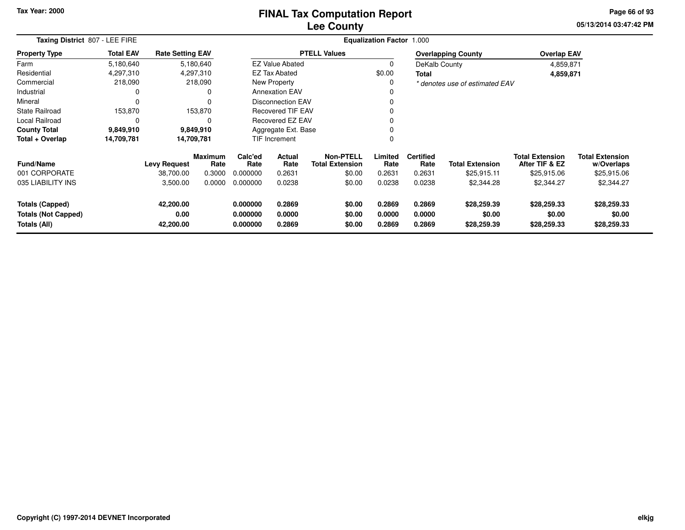### **Lee CountyFINAL Tax Computation Report**

**05/13/2014 03:47:42 PM Page 66 of 93**

| Taxing District 807 - LEE FIRE                                       |                  |                                |                 |                                  |                            |                                            | <b>Equalization Factor 1.000</b> |                            |                                      |                                          |                                      |
|----------------------------------------------------------------------|------------------|--------------------------------|-----------------|----------------------------------|----------------------------|--------------------------------------------|----------------------------------|----------------------------|--------------------------------------|------------------------------------------|--------------------------------------|
| <b>Property Type</b>                                                 | <b>Total EAV</b> | <b>Rate Setting EAV</b>        |                 |                                  |                            | <b>PTELL Values</b>                        |                                  |                            | <b>Overlapping County</b>            | <b>Overlap EAV</b>                       |                                      |
| Farm                                                                 | 5,180,640        |                                | 5,180,640       |                                  | <b>EZ Value Abated</b>     |                                            | 0                                | DeKalb County              |                                      | 4,859,871                                |                                      |
| Residential                                                          | 4,297,310        |                                | 4,297,310       |                                  | EZ Tax Abated              |                                            | \$0.00                           | Total                      |                                      | 4,859,871                                |                                      |
| Commercial                                                           | 218,090          |                                | 218,090         |                                  | New Property               |                                            | 0                                |                            | * denotes use of estimated EAV       |                                          |                                      |
| Industrial                                                           | 0                |                                | 0               |                                  | <b>Annexation EAV</b>      |                                            | 0                                |                            |                                      |                                          |                                      |
| Mineral                                                              | 0                |                                | 0               |                                  | <b>Disconnection EAV</b>   |                                            |                                  |                            |                                      |                                          |                                      |
| <b>State Railroad</b>                                                | 153,870          |                                | 153,870         |                                  | <b>Recovered TIF EAV</b>   |                                            |                                  |                            |                                      |                                          |                                      |
| Local Railroad                                                       | 0                |                                | 0               |                                  | Recovered EZ EAV           |                                            |                                  |                            |                                      |                                          |                                      |
| <b>County Total</b>                                                  | 9,849,910        |                                | 9,849,910       |                                  | Aggregate Ext. Base        |                                            |                                  |                            |                                      |                                          |                                      |
| Total + Overlap                                                      | 14,709,781       |                                | 14,709,781      |                                  | TIF Increment              |                                            | $\Omega$                         |                            |                                      |                                          |                                      |
| <b>Fund/Name</b>                                                     |                  | <b>Levy Request</b>            | Maximum<br>Rate | Calc'ed<br>Rate                  | <b>Actual</b><br>Rate      | <b>Non-PTELL</b><br><b>Total Extension</b> | Limited<br>Rate                  | <b>Certified</b><br>Rate   | <b>Total Extension</b>               | <b>Total Extension</b><br>After TIF & EZ | <b>Total Extension</b><br>w/Overlaps |
| 001 CORPORATE                                                        |                  | 38,700.00                      | 0.3000          | 0.000000                         | 0.2631                     | \$0.00                                     | 0.2631                           | 0.2631                     | \$25,915.11                          | \$25,915.06                              | \$25,915.06                          |
| 035 LIABILITY INS                                                    |                  | 3,500.00                       | 0.0000          | 0.000000                         | 0.0238                     | \$0.00                                     | 0.0238                           | 0.0238                     | \$2,344.28                           | \$2,344.27                               | \$2,344.27                           |
| <b>Totals (Capped)</b><br><b>Totals (Not Capped)</b><br>Totals (All) |                  | 42,200.00<br>0.00<br>42,200.00 |                 | 0.000000<br>0.000000<br>0.000000 | 0.2869<br>0.0000<br>0.2869 | \$0.00<br>\$0.00<br>\$0.00                 | 0.2869<br>0.0000<br>0.2869       | 0.2869<br>0.0000<br>0.2869 | \$28,259.39<br>\$0.00<br>\$28,259.39 | \$28,259.33<br>\$0.00<br>\$28,259.33     | \$28,259.33<br>\$0.00<br>\$28,259.33 |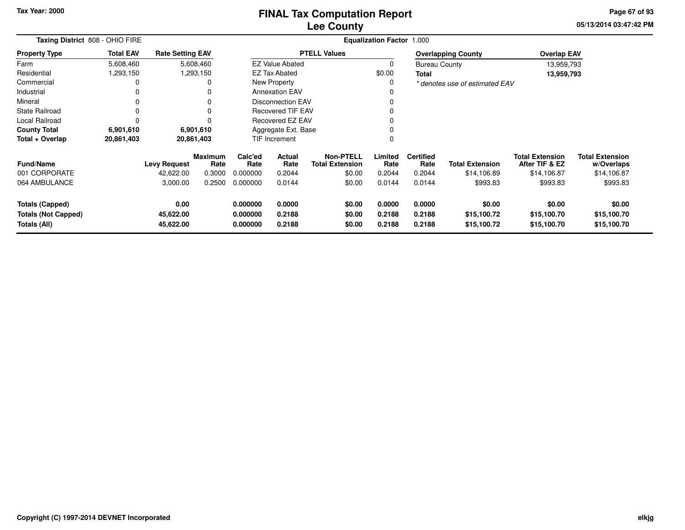#### **Lee CountyFINAL Tax Computation Report**

**05/13/2014 03:47:42 PM Page 67 of 93**

| Taxing District 808 - OHIO FIRE                                      |                  |                                |                        |                                  |                            |                                     | <b>Equalization Factor 1.000</b> |                            |                                      |                                          |                                      |
|----------------------------------------------------------------------|------------------|--------------------------------|------------------------|----------------------------------|----------------------------|-------------------------------------|----------------------------------|----------------------------|--------------------------------------|------------------------------------------|--------------------------------------|
| <b>Property Type</b>                                                 | <b>Total EAV</b> | <b>Rate Setting EAV</b>        |                        |                                  |                            | <b>PTELL Values</b>                 |                                  |                            | <b>Overlapping County</b>            | <b>Overlap EAV</b>                       |                                      |
| Farm                                                                 | 5,608,460        |                                | 5,608,460              |                                  | <b>EZ Value Abated</b>     |                                     | 0                                | <b>Bureau County</b>       |                                      | 13,959,793                               |                                      |
| Residential                                                          | 1,293,150        |                                | 1,293,150              |                                  | <b>EZ Tax Abated</b>       |                                     | \$0.00                           | <b>Total</b>               |                                      | 13,959,793                               |                                      |
| Commercial                                                           | 0                |                                | 0                      |                                  | New Property               |                                     | 0                                |                            | * denotes use of estimated EAV       |                                          |                                      |
| Industrial                                                           | 0                |                                | $\Omega$               |                                  | <b>Annexation EAV</b>      |                                     | 0                                |                            |                                      |                                          |                                      |
| Mineral                                                              | 0                |                                |                        |                                  | <b>Disconnection EAV</b>   |                                     | 0                                |                            |                                      |                                          |                                      |
| <b>State Railroad</b>                                                | 0                |                                | $\Omega$               |                                  | <b>Recovered TIF EAV</b>   |                                     | 0                                |                            |                                      |                                          |                                      |
| Local Railroad                                                       | 0                |                                |                        |                                  | Recovered EZ EAV           |                                     | $\Omega$                         |                            |                                      |                                          |                                      |
| <b>County Total</b>                                                  | 6,901,610        |                                | 6,901,610              |                                  | Aggregate Ext. Base        |                                     | 0                                |                            |                                      |                                          |                                      |
| Total + Overlap                                                      | 20,861,403       | 20,861,403                     |                        |                                  | <b>TIF Increment</b>       |                                     | 0                                |                            |                                      |                                          |                                      |
| Fund/Name                                                            |                  | <b>Levy Request</b>            | <b>Maximum</b><br>Rate | Calc'ed<br>Rate                  | <b>Actual</b><br>Rate      | Non-PTELL<br><b>Total Extension</b> | Limited<br>Rate                  | <b>Certified</b><br>Rate   | <b>Total Extension</b>               | <b>Total Extension</b><br>After TIF & EZ | <b>Total Extension</b><br>w/Overlaps |
| 001 CORPORATE                                                        |                  | 42,622.00                      | 0.3000                 | 0.000000                         | 0.2044                     | \$0.00                              | 0.2044                           | 0.2044                     | \$14,106.89                          | \$14,106.87                              | \$14,106.87                          |
| 064 AMBULANCE                                                        |                  | 3,000.00                       | 0.2500                 | 0.000000                         | 0.0144                     | \$0.00                              | 0.0144                           | 0.0144                     | \$993.83                             | \$993.83                                 | \$993.83                             |
| <b>Totals (Capped)</b><br><b>Totals (Not Capped)</b><br>Totals (All) |                  | 0.00<br>45,622.00<br>45,622.00 |                        | 0.000000<br>0.000000<br>0.000000 | 0.0000<br>0.2188<br>0.2188 | \$0.00<br>\$0.00<br>\$0.00          | 0.0000<br>0.2188<br>0.2188       | 0.0000<br>0.2188<br>0.2188 | \$0.00<br>\$15,100.72<br>\$15,100.72 | \$0.00<br>\$15,100.70<br>\$15,100.70     | \$0.00<br>\$15,100.70<br>\$15,100.70 |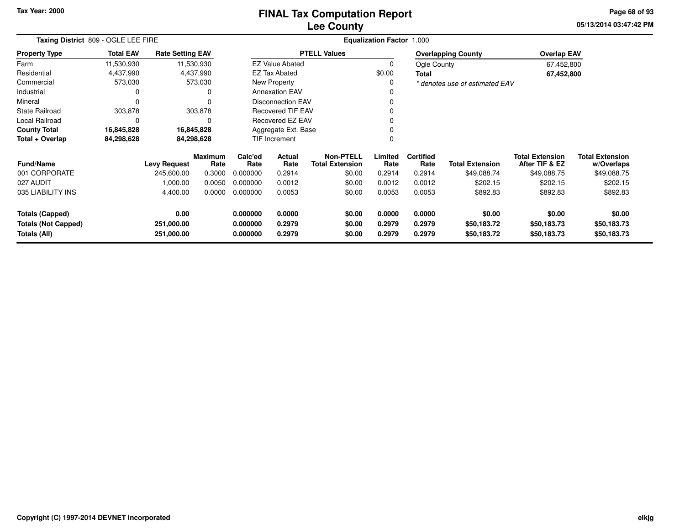### **Lee CountyFINAL Tax Computation Report**

**05/13/2014 03:47:42 PM Page 68 of 93**

| Taxing District 809 - OGLE LEE FIRE        |                  |                          |                        |                                                           |                        |                                            | <b>Equalization Factor 1.000</b> |                          |                                |                                          |                                      |
|--------------------------------------------|------------------|--------------------------|------------------------|-----------------------------------------------------------|------------------------|--------------------------------------------|----------------------------------|--------------------------|--------------------------------|------------------------------------------|--------------------------------------|
| <b>Property Type</b>                       | <b>Total EAV</b> | <b>Rate Setting EAV</b>  |                        |                                                           |                        | <b>PTELL Values</b>                        |                                  |                          | <b>Overlapping County</b>      | <b>Overlap EAV</b>                       |                                      |
| Farm                                       | 11,530,930       |                          | 11,530,930             |                                                           | <b>EZ Value Abated</b> |                                            | 0                                | Ogle County              |                                | 67,452,800                               |                                      |
| Residential                                | 4,437,990        |                          | 4,437,990              |                                                           | EZ Tax Abated          |                                            | \$0.00                           | <b>Total</b>             |                                | 67,452,800                               |                                      |
| Commercial                                 | 573,030          |                          | 573,030                |                                                           | New Property           |                                            | 0                                |                          | * denotes use of estimated EAV |                                          |                                      |
| Industrial                                 | 0                |                          | 0                      |                                                           | <b>Annexation EAV</b>  |                                            |                                  |                          |                                |                                          |                                      |
| Mineral                                    | $\Omega$         |                          | 0                      | <b>Disconnection EAV</b><br><b>Recovered TIF EAV</b><br>0 |                        |                                            |                                  |                          |                                |                                          |                                      |
| <b>State Railroad</b>                      | 303,878          |                          | 303,878                |                                                           |                        |                                            |                                  |                          |                                |                                          |                                      |
| Local Railroad                             | 0                |                          | 0                      |                                                           | Recovered EZ EAV       |                                            |                                  |                          |                                |                                          |                                      |
| <b>County Total</b>                        | 16,845,828       |                          | 16,845,828             |                                                           | Aggregate Ext. Base    |                                            |                                  |                          |                                |                                          |                                      |
| Total + Overlap                            | 84,298,628       |                          | 84,298,628             |                                                           | TIF Increment          |                                            | $\Omega$                         |                          |                                |                                          |                                      |
| <b>Fund/Name</b>                           |                  | <b>Levy Request</b>      | <b>Maximum</b><br>Rate | Calc'ed<br>Rate                                           | Actual<br>Rate         | <b>Non-PTELL</b><br><b>Total Extension</b> | Limited<br>Rate                  | <b>Certified</b><br>Rate | <b>Total Extension</b>         | <b>Total Extension</b><br>After TIF & EZ | <b>Total Extension</b><br>w/Overlaps |
| 001 CORPORATE                              |                  | 245,600.00               | 0.3000                 | 0.000000                                                  | 0.2914                 | \$0.00                                     | 0.2914                           | 0.2914                   | \$49,088.74                    | \$49,088.75                              | \$49,088.75                          |
| 027 AUDIT                                  |                  | 1,000.00                 | 0.0050                 | 0.000000                                                  | 0.0012                 | \$0.00                                     | 0.0012                           | 0.0012                   | \$202.15                       | \$202.15                                 | \$202.15                             |
| 035 LIABILITY INS                          |                  | 4,400.00                 | 0.0000                 | 0.000000                                                  | 0.0053                 | \$0.00                                     | 0.0053                           | 0.0053                   | \$892.83                       | \$892.83                                 | \$892.83                             |
| <b>Totals (Capped)</b>                     |                  | 0.00                     |                        | 0.000000                                                  | 0.0000                 | \$0.00                                     | 0.0000                           | 0.0000                   | \$0.00                         | \$0.00                                   | \$0.00                               |
| <b>Totals (Not Capped)</b><br>Totals (All) |                  | 251,000.00<br>251,000.00 |                        | 0.000000<br>0.000000                                      | 0.2979<br>0.2979       | \$0.00<br>\$0.00                           | 0.2979<br>0.2979                 | 0.2979<br>0.2979         | \$50,183.72<br>\$50,183.72     | \$50,183.73<br>\$50,183.73               | \$50,183.73<br>\$50,183.73           |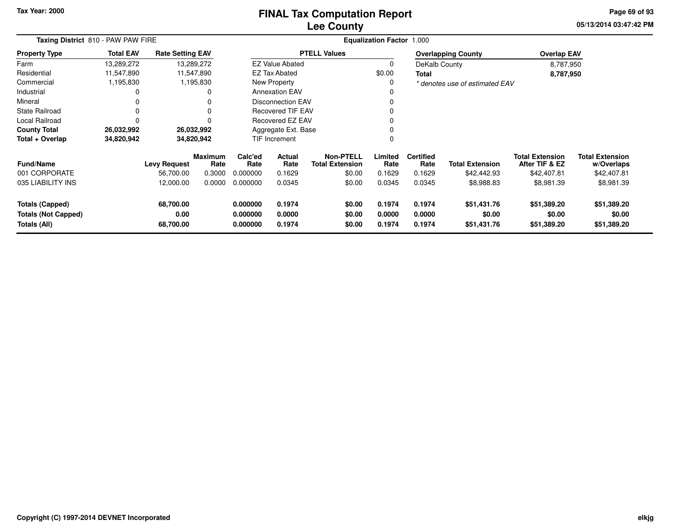#### **Lee CountyFINAL Tax Computation Report**

**05/13/2014 03:47:42 PM Page 69 of 93**

| Taxing District 810 - PAW PAW FIRE                                   |                  |                                |                 |                                  |                            |                                            | <b>Equalization Factor 1.000</b> |                            |                                      |                                          |                                      |
|----------------------------------------------------------------------|------------------|--------------------------------|-----------------|----------------------------------|----------------------------|--------------------------------------------|----------------------------------|----------------------------|--------------------------------------|------------------------------------------|--------------------------------------|
| <b>Property Type</b>                                                 | <b>Total EAV</b> | <b>Rate Setting EAV</b>        |                 |                                  |                            | <b>PTELL Values</b>                        |                                  |                            | <b>Overlapping County</b>            | <b>Overlap EAV</b>                       |                                      |
| Farm                                                                 | 13,289,272       |                                | 13,289,272      |                                  | <b>EZ Value Abated</b>     |                                            | 0                                | DeKalb County              |                                      | 8,787,950                                |                                      |
| Residential                                                          | 11,547,890       |                                | 11,547,890      |                                  | <b>EZ Tax Abated</b>       |                                            | \$0.00                           | Total                      |                                      | 8,787,950                                |                                      |
| Commercial                                                           | 1,195,830        |                                | 1,195,830       |                                  | New Property               |                                            | 0                                |                            | * denotes use of estimated EAV       |                                          |                                      |
| Industrial                                                           |                  |                                | 0               |                                  | <b>Annexation EAV</b>      |                                            | 0                                |                            |                                      |                                          |                                      |
| Mineral                                                              |                  |                                | 0               |                                  | <b>Disconnection EAV</b>   |                                            | 0                                |                            |                                      |                                          |                                      |
| <b>State Railroad</b>                                                |                  |                                | 0               |                                  | <b>Recovered TIF EAV</b>   |                                            |                                  |                            |                                      |                                          |                                      |
| Local Railroad                                                       |                  |                                | 0               |                                  | Recovered EZ EAV           |                                            | 0                                |                            |                                      |                                          |                                      |
| <b>County Total</b>                                                  | 26,032,992       | 26,032,992                     |                 |                                  | Aggregate Ext. Base        |                                            | 0                                |                            |                                      |                                          |                                      |
| Total + Overlap                                                      | 34,820,942       | 34,820,942                     |                 |                                  | TIF Increment              |                                            | 0                                |                            |                                      |                                          |                                      |
| <b>Fund/Name</b>                                                     |                  | <b>Levy Request</b>            | Maximum<br>Rate | Calc'ed<br>Rate                  | Actual<br>Rate             | <b>Non-PTELL</b><br><b>Total Extension</b> | Limited<br>Rate                  | <b>Certified</b><br>Rate   | <b>Total Extension</b>               | <b>Total Extension</b><br>After TIF & EZ | <b>Total Extension</b><br>w/Overlaps |
| 001 CORPORATE                                                        |                  | 56,700.00                      | 0.3000          | 0.000000                         | 0.1629                     | \$0.00                                     | 0.1629                           | 0.1629                     | \$42,442.93                          | \$42,407.81                              | \$42,407.81                          |
| 035 LIABILITY INS                                                    |                  | 12,000.00                      | 0.0000          | 0.000000                         | 0.0345                     | \$0.00                                     | 0.0345                           | 0.0345                     | \$8,988.83                           | \$8,981.39                               | \$8,981.39                           |
| <b>Totals (Capped)</b><br><b>Totals (Not Capped)</b><br>Totals (All) |                  | 68,700.00<br>0.00<br>68,700.00 |                 | 0.000000<br>0.000000<br>0.000000 | 0.1974<br>0.0000<br>0.1974 | \$0.00<br>\$0.00<br>\$0.00                 | 0.1974<br>0.0000<br>0.1974       | 0.1974<br>0.0000<br>0.1974 | \$51,431.76<br>\$0.00<br>\$51,431.76 | \$51,389.20<br>\$0.00<br>\$51,389.20     | \$51,389.20<br>\$0.00<br>\$51,389.20 |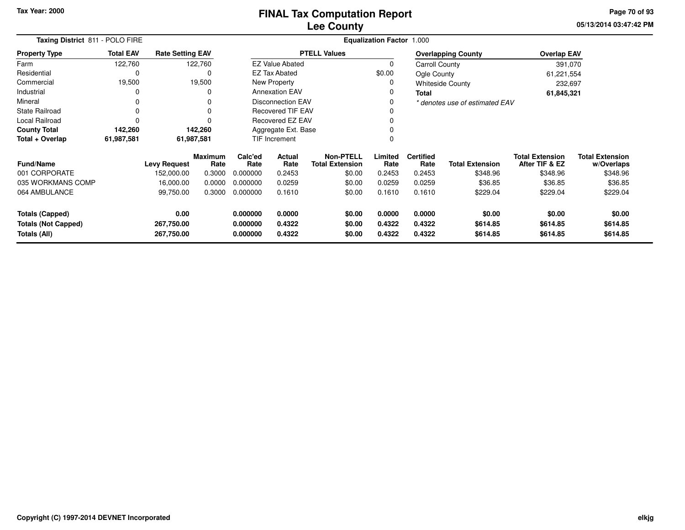**05/13/2014 03:47:42 PM Page 70 of 93**

| Taxing District 811 - POLO FIRE            |                  |                          |                 | <b>Equalization Factor 1.000</b> |                          |                                            |                  |                          |                                |                                          |                                      |  |
|--------------------------------------------|------------------|--------------------------|-----------------|----------------------------------|--------------------------|--------------------------------------------|------------------|--------------------------|--------------------------------|------------------------------------------|--------------------------------------|--|
| <b>Property Type</b>                       | <b>Total EAV</b> | <b>Rate Setting EAV</b>  |                 |                                  |                          | <b>PTELL Values</b>                        |                  |                          | <b>Overlapping County</b>      | <b>Overlap EAV</b>                       |                                      |  |
| Farm                                       | 122,760          |                          | 122,760         |                                  | <b>EZ Value Abated</b>   |                                            |                  | Carroll County           |                                | 391,070                                  |                                      |  |
| Residential                                | 0                |                          | 0               |                                  | <b>EZ Tax Abated</b>     |                                            | \$0.00           | Ogle County              |                                | 61,221,554                               |                                      |  |
| Commercial                                 | 19,500           |                          | 19,500          |                                  | New Property             |                                            | 0                |                          | <b>Whiteside County</b>        | 232,697                                  |                                      |  |
| Industrial                                 |                  |                          | 0               |                                  | <b>Annexation EAV</b>    |                                            | 0                | <b>Total</b>             |                                | 61,845,321                               |                                      |  |
| Mineral                                    | 0                |                          | 0               |                                  | <b>Disconnection EAV</b> |                                            |                  |                          | * denotes use of estimated EAV |                                          |                                      |  |
| <b>State Railroad</b>                      |                  |                          |                 | <b>Recovered TIF EAV</b>         |                          |                                            |                  |                          |                                |                                          |                                      |  |
| <b>Local Railroad</b>                      |                  |                          |                 |                                  | Recovered EZ EAV         |                                            |                  |                          |                                |                                          |                                      |  |
| <b>County Total</b>                        | 142,260          |                          | 142,260         |                                  | Aggregate Ext. Base      |                                            |                  |                          |                                |                                          |                                      |  |
| Total + Overlap                            | 61,987,581       |                          | 61,987,581      |                                  | TIF Increment            |                                            |                  |                          |                                |                                          |                                      |  |
| <b>Fund/Name</b>                           |                  | <b>Levy Request</b>      | Maximum<br>Rate | Calc'ed<br>Rate                  | <b>Actual</b><br>Rate    | <b>Non-PTELL</b><br><b>Total Extension</b> | Limited<br>Rate  | <b>Certified</b><br>Rate | <b>Total Extension</b>         | <b>Total Extension</b><br>After TIF & EZ | <b>Total Extension</b><br>w/Overlaps |  |
| 001 CORPORATE                              |                  | 152,000.00               | 0.3000          | 0.000000                         | 0.2453                   | \$0.00                                     | 0.2453           | 0.2453                   | \$348.96                       | \$348.96                                 | \$348.96                             |  |
| 035 WORKMANS COMP                          |                  | 16,000.00                | 0.0000          | 0.000000                         | 0.0259                   | \$0.00                                     | 0.0259           | 0.0259                   | \$36.85                        | \$36.85                                  | \$36.85                              |  |
| 064 AMBULANCE                              |                  | 99,750.00                | 0.3000          | 0.000000                         | 0.1610                   | \$0.00                                     | 0.1610           | 0.1610                   | \$229.04                       | \$229.04                                 | \$229.04                             |  |
| <b>Totals (Capped)</b>                     |                  | 0.00                     |                 | 0.000000                         | 0.0000                   | \$0.00                                     | 0.0000           | 0.0000                   | \$0.00                         | \$0.00                                   | \$0.00                               |  |
| <b>Totals (Not Capped)</b><br>Totals (All) |                  | 267,750.00<br>267,750.00 |                 | 0.000000<br>0.000000             | 0.4322<br>0.4322         | \$0.00<br>\$0.00                           | 0.4322<br>0.4322 | 0.4322<br>0.4322         | \$614.85<br>\$614.85           | \$614.85<br>\$614.85                     | \$614.85<br>\$614.85                 |  |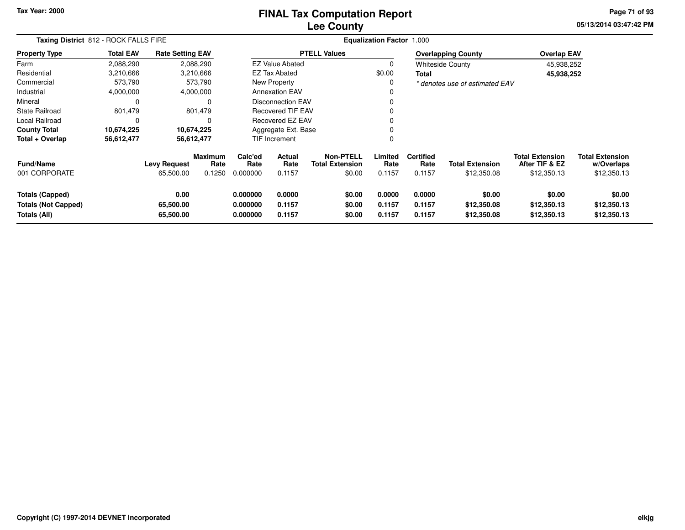# **Lee CountyFINAL Tax Computation Report**

**05/13/2014 03:47:42 PM Page 71 of 93**

| Taxing District 812 - ROCK FALLS FIRE                                | <b>Equalization Factor</b><br>1.000 |                                  |                                  |                                  |                            |                                                      |                            |                                    |                                       |                                                         |                                                     |
|----------------------------------------------------------------------|-------------------------------------|----------------------------------|----------------------------------|----------------------------------|----------------------------|------------------------------------------------------|----------------------------|------------------------------------|---------------------------------------|---------------------------------------------------------|-----------------------------------------------------|
| <b>Property Type</b>                                                 | <b>Total EAV</b>                    | <b>Rate Setting EAV</b>          |                                  |                                  |                            | <b>PTELL Values</b>                                  |                            |                                    | <b>Overlapping County</b>             | <b>Overlap EAV</b>                                      |                                                     |
| Farm                                                                 | 2,088,290                           | 2,088,290                        |                                  |                                  | <b>EZ Value Abated</b>     |                                                      | 0                          |                                    | <b>Whiteside County</b>               | 45,938,252                                              |                                                     |
| Residential                                                          | 3,210,666                           | 3,210,666                        |                                  |                                  | <b>EZ Tax Abated</b>       |                                                      | \$0.00                     | Total                              |                                       | 45,938,252                                              |                                                     |
| Commercial                                                           | 573,790                             |                                  | 573,790                          | New Property                     |                            |                                                      | 0                          |                                    | * denotes use of estimated EAV        |                                                         |                                                     |
| Industrial                                                           | 4,000,000                           | 4,000,000                        |                                  |                                  | <b>Annexation EAV</b>      |                                                      | 0                          |                                    |                                       |                                                         |                                                     |
| Mineral                                                              | 0                                   |                                  | $\Omega$                         |                                  | <b>Disconnection EAV</b>   |                                                      | 0                          |                                    |                                       |                                                         |                                                     |
| <b>State Railroad</b>                                                | 801,479                             |                                  | 801,479                          |                                  | <b>Recovered TIF EAV</b>   |                                                      | 0                          |                                    |                                       |                                                         |                                                     |
| Local Railroad                                                       | 0                                   |                                  | 0                                |                                  | Recovered EZ EAV           |                                                      | 0                          |                                    |                                       |                                                         |                                                     |
| <b>County Total</b>                                                  | 10,674,225                          | 10,674,225                       |                                  |                                  | Aggregate Ext. Base        |                                                      | 0                          |                                    |                                       |                                                         |                                                     |
| Total + Overlap                                                      | 56,612,477                          | 56,612,477                       |                                  | TIF Increment                    |                            |                                                      | 0                          |                                    |                                       |                                                         |                                                     |
| <b>Fund/Name</b><br>001 CORPORATE                                    |                                     | <b>Levy Request</b><br>65,500.00 | <b>Maximum</b><br>Rate<br>0.1250 | Calc'ed<br>Rate<br>0.000000      | Actual<br>Rate<br>0.1157   | <b>Non-PTELL</b><br><b>Total Extension</b><br>\$0.00 | Limited<br>Rate<br>0.1157  | <b>Certified</b><br>Rate<br>0.1157 | <b>Total Extension</b><br>\$12,350.08 | <b>Total Extension</b><br>After TIF & EZ<br>\$12,350.13 | <b>Total Extension</b><br>w/Overlaps<br>\$12,350.13 |
| <b>Totals (Capped)</b><br><b>Totals (Not Capped)</b><br>Totals (All) |                                     | 0.00<br>65,500.00<br>65,500.00   |                                  | 0.000000<br>0.000000<br>0.000000 | 0.0000<br>0.1157<br>0.1157 | \$0.00<br>\$0.00<br>\$0.00                           | 0.0000<br>0.1157<br>0.1157 | 0.0000<br>0.1157<br>0.1157         | \$0.00<br>\$12,350.08<br>\$12,350.08  | \$0.00<br>\$12,350.13<br>\$12,350.13                    | \$0.00<br>\$12,350.13<br>\$12,350.13                |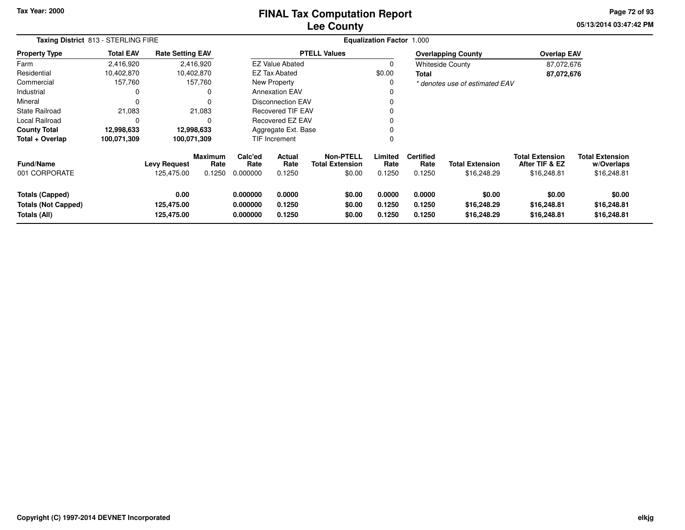#### **Lee CountyFINAL Tax Computation Report**

**05/13/2014 03:47:42 PM Page 72 of 93**

| Taxing District 813 - STERLING FIRE                                  |                  |                                   |                           | <b>Equalization Factor 1.000</b> |                            |                                                      |                            |                                    |                                       |                                                         |                                                     |
|----------------------------------------------------------------------|------------------|-----------------------------------|---------------------------|----------------------------------|----------------------------|------------------------------------------------------|----------------------------|------------------------------------|---------------------------------------|---------------------------------------------------------|-----------------------------------------------------|
| <b>Property Type</b>                                                 | <b>Total EAV</b> | <b>Rate Setting EAV</b>           |                           |                                  |                            | <b>PTELL Values</b>                                  |                            |                                    | <b>Overlapping County</b>             | <b>Overlap EAV</b>                                      |                                                     |
| Farm                                                                 | 2,416,920        |                                   | 2,416,920                 |                                  | <b>EZ Value Abated</b>     |                                                      | 0                          | <b>Whiteside County</b>            |                                       | 87,072,676                                              |                                                     |
| Residential                                                          | 10,402,870       |                                   | 10,402,870                |                                  | EZ Tax Abated              |                                                      | \$0.00<br>Total            |                                    |                                       | 87,072,676                                              |                                                     |
| Commercial                                                           | 157,760          |                                   | 157,760                   | New Property                     |                            |                                                      | 0                          |                                    | * denotes use of estimated EAV        |                                                         |                                                     |
| Industrial                                                           | 0                |                                   | 0                         | <b>Annexation EAV</b>            |                            |                                                      | 0                          |                                    |                                       |                                                         |                                                     |
| Mineral                                                              | 0                |                                   | 0                         | <b>Disconnection EAV</b>         |                            |                                                      | 0                          |                                    |                                       |                                                         |                                                     |
| <b>State Railroad</b>                                                | 21,083           |                                   | 21,083                    | <b>Recovered TIF EAV</b>         |                            |                                                      | 0                          |                                    |                                       |                                                         |                                                     |
| Local Railroad                                                       | 0                |                                   | 0                         |                                  | <b>Recovered EZ EAV</b>    |                                                      | 0                          |                                    |                                       |                                                         |                                                     |
| <b>County Total</b>                                                  | 12,998,633       | 12,998,633                        |                           |                                  | Aggregate Ext. Base        |                                                      | 0                          |                                    |                                       |                                                         |                                                     |
| Total + Overlap                                                      | 100,071,309      | 100,071,309                       |                           | <b>TIF Increment</b>             |                            |                                                      | 0                          |                                    |                                       |                                                         |                                                     |
| <b>Fund/Name</b><br>001 CORPORATE                                    |                  | <b>Levy Request</b><br>125,475.00 | Maximum<br>Rate<br>0.1250 | Calc'ed<br>Rate<br>0.000000      | Actual<br>Rate<br>0.1250   | <b>Non-PTELL</b><br><b>Total Extension</b><br>\$0.00 | Limited<br>Rate<br>0.1250  | <b>Certified</b><br>Rate<br>0.1250 | <b>Total Extension</b><br>\$16,248.29 | <b>Total Extension</b><br>After TIF & EZ<br>\$16,248.81 | <b>Total Extension</b><br>w/Overlaps<br>\$16,248.81 |
|                                                                      |                  |                                   |                           |                                  |                            |                                                      |                            |                                    |                                       |                                                         |                                                     |
| <b>Totals (Capped)</b><br><b>Totals (Not Capped)</b><br>Totals (All) |                  | 0.00<br>125,475.00<br>125,475.00  |                           | 0.000000<br>0.000000<br>0.000000 | 0.0000<br>0.1250<br>0.1250 | \$0.00<br>\$0.00<br>\$0.00                           | 0.0000<br>0.1250<br>0.1250 | 0.0000<br>0.1250<br>0.1250         | \$0.00<br>\$16,248.29<br>\$16,248.29  | \$0.00<br>\$16,248.81<br>\$16,248.81                    | \$0.00<br>\$16,248.81<br>\$16,248.81                |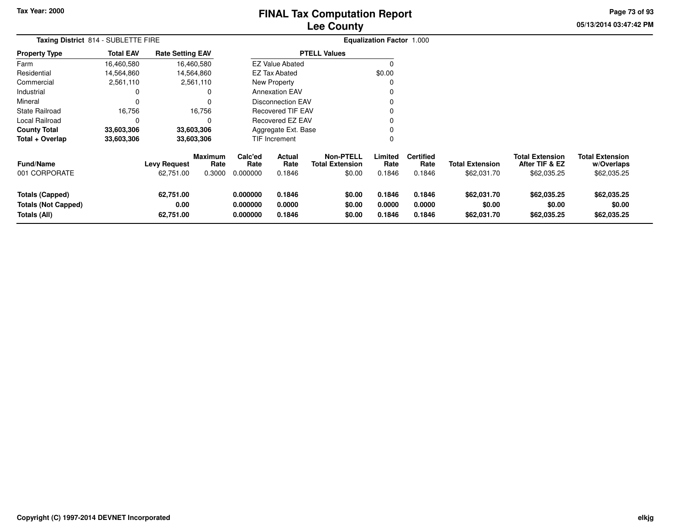# **Lee CountyFINAL Tax Computation Report**

**05/13/2014 03:47:42 PM Page 73 of 93**

| Taxing District 814 - SUBLETTE FIRE                                  |                  |                                  |                           |                                  |                            |                                               | <b>Equalization Factor 1.000</b> |                                    |                                       |                                                         |                                                     |
|----------------------------------------------------------------------|------------------|----------------------------------|---------------------------|----------------------------------|----------------------------|-----------------------------------------------|----------------------------------|------------------------------------|---------------------------------------|---------------------------------------------------------|-----------------------------------------------------|
| <b>Property Type</b>                                                 | <b>Total EAV</b> | <b>Rate Setting EAV</b>          |                           |                                  |                            | <b>PTELL Values</b>                           |                                  |                                    |                                       |                                                         |                                                     |
| Farm                                                                 | 16,460,580       |                                  | 16,460,580                |                                  | <b>EZ Value Abated</b>     |                                               | n                                |                                    |                                       |                                                         |                                                     |
| Residential                                                          | 14,564,860       |                                  | 14,564,860                |                                  | <b>EZ Tax Abated</b>       |                                               | \$0.00                           |                                    |                                       |                                                         |                                                     |
| Commercial                                                           | 2,561,110        |                                  | 2,561,110                 |                                  | New Property               |                                               |                                  |                                    |                                       |                                                         |                                                     |
| Industrial                                                           |                  |                                  | 0                         |                                  | <b>Annexation EAV</b>      |                                               |                                  |                                    |                                       |                                                         |                                                     |
| Mineral                                                              |                  |                                  | $\Omega$                  |                                  | <b>Disconnection EAV</b>   |                                               |                                  |                                    |                                       |                                                         |                                                     |
| <b>State Railroad</b>                                                | 16,756           |                                  | 16,756                    |                                  | <b>Recovered TIF EAV</b>   |                                               |                                  |                                    |                                       |                                                         |                                                     |
| Local Railroad                                                       | $\Omega$         |                                  | $\Omega$                  |                                  | <b>Recovered EZ EAV</b>    |                                               |                                  |                                    |                                       |                                                         |                                                     |
| <b>County Total</b>                                                  | 33,603,306       |                                  | 33,603,306                |                                  | Aggregate Ext. Base        |                                               |                                  |                                    |                                       |                                                         |                                                     |
| Total + Overlap                                                      | 33,603,306       |                                  | 33,603,306                |                                  | TIF Increment              |                                               |                                  |                                    |                                       |                                                         |                                                     |
| <b>Fund/Name</b><br>001 CORPORATE                                    |                  | <b>Levy Request</b><br>62,751.00 | Maximum<br>Rate<br>0.3000 | Calc'ed<br>Rate<br>0.000000      | Actual<br>Rate<br>0.1846   | Non-PTELL<br><b>Total Extension</b><br>\$0.00 | Limited<br>Rate<br>0.1846        | <b>Certified</b><br>Rate<br>0.1846 | <b>Total Extension</b><br>\$62,031.70 | <b>Total Extension</b><br>After TIF & EZ<br>\$62,035.25 | <b>Total Extension</b><br>w/Overlaps<br>\$62,035.25 |
| <b>Totals (Capped)</b><br><b>Totals (Not Capped)</b><br>Totals (All) |                  | 62,751.00<br>0.00<br>62,751.00   |                           | 0.000000<br>0.000000<br>0.000000 | 0.1846<br>0.0000<br>0.1846 | \$0.00<br>\$0.00<br>\$0.00                    | 0.1846<br>0.0000<br>0.1846       | 0.1846<br>0.0000<br>0.1846         | \$62,031.70<br>\$0.00<br>\$62,031.70  | \$62,035.25<br>\$0.00<br>\$62,035.25                    | \$62,035.25<br>\$0.00<br>\$62,035.25                |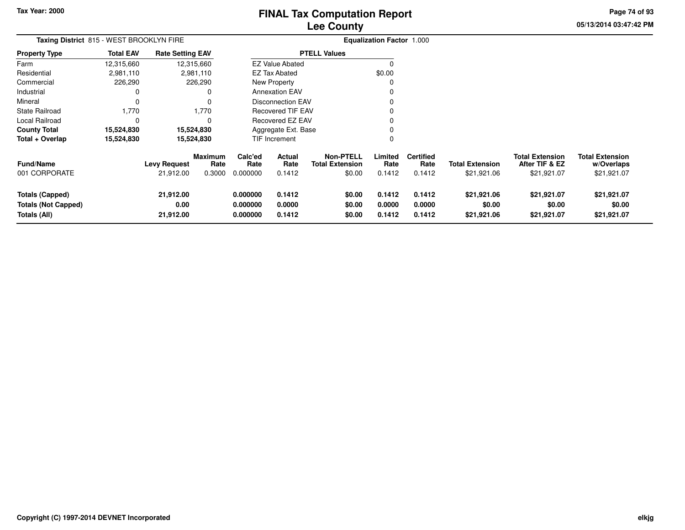# **Lee CountyFINAL Tax Computation Report**

**05/13/2014 03:47:42 PM Page 74 of 93**

| Taxing District 815 - WEST BROOKLYN FIRE                             |                  |                                  |                                  |                                  |                            |                                                      | <b>Equalization Factor 1.000</b> |                                    |                                       |                                                         |                                                     |
|----------------------------------------------------------------------|------------------|----------------------------------|----------------------------------|----------------------------------|----------------------------|------------------------------------------------------|----------------------------------|------------------------------------|---------------------------------------|---------------------------------------------------------|-----------------------------------------------------|
| Property Type                                                        | <b>Total EAV</b> | <b>Rate Setting EAV</b>          |                                  |                                  |                            | <b>PTELL Values</b>                                  |                                  |                                    |                                       |                                                         |                                                     |
| Farm                                                                 | 12,315,660       |                                  | 12,315,660                       |                                  | <b>EZ Value Abated</b>     |                                                      | O                                |                                    |                                       |                                                         |                                                     |
| Residential                                                          | 2,981,110        |                                  | 2,981,110                        |                                  | <b>EZ Tax Abated</b>       |                                                      | \$0.00                           |                                    |                                       |                                                         |                                                     |
| Commercial                                                           | 226,290          |                                  | 226,290                          |                                  | New Property               |                                                      |                                  |                                    |                                       |                                                         |                                                     |
| Industrial                                                           | 0                |                                  |                                  |                                  | <b>Annexation EAV</b>      |                                                      |                                  |                                    |                                       |                                                         |                                                     |
| Mineral                                                              | 0                |                                  |                                  |                                  | Disconnection EAV          |                                                      |                                  |                                    |                                       |                                                         |                                                     |
| State Railroad                                                       | 1,770            |                                  | 1,770                            |                                  | Recovered TIF EAV          |                                                      |                                  |                                    |                                       |                                                         |                                                     |
| Local Railroad                                                       | 0                |                                  |                                  |                                  | Recovered EZ EAV           |                                                      |                                  |                                    |                                       |                                                         |                                                     |
| County Total                                                         | 15,524,830       |                                  | 15,524,830                       |                                  | Aggregate Ext. Base        |                                                      |                                  |                                    |                                       |                                                         |                                                     |
| Total + Overlap                                                      | 15,524,830       |                                  | 15,524,830                       |                                  | <b>TIF Increment</b>       |                                                      | 0                                |                                    |                                       |                                                         |                                                     |
| Fund/Name<br>001 CORPORATE                                           |                  | <b>Levy Request</b><br>21,912.00 | <b>Maximum</b><br>Rate<br>0.3000 | Calc'ed<br>Rate<br>0.000000      | Actual<br>Rate<br>0.1412   | <b>Non-PTELL</b><br><b>Total Extension</b><br>\$0.00 | Limited<br>Rate<br>0.1412        | <b>Certified</b><br>Rate<br>0.1412 | <b>Total Extension</b><br>\$21,921.06 | <b>Total Extension</b><br>After TIF & EZ<br>\$21,921.07 | <b>Total Extension</b><br>w/Overlaps<br>\$21,921.07 |
| <b>Totals (Capped)</b><br><b>Totals (Not Capped)</b><br>Totals (All) |                  | 21,912.00<br>0.00<br>21,912.00   |                                  | 0.000000<br>0.000000<br>0.000000 | 0.1412<br>0.0000<br>0.1412 | \$0.00<br>\$0.00<br>\$0.00                           | 0.1412<br>0.0000<br>0.1412       | 0.1412<br>0.0000<br>0.1412         | \$21,921.06<br>\$0.00<br>\$21,921.06  | \$21,921.07<br>\$0.00<br>\$21,921.07                    | \$21,921.07<br>\$0.00<br>\$21,921.07                |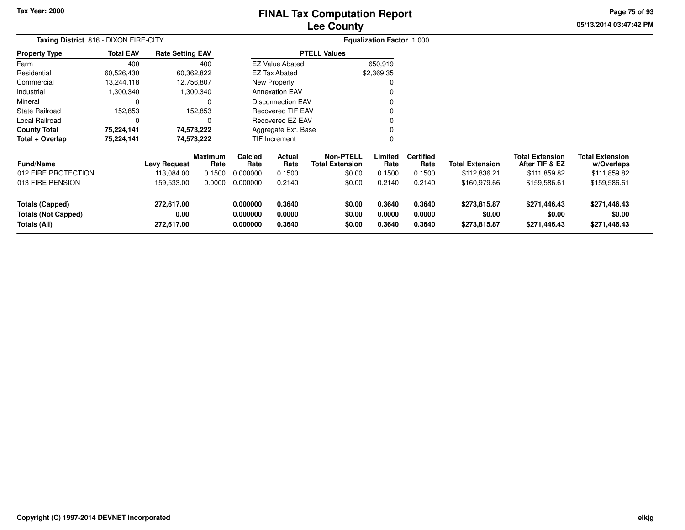# **Lee CountyFINAL Tax Computation Report**

**05/13/2014 03:47:42 PM Page 75 of 93**

| Taxing District 816 - DIXON FIRE-CITY                                |                  |                                   | <b>Equalization Factor 1.000</b> |                                  |                            |                                                      |                            |                                    |                                        |                                                          |                                                      |  |
|----------------------------------------------------------------------|------------------|-----------------------------------|----------------------------------|----------------------------------|----------------------------|------------------------------------------------------|----------------------------|------------------------------------|----------------------------------------|----------------------------------------------------------|------------------------------------------------------|--|
| <b>Property Type</b>                                                 | <b>Total EAV</b> | <b>Rate Setting EAV</b>           |                                  |                                  |                            | <b>PTELL Values</b>                                  |                            |                                    |                                        |                                                          |                                                      |  |
| Farm                                                                 | 400              |                                   | 400                              |                                  | <b>EZ Value Abated</b>     |                                                      | 650,919                    |                                    |                                        |                                                          |                                                      |  |
| Residential                                                          | 60,526,430       | 60,362,822                        |                                  |                                  | EZ Tax Abated              |                                                      | \$2,369.35                 |                                    |                                        |                                                          |                                                      |  |
| Commercial                                                           | 13,244,118       | 12,756,807                        |                                  |                                  | New Property               |                                                      |                            |                                    |                                        |                                                          |                                                      |  |
| Industrial                                                           | 1,300,340        |                                   | 1,300,340                        |                                  | <b>Annexation EAV</b>      |                                                      |                            |                                    |                                        |                                                          |                                                      |  |
| Mineral                                                              | 0                |                                   | 0                                |                                  | <b>Disconnection EAV</b>   |                                                      |                            |                                    |                                        |                                                          |                                                      |  |
| <b>State Railroad</b>                                                | 152,853          |                                   | 152,853                          | <b>Recovered TIF EAV</b>         |                            |                                                      |                            |                                    |                                        |                                                          |                                                      |  |
| Local Railroad                                                       | 0                |                                   |                                  |                                  | Recovered EZ EAV           |                                                      |                            |                                    |                                        |                                                          |                                                      |  |
| <b>County Total</b>                                                  | 75,224,141       | 74,573,222                        |                                  |                                  | Aggregate Ext. Base        |                                                      |                            |                                    |                                        |                                                          |                                                      |  |
| Total + Overlap                                                      | 75,224,141       | 74,573,222                        |                                  | TIF Increment<br>$\Omega$        |                            |                                                      |                            |                                    |                                        |                                                          |                                                      |  |
| <b>Fund/Name</b><br>012 FIRE PROTECTION                              |                  | <b>Levy Request</b><br>113,084.00 | Maximum<br>Rate<br>0.1500        | Calc'ed<br>Rate<br>0.000000      | Actual<br>Rate<br>0.1500   | <b>Non-PTELL</b><br><b>Total Extension</b><br>\$0.00 | Limited<br>Rate<br>0.1500  | <b>Certified</b><br>Rate<br>0.1500 | <b>Total Extension</b><br>\$112,836.21 | <b>Total Extension</b><br>After TIF & EZ<br>\$111,859.82 | <b>Total Extension</b><br>w/Overlaps<br>\$111,859.82 |  |
| 013 FIRE PENSION                                                     |                  | 159,533.00                        | 0.0000                           | 0.000000                         | 0.2140                     | \$0.00                                               | 0.2140                     | 0.2140                             | \$160,979.66                           | \$159,586.61                                             | \$159,586.61                                         |  |
| <b>Totals (Capped)</b><br><b>Totals (Not Capped)</b><br>Totals (All) |                  | 272,617.00<br>0.00<br>272,617.00  |                                  | 0.000000<br>0.000000<br>0.000000 | 0.3640<br>0.0000<br>0.3640 | \$0.00<br>\$0.00<br>\$0.00                           | 0.3640<br>0.0000<br>0.3640 | 0.3640<br>0.0000<br>0.3640         | \$273,815.87<br>\$0.00<br>\$273,815.87 | \$271,446.43<br>\$0.00<br>\$271,446.43                   | \$271,446.43<br>\$0.00<br>\$271,446.43               |  |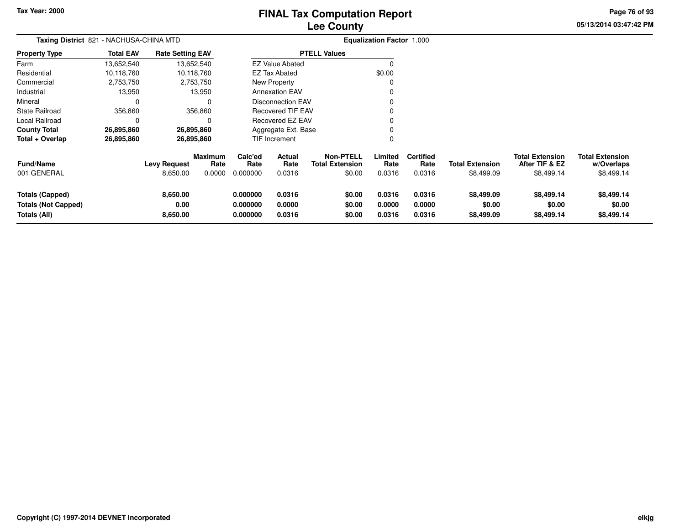**Totals (Not Capped)**

**Totals (All)**

**0.00**

**8,650.00**

# **Lee CountyFINAL Tax Computation Report**

**0.000000 0.0000 \$0.00 0.0000 0.0000 \$0.00 \$0.00 \$0.00**

**0.000000 0.0316 \$0.00 0.0316 0.0316 \$8,499.09 \$8,499.14 \$8,499.14**

**05/13/2014 03:47:42 PMPage 76 of 93**

|                        | Taxing District 821 - NACHUSA-CHINA MTD |                         |                        |                 |                          |                                            | <b>Equalization Factor 1.000</b> |                          |                        |                                          |                                      |
|------------------------|-----------------------------------------|-------------------------|------------------------|-----------------|--------------------------|--------------------------------------------|----------------------------------|--------------------------|------------------------|------------------------------------------|--------------------------------------|
| <b>Property Type</b>   | <b>Total EAV</b>                        | <b>Rate Setting EAV</b> |                        |                 |                          | <b>PTELL Values</b>                        |                                  |                          |                        |                                          |                                      |
| Farm                   | 13,652,540                              | 13,652,540              |                        |                 | <b>EZ Value Abated</b>   |                                            | O                                |                          |                        |                                          |                                      |
| Residential            | 10,118,760                              |                         | 10,118,760             |                 | EZ Tax Abated            |                                            | \$0.00                           |                          |                        |                                          |                                      |
| Commercial             | 2,753,750                               |                         | 2,753,750              |                 | New Property             |                                            | 0                                |                          |                        |                                          |                                      |
| Industrial             | 13,950                                  |                         | 13,950                 |                 | <b>Annexation EAV</b>    |                                            | 0                                |                          |                        |                                          |                                      |
| Mineral                | $\Omega$                                |                         | 0                      |                 | <b>Disconnection EAV</b> |                                            | 0                                |                          |                        |                                          |                                      |
| <b>State Railroad</b>  | 356,860                                 |                         | 356,860                |                 | <b>Recovered TIF EAV</b> |                                            | 0                                |                          |                        |                                          |                                      |
| Local Railroad         | 0                                       |                         | 0                      |                 | Recovered EZ EAV         |                                            | 0                                |                          |                        |                                          |                                      |
| <b>County Total</b>    | 26,895,860                              | 26,895,860              |                        |                 | Aggregate Ext. Base      |                                            | $\Omega$                         |                          |                        |                                          |                                      |
| Total + Overlap        | 26,895,860                              | 26,895,860              |                        |                 | TIF Increment            |                                            | 0                                |                          |                        |                                          |                                      |
| <b>Fund/Name</b>       |                                         | Levy Request            | <b>Maximum</b><br>Rate | Calc'ed<br>Rate | Actual<br>Rate           | <b>Non-PTELL</b><br><b>Total Extension</b> | Limited<br>Rate                  | <b>Certified</b><br>Rate | <b>Total Extension</b> | <b>Total Extension</b><br>After TIF & EZ | <b>Total Extension</b><br>w/Overlaps |
| 001 GENERAL            |                                         | 8,650.00                | 0.0000                 | 0.000000        | 0.0316                   | \$0.00                                     | 0.0316                           | 0.0316                   | \$8,499.09             | \$8,499.14                               | \$8,499.14                           |
| <b>Totals (Capped)</b> |                                         | 8,650.00                |                        | 0.000000        | 0.0316                   | \$0.00                                     | 0.0316                           | 0.0316                   | \$8,499.09             | \$8,499.14                               | \$8,499.14                           |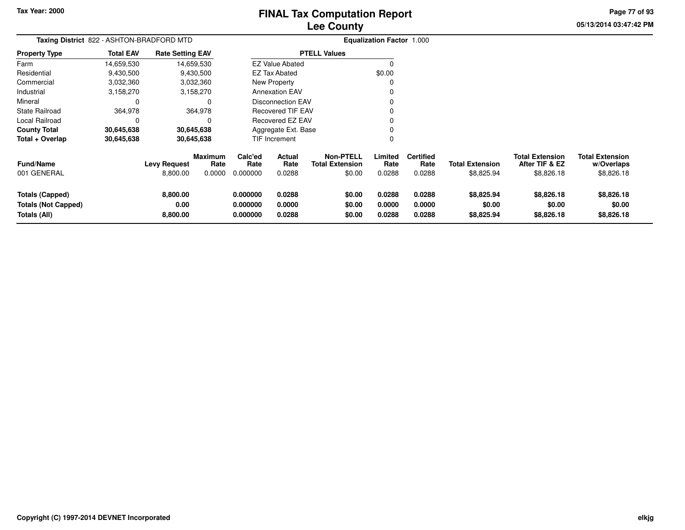# **Lee CountyFINAL Tax Computation Report**

**05/13/2014 03:47:42 PMPage 77 of 93**

| Taxing District 822 - ASHTON-BRADFORD MTD                            |                  |                                 |                                  |                                  |                            |                                                      | <b>Equalization Factor 1.000</b> |                                    |                                      |                                                        |                                                    |
|----------------------------------------------------------------------|------------------|---------------------------------|----------------------------------|----------------------------------|----------------------------|------------------------------------------------------|----------------------------------|------------------------------------|--------------------------------------|--------------------------------------------------------|----------------------------------------------------|
| <b>Property Type</b>                                                 | <b>Total EAV</b> | <b>Rate Setting EAV</b>         |                                  |                                  |                            | <b>PTELL Values</b>                                  |                                  |                                    |                                      |                                                        |                                                    |
| Farm                                                                 | 14,659,530       |                                 | 14,659,530                       |                                  | <b>EZ Value Abated</b>     |                                                      | $\Omega$                         |                                    |                                      |                                                        |                                                    |
| Residential                                                          | 9,430,500        |                                 | 9,430,500                        |                                  | <b>EZ Tax Abated</b>       |                                                      | \$0.00                           |                                    |                                      |                                                        |                                                    |
| Commercial                                                           | 3,032,360        |                                 | 3,032,360                        |                                  | New Property               |                                                      |                                  |                                    |                                      |                                                        |                                                    |
| Industrial                                                           | 3,158,270        |                                 | 3,158,270                        |                                  | <b>Annexation EAV</b>      |                                                      |                                  |                                    |                                      |                                                        |                                                    |
| Mineral                                                              |                  |                                 | O                                |                                  | <b>Disconnection EAV</b>   |                                                      |                                  |                                    |                                      |                                                        |                                                    |
| <b>State Railroad</b>                                                | 364,978          |                                 | 364,978                          |                                  | Recovered TIF EAV          |                                                      |                                  |                                    |                                      |                                                        |                                                    |
| Local Railroad                                                       | 0                |                                 | 0                                |                                  | Recovered EZ EAV           |                                                      |                                  |                                    |                                      |                                                        |                                                    |
| <b>County Total</b>                                                  | 30,645,638       |                                 | 30,645,638                       |                                  | Aggregate Ext. Base        |                                                      |                                  |                                    |                                      |                                                        |                                                    |
| Total + Overlap                                                      | 30,645,638       |                                 | 30,645,638                       |                                  | TIF Increment              |                                                      | 0                                |                                    |                                      |                                                        |                                                    |
| Fund/Name<br>001 GENERAL                                             |                  | <b>Levy Request</b><br>8,800.00 | <b>Maximum</b><br>Rate<br>0.0000 | Calc'ed<br>Rate<br>0.000000      | Actual<br>Rate<br>0.0288   | <b>Non-PTELL</b><br><b>Total Extension</b><br>\$0.00 | Limited<br>Rate<br>0.0288        | <b>Certified</b><br>Rate<br>0.0288 | <b>Total Extension</b><br>\$8,825.94 | <b>Total Extension</b><br>After TIF & EZ<br>\$8,826.18 | <b>Total Extension</b><br>w/Overlaps<br>\$8,826.18 |
| <b>Totals (Capped)</b><br><b>Totals (Not Capped)</b><br>Totals (All) |                  | 8,800.00<br>0.00<br>8,800.00    |                                  | 0.000000<br>0.000000<br>0.000000 | 0.0288<br>0.0000<br>0.0288 | \$0.00<br>\$0.00<br>\$0.00                           | 0.0288<br>0.0000<br>0.0288       | 0.0288<br>0.0000<br>0.0288         | \$8,825.94<br>\$0.00<br>\$8,825.94   | \$8,826.18<br>\$0.00<br>\$8,826.18                     | \$8,826.18<br>\$0.00<br>\$8,826.18                 |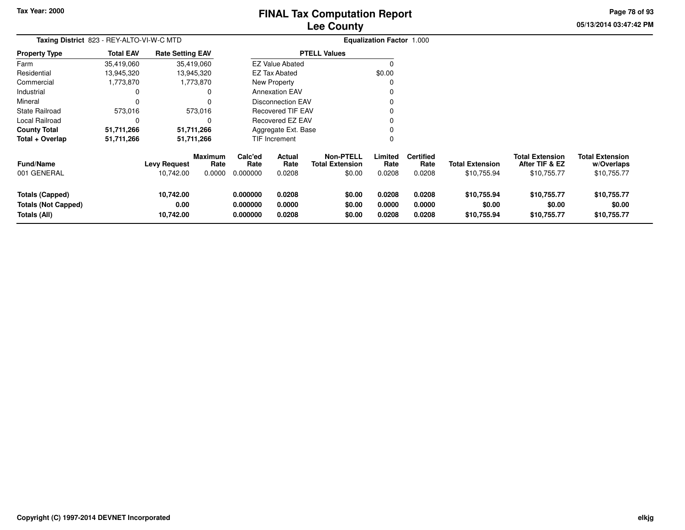# **Lee CountyFINAL Tax Computation Report**

**05/13/2014 03:47:42 PM Page 78 of 93**

| Taxing District 823 - REY-ALTO-VI-W-C MTD  |                  |                         |                        |                      |                          |                                            | <b>Equalization Factor 1.000</b> |                          |                        |                                          |                                      |
|--------------------------------------------|------------------|-------------------------|------------------------|----------------------|--------------------------|--------------------------------------------|----------------------------------|--------------------------|------------------------|------------------------------------------|--------------------------------------|
| <b>Property Type</b>                       | <b>Total EAV</b> | <b>Rate Setting EAV</b> |                        |                      |                          | <b>PTELL Values</b>                        |                                  |                          |                        |                                          |                                      |
| Farm                                       | 35,419,060       |                         | 35,419,060             |                      | <b>EZ Value Abated</b>   |                                            |                                  |                          |                        |                                          |                                      |
| Residential                                | 13,945,320       |                         | 13,945,320             |                      | <b>EZ Tax Abated</b>     |                                            | \$0.00                           |                          |                        |                                          |                                      |
| Commercial                                 | 1,773,870        |                         | 1,773,870              |                      | New Property             |                                            |                                  |                          |                        |                                          |                                      |
| Industrial                                 | 0                |                         | 0                      |                      | <b>Annexation EAV</b>    |                                            |                                  |                          |                        |                                          |                                      |
| Mineral                                    | $\Omega$         |                         |                        |                      | <b>Disconnection EAV</b> |                                            |                                  |                          |                        |                                          |                                      |
| <b>State Railroad</b>                      | 573,016          |                         | 573,016                |                      | <b>Recovered TIF EAV</b> |                                            |                                  |                          |                        |                                          |                                      |
| Local Railroad                             | 0                |                         | O                      |                      | Recovered EZ EAV         |                                            |                                  |                          |                        |                                          |                                      |
| <b>County Total</b>                        | 51,711,266       |                         | 51,711,266             |                      | Aggregate Ext. Base      |                                            |                                  |                          |                        |                                          |                                      |
| Total + Overlap                            | 51,711,266       |                         | 51,711,266             |                      | TIF Increment            |                                            | 0                                |                          |                        |                                          |                                      |
| <b>Fund/Name</b>                           |                  | <b>Levy Request</b>     | <b>Maximum</b><br>Rate | Calc'ed<br>Rate      | Actual<br>Rate           | <b>Non-PTELL</b><br><b>Total Extension</b> | ∟imited<br>Rate                  | <b>Certified</b><br>Rate | <b>Total Extension</b> | <b>Total Extension</b><br>After TIF & EZ | <b>Total Extension</b><br>w/Overlaps |
| 001 GENERAL                                |                  | 10,742.00               | 0.0000                 | 0.000000             | 0.0208                   | \$0.00                                     | 0.0208                           | 0.0208                   | \$10,755.94            | \$10,755.77                              | \$10,755.77                          |
| <b>Totals (Capped)</b>                     |                  | 10,742.00               |                        | 0.000000             | 0.0208                   | \$0.00                                     | 0.0208                           | 0.0208                   | \$10,755.94            | \$10,755.77                              | \$10,755.77                          |
| <b>Totals (Not Capped)</b><br>Totals (All) |                  | 0.00<br>10,742.00       |                        | 0.000000<br>0.000000 | 0.0000<br>0.0208         | \$0.00<br>\$0.00                           | 0.0000<br>0.0208                 | 0.0000<br>0.0208         | \$0.00<br>\$10,755.94  | \$0.00<br>\$10,755.77                    | \$0.00<br>\$10,755.77                |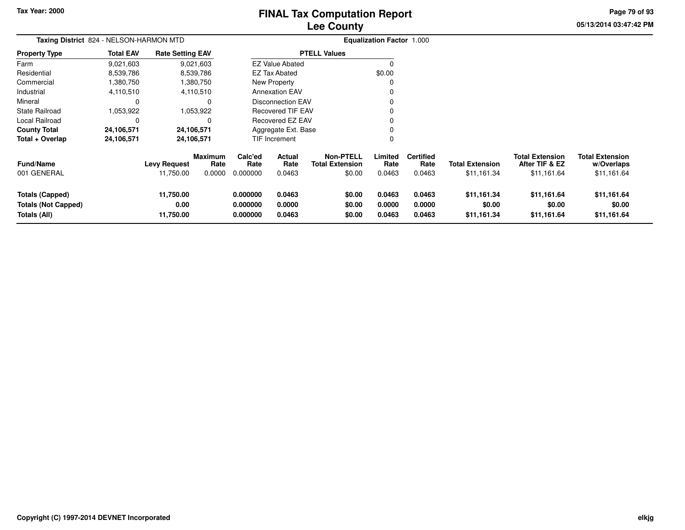# **Lee CountyFINAL Tax Computation Report**

**05/13/2014 03:47:42 PM Page 79 of 93**

|                                                               | Taxing District 824 - NELSON-HARMON MTD<br><b>Total EAV</b><br><b>Rate Setting EAV</b> |                                  |                                  |                                  |                            |                                                      | <b>Equalization Factor 1.000</b> |                                    |                                       |                                                         |                                                     |
|---------------------------------------------------------------|----------------------------------------------------------------------------------------|----------------------------------|----------------------------------|----------------------------------|----------------------------|------------------------------------------------------|----------------------------------|------------------------------------|---------------------------------------|---------------------------------------------------------|-----------------------------------------------------|
| <b>Property Type</b>                                          |                                                                                        |                                  |                                  |                                  |                            | <b>PTELL Values</b>                                  |                                  |                                    |                                       |                                                         |                                                     |
| Farm                                                          | 9,021,603                                                                              |                                  | 9,021,603                        |                                  | <b>EZ Value Abated</b>     |                                                      | $\Omega$                         |                                    |                                       |                                                         |                                                     |
| Residential                                                   | 8,539,786                                                                              |                                  | 8,539,786                        |                                  | EZ Tax Abated              |                                                      | \$0.00                           |                                    |                                       |                                                         |                                                     |
| Commercial                                                    | ,380,750                                                                               |                                  | 1,380,750                        |                                  | New Property               |                                                      | C                                |                                    |                                       |                                                         |                                                     |
| Industrial                                                    | 4,110,510                                                                              |                                  | 4,110,510                        |                                  | <b>Annexation EAV</b>      |                                                      |                                  |                                    |                                       |                                                         |                                                     |
| Mineral                                                       | 0                                                                                      |                                  | $\Omega$                         |                                  | <b>Disconnection EAV</b>   |                                                      | 0                                |                                    |                                       |                                                         |                                                     |
| <b>State Railroad</b>                                         | 1,053,922                                                                              |                                  | 1,053,922                        |                                  | Recovered TIF EAV          |                                                      | $\Omega$                         |                                    |                                       |                                                         |                                                     |
| Local Railroad                                                | 0                                                                                      |                                  | 0                                |                                  | Recovered EZ EAV           |                                                      | 0                                |                                    |                                       |                                                         |                                                     |
| <b>County Total</b>                                           | 24,106,571                                                                             |                                  | 24,106,571                       |                                  | Aggregate Ext. Base        |                                                      | 0                                |                                    |                                       |                                                         |                                                     |
| Total + Overlap                                               | 24,106,571                                                                             |                                  | 24,106,571                       |                                  | TIF Increment              |                                                      | 0                                |                                    |                                       |                                                         |                                                     |
| <b>Fund/Name</b><br>001 GENERAL                               |                                                                                        | <b>Levy Request</b><br>11,750.00 | <b>Maximum</b><br>Rate<br>0.0000 | Calc'ed<br>Rate<br>0.000000      | Actual<br>Rate<br>0.0463   | <b>Non-PTELL</b><br><b>Total Extension</b><br>\$0.00 | Limited<br>Rate<br>0.0463        | <b>Certified</b><br>Rate<br>0.0463 | <b>Total Extension</b><br>\$11,161.34 | <b>Total Extension</b><br>After TIF & EZ<br>\$11,161.64 | <b>Total Extension</b><br>w/Overlaps<br>\$11,161.64 |
|                                                               |                                                                                        |                                  |                                  |                                  |                            |                                                      |                                  |                                    |                                       |                                                         |                                                     |
| Totals (Capped)<br><b>Totals (Not Capped)</b><br>Totals (All) |                                                                                        | 11,750.00<br>0.00<br>11,750.00   |                                  | 0.000000<br>0.000000<br>0.000000 | 0.0463<br>0.0000<br>0.0463 | \$0.00<br>\$0.00<br>\$0.00                           | 0.0463<br>0.0000<br>0.0463       | 0.0463<br>0.0000<br>0.0463         | \$11,161.34<br>\$0.00<br>\$11,161.34  | \$11,161.64<br>\$0.00<br>\$11,161.64                    | \$11,161.64<br>\$0.00<br>\$11,161.64                |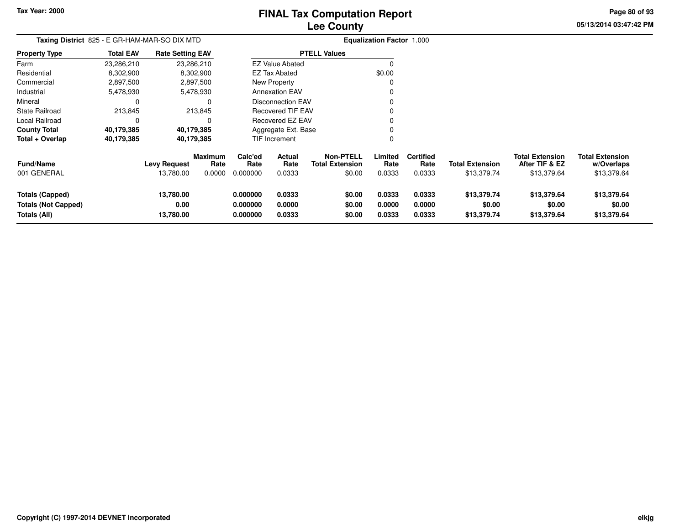# **Lee CountyFINAL Tax Computation Report**

**05/13/2014 03:47:42 PM**

**Page 80 of 93**

| <b>FINAL TAX COMPUTATION REPORT</b> |  |
|-------------------------------------|--|
| <b>Lee County</b>                   |  |

| <b>Taxing District</b> 825 - E GR-HAM-MAR-SO DIX MTD |                  |                                  |                           |                             |                          |                                                      | <b>Equalization Factor 1.000</b> |                                    |                                       |                                                         |                                                     |
|------------------------------------------------------|------------------|----------------------------------|---------------------------|-----------------------------|--------------------------|------------------------------------------------------|----------------------------------|------------------------------------|---------------------------------------|---------------------------------------------------------|-----------------------------------------------------|
| Property Type                                        | <b>Total EAV</b> | <b>Rate Setting EAV</b>          |                           |                             |                          | <b>PTELL Values</b>                                  |                                  |                                    |                                       |                                                         |                                                     |
| Farm                                                 | 23,286,210       | 23,286,210                       |                           |                             | <b>EZ Value Abated</b>   |                                                      | O                                |                                    |                                       |                                                         |                                                     |
| Residential                                          | 8,302,900        |                                  | 8,302,900                 |                             | <b>EZ Tax Abated</b>     |                                                      | \$0.00                           |                                    |                                       |                                                         |                                                     |
| Commercial                                           | 2,897,500        |                                  | 2,897,500                 |                             | New Property             |                                                      |                                  |                                    |                                       |                                                         |                                                     |
| Industrial                                           | 5,478,930        |                                  | 5,478,930                 |                             | <b>Annexation EAV</b>    |                                                      |                                  |                                    |                                       |                                                         |                                                     |
| Mineral                                              | 0                |                                  |                           |                             | <b>Disconnection EAV</b> |                                                      |                                  |                                    |                                       |                                                         |                                                     |
| State Railroad                                       | 213,845          |                                  | 213,845                   |                             | <b>Recovered TIF EAV</b> |                                                      |                                  |                                    |                                       |                                                         |                                                     |
| Local Railroad                                       | 0                |                                  |                           |                             | Recovered EZ EAV         |                                                      |                                  |                                    |                                       |                                                         |                                                     |
| <b>County Total</b>                                  | 40,179,385       | 40,179,385                       |                           |                             | Aggregate Ext. Base      |                                                      |                                  |                                    |                                       |                                                         |                                                     |
| Total + Overlap                                      | 40,179,385       | 40,179,385                       |                           |                             | TIF Increment            |                                                      | 0                                |                                    |                                       |                                                         |                                                     |
| <b>Fund/Name</b><br>001 GENERAL                      |                  | <b>Levy Request</b><br>13,780.00 | Maximum<br>Rate<br>0.0000 | Calc'ed<br>Rate<br>0.000000 | Actual<br>Rate<br>0.0333 | <b>Non-PTELL</b><br><b>Total Extension</b><br>\$0.00 | Limited<br>Rate<br>0.0333        | <b>Certified</b><br>Rate<br>0.0333 | <b>Total Extension</b><br>\$13,379.74 | <b>Total Extension</b><br>After TIF & EZ<br>\$13,379.64 | <b>Total Extension</b><br>w/Overlaps<br>\$13,379.64 |
|                                                      |                  |                                  |                           |                             |                          |                                                      |                                  |                                    |                                       |                                                         |                                                     |
| <b>Totals (Capped)</b><br><b>Totals (Not Capped)</b> |                  | 13,780.00<br>0.00                |                           | 0.000000<br>0.000000        | 0.0333<br>0.0000         | \$0.00<br>\$0.00                                     | 0.0333<br>0.0000                 | 0.0333<br>0.0000                   | \$13,379.74<br>\$0.00                 | \$13,379.64<br>\$0.00                                   | \$13,379.64<br>\$0.00                               |
| Totals (All)                                         |                  | 13,780.00                        |                           | 0.000000                    | 0.0333                   | \$0.00                                               | 0.0333                           | 0.0333                             | \$13,379.74                           | \$13,379.64                                             | \$13,379.64                                         |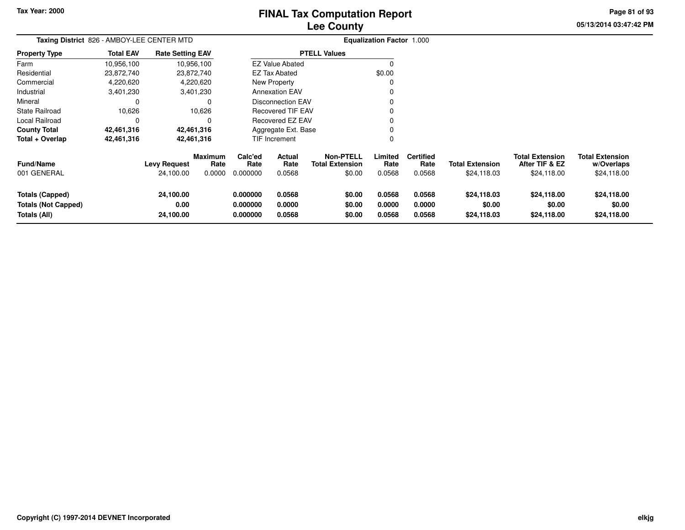# **Lee CountyFINAL Tax Computation Report**

**05/13/2014 03:47:42 PM Page 81 of 93**

| Taxing District 826 - AMBOY-LEE CENTER MTD                           |                  |                                  |                                  |                                  |                            |                                                      | <b>Equalization Factor 1.000</b> |                                    |                                       |                                                         |                                                     |
|----------------------------------------------------------------------|------------------|----------------------------------|----------------------------------|----------------------------------|----------------------------|------------------------------------------------------|----------------------------------|------------------------------------|---------------------------------------|---------------------------------------------------------|-----------------------------------------------------|
| Property Type                                                        | <b>Total EAV</b> | <b>Rate Setting EAV</b>          |                                  |                                  |                            | <b>PTELL Values</b>                                  |                                  |                                    |                                       |                                                         |                                                     |
| Farm                                                                 | 10,956,100       |                                  | 10,956,100                       |                                  | <b>EZ Value Abated</b>     |                                                      |                                  |                                    |                                       |                                                         |                                                     |
| Residential                                                          | 23,872,740       |                                  | 23,872,740                       |                                  | <b>EZ Tax Abated</b>       |                                                      | \$0.00                           |                                    |                                       |                                                         |                                                     |
| Commercial                                                           | 4,220,620        |                                  | 4,220,620                        |                                  | New Property               |                                                      |                                  |                                    |                                       |                                                         |                                                     |
| Industrial                                                           | 3,401,230        |                                  | 3,401,230                        |                                  | <b>Annexation EAV</b>      |                                                      |                                  |                                    |                                       |                                                         |                                                     |
| Mineral                                                              |                  |                                  | 0                                |                                  | <b>Disconnection EAV</b>   |                                                      |                                  |                                    |                                       |                                                         |                                                     |
| State Railroad                                                       | 10,626           |                                  | 10,626                           |                                  | <b>Recovered TIF EAV</b>   |                                                      |                                  |                                    |                                       |                                                         |                                                     |
| Local Railroad                                                       |                  |                                  | 0                                |                                  | <b>Recovered EZ EAV</b>    |                                                      |                                  |                                    |                                       |                                                         |                                                     |
| County Total                                                         | 42,461,316       |                                  | 42,461,316                       |                                  | Aggregate Ext. Base        |                                                      |                                  |                                    |                                       |                                                         |                                                     |
| Total + Overlap                                                      | 42,461,316       |                                  | 42,461,316                       |                                  | TIF Increment              |                                                      |                                  |                                    |                                       |                                                         |                                                     |
| Fund/Name<br>001 GENERAL                                             |                  | <b>Levy Request</b><br>24,100.00 | <b>Maximum</b><br>Rate<br>0.0000 | Calc'ed<br>Rate<br>0.000000      | Actual<br>Rate<br>0.0568   | <b>Non-PTELL</b><br><b>Total Extension</b><br>\$0.00 | Limited<br>Rate<br>0.0568        | <b>Certified</b><br>Rate<br>0.0568 | <b>Total Extension</b><br>\$24,118.03 | <b>Total Extension</b><br>After TIF & EZ<br>\$24,118.00 | <b>Total Extension</b><br>w/Overlaps<br>\$24,118.00 |
| <b>Totals (Capped)</b><br><b>Totals (Not Capped)</b><br>Totals (All) |                  | 24,100.00<br>0.00<br>24,100.00   |                                  | 0.000000<br>0.000000<br>0.000000 | 0.0568<br>0.0000<br>0.0568 | \$0.00<br>\$0.00<br>\$0.00                           | 0.0568<br>0.0000<br>0.0568       | 0.0568<br>0.0000<br>0.0568         | \$24,118.03<br>\$0.00<br>\$24,118.03  | \$24,118.00<br>\$0.00<br>\$24,118.00                    | \$24,118.00<br>\$0.00<br>\$24,118.00                |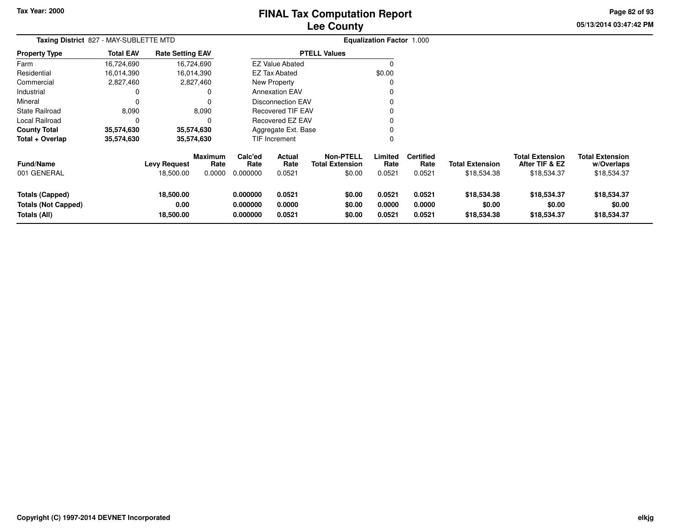# **Lee CountyFINAL Tax Computation Report**

**05/13/2014 03:47:42 PM Page 82 of 93**

| Taxing District 827 - MAY-SUBLETTE MTD |                  |                         |                 |                 |                          |                                            | <b>Equalization Factor 1.000</b> |                          |                        |                                          |                                      |
|----------------------------------------|------------------|-------------------------|-----------------|-----------------|--------------------------|--------------------------------------------|----------------------------------|--------------------------|------------------------|------------------------------------------|--------------------------------------|
| <b>Property Type</b>                   | <b>Total EAV</b> | <b>Rate Setting EAV</b> |                 |                 |                          | <b>PTELL Values</b>                        |                                  |                          |                        |                                          |                                      |
| Farm                                   | 16,724,690       |                         | 16,724,690      |                 | <b>EZ Value Abated</b>   |                                            | $\Omega$                         |                          |                        |                                          |                                      |
| Residential                            | 16,014,390       |                         | 16,014,390      |                 | EZ Tax Abated            |                                            | \$0.00                           |                          |                        |                                          |                                      |
| Commercial                             | 2,827,460        |                         | 2,827,460       |                 | New Property             |                                            | 0                                |                          |                        |                                          |                                      |
| Industrial                             | 0                |                         | 0               |                 | <b>Annexation EAV</b>    |                                            | 0                                |                          |                        |                                          |                                      |
| Mineral                                | $\Omega$         |                         | 0               |                 | <b>Disconnection EAV</b> |                                            | $\Omega$                         |                          |                        |                                          |                                      |
| <b>State Railroad</b>                  | 8,090            |                         | 8,090           |                 | <b>Recovered TIF EAV</b> |                                            | 0                                |                          |                        |                                          |                                      |
| Local Railroad                         | $\Omega$         |                         | 0               |                 | Recovered EZ EAV         |                                            | 0                                |                          |                        |                                          |                                      |
| <b>County Total</b>                    | 35,574,630       |                         | 35,574,630      |                 | Aggregate Ext. Base      |                                            | 0                                |                          |                        |                                          |                                      |
| Total + Overlap                        | 35,574,630       |                         | 35,574,630      |                 | TIF Increment            |                                            | $\Omega$                         |                          |                        |                                          |                                      |
| <b>Fund/Name</b>                       |                  | <b>Levy Request</b>     | Maximum<br>Rate | Calc'ed<br>Rate | Actual<br>Rate           | <b>Non-PTELL</b><br><b>Total Extension</b> | Limited<br>Rate                  | <b>Certified</b><br>Rate | <b>Total Extension</b> | <b>Total Extension</b><br>After TIF & EZ | <b>Total Extension</b><br>w/Overlaps |
| 001 GENERAL                            |                  | 18,500.00               | 0.0000          | 0.000000        | 0.0521                   | \$0.00                                     | 0.0521                           | 0.0521                   | \$18,534.38            | \$18,534.37                              | \$18,534.37                          |
| <b>Totals (Capped)</b>                 |                  | 18,500.00               |                 | 0.000000        | 0.0521                   | \$0.00                                     | 0.0521                           | 0.0521                   | \$18,534.38            | \$18,534.37                              | \$18,534.37                          |
| <b>Totals (Not Capped)</b>             |                  | 0.00                    |                 | 0.000000        | 0.0000                   | \$0.00                                     | 0.0000                           | 0.0000                   | \$0.00                 | \$0.00                                   | \$0.00                               |
| Totals (All)                           |                  | 18,500.00               |                 | 0.000000        | 0.0521                   | \$0.00                                     | 0.0521                           | 0.0521                   | \$18,534.38            | \$18,534.37                              | \$18,534.37                          |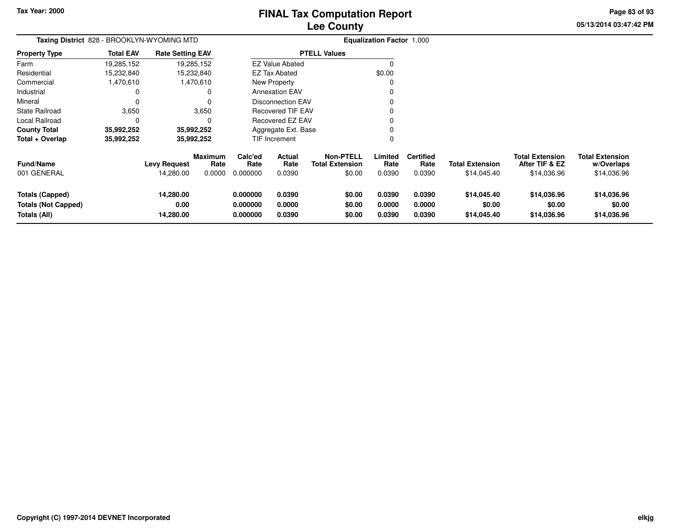**Totals (Not Capped)**

**Totals (All)**

# **Lee CountyFINAL Tax Computation Report**

**05/13/2014 03:47:42 PMPage 83 of 93**

|                        |                  | Taxing District 828 - BROOKLYN-WYOMING MTD |                        |                 |                          |                                            | <b>Equalization Factor 1.000</b> |                          |                        |                                          |                                      |
|------------------------|------------------|--------------------------------------------|------------------------|-----------------|--------------------------|--------------------------------------------|----------------------------------|--------------------------|------------------------|------------------------------------------|--------------------------------------|
| <b>Property Type</b>   | <b>Total EAV</b> | <b>Rate Setting EAV</b>                    |                        |                 |                          | <b>PTELL Values</b>                        |                                  |                          |                        |                                          |                                      |
| Farm                   | 19,285,152       | 19,285,152                                 |                        |                 | <b>EZ Value Abated</b>   |                                            | 0                                |                          |                        |                                          |                                      |
| Residential            | 15,232,840       | 15,232,840                                 |                        |                 | EZ Tax Abated            |                                            | \$0.00                           |                          |                        |                                          |                                      |
| Commercial             | 1,470,610        | 1,470,610                                  |                        |                 | New Property             |                                            | $\Omega$                         |                          |                        |                                          |                                      |
| Industrial             | 0                |                                            | 0                      |                 | <b>Annexation EAV</b>    |                                            | 0                                |                          |                        |                                          |                                      |
| Mineral                | $\Omega$         |                                            | 0                      |                 | <b>Disconnection EAV</b> |                                            | 0                                |                          |                        |                                          |                                      |
| State Railroad         | 3,650            | 3,650                                      |                        |                 | Recovered TIF EAV        |                                            | 0                                |                          |                        |                                          |                                      |
| Local Railroad         | $\Omega$         |                                            | $\Omega$               |                 | Recovered EZ EAV         |                                            | 0                                |                          |                        |                                          |                                      |
| <b>County Total</b>    | 35,992,252       | 35,992,252                                 |                        |                 | Aggregate Ext. Base      |                                            | 0                                |                          |                        |                                          |                                      |
| Total + Overlap        | 35,992,252       | 35,992,252                                 |                        |                 | TIF Increment            |                                            | $\Omega$                         |                          |                        |                                          |                                      |
| <b>Fund/Name</b>       |                  | <b>Levy Request</b>                        | <b>Maximum</b><br>Rate | Calc'ed<br>Rate | <b>Actual</b><br>Rate    | <b>Non-PTELL</b><br><b>Total Extension</b> | Limited<br>Rate                  | <b>Certified</b><br>Rate | <b>Total Extension</b> | <b>Total Extension</b><br>After TIF & EZ | <b>Total Extension</b><br>w/Overlaps |
| 001 GENERAL            |                  | 14,280.00                                  | 0.0000                 | 0.000000        | 0.0390                   | \$0.00                                     | 0.0390                           | 0.0390                   | \$14,045.40            | \$14,036.96                              | \$14,036.96                          |
| <b>Totals (Capped)</b> |                  | 14,280.00                                  |                        | 0.000000        | 0.0390                   | \$0.00                                     | 0.0390                           | 0.0390                   | \$14,045.40            | \$14,036.96                              | \$14,036.96                          |

**0.000000 0.0390 \$0.00 0.0390 0.0390 \$14,045.40 \$14,036.96 \$14,036.96**

**0.000000 0.0000 \$0.00 0.0000 0.0000 \$0.00 \$0.00 \$0.00**

**0.000000 0.0390 \$0.00 0.0390 0.0390 \$14,045.40 \$14,036.96 \$14,036.96**

**14,280.00**

**0.00**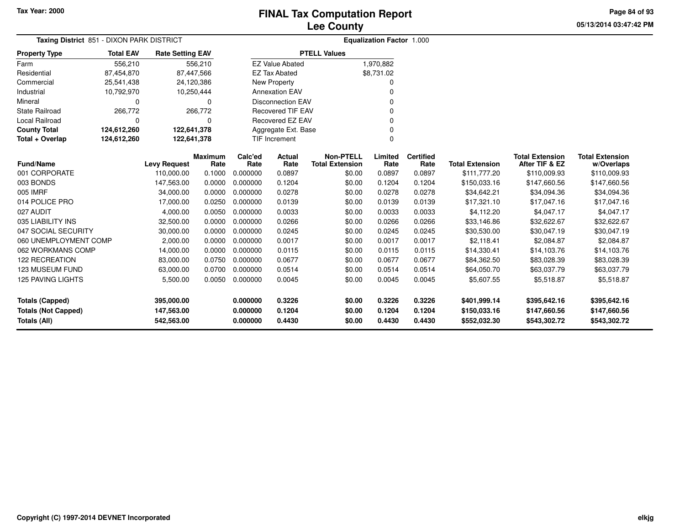**05/13/2014 03:47:42 PM Page 84 of 93**

| Taxing District 851 - DIXON PARK DISTRICT                                   |                  |                                        |                        |                                  |                            |                                            | <b>Equalization Factor 1.000</b> |                            |                                              |                                              |                                              |
|-----------------------------------------------------------------------------|------------------|----------------------------------------|------------------------|----------------------------------|----------------------------|--------------------------------------------|----------------------------------|----------------------------|----------------------------------------------|----------------------------------------------|----------------------------------------------|
| <b>Property Type</b>                                                        | <b>Total EAV</b> | <b>Rate Setting EAV</b>                |                        |                                  |                            | <b>PTELL Values</b>                        |                                  |                            |                                              |                                              |                                              |
| Farm                                                                        | 556,210          |                                        | 556,210                |                                  | <b>EZ Value Abated</b>     |                                            | 1,970,882                        |                            |                                              |                                              |                                              |
| Residential                                                                 | 87,454,870       | 87,447,566                             |                        |                                  | <b>EZ Tax Abated</b>       |                                            | \$8,731.02                       |                            |                                              |                                              |                                              |
| Commercial                                                                  | 25,541,438       | 24,120,386                             |                        |                                  | <b>New Property</b>        |                                            | 0                                |                            |                                              |                                              |                                              |
| Industrial                                                                  | 10,792,970       | 10,250,444                             |                        |                                  | <b>Annexation EAV</b>      |                                            | 0                                |                            |                                              |                                              |                                              |
| Mineral                                                                     | $\Omega$         |                                        | $\Omega$               |                                  | <b>Disconnection EAV</b>   |                                            |                                  |                            |                                              |                                              |                                              |
| <b>State Railroad</b>                                                       | 266,772          |                                        | 266,772                |                                  | <b>Recovered TIF EAV</b>   |                                            | 0                                |                            |                                              |                                              |                                              |
| <b>Local Railroad</b>                                                       |                  |                                        | 0                      |                                  | Recovered EZ EAV           |                                            | 0                                |                            |                                              |                                              |                                              |
| <b>County Total</b>                                                         | 124,612,260      | 122,641,378                            |                        |                                  | Aggregate Ext. Base        |                                            | 0                                |                            |                                              |                                              |                                              |
| Total + Overlap                                                             | 124,612,260      | 122,641,378                            |                        |                                  | TIF Increment              |                                            | $\Omega$                         |                            |                                              |                                              |                                              |
| <b>Fund/Name</b>                                                            |                  | <b>Levy Request</b>                    | <b>Maximum</b><br>Rate | Calc'ed<br>Rate                  | Actual<br>Rate             | <b>Non-PTELL</b><br><b>Total Extension</b> | Limited<br>Rate                  | <b>Certified</b><br>Rate   | <b>Total Extension</b>                       | <b>Total Extension</b><br>After TIF & EZ     | <b>Total Extension</b><br>w/Overlaps         |
| 001 CORPORATE                                                               |                  | 110,000.00                             | 0.1000                 | 0.000000                         | 0.0897                     | \$0.00                                     | 0.0897                           | 0.0897                     | \$111,777.20                                 | \$110,009.93                                 | \$110,009.93                                 |
| 003 BONDS                                                                   |                  | 147,563.00                             | 0.0000                 | 0.000000                         | 0.1204                     | \$0.00                                     | 0.1204                           | 0.1204                     | \$150,033.16                                 | \$147,660.56                                 | \$147,660.56                                 |
| 005 IMRF                                                                    |                  | 34,000.00                              | 0.0000                 | 0.000000                         | 0.0278                     | \$0.00                                     | 0.0278                           | 0.0278                     | \$34,642.21                                  | \$34,094.36                                  | \$34,094.36                                  |
| 014 POLICE PRO                                                              |                  | 17,000.00                              | 0.0250                 | 0.000000                         | 0.0139                     | \$0.00                                     | 0.0139                           | 0.0139                     | \$17,321.10                                  | \$17,047.16                                  | \$17,047.16                                  |
| 027 AUDIT                                                                   |                  | 4,000.00                               | 0.0050                 | 0.000000                         | 0.0033                     | \$0.00                                     | 0.0033                           | 0.0033                     | \$4,112.20                                   | \$4,047.17                                   | \$4,047.17                                   |
| 035 LIABILITY INS                                                           |                  | 32,500.00                              | 0.0000                 | 0.000000                         | 0.0266                     | \$0.00                                     | 0.0266                           | 0.0266                     | \$33,146.86                                  | \$32,622.67                                  | \$32,622.67                                  |
| 047 SOCIAL SECURITY                                                         |                  | 30,000.00                              | 0.0000                 | 0.000000                         | 0.0245                     | \$0.00                                     | 0.0245                           | 0.0245                     | \$30,530.00                                  | \$30,047.19                                  | \$30,047.19                                  |
| 060 UNEMPLOYMENT COMP                                                       |                  | 2,000.00                               | 0.0000                 | 0.000000                         | 0.0017                     | \$0.00                                     | 0.0017                           | 0.0017                     | \$2,118.41                                   | \$2,084.87                                   | \$2,084.87                                   |
| 062 WORKMANS COMP                                                           |                  | 14,000.00                              | 0.0000                 | 0.000000                         | 0.0115                     | \$0.00                                     | 0.0115                           | 0.0115                     | \$14,330.41                                  | \$14,103.76                                  | \$14,103.76                                  |
| <b>122 RECREATION</b>                                                       |                  | 83,000.00                              | 0.0750                 | 0.000000                         | 0.0677                     | \$0.00                                     | 0.0677                           | 0.0677                     | \$84,362.50                                  | \$83,028.39                                  | \$83,028.39                                  |
| 123 MUSEUM FUND                                                             |                  | 63,000.00                              | 0.0700                 | 0.000000                         | 0.0514                     | \$0.00                                     | 0.0514                           | 0.0514                     | \$64,050.70                                  | \$63,037.79                                  | \$63,037.79                                  |
| 125 PAVING LIGHTS                                                           |                  | 5,500.00                               | 0.0050                 | 0.000000                         | 0.0045                     | \$0.00                                     | 0.0045                           | 0.0045                     | \$5,607.55                                   | \$5,518.87                                   | \$5,518.87                                   |
| <b>Totals (Capped)</b><br><b>Totals (Not Capped)</b><br><b>Totals (All)</b> |                  | 395,000.00<br>147,563.00<br>542,563.00 |                        | 0.000000<br>0.000000<br>0.000000 | 0.3226<br>0.1204<br>0.4430 | \$0.00<br>\$0.00<br>\$0.00                 | 0.3226<br>0.1204<br>0.4430       | 0.3226<br>0.1204<br>0.4430 | \$401,999.14<br>\$150,033.16<br>\$552,032.30 | \$395,642.16<br>\$147,660.56<br>\$543,302.72 | \$395,642.16<br>\$147,660.56<br>\$543,302.72 |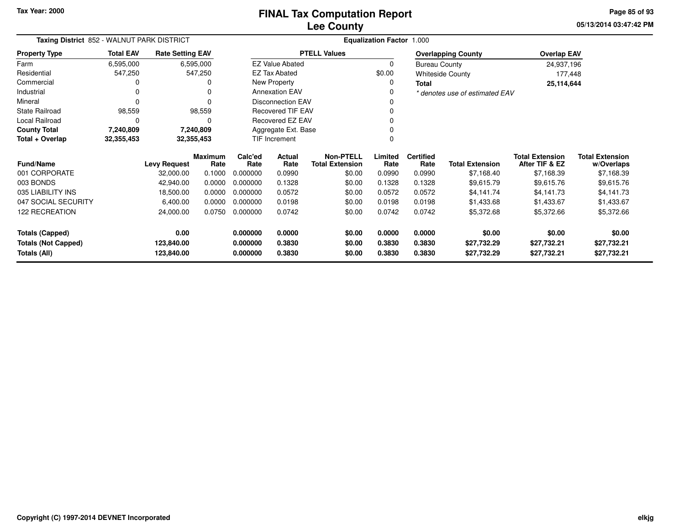**05/13/2014 03:47:42 PM Page 85 of 93**

| Taxing District 852 - WALNUT PARK DISTRICT |                  | <b>Equalization Factor 1.000</b> |                        |                 |                          |                                            |                 |                          |                                |                                          |                                      |
|--------------------------------------------|------------------|----------------------------------|------------------------|-----------------|--------------------------|--------------------------------------------|-----------------|--------------------------|--------------------------------|------------------------------------------|--------------------------------------|
| <b>Property Type</b>                       | <b>Total EAV</b> | <b>Rate Setting EAV</b>          |                        |                 |                          | <b>PTELL Values</b>                        |                 |                          | <b>Overlapping County</b>      | <b>Overlap EAV</b>                       |                                      |
| Farm                                       | 6,595,000        |                                  | 6,595,000              |                 | <b>EZ Value Abated</b>   |                                            | 0               | <b>Bureau County</b>     |                                | 24,937,196                               |                                      |
| Residential                                | 547,250          |                                  | 547,250                |                 | <b>EZ Tax Abated</b>     |                                            | \$0.00          |                          | <b>Whiteside County</b>        | 177,448                                  |                                      |
| Commercial                                 |                  |                                  | 0                      |                 | New Property             |                                            | 0               | <b>Total</b>             |                                | 25,114,644                               |                                      |
| Industrial                                 |                  |                                  | 0                      |                 | <b>Annexation EAV</b>    |                                            | O               |                          | * denotes use of estimated EAV |                                          |                                      |
| Mineral                                    |                  |                                  | $\Omega$               |                 | <b>Disconnection EAV</b> |                                            |                 |                          |                                |                                          |                                      |
| <b>State Railroad</b>                      | 98,559           |                                  | 98,559                 |                 | <b>Recovered TIF EAV</b> |                                            |                 |                          |                                |                                          |                                      |
| Local Railroad                             | $\Omega$         |                                  | 0                      |                 | Recovered EZ EAV         |                                            |                 |                          |                                |                                          |                                      |
| <b>County Total</b>                        | 7,240,809        |                                  | 7,240,809              |                 | Aggregate Ext. Base      |                                            |                 |                          |                                |                                          |                                      |
| Total + Overlap                            | 32,355,453       | 32,355,453                       |                        |                 | TIF Increment            |                                            |                 |                          |                                |                                          |                                      |
| <b>Fund/Name</b>                           |                  | <b>Levy Request</b>              | <b>Maximum</b><br>Rate | Calc'ed<br>Rate | Actual<br>Rate           | <b>Non-PTELL</b><br><b>Total Extension</b> | Limited<br>Rate | <b>Certified</b><br>Rate | <b>Total Extension</b>         | <b>Total Extension</b><br>After TIF & EZ | <b>Total Extension</b><br>w/Overlaps |
| 001 CORPORATE                              |                  | 32,000.00                        | 0.1000                 | 0.000000        | 0.0990                   | \$0.00                                     | 0.0990          | 0.0990                   | \$7,168.40                     | \$7,168.39                               | \$7,168.39                           |
| 003 BONDS                                  |                  | 42,940.00                        | 0.0000                 | 0.000000        | 0.1328                   | \$0.00                                     | 0.1328          | 0.1328                   | \$9,615.79                     | \$9,615.76                               | \$9,615.76                           |
| 035 LIABILITY INS                          |                  | 18,500.00                        | 0.0000                 | 0.000000        | 0.0572                   | \$0.00                                     | 0.0572          | 0.0572                   | \$4,141.74                     | \$4,141.73                               | \$4,141.73                           |
| 047 SOCIAL SECURITY                        |                  | 6,400.00                         | 0.0000                 | 0.000000        | 0.0198                   | \$0.00                                     | 0.0198          | 0.0198                   | \$1,433.68                     | \$1,433.67                               | \$1,433.67                           |
| <b>122 RECREATION</b>                      |                  | 24,000.00                        | 0.0750                 | 0.000000        | 0.0742                   | \$0.00                                     | 0.0742          | 0.0742                   | \$5,372.68                     | \$5,372.66                               | \$5,372.66                           |
| <b>Totals (Capped)</b>                     |                  | 0.00                             |                        | 0.000000        | 0.0000                   | \$0.00                                     | 0.0000          | 0.0000                   | \$0.00                         | \$0.00                                   | \$0.00                               |
| <b>Totals (Not Capped)</b>                 |                  | 123,840.00                       |                        | 0.000000        | 0.3830                   | \$0.00                                     | 0.3830          | 0.3830                   | \$27,732.29                    | \$27,732.21                              | \$27,732.21                          |
| Totals (All)                               | 123,840.00       |                                  |                        |                 | 0.3830                   | \$0.00                                     | 0.3830          | 0.3830                   | \$27,732.29                    | \$27,732.21                              | \$27,732.21                          |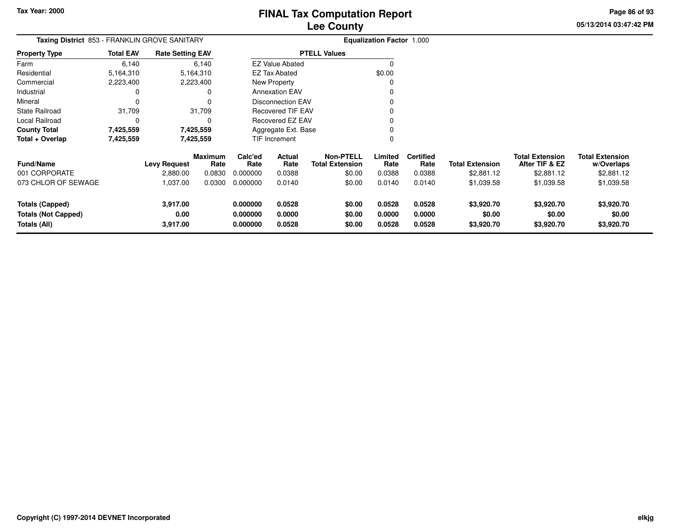**05/13/2014 03:47:42 PM Page 86 of 93**

| Taxing District 853 - FRANKLIN GROVE SANITARY |                  |                         |                        |                 |                          |                                            | <b>Equalization Factor 1.000</b> |                          |                        |                                          |                                      |
|-----------------------------------------------|------------------|-------------------------|------------------------|-----------------|--------------------------|--------------------------------------------|----------------------------------|--------------------------|------------------------|------------------------------------------|--------------------------------------|
| <b>Property Type</b>                          | <b>Total EAV</b> | <b>Rate Setting EAV</b> |                        |                 |                          | <b>PTELL Values</b>                        |                                  |                          |                        |                                          |                                      |
| Farm                                          | 6,140            |                         | 6,140                  |                 | <b>EZ Value Abated</b>   |                                            | 0                                |                          |                        |                                          |                                      |
| Residential                                   | 5,164,310        |                         | 5,164,310              |                 | <b>EZ Tax Abated</b>     |                                            | \$0.00                           |                          |                        |                                          |                                      |
| Commercial                                    | 2,223,400        |                         | 2,223,400              |                 | New Property             |                                            |                                  |                          |                        |                                          |                                      |
| Industrial                                    |                  |                         | 0                      |                 | <b>Annexation EAV</b>    |                                            |                                  |                          |                        |                                          |                                      |
| Mineral                                       |                  |                         |                        |                 | <b>Disconnection EAV</b> |                                            |                                  |                          |                        |                                          |                                      |
| <b>State Railroad</b>                         | 31,709           |                         | 31,709                 |                 | <b>Recovered TIF EAV</b> |                                            |                                  |                          |                        |                                          |                                      |
| Local Railroad                                | 0                |                         |                        |                 | Recovered EZ EAV         |                                            |                                  |                          |                        |                                          |                                      |
| <b>County Total</b>                           | 7,425,559        |                         | 7,425,559              |                 | Aggregate Ext. Base      |                                            |                                  |                          |                        |                                          |                                      |
| Total + Overlap                               | 7,425,559        |                         | 7,425,559              |                 | TIF Increment            |                                            | 0                                |                          |                        |                                          |                                      |
| <b>Fund/Name</b>                              |                  | <b>Levy Request</b>     | <b>Maximum</b><br>Rate | Calc'ed<br>Rate | Actual<br>Rate           | <b>Non-PTELL</b><br><b>Total Extension</b> | Limited<br>Rate                  | <b>Certified</b><br>Rate | <b>Total Extension</b> | <b>Total Extension</b><br>After TIF & EZ | <b>Total Extension</b><br>w/Overlaps |
| 001 CORPORATE                                 |                  | 2,880.00                | 0.0830                 | 0.000000        | 0.0388                   | \$0.00                                     | 0.0388                           | 0.0388                   | \$2,881.12             | \$2,881.12                               | \$2,881.12                           |
| 073 CHLOR OF SEWAGE                           |                  | 1,037.00                | 0.0300                 | 0.000000        | 0.0140                   | \$0.00                                     | 0.0140                           | 0.0140                   | \$1,039.58             | \$1,039.58                               | \$1,039.58                           |
| Totals (Capped)                               |                  | 3,917.00                |                        | 0.000000        | 0.0528                   | \$0.00                                     | 0.0528                           | 0.0528                   | \$3,920.70             | \$3,920.70                               | \$3,920.70                           |
| <b>Totals (Not Capped)</b>                    |                  | 0.00                    |                        | 0.000000        | 0.0000                   | \$0.00                                     | 0.0000                           | 0.0000                   | \$0.00                 | \$0.00                                   | \$0.00                               |
| Totals (All)                                  |                  | 3,917.00                |                        | 0.000000        | 0.0528                   | \$0.00                                     | 0.0528                           | 0.0528                   | \$3,920.70             | \$3,920.70                               | \$3,920.70                           |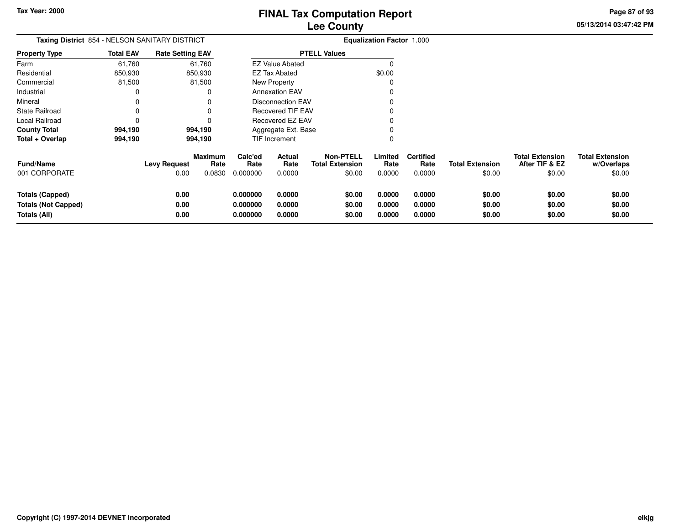**05/13/2014 03:47:42 PM Page 87 of 93**

 $$0.00$ 

| Taxing District 854 - NELSON SANITARY DISTRICT                |                  |                             |                                  |                                  |                            |                                               | <b>Equalization Factor 1.000</b> |                                    |                                  |                                                    |                                                |
|---------------------------------------------------------------|------------------|-----------------------------|----------------------------------|----------------------------------|----------------------------|-----------------------------------------------|----------------------------------|------------------------------------|----------------------------------|----------------------------------------------------|------------------------------------------------|
| <b>Property Type</b>                                          | <b>Total EAV</b> | <b>Rate Setting EAV</b>     |                                  |                                  |                            | <b>PTELL Values</b>                           |                                  |                                    |                                  |                                                    |                                                |
| Farm                                                          | 61,760           |                             | 61,760                           |                                  | <b>EZ Value Abated</b>     |                                               | $\Omega$                         |                                    |                                  |                                                    |                                                |
| Residential                                                   | 850,930          |                             | 850,930                          |                                  | <b>EZ Tax Abated</b>       |                                               | \$0.00                           |                                    |                                  |                                                    |                                                |
| Commercial                                                    | 81,500           |                             | 81,500                           |                                  | New Property               |                                               |                                  |                                    |                                  |                                                    |                                                |
| Industrial                                                    |                  |                             | <sup>0</sup>                     |                                  | <b>Annexation EAV</b>      |                                               |                                  |                                    |                                  |                                                    |                                                |
| Mineral                                                       |                  |                             |                                  |                                  | Disconnection EAV          |                                               |                                  |                                    |                                  |                                                    |                                                |
| <b>State Railroad</b>                                         |                  |                             |                                  |                                  | <b>Recovered TIF EAV</b>   |                                               |                                  |                                    |                                  |                                                    |                                                |
| Local Railroad                                                |                  |                             |                                  |                                  | Recovered EZ EAV           |                                               |                                  |                                    |                                  |                                                    |                                                |
| <b>County Total</b>                                           | 994,190          |                             | 994,190                          |                                  | Aggregate Ext. Base        |                                               |                                  |                                    |                                  |                                                    |                                                |
| Total + Overlap                                               | 994,190          |                             | 994,190                          |                                  | TIF Increment              |                                               | 0                                |                                    |                                  |                                                    |                                                |
| <b>Fund/Name</b><br>001 CORPORATE                             |                  | <b>Levy Request</b><br>0.00 | <b>Maximum</b><br>Rate<br>0.0830 | Calc'ed<br>Rate<br>0.000000      | Actual<br>Rate<br>0.0000   | Non-PTELL<br><b>Total Extension</b><br>\$0.00 | Limited<br>Rate<br>0.0000        | <b>Certified</b><br>Rate<br>0.0000 | <b>Total Extension</b><br>\$0.00 | <b>Total Extension</b><br>After TIF & EZ<br>\$0.00 | <b>Total Extension</b><br>w/Overlaps<br>\$0.00 |
| Totals (Capped)<br><b>Totals (Not Capped)</b><br>Totals (All) |                  | 0.00<br>0.00<br>0.00        |                                  | 0.000000<br>0.000000<br>0.000000 | 0.0000<br>0.0000<br>0.0000 | \$0.00<br>\$0.00<br>\$0.00                    | 0.0000<br>0.0000<br>0.0000       | 0.0000<br>0.0000<br>0.0000         | \$0.00<br>\$0.00<br>\$0.00       | \$0.00<br>\$0.00<br>\$0.00                         | \$0.00<br>\$0.00<br>\$0.00                     |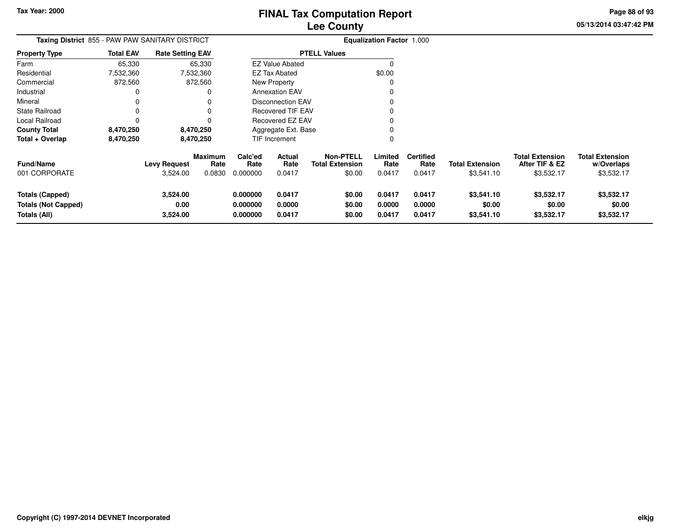**05/13/2014 03:47:42 PM Page 88 of 93**

| <b>Taxing District 855 - PAW PAW SANITARY DISTRICT</b>        |                  |                                 |                                  |                                  |                            |                                                      | <b>Equalization Factor 1.000</b> |                                    |                                      |                                                        |                                                    |
|---------------------------------------------------------------|------------------|---------------------------------|----------------------------------|----------------------------------|----------------------------|------------------------------------------------------|----------------------------------|------------------------------------|--------------------------------------|--------------------------------------------------------|----------------------------------------------------|
| <b>Property Type</b>                                          | <b>Total EAV</b> | <b>Rate Setting EAV</b>         |                                  |                                  |                            | <b>PTELL Values</b>                                  |                                  |                                    |                                      |                                                        |                                                    |
| Farm                                                          | 65,330           |                                 | 65,330                           |                                  | <b>EZ Value Abated</b>     |                                                      | $\Omega$                         |                                    |                                      |                                                        |                                                    |
| Residential                                                   | 7,532,360        |                                 | 7,532,360                        |                                  | EZ Tax Abated              |                                                      | \$0.00                           |                                    |                                      |                                                        |                                                    |
| Commercial                                                    | 872,560          |                                 | 872,560                          |                                  | New Property               |                                                      | C                                |                                    |                                      |                                                        |                                                    |
| Industrial                                                    | 0                |                                 | 0                                |                                  | <b>Annexation EAV</b>      |                                                      |                                  |                                    |                                      |                                                        |                                                    |
| Mineral                                                       | 0                |                                 |                                  |                                  | <b>Disconnection EAV</b>   |                                                      |                                  |                                    |                                      |                                                        |                                                    |
| <b>State Railroad</b>                                         | 0                |                                 |                                  |                                  | <b>Recovered TIF EAV</b>   |                                                      |                                  |                                    |                                      |                                                        |                                                    |
| Local Railroad                                                | 0                |                                 | 0                                |                                  | Recovered EZ EAV           |                                                      |                                  |                                    |                                      |                                                        |                                                    |
| <b>County Total</b>                                           | 8,470,250        |                                 | 8,470,250                        |                                  | Aggregate Ext. Base        |                                                      |                                  |                                    |                                      |                                                        |                                                    |
| Total + Overlap                                               | 8,470,250        |                                 | 8,470,250                        |                                  | TIF Increment              |                                                      | 0                                |                                    |                                      |                                                        |                                                    |
| <b>Fund/Name</b><br>001 CORPORATE                             |                  | <b>Levy Request</b><br>3,524.00 | <b>Maximum</b><br>Rate<br>0.0830 | Calc'ed<br>Rate<br>0.000000      | Actual<br>Rate<br>0.0417   | <b>Non-PTELL</b><br><b>Total Extension</b><br>\$0.00 | Limited<br>Rate<br>0.0417        | <b>Certified</b><br>Rate<br>0.0417 | <b>Total Extension</b><br>\$3,541.10 | <b>Total Extension</b><br>After TIF & EZ<br>\$3,532.17 | <b>Total Extension</b><br>w/Overlaps<br>\$3,532.17 |
| Totals (Capped)<br><b>Totals (Not Capped)</b><br>Totals (All) |                  | 3,524.00<br>0.00<br>3,524.00    |                                  | 0.000000<br>0.000000<br>0.000000 | 0.0417<br>0.0000<br>0.0417 | \$0.00<br>\$0.00<br>\$0.00                           | 0.0417<br>0.0000<br>0.0417       | 0.0417<br>0.0000<br>0.0417         | \$3,541.10<br>\$0.00<br>\$3,541.10   | \$3,532.17<br>\$0.00<br>\$3,532.17                     | \$3,532.17<br>\$0.00<br>\$3,532.17                 |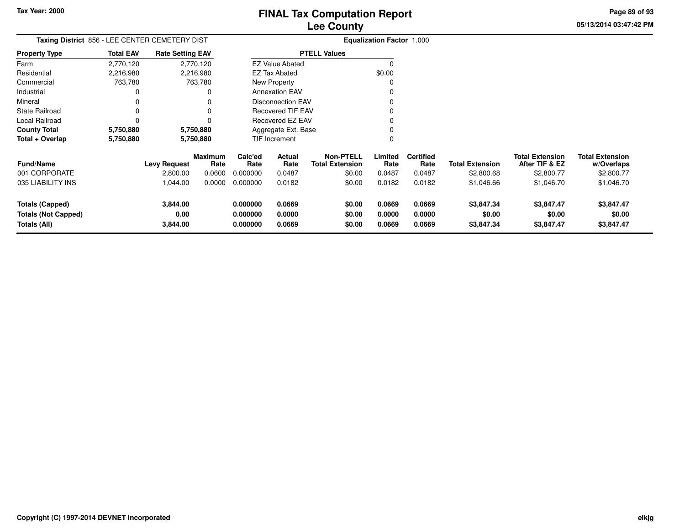**05/13/2014 03:47:42 PM Page 89 of 93**

|                                                                      |                  | Taxing District 856 - LEE CENTER CEMETERY DIST |                        |                                  |                            |                                            | <b>Equalization Factor 1.000</b> |                            |                                    |                                          |                                      |
|----------------------------------------------------------------------|------------------|------------------------------------------------|------------------------|----------------------------------|----------------------------|--------------------------------------------|----------------------------------|----------------------------|------------------------------------|------------------------------------------|--------------------------------------|
| Property Type                                                        | <b>Total EAV</b> | <b>Rate Setting EAV</b>                        |                        |                                  |                            | <b>PTELL Values</b>                        |                                  |                            |                                    |                                          |                                      |
| Farm                                                                 | 2,770,120        | 2,770,120                                      |                        |                                  | <b>EZ Value Abated</b>     |                                            | 0                                |                            |                                    |                                          |                                      |
| Residential                                                          | 2,216,980        | 2,216,980                                      |                        |                                  | <b>EZ Tax Abated</b>       |                                            | \$0.00                           |                            |                                    |                                          |                                      |
| Commercial                                                           | 763,780          | 763,780                                        |                        |                                  | <b>New Property</b>        |                                            | 0                                |                            |                                    |                                          |                                      |
| Industrial                                                           |                  |                                                | 0                      |                                  | <b>Annexation EAV</b>      |                                            | 0                                |                            |                                    |                                          |                                      |
| Mineral                                                              |                  |                                                |                        |                                  | <b>Disconnection EAV</b>   |                                            |                                  |                            |                                    |                                          |                                      |
| State Railroad                                                       |                  |                                                |                        |                                  | <b>Recovered TIF EAV</b>   |                                            |                                  |                            |                                    |                                          |                                      |
| Local Railroad                                                       |                  |                                                |                        |                                  | Recovered EZ EAV           |                                            |                                  |                            |                                    |                                          |                                      |
| County Total                                                         | 5,750,880        | 5,750,880                                      |                        |                                  | Aggregate Ext. Base        |                                            |                                  |                            |                                    |                                          |                                      |
| Total + Overlap                                                      | 5,750,880        | 5,750,880                                      |                        |                                  | <b>TIF Increment</b>       |                                            | 0                                |                            |                                    |                                          |                                      |
| <b>Fund/Name</b>                                                     |                  | <b>Levy Request</b>                            | <b>Maximum</b><br>Rate | Calc'ed<br>Rate                  | Actual<br>Rate             | <b>Non-PTELL</b><br><b>Total Extension</b> | Limited<br>Rate                  | <b>Certified</b><br>Rate   | <b>Total Extension</b>             | <b>Total Extension</b><br>After TIF & EZ | <b>Total Extension</b><br>w/Overlaps |
| 001 CORPORATE                                                        |                  | 2,800.00                                       | 0.0600                 | 0.000000                         | 0.0487                     | \$0.00                                     | 0.0487                           | 0.0487                     | \$2,800.68                         | \$2,800.77                               | \$2,800.77                           |
| 035 LIABILITY INS                                                    |                  | 1,044.00                                       | 0.0000                 | 0.000000                         | 0.0182                     | \$0.00                                     | 0.0182                           | 0.0182                     | \$1,046.66                         | \$1,046.70                               | \$1,046.70                           |
| <b>Totals (Capped)</b><br><b>Totals (Not Capped)</b><br>Totals (All) |                  | 3,844.00<br>0.00<br>3,844.00                   |                        | 0.000000<br>0.000000<br>0.000000 | 0.0669<br>0.0000<br>0.0669 | \$0.00<br>\$0.00<br>\$0.00                 | 0.0669<br>0.0000<br>0.0669       | 0.0669<br>0.0000<br>0.0669 | \$3,847.34<br>\$0.00<br>\$3,847.34 | \$3,847.47<br>\$0.00<br>\$3,847.47       | \$3,847.47<br>\$0.00<br>\$3,847.47   |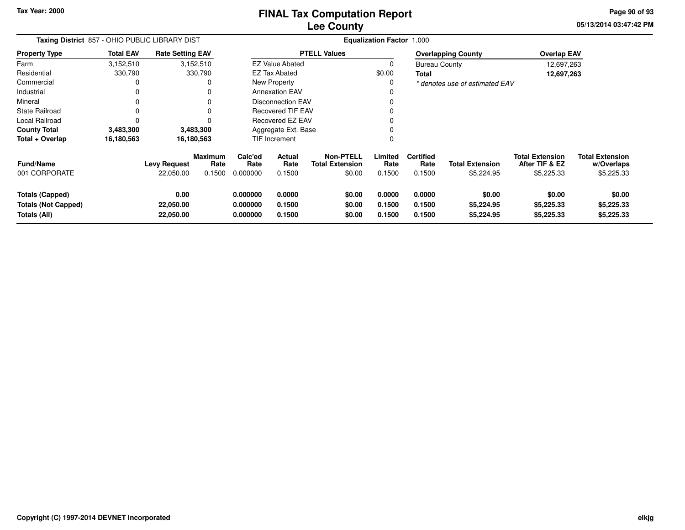### **Lee CountyFINAL Tax Computation Report**

**05/13/2014 03:47:42 PM Page 90 of 93**

| Taxing District 857 - OHIO PUBLIC LIBRARY DIST                       |                  |                                  |                                  |                                  |                            |                                                      | <b>Equalization Factor 1.000</b> |                                    |                                      |                                                        |                                                    |
|----------------------------------------------------------------------|------------------|----------------------------------|----------------------------------|----------------------------------|----------------------------|------------------------------------------------------|----------------------------------|------------------------------------|--------------------------------------|--------------------------------------------------------|----------------------------------------------------|
| <b>Property Type</b>                                                 | <b>Total EAV</b> | <b>Rate Setting EAV</b>          |                                  |                                  |                            | <b>PTELL Values</b>                                  |                                  |                                    | <b>Overlapping County</b>            | <b>Overlap EAV</b>                                     |                                                    |
| Farm                                                                 | 3,152,510        |                                  | 3,152,510                        |                                  | <b>EZ Value Abated</b>     |                                                      | 0                                | <b>Bureau County</b>               |                                      | 12,697,263                                             |                                                    |
| Residential                                                          | 330,790          |                                  | 330,790                          |                                  | <b>EZ Tax Abated</b>       |                                                      | \$0.00                           | Total                              |                                      | 12,697,263                                             |                                                    |
| Commercial                                                           |                  |                                  | 0                                |                                  | New Property               |                                                      |                                  |                                    | * denotes use of estimated EAV       |                                                        |                                                    |
| Industrial                                                           |                  |                                  |                                  |                                  | <b>Annexation EAV</b>      |                                                      |                                  |                                    |                                      |                                                        |                                                    |
| Mineral                                                              |                  |                                  |                                  |                                  | <b>Disconnection EAV</b>   |                                                      |                                  |                                    |                                      |                                                        |                                                    |
| State Railroad                                                       |                  |                                  |                                  |                                  | <b>Recovered TIF EAV</b>   |                                                      |                                  |                                    |                                      |                                                        |                                                    |
| Local Railroad                                                       |                  |                                  |                                  |                                  | Recovered EZ EAV           |                                                      |                                  |                                    |                                      |                                                        |                                                    |
| <b>County Total</b>                                                  | 3,483,300        |                                  | 3,483,300                        |                                  | Aggregate Ext. Base        |                                                      |                                  |                                    |                                      |                                                        |                                                    |
| Total + Overlap                                                      | 16,180,563       |                                  | 16,180,563                       |                                  | TIF Increment              |                                                      |                                  |                                    |                                      |                                                        |                                                    |
| <b>Fund/Name</b><br>001 CORPORATE                                    |                  | <b>Levy Request</b><br>22,050.00 | <b>Maximum</b><br>Rate<br>0.1500 | Calc'ed<br>Rate<br>0.000000      | Actual<br>Rate<br>0.1500   | <b>Non-PTELL</b><br><b>Total Extension</b><br>\$0.00 | Limited<br>Rate<br>0.1500        | <b>Certified</b><br>Rate<br>0.1500 | <b>Total Extension</b><br>\$5,224.95 | <b>Total Extension</b><br>After TIF & EZ<br>\$5,225.33 | <b>Total Extension</b><br>w/Overlaps<br>\$5,225.33 |
| <b>Totals (Capped)</b><br><b>Totals (Not Capped)</b><br>Totals (All) |                  | 0.00<br>22,050.00<br>22,050.00   |                                  | 0.000000<br>0.000000<br>0.000000 | 0.0000<br>0.1500<br>0.1500 | \$0.00<br>\$0.00<br>\$0.00                           | 0.0000<br>0.1500<br>0.1500       | 0.0000<br>0.1500<br>0.1500         | \$0.00<br>\$5,224.95<br>\$5,224.95   | \$0.00<br>\$5,225.33<br>\$5,225.33                     | \$0.00<br>\$5,225.33<br>\$5,225.33                 |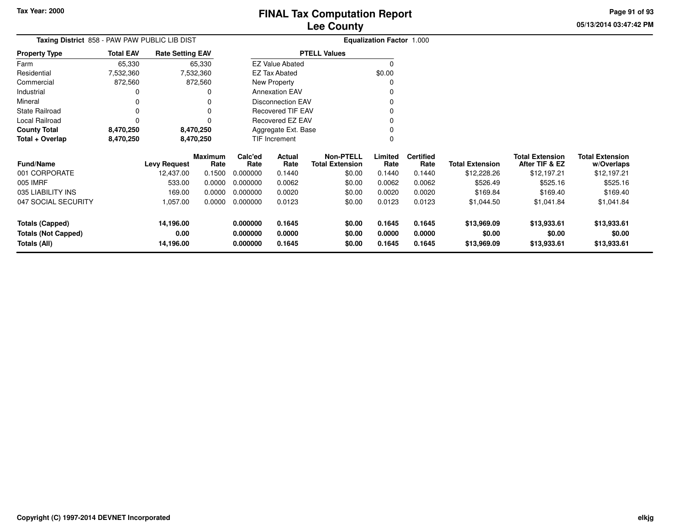**05/13/2014 03:47:42 PMPage 91 of 93**

| Taxing District 858 - PAW PAW PUBLIC LIB DIST |                  |                         |                        |                 |                          |                                            | <b>Equalization Factor 1.000</b> |                          |                        |                                          |                                      |
|-----------------------------------------------|------------------|-------------------------|------------------------|-----------------|--------------------------|--------------------------------------------|----------------------------------|--------------------------|------------------------|------------------------------------------|--------------------------------------|
| <b>Property Type</b>                          | <b>Total EAV</b> | <b>Rate Setting EAV</b> |                        |                 |                          | <b>PTELL Values</b>                        |                                  |                          |                        |                                          |                                      |
| Farm                                          | 65,330           |                         | 65,330                 |                 | <b>EZ Value Abated</b>   |                                            |                                  |                          |                        |                                          |                                      |
| Residential                                   | 7,532,360        |                         | 7,532,360              |                 | <b>EZ Tax Abated</b>     |                                            | \$0.00                           |                          |                        |                                          |                                      |
| Commercial                                    | 872,560          |                         | 872,560                |                 | New Property             |                                            |                                  |                          |                        |                                          |                                      |
| Industrial                                    |                  |                         |                        |                 | <b>Annexation EAV</b>    |                                            |                                  |                          |                        |                                          |                                      |
| Mineral                                       |                  |                         |                        |                 | Disconnection EAV        |                                            |                                  |                          |                        |                                          |                                      |
| <b>State Railroad</b>                         |                  |                         |                        |                 | <b>Recovered TIF EAV</b> |                                            |                                  |                          |                        |                                          |                                      |
| Local Railroad                                |                  |                         |                        |                 | Recovered EZ EAV         |                                            |                                  |                          |                        |                                          |                                      |
| <b>County Total</b>                           | 8,470,250        |                         | 8,470,250              |                 | Aggregate Ext. Base      |                                            |                                  |                          |                        |                                          |                                      |
| Total + Overlap                               | 8,470,250        |                         | 8,470,250              |                 | TIF Increment            |                                            |                                  |                          |                        |                                          |                                      |
| <b>Fund/Name</b>                              |                  | <b>Levy Request</b>     | <b>Maximum</b><br>Rate | Calc'ed<br>Rate | Actual<br>Rate           | <b>Non-PTELL</b><br><b>Total Extension</b> | Limited<br>Rate                  | <b>Certified</b><br>Rate | <b>Total Extension</b> | <b>Total Extension</b><br>After TIF & EZ | <b>Total Extension</b><br>w/Overlaps |
| 001 CORPORATE                                 |                  | 12,437.00               | 0.1500                 | 0.000000        | 0.1440                   | \$0.00                                     | 0.1440                           | 0.1440                   | \$12,228.26            | \$12,197.21                              | \$12,197.21                          |
| 005 IMRF                                      |                  | 533.00                  | 0.0000                 | 0.000000        | 0.0062                   | \$0.00                                     | 0.0062                           | 0.0062                   | \$526.49               | \$525.16                                 | \$525.16                             |
| 035 LIABILITY INS                             |                  | 169.00                  | 0.0000                 | 0.000000        | 0.0020                   | \$0.00                                     | 0.0020                           | 0.0020                   | \$169.84               | \$169.40                                 | \$169.40                             |
| 047 SOCIAL SECURITY                           |                  | 1,057.00                | 0.0000                 | 0.000000        | 0.0123                   | \$0.00                                     | 0.0123                           | 0.0123                   | \$1,044.50             | \$1,041.84                               | \$1,041.84                           |
| Totals (Capped)                               |                  | 14,196.00               |                        | 0.000000        | 0.1645                   | \$0.00                                     | 0.1645                           | 0.1645                   | \$13,969.09            | \$13,933.61                              | \$13,933.61                          |
| <b>Totals (Not Capped)</b>                    |                  | 0.00                    |                        | 0.000000        | 0.0000                   | \$0.00                                     | 0.0000                           | 0.0000                   | \$0.00                 | \$0.00                                   | \$0.00                               |
| <b>Totals (All)</b>                           |                  | 14,196.00               |                        | 0.000000        | 0.1645                   | \$0.00                                     | 0.1645                           | 0.1645                   | \$13,969.09            | \$13,933.61                              | \$13,933.61                          |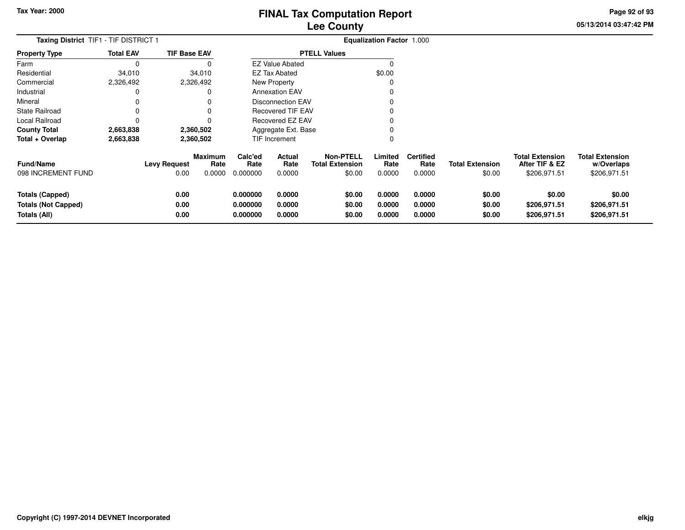**05/13/2014 03:47:42 PM Page 92 of 93**

| <b>Taxing District TIF1 - TIF DISTRICT 1</b>                  |                  |                             |                                  |                                  |                            |                                                      | <b>Equalization Factor 1.000</b> |                                    |                                  |                                                          |                                                      |
|---------------------------------------------------------------|------------------|-----------------------------|----------------------------------|----------------------------------|----------------------------|------------------------------------------------------|----------------------------------|------------------------------------|----------------------------------|----------------------------------------------------------|------------------------------------------------------|
| <b>Property Type</b>                                          | <b>Total EAV</b> | <b>TIF Base EAV</b>         |                                  |                                  |                            | <b>PTELL Values</b>                                  |                                  |                                    |                                  |                                                          |                                                      |
| Farm                                                          | 0                |                             | 0                                |                                  | <b>EZ Value Abated</b>     |                                                      | $\Omega$                         |                                    |                                  |                                                          |                                                      |
| Residential                                                   | 34,010           |                             | 34,010                           |                                  | <b>EZ Tax Abated</b>       |                                                      | \$0.00                           |                                    |                                  |                                                          |                                                      |
| Commercial                                                    | 2,326,492        |                             | 2,326,492                        |                                  | <b>New Property</b>        |                                                      |                                  |                                    |                                  |                                                          |                                                      |
| Industrial                                                    | 0                |                             | 0                                |                                  | <b>Annexation EAV</b>      |                                                      |                                  |                                    |                                  |                                                          |                                                      |
| Mineral                                                       | 0                |                             | 0                                |                                  | <b>Disconnection EAV</b>   |                                                      |                                  |                                    |                                  |                                                          |                                                      |
| <b>State Railroad</b>                                         | 0                |                             | 0                                |                                  | <b>Recovered TIF EAV</b>   |                                                      |                                  |                                    |                                  |                                                          |                                                      |
| Local Railroad                                                | 0                |                             | 0                                |                                  | <b>Recovered EZ EAV</b>    |                                                      |                                  |                                    |                                  |                                                          |                                                      |
| <b>County Total</b>                                           | 2,663,838        |                             | 2,360,502                        |                                  | Aggregate Ext. Base        |                                                      |                                  |                                    |                                  |                                                          |                                                      |
| Total + Overlap                                               | 2,663,838        |                             | 2,360,502                        |                                  | TIF Increment              |                                                      | 0                                |                                    |                                  |                                                          |                                                      |
| <b>Fund/Name</b><br>098 INCREMENT FUND                        |                  | <b>Levy Request</b><br>0.00 | <b>Maximum</b><br>Rate<br>0.0000 | Calc'ed<br>Rate<br>0.000000      | Actual<br>Rate<br>0.0000   | <b>Non-PTELL</b><br><b>Total Extension</b><br>\$0.00 | Limited<br>Rate<br>0.0000        | <b>Certified</b><br>Rate<br>0.0000 | <b>Total Extension</b><br>\$0.00 | <b>Total Extension</b><br>After TIF & EZ<br>\$206,971.51 | <b>Total Extension</b><br>w/Overlaps<br>\$206,971.51 |
| Totals (Capped)<br><b>Totals (Not Capped)</b><br>Totals (All) |                  | 0.00<br>0.00<br>0.00        |                                  | 0.000000<br>0.000000<br>0.000000 | 0.0000<br>0.0000<br>0.0000 | \$0.00<br>\$0.00<br>\$0.00                           | 0.0000<br>0.0000<br>0.0000       | 0.0000<br>0.0000<br>0.0000         | \$0.00<br>\$0.00<br>\$0.00       | \$0.00<br>\$206,971.51<br>\$206,971.51                   | \$0.00<br>\$206,971.51<br>\$206,971.51               |